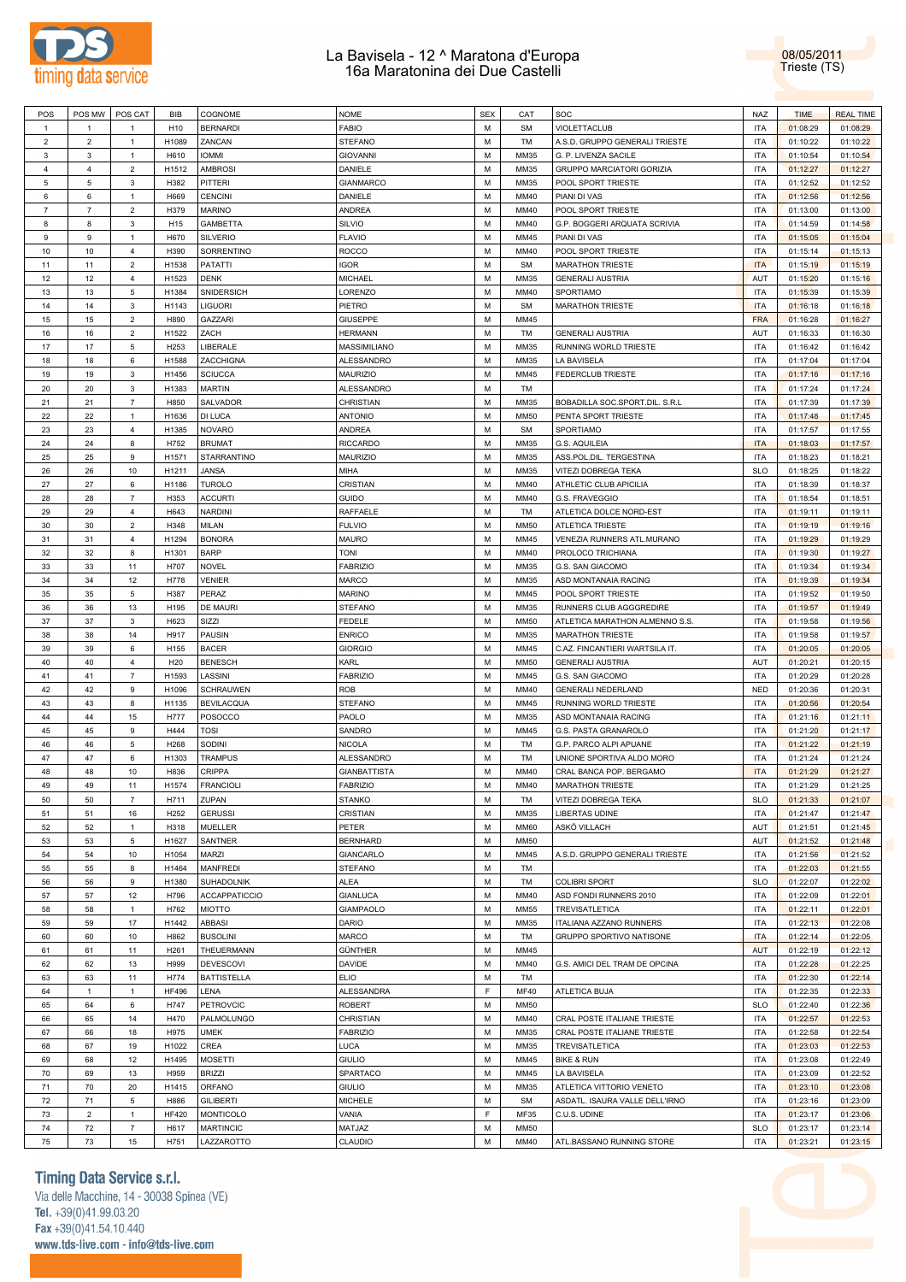



| POS            | POS MW         | POS CAT          | BIB             | COGNOME              | <b>NOME</b>         | <b>SEX</b> | CAT         | SOC                              | <b>NAZ</b> | <b>TIME</b> | <b>REAL TIME</b> |
|----------------|----------------|------------------|-----------------|----------------------|---------------------|------------|-------------|----------------------------------|------------|-------------|------------------|
| $\mathbf{1}$   | $\mathbf{1}$   | $\mathbf{1}$     | H <sub>10</sub> | <b>BERNARDI</b>      | <b>FABIO</b>        | M          | <b>SM</b>   | VIOLETTACLUB                     | <b>ITA</b> | 01:08:29    | 01:08:29         |
|                |                |                  |                 |                      |                     |            |             |                                  |            |             |                  |
| $\overline{2}$ | $\overline{2}$ | -1               | H1089           | ZANCAN               | <b>STEFANO</b>      | M          | TM          | A.S.D. GRUPPO GENERALI TRIESTE   | ITA        | 01:10:22    | 01:10:22         |
| $\mathbf{3}$   | $\mathbf{3}$   | $\mathbf{1}$     | H610            | <b>IOMMI</b>         | <b>GIOVANNI</b>     | M          | MM35        | G. P. LIVENZA SACILE             | <b>ITA</b> | 01:10:54    | 01:10:54         |
| $\overline{4}$ | $\overline{4}$ | $\overline{2}$   | H1512           | <b>AMBROSI</b>       | DANIELE             | M          | MM35        | <b>GRUPPO MARCIATORI GORIZIA</b> | <b>ITA</b> | 01:12:27    | 01:12:27         |
| $\overline{5}$ | 5              | 3                | H382            | PITTERI              | <b>GIANMARCO</b>    | M          | MM35        | POOL SPORT TRIESTE               | <b>ITA</b> | 01:12:52    | 01:12:52         |
| 6              | 6              | $\overline{1}$   | H669            | <b>CENCINI</b>       | DANIELE             | M          | MM40        | PIANI DI VAS                     | <b>ITA</b> | 01:12:56    | 01:12:56         |
| $\overline{7}$ | $\overline{7}$ | $\mathbf 2$      | H379            | <b>MARINO</b>        | <b>ANDREA</b>       | M          | MM40        | POOL SPORT TRIESTE               | <b>ITA</b> | 01:13:00    | 01:13:00         |
|                |                |                  |                 |                      |                     |            |             |                                  |            |             |                  |
| 8              | 8              | 3                | H <sub>15</sub> | GAMBETTA             | <b>SILVIO</b>       | M          | MM40        | G.P. BOGGERI ARQUATA SCRIVIA     | ITA        | 01:14:59    | 01:14:58         |
| $\mathsf g$    | 9              | $\mathbf{1}$     | H670            | <b>SILVERIO</b>      | <b>FLAVIO</b>       | M          | MM45        | PIANI DI VAS                     | <b>ITA</b> | 01:15:05    | 01:15:04         |
| 10             | 10             | 4                | H390            | SORRENTINO           | <b>ROCCO</b>        | M          | MM40        | POOL SPORT TRIESTE               | <b>ITA</b> | 01:15:14    | 01:15:13         |
| 11             | 11             | $\overline{2}$   | H1538           | PATATTI              | <b>IGOR</b>         | M          | <b>SM</b>   | <b>MARATHON TRIESTE</b>          | <b>ITA</b> | 01:15:19    | 01:15:19         |
| 12             | 12             | 4                | H1523           | <b>DENK</b>          | <b>MICHAEL</b>      | M          | MM35        | <b>GENERALI AUSTRIA</b>          | AUT        | 01:15:20    | 01:15:16         |
| 13             | 13             | 5                | H1384           | SNIDERSICH           | LORENZO             | M          | MM40        | SPORTIAMO                        | <b>ITA</b> | 01:15:39    | 01:15:39         |
|                |                |                  |                 |                      |                     |            |             | <b>MARATHON TRIESTE</b>          |            |             |                  |
| 14             | 14             | 3                | H1143           | <b>LIGUORI</b>       | PIETRO              | M          | <b>SM</b>   |                                  | <b>ITA</b> | 01:16:18    | 01:16:18         |
| 15             | 15             | $\mathbf 2$      | H890            | <b>GAZZARI</b>       | <b>GIUSEPPE</b>     | M          | MM45        |                                  | <b>FRA</b> | 01:16:28    | 01:16:27         |
| 16             | 16             | $\overline{2}$   | H1522           | ZACH                 | <b>HERMANN</b>      | M          | TM          | <b>GENERALI AUSTRIA</b>          | AUT        | 01:16:33    | 01:16:30         |
| 17             | 17             | $\,$ 5 $\,$      | H253            | LIBERALE             | MASSIMILIANO        | M          | MM35        | RUNNING WORLD TRIESTE            | <b>ITA</b> | 01:16:42    | 01:16:42         |
| 18             | 18             | 6                | H1588           | ZACCHIGNA            | ALESSANDRO          | M          | MM35        | LA BAVISELA                      | <b>ITA</b> | 01:17:04    | 01:17:04         |
| 19             | 19             | 3                | H1456           | <b>SCIUCCA</b>       | <b>MAURIZIO</b>     | M          | MM45        | <b>FEDERCLUB TRIESTE</b>         | <b>ITA</b> | 01:17:16    | 01:17:16         |
| 20             | 20             |                  | H1383           |                      |                     | M          | TM          |                                  | <b>ITA</b> |             |                  |
|                |                | 3                |                 | <b>MARTIN</b>        | ALESSANDRO          |            |             |                                  |            | 01:17:24    | 01:17:24         |
| 21             | 21             | $\overline{7}$   | H850            | SALVADOR             | CHRISTIAN           | M          | MM35        | BOBADILLA SOC.SPORT.DIL. S.R.L   | <b>ITA</b> | 01:17:39    | 01:17:39         |
| 22             | 22             | $\overline{1}$   | H1636           | DI LUCA              | <b>ANTONIO</b>      | M          | <b>MM50</b> | PENTA SPORT TRIESTE              | <b>ITA</b> | 01:17:48    | 01:17:45         |
| 23             | 23             | $\overline{4}$   | H1385           | <b>NOVARO</b>        | ANDREA              | M          | <b>SM</b>   | SPORTIAMO                        | <b>ITA</b> | 01:17:57    | 01:17:55         |
| 24             | 24             | 8                | H752            | <b>BRUMAT</b>        | <b>RICCARDO</b>     | M          | MM35        | G.S. AQUILEIA                    | <b>ITA</b> | 01:18:03    | 01:17:57         |
| 25             | 25             | $9$              | H1571           | STARRANTINO          | <b>MAURIZIO</b>     | M          | MM35        | ASS.POL.DIL. TERGESTINA          | <b>ITA</b> | 01:18:23    | 01:18:21         |
|                | 26             |                  |                 |                      |                     | M          |             | VITEZI DOBREGA TEKA              | <b>SLO</b> |             |                  |
| 26             |                | 10               | H1211           | JANSA                | MIHA                |            | MM35        |                                  |            | 01:18:25    | 01:18:22         |
| 27             | 27             | 6                | H1186           | <b>TUROLO</b>        | CRISTIAN            | M          | MM40        | ATHLETIC CLUB APICILIA           | <b>ITA</b> | 01:18:39    | 01:18:37         |
| 28             | 28             | 7                | H353            | <b>ACCURTI</b>       | <b>GUIDO</b>        | M          | MM40        | G.S. FRAVEGGIO                   | <b>ITA</b> | 01:18:54    | 01:18:51         |
| 29             | 29             | $\overline{4}$   | H643            | <b>NARDINI</b>       | RAFFAELE            | M          | TM          | ATLETICA DOLCE NORD-EST          | <b>ITA</b> | 01:19:11    | 01:19:11         |
| 30             | 30             | $\overline{2}$   | H348            | MILAN                | <b>FULVIO</b>       | M          | <b>MM50</b> | <b>ATLETICA TRIESTE</b>          | <b>ITA</b> | 01:19:19    | 01:19:16         |
| 31             | 31             | $\overline{4}$   | H1294           | <b>BONORA</b>        | <b>MAURO</b>        | M          | MM45        | VENEZIA RUNNERS ATL.MURANO       | <b>ITA</b> | 01:19:29    | 01:19:29         |
| 32             | 32             | 8                | H1301           | <b>BARP</b>          | TONI                | M          |             |                                  | <b>ITA</b> |             |                  |
|                |                |                  |                 |                      |                     |            | MM40        | PROLOCO TRICHIANA                |            | 01:19:30    | 01:19:27         |
| 33             | 33             | 11               | H707            | <b>NOVEL</b>         | <b>FABRIZIO</b>     | M          | MM35        | G.S. SAN GIACOMO                 | <b>ITA</b> | 01:19:34    | 01:19:34         |
| 34             | 34             | 12               | H778            | <b>VENIER</b>        | <b>MARCO</b>        | M          | MM35        | ASD MONTANAIA RACING             | <b>ITA</b> | 01:19:39    | 01:19:34         |
| 35             | 35             | $\,$ 5 $\,$      | H387            | PERAZ                | <b>MARINO</b>       | M          | MM45        | POOL SPORT TRIESTE               | <b>ITA</b> | 01:19:52    | 01:19:50         |
| 36             | 36             | 13               | H195            | DE MAURI             | <b>STEFANO</b>      | M          | MM35        | RUNNERS CLUB AGGGREDIRE          | <b>ITA</b> | 01:19:57    | 01:19:49         |
| 37             | 37             | 3                | H623            | SIZZI                | <b>FEDELE</b>       | M          | <b>MM50</b> | ATLETICA MARATHON ALMENNO S.S.   | <b>ITA</b> | 01:19:58    | 01:19:56         |
| 38             | 38             | 14               | H917            | <b>PAUSIN</b>        | <b>ENRICO</b>       | M          | MM35        | <b>MARATHON TRIESTE</b>          | ITA        | 01:19:58    | 01:19:57         |
|                |                |                  |                 |                      |                     |            |             |                                  |            |             |                  |
| 39             |                |                  |                 |                      |                     |            | MM45        |                                  |            |             |                  |
|                | 39             | 6                | H155            | <b>BACER</b>         | <b>GIORGIO</b>      | M          |             | C.AZ. FINCANTIERI WARTSILA IT.   | <b>ITA</b> | 01:20:05    | 01:20:05         |
| 40             | 40             | $\overline{4}$   | H <sub>20</sub> | <b>BENESCH</b>       | KARL                | M          | <b>MM50</b> | <b>GENERALI AUSTRIA</b>          | AUT        | 01:20:21    | 01:20:15         |
| 41             | 41             | $\overline{7}$   | H1593           | LASSINI              | <b>FABRIZIO</b>     | M          | MM45        | G.S. SAN GIACOMO                 | <b>ITA</b> | 01:20:29    | 01:20:28         |
| 42             | 42             | 9                | H1096           | <b>SCHRAUWEN</b>     | ROB                 | M          | MM40        | GENERALI NEDERLAND               | <b>NED</b> | 01:20:36    | 01:20:31         |
|                |                |                  |                 |                      |                     |            |             |                                  |            |             |                  |
| 43             | 43             | 8                | H1135           | <b>BEVILACQUA</b>    | <b>STEFANO</b>      | M          | MM45        | RUNNING WORLD TRIESTE            | <b>ITA</b> | 01:20:56    | 01:20:54         |
| 44             | 44             | 15               | H777            | <b>POSOCCO</b>       | PAOLO               | M          | MM35        | ASD MONTANAIA RACING             | <b>ITA</b> | 01:21:16    | 01:21:11         |
| 45             | 45             | $9$              | H444            | <b>TOSI</b>          | SANDRO              | M          | MM45        | G.S. PASTA GRANAROLO             | <b>ITA</b> | 01:21:20    | 01:21:17         |
| 46             | 46             | $\overline{5}$   | H268            | SODINI               | <b>NICOLA</b>       | M          | TM          | G.P. PARCO ALPI APUANE           | ITA        | 01:21:22    | 01:21:19         |
| 47             | 47             | 6                | H1303           | <b>TRAMPUS</b>       | ALESSANDRO          | M          | TM          | UNIONE SPORTIVA ALDO MORO        | <b>ITA</b> | 01:21:24    | 01:21:24         |
| 48             | 48             | 10               | H836            | <b>CRIPPA</b>        | <b>GIANBATTISTA</b> | M          | MM40        | CRAL BANCA POP. BERGAMO          | <b>ITA</b> | 01:21:29    | 01:21:27         |
| 49             | 49             | 11               | H1574           | <b>FRANCIOLI</b>     | <b>FABRIZIO</b>     | M          | MM40        | <b>MARATHON TRIESTE</b>          | <b>ITA</b> | 01:21:29    | 01:21:25         |
|                |                |                  |                 |                      |                     |            |             |                                  |            |             |                  |
| 50             | 50             | $\overline{7}$   | H711            | ZUPAN                | <b>STANKO</b>       | M          | TM          | VITEZI DOBREGA TEKA              | <b>SLO</b> | 01:21:33    | 01:21:07         |
| 51             | 51             | 16               | H252            | <b>GERUSSI</b>       | CRISTIAN            | M          | MM35        | LIBERTAS UDINE                   | <b>ITA</b> | 01:21:47    | 01:21:47         |
| 52             | 52             | $\mathbf{1}$     | H318            | MUELLER              | PETER               | M          | <b>MM60</b> | ASKÖ VILLACH                     | AUT        | 01:21:51    | 01:21:45         |
| 53             | 53             | $\,$ 5 $\,$      | H1627           | SANTNER              | <b>BERNHARD</b>     | M          | <b>MM50</b> |                                  | AUT        | 01:21:52    | 01:21:48         |
| 54             | 54             | 10               | H1054           | MARZI                | GIANCARLO           | M          | MM45        | A.S.D. GRUPPO GENERALI TRIESTE   | <b>ITA</b> | 01:21:56    | 01:21:52         |
| 55             | 55             | 8                | H1464           | <b>MANFREDI</b>      | <b>STEFANO</b>      | M          | TM          |                                  | <b>ITA</b> | 01:22:03    | 01:21:55         |
|                |                |                  |                 |                      |                     |            |             |                                  |            |             |                  |
| 56             | 56             | $\boldsymbol{9}$ | H1380           | SUHADOLNIK           | ALEA                | M          | TM          | <b>COLIBRI SPORT</b>             | <b>SLO</b> | 01:22:07    | 01:22:02         |
| 57             | 57             | 12               | H796            | <b>ACCAPPATICCIO</b> | <b>GIANLUCA</b>     | M          | MM40        | ASD FONDI RUNNERS 2010           | <b>ITA</b> | 01:22:09    | 01:22:01         |
| 58             | 58             | $\mathbf{1}$     | H762            | MIOTTO               | GIAMPAOLO           | M          | <b>MM55</b> | <b>TREVISATLETICA</b>            | <b>ITA</b> | 01:22:11    | 01:22:01         |
| 59             | 59             | $17\,$           | H1442           | ABBASI               | <b>DARIO</b>        | M          | MM35        | ITALIANA AZZANO RUNNERS          | <b>ITA</b> | 01:22:13    | 01:22:08         |
| 60             | 60             | 10               | H862            | <b>BUSOLINI</b>      | MARCO               | M          | TM          | GRUPPO SPORTIVO NATISONE         | <b>ITA</b> | 01:22:14    | 01:22:05         |
| 61             | 61             | 11               | H261            | THEUERMANN           | GÜNTHER             | M          | MM45        |                                  | <b>AUT</b> | 01:22:19    | 01:22:12         |
|                |                |                  |                 |                      |                     |            |             |                                  |            |             |                  |
| 62             | 62             | 13               | H999            | <b>DEVESCOVI</b>     | <b>DAVIDE</b>       | M          | MM40        | G.S. AMICI DEL TRAM DE OPCINA    | <b>ITA</b> | 01:22:28    | 01:22:25         |
| 63             | 63             | 11               | H774            | <b>BATTISTELLA</b>   | <b>ELIO</b>         | M          | TM          |                                  | <b>ITA</b> | 01:22:30    | 01:22:14         |
| 64             | 1              | $\mathbf{1}$     | <b>HF496</b>    | LENA                 | ALESSANDRA          | F          | <b>MF40</b> | ATLETICA BUJA                    | <b>ITA</b> | 01:22:35    | 01:22:33         |
| 65             | 64             | $\,6\,$          | H747            | <b>PETROVCIC</b>     | <b>ROBERT</b>       | M          | <b>MM50</b> |                                  | <b>SLO</b> | 01:22:40    | 01:22:36         |
| 66             | 65             | 14               | H470            | PALMOLUNGO           | CHRISTIAN           | M          | MM40        | CRAL POSTE ITALIANE TRIESTE      | <b>ITA</b> | 01:22:57    | 01:22:53         |
| 67             | 66             | 18               | H975            | <b>UMEK</b>          | <b>FABRIZIO</b>     | M          | MM35        | CRAL POSTE ITALIANE TRIESTE      | <b>ITA</b> | 01:22:58    | 01:22:54         |
|                |                |                  |                 | CREA                 |                     | M          |             |                                  |            |             |                  |
| 68             | 67             | 19               | H1022           |                      | <b>LUCA</b>         |            | MM35        | <b>TREVISATLETICA</b>            | <b>ITA</b> | 01:23:03    | 01:22:53         |
| 69             | 68             | 12               | H1495           | <b>MOSETTI</b>       | <b>GIULIO</b>       | M          | MM45        | <b>BIKE &amp; RUN</b>            | <b>ITA</b> | 01:23:08    | 01:22:49         |
| 70             | 69             | 13               | H959            | <b>BRIZZI</b>        | SPARTACO            | M          | MM45        | LA BAVISELA                      | ITA        | 01:23:09    | 01:22:52         |
| 71             | 70             | 20               | H1415           | ORFANO               | <b>GIULIO</b>       | M          | MM35        | ATLETICA VITTORIO VENETO         | <b>ITA</b> | 01:23:10    | 01:23:08         |
| 72             | 71             | 5                | H886            | <b>GILIBERTI</b>     | MICHELE             | M          | SM          | ASDATL. ISAURA VALLE DELL'IRNO   | <b>ITA</b> | 01:23:16    | 01:23:09         |
| 73             | $\overline{2}$ | $\mathbf{1}$     | <b>HF420</b>    | MONTICOLO            | VANIA               | F          | MF35        | C.U.S. UDINE                     | <b>ITA</b> | 01:23:17    | 01:23:06         |
| 74             | 72             | $\overline{7}$   | H617            | <b>MARTINCIC</b>     | MATJAZ              | M          | <b>MM50</b> |                                  | <b>SLO</b> | 01:23:17    | 01:23:14         |

## **Timing Data Service s.r.l.**

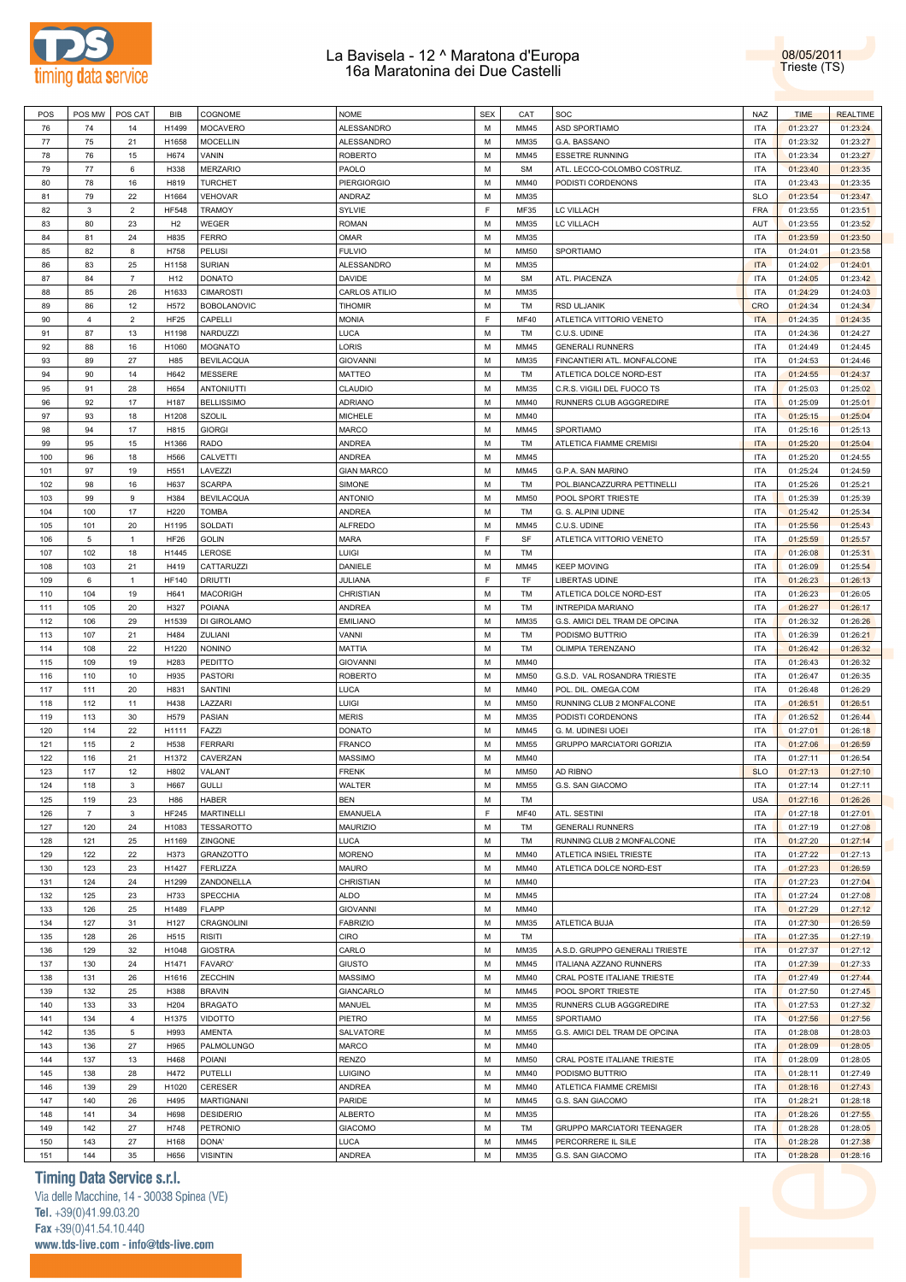

POS |POS MW |POS CAT | BIB |COGNOME NOME | NOME | SEX | CAT |SOC NAZ NAZ NAZ | TIME | REALTIME | REALTIME | REALTIME 76 | 74 | 14 |H1499 MOCAVERO |ALESSANDRO | M | MM45 |ASD SPORTIAMO | ITA | 01:23:27 | 01:23:24 77 | 75 | 21 | H1658 |MOCELLIN | ALESSANDRO | M | MM35 |G.A. BASSANO | ITA | 01:23:32 | 01:23:27

08/05/2011 Trieste (TS)

| 78                                     | 76             | 15                      | H674            | VANIN              | ROBERTO            | М | MM45        | <b>ESSETRE RUNNING</b>         | ITA        | 01:23:34 | 01:23:27 |
|----------------------------------------|----------------|-------------------------|-----------------|--------------------|--------------------|---|-------------|--------------------------------|------------|----------|----------|
| 79                                     | 77             | 6                       | H338            | <b>MERZARIO</b>    | PAOLO              | M | <b>SM</b>   | ATL. LECCO-COLOMBO COSTRUZ     | <b>ITA</b> | 01:23:40 | 01:23:35 |
| 80                                     | 78             | 16                      | H819            | <b>TURCHET</b>     | <b>PIERGIORGIO</b> | М | MM40        | PODISTI CORDENONS              | <b>ITA</b> | 01:23:43 | 01:23:35 |
|                                        |                |                         |                 |                    |                    |   |             |                                |            |          |          |
| 81                                     | 79             | 22                      | H1664           | <b>VEHOVAR</b>     | ANDRAZ             | M | MM35        |                                | <b>SLO</b> | 01:23:54 | 01:23:47 |
| 82                                     | 3              | $\overline{\mathbf{c}}$ | <b>HF548</b>    | <b>TRAMOY</b>      | SYLVIE             | F | MF35        | LC VILLACH                     | <b>FRA</b> | 01:23:55 | 01:23:51 |
| 83                                     | 80             | 23                      | H2              | WEGER              | ROMAN              | M | MM35        | LC VILLACH                     | AUT        | 01:23:55 | 01:23:52 |
| 84                                     | 81             | 24                      | H835            | <b>FERRO</b>       | OMAR               | M | MM35        |                                | <b>ITA</b> | 01:23:59 | 01:23:50 |
| 85                                     | 82             | 8                       | H758            | PELUSI             | <b>FULVIO</b>      | M | MM50        | SPORTIAMO                      | <b>ITA</b> | 01:24:01 | 01:23:58 |
|                                        |                |                         |                 |                    |                    |   |             |                                |            |          |          |
| 86                                     | 83             | 25                      | H1158           | <b>SURIAN</b>      | ALESSANDRO         | М | MM35        |                                | <b>ITA</b> | 01:24:02 | 01:24:01 |
| 87                                     | 84             | $\overline{7}$          | H <sub>12</sub> | <b>DONATO</b>      | DAVIDE             | M | <b>SM</b>   | ATL. PIACENZA                  | <b>ITA</b> | 01:24:05 | 01:23:42 |
| 88                                     | 85             | 26                      | H1633           | <b>CIMAROSTI</b>   | CARLOS ATILIO      | М | MM35        |                                | <b>ITA</b> | 01:24:29 | 01:24:03 |
| 89                                     | 86             | 12                      | H572            | <b>BOBOLANOVIC</b> | <b>TIHOMIR</b>     | M | TM          | <b>RSD ULJANIK</b>             | <b>CRO</b> | 01:24:34 | 01:24:34 |
| 90                                     | $\overline{4}$ | $\overline{\mathbf{c}}$ | <b>HF25</b>     | CAPELLI            | MONIA              | F | <b>MF40</b> | ATLETICA VITTORIO VENETO       | <b>ITA</b> | 01:24:35 | 01:24:35 |
|                                        |                |                         |                 |                    |                    |   |             |                                |            |          |          |
| 91                                     | 87             | 13                      | H1198           | NARDUZZI           | LUCA               | M | TM          | C.U.S. UDINE                   | <b>ITA</b> | 01:24:36 | 01:24:27 |
| 92                                     | 88             | 16                      | H1060           | <b>MOGNATO</b>     | LORIS              | М | MM45        | <b>GENERALI RUNNERS</b>        | <b>ITA</b> | 01:24:49 | 01:24:45 |
| 93                                     | 89             | 27                      | H85             | <b>BEVILACQUA</b>  | <b>GIOVANNI</b>    | M | MM35        | FINCANTIERI ATL. MONFALCONE    | <b>ITA</b> | 01:24:53 | 01:24:46 |
| 94                                     | 90             | 14                      | H642            | <b>MESSERE</b>     | MATTEO             | М | TM          | ATLETICA DOLCE NORD-EST        | <b>ITA</b> | 01:24:55 | 01:24:37 |
| 95                                     | 91             | 28                      | H654            | ANTONIUTTI         | CLAUDIO            | M | MM35        | C.R.S. VIGILI DEL FUOCO TS     | <b>ITA</b> | 01:25:03 | 01:25:02 |
|                                        |                |                         |                 |                    |                    |   |             |                                |            |          |          |
| 96                                     | 92             | 17                      | H187            | <b>BELLISSIMO</b>  | ADRIANO            | M | MM40        | RUNNERS CLUB AGGGREDIRE        | <b>ITA</b> | 01:25:09 | 01:25:01 |
| 97                                     | 93             | 18                      | H1208           | <b>SZOLIL</b>      | MICHELE            | M | MM40        |                                | <b>ITA</b> | 01:25:15 | 01:25:04 |
| 98                                     | 94             | 17                      | H815            | <b>GIORGI</b>      | MARCO              | M | MM45        | SPORTIAMO                      | <b>ITA</b> | 01:25:16 | 01:25:13 |
| 99                                     | 95             | 15                      | H1366           | <b>RADO</b>        | ANDREA             | M | TM          | ATLETICA FIAMME CREMISI        | <b>ITA</b> | 01:25:20 | 01:25:04 |
| 100                                    | 96             | 18                      | H566            | CALVETTI           | ANDREA             | M | MM45        |                                | <b>ITA</b> | 01:25:20 | 01:24:55 |
|                                        |                |                         |                 |                    |                    |   |             |                                |            |          |          |
| 101                                    | 97             | 19                      | H551            | LAVEZZI            | <b>GIAN MARCO</b>  | M | MM45        | G.P.A. SAN MARINO              | <b>ITA</b> | 01:25:24 | 01:24:59 |
| 102                                    | 98             | 16                      | H637            | <b>SCARPA</b>      | SIMONE             | М | TM          | POL.BIANCAZZURRA PETTINELLI    | <b>ITA</b> | 01:25:26 | 01:25:21 |
| 103                                    | 99             | 9                       | H384            | <b>BEVILACQUA</b>  | <b>ANTONIO</b>     | M | <b>MM50</b> | POOL SPORT TRIESTE             | <b>ITA</b> | 01:25:39 | 01:25:39 |
| 104                                    | 100            | 17                      | H220            | <b>TOMBA</b>       | ANDREA             | М | TM          | G. S. ALPINI UDINE             | <b>ITA</b> | 01:25:42 | 01:25:34 |
| 105                                    | 101            | 20                      | H1195           | SOLDATI            | <b>ALFREDO</b>     | M | MM45        | C.U.S. UDINE                   | <b>ITA</b> | 01:25:56 | 01:25:43 |
|                                        |                |                         |                 |                    |                    |   |             |                                |            |          |          |
| 106                                    | 5              | 1                       | <b>HF26</b>     | <b>GOLIN</b>       | MARA               | F | SF          | ATLETICA VITTORIO VENETO       | <b>ITA</b> | 01:25:59 | 01:25:57 |
| 107                                    | 102            | 18                      | H1445           | LEROSE             | LUIGI              | M | TM          |                                | <b>ITA</b> | 01:26:08 | 01:25:31 |
| 108                                    | 103            | 21                      | H419            | CATTARUZZI         | DANIELE            | М | MM45        | <b>KEEP MOVING</b>             | <b>ITA</b> | 01:26:09 | 01:25:54 |
| 109                                    | 6              | $\mathbf{1}$            | <b>HF140</b>    | <b>DRIUTTI</b>     | JULIANA            | F | TF          | <b>LIBERTAS UDINE</b>          | <b>ITA</b> | 01:26:23 | 01:26:13 |
|                                        | 104            | 19                      | H641            |                    |                    | М | TM          |                                | <b>ITA</b> |          |          |
| 110                                    |                |                         |                 | <b>MACORIGH</b>    | CHRISTIAN          |   |             | ATLETICA DOLCE NORD-EST        |            | 01:26:23 | 01:26:05 |
| 111                                    | 105            | 20                      | H327            | <b>POIANA</b>      | ANDREA             | M | TM          | INTREPIDA MARIANO              | <b>ITA</b> | 01:26:27 | 01:26:17 |
| 112                                    | 106            | 29                      | H1539           | DI GIROLAMO        | <b>EMILIANO</b>    | М | MM35        | G.S. AMICI DEL TRAM DE OPCINA  | <b>ITA</b> | 01:26:32 | 01:26:26 |
| 113                                    | 107            | 21                      | H484            | ZULIANI            | VANNI              | M | TM          | PODISMO BUTTRIO                | <b>ITA</b> | 01:26:39 | 01:26:21 |
| 114                                    | 108            | 22                      | H1220           | <b>NONINO</b>      | MATTIA             | М | TM          | OLIMPIA TERENZANO              | <b>ITA</b> | 01:26:42 | 01:26:32 |
| 115                                    | 109            | 19                      | H283            | <b>PEDITTO</b>     | <b>GIOVANNI</b>    | M | MM40        |                                | <b>ITA</b> | 01:26:43 | 01:26:32 |
|                                        |                |                         |                 |                    |                    |   |             |                                |            |          |          |
| 116                                    | 110            | 10                      | H935            | <b>PASTORI</b>     | ROBERTO            | M | MM50        | G.S.D. VAL ROSANDRA TRIESTE    | <b>ITA</b> | 01:26:47 | 01:26:35 |
| 117                                    | 111            | 20                      | H831            | SANTINI            | LUCA               | M | MM40        | POL. DIL. OMEGA.COM            | <b>ITA</b> | 01:26:48 | 01:26:29 |
| 118                                    | 112            | 11                      | H438            | LAZZARI            | LUIGI              | M | MM50        | RUNNING CLUB 2 MONFALCONE      | <b>ITA</b> | 01:26:51 | 01:26:51 |
| 119                                    | 113            | 30                      | H579            | PASIAN             | <b>MERIS</b>       | M | MM35        | PODISTI CORDENONS              | <b>ITA</b> | 01:26:52 | 01:26:44 |
| 120                                    | 114            | 22                      | H1111           | FAZZI              | DONATO             | M | MM45        | G. M. UDINESI UOEI             | <b>ITA</b> | 01:27:01 | 01:26:18 |
|                                        |                |                         |                 |                    |                    |   |             |                                |            |          |          |
| 121                                    | 115            | $\overline{\mathbf{c}}$ | H538            | <b>FERRARI</b>     | FRANCO             | M | MM55        | GRUPPO MARCIATORI GORIZIA      | <b>ITA</b> | 01:27:06 | 01:26:59 |
| 122                                    | 116            | 21                      | H1372           | CAVERZAN           | MASSIMO            | M | MM40        |                                | <b>ITA</b> | 01:27:11 | 01:26:54 |
| 123                                    | 117            | 12                      | H802            | VALANT             | <b>FRENK</b>       | M | MM50        | AD RIBNO                       | <b>SLO</b> | 01:27:13 | 01:27:10 |
| 124                                    | 118            | 3                       | H667            | <b>GULLI</b>       | WALTER             | M | <b>MM55</b> | G.S. SAN GIACOMO               | <b>ITA</b> | 01:27:14 | 01:27:11 |
| 125                                    | 119            | 23                      | H86             | <b>HABER</b>       | BEN                | M | TM          |                                | <b>USA</b> | 01:27:16 | 01:26:26 |
|                                        |                |                         |                 |                    |                    |   |             |                                |            |          |          |
| 126                                    | $\overline{7}$ | 3                       | <b>HF245</b>    | <b>MARTINELLI</b>  | EMANUELA           | F | MF40        | ATL. SESTINI                   | <b>ITA</b> | 01:27:18 | 01:27:01 |
| 127                                    | 120            | 24                      | H1083           | <b>TESSAROTTO</b>  | <b>MAURIZIO</b>    | M | TM          | <b>GENERALI RUNNERS</b>        | <b>ITA</b> | 01:27:19 | 01:27:08 |
| 128                                    | 121            | 25                      | H1169           | ZINGONE            | LUCA               | м | TM          | RUNNING CLUB 2 MONFALCONE      | ITA        | 01:27:20 | 01:27:14 |
| 129                                    | 122            | 22                      | H373            | GRANZOTTO          | <b>MORENO</b>      | М | MM40        | ATLETICA INSIEL TRIESTE        | <b>ITA</b> | 01:27:22 | 01:27:13 |
| 130                                    | 123            | 23                      | H1427           | <b>FERLIZZA</b>    | MAURO              | М | MM40        | ATLETICA DOLCE NORD-EST        | <b>ITA</b> | 01:27:23 | 01:26:59 |
|                                        | 124            |                         |                 | ZANDONELLA         | CHRISTIAN          |   | MM40        |                                | <b>ITA</b> |          | 01:27:04 |
| 131                                    |                | 24                      | H1299           |                    |                    | М |             |                                |            | 01:27:23 |          |
| 132                                    |                |                         |                 |                    |                    |   |             |                                |            |          |          |
|                                        | 125            | 23                      | H733            | <b>SPECCHIA</b>    | ALDO               | М | MM45        |                                | <b>ITA</b> | 01:27:24 | 01:27:08 |
| 133                                    | 126            | 25                      | H1489           | <b>FLAPP</b>       | <b>GIOVANNI</b>    | М | MM40        |                                | <b>ITA</b> | 01:27:29 | 01:27:12 |
| 134                                    | 127            | 31                      | H127            | CRAGNOLINI         | <b>FABRIZIO</b>    | М | MM35        | ATLETICA BUJA                  | <b>ITA</b> | 01:27:30 | 01:26:59 |
|                                        |                |                         |                 |                    |                    |   |             |                                |            |          |          |
| 135                                    | 128            | 26                      | H515            | <b>RISITI</b>      | CIRO               | М | TM          |                                | <b>ITA</b> | 01:27:35 | 01:27:19 |
| 136                                    | 129            | 32                      | H1048           | <b>GIOSTRA</b>     | CARLO              | М | MM35        | A.S.D. GRUPPO GENERALI TRIESTE | <b>ITA</b> | 01:27:37 | 01:27:12 |
| 137                                    | 130            | 24                      | H1471           | <b>FAVARO'</b>     | <b>GIUSTO</b>      | М | MM45        | ITALIANA AZZANO RUNNERS        | <b>ITA</b> | 01:27:39 | 01:27:33 |
| 138                                    | 131            | 26                      | H1616           | ZECCHIN            | MASSIMO            | М | MM40        | CRAL POSTE ITALIANE TRIESTE    | <b>ITA</b> | 01:27:49 | 01:27:44 |
| 139                                    | 132            | 25                      | H388            | <b>BRAVIN</b>      | GIANCARLO          | М | MM45        | POOL SPORT TRIESTE             | <b>ITA</b> | 01:27:50 | 01:27:45 |
| 140                                    |                |                         |                 |                    |                    |   |             | RUNNERS CLUB AGGGREDIRE        | <b>ITA</b> |          |          |
|                                        | 133            | 33                      | H204            | <b>BRAGATO</b>     | MANUEL             | М | MM35        |                                |            | 01:27:53 | 01:27:32 |
|                                        | 134            | $\overline{4}$          | H1375           | <b>VIDOTTO</b>     | PIETRO             | М | MM55        | SPORTIAMO                      | <b>ITA</b> | 01:27:56 | 01:27:56 |
|                                        | 135            | 5                       | H993            | AMENTA             | SALVATORE          | М | MM55        | G.S. AMICI DEL TRAM DE OPCINA  | <b>ITA</b> | 01:28:08 | 01:28:03 |
|                                        | 136            | 27                      | H965            | PALMOLUNGO         | MARCO              | М | MM40        |                                | <b>ITA</b> | 01:28:09 | 01:28:05 |
|                                        | 137            | 13                      | H468            | <b>POIANI</b>      | RENZO              | М | <b>MM50</b> | CRAL POSTE ITALIANE TRIESTE    | ITA        | 01:28:09 | 01:28:05 |
|                                        | 138            | 28                      | H472            | <b>PUTELLI</b>     | Luigino            | М | MM40        |                                | <b>ITA</b> |          | 01:27:49 |
|                                        |                |                         |                 |                    |                    |   |             | PODISMO BUTTRIO                |            | 01:28:11 |          |
| 141<br>142<br>143<br>144<br>145<br>146 | 139            | 29                      | H1020           | CERESER            | ANDREA             | М | MM40        | ATLETICA FIAMME CREMISI        | <b>ITA</b> | 01:28:16 | 01:27:43 |
|                                        | 140            | 26                      | H495            | <b>MARTIGNANI</b>  | PARIDE             | М | MM45        | G.S. SAN GIACOMO               | <b>ITA</b> | 01:28:21 | 01:28:18 |
| 147<br>148                             | 141            | 34                      | H698            | <b>DESIDERIO</b>   | <b>ALBERTO</b>     | М | MM35        |                                | <b>ITA</b> | 01:28:26 | 01:27:55 |
| 149                                    | 142            | 27                      | H748            | PETRONIO           | <b>GIACOMO</b>     | М | TM          | GRUPPO MARCIATORI TEENAGER     | <b>ITA</b> | 01:28:28 | 01:28:05 |
| 150                                    | 143            | 27                      | H168            | DONA'              | LUCA               | М | MM45        | PERCORRERE IL SILE             | <b>ITA</b> | 01:28:28 | 01:27:38 |
| 151                                    | 144            | 35                      | H656            | <b>VISINTIN</b>    | ANDREA             | М | MM35        | G.S. SAN GIACOMO               | <b>ITA</b> | 01:28:28 | 01:28:16 |

### **Timing Data Service s.r.l.**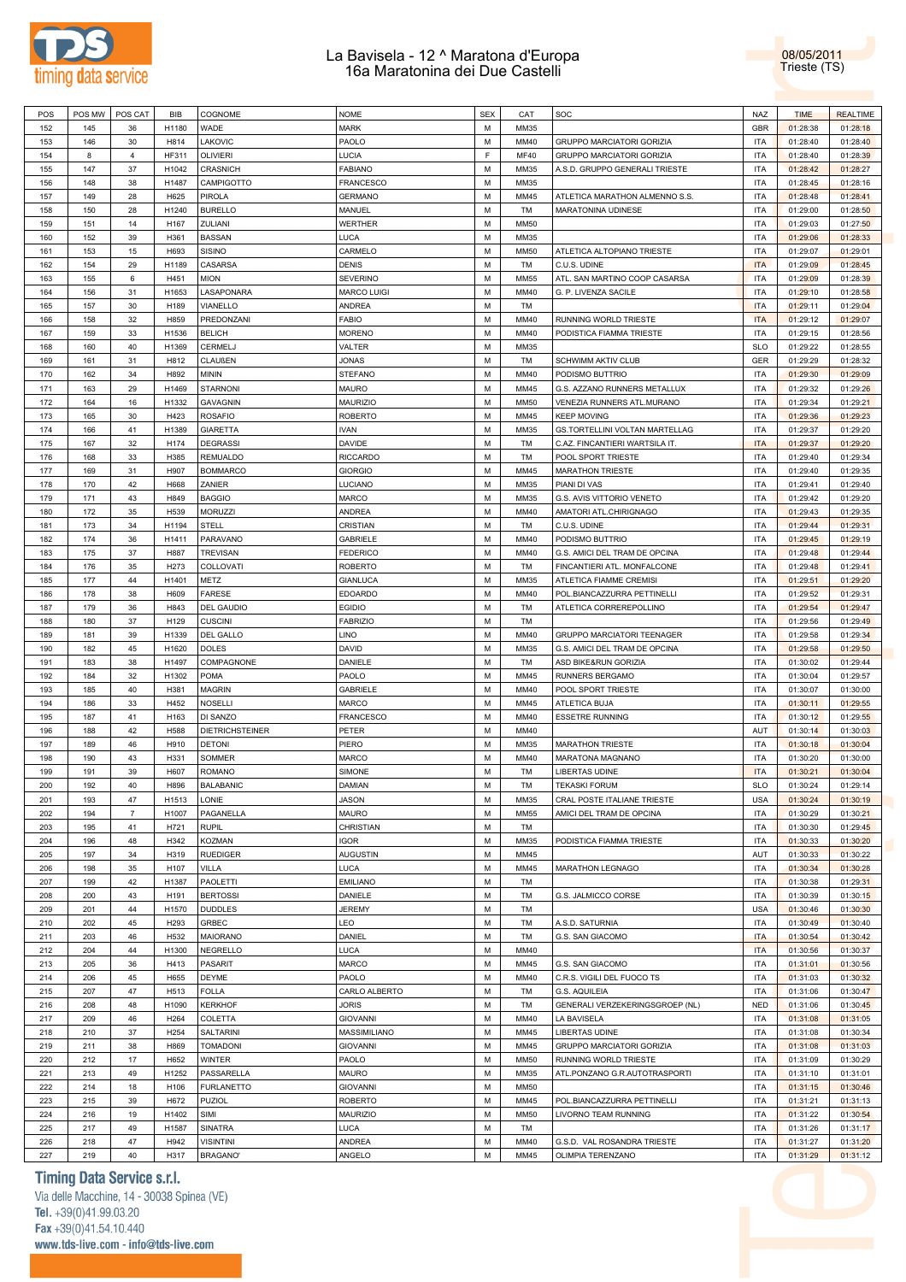



| POS        | POS MW     | POS CAT        | <b>BIB</b>       | COGNOME                      | <b>NOME</b>        | <b>SEX</b> | CAT          | SOC                                              | NAZ                      | <b>TIME</b>          | <b>REALTIME</b>      |
|------------|------------|----------------|------------------|------------------------------|--------------------|------------|--------------|--------------------------------------------------|--------------------------|----------------------|----------------------|
|            |            |                |                  |                              |                    |            |              |                                                  |                          |                      |                      |
| 152        | 145        | 36             | H1180            | WADE                         | <b>MARK</b>        | М          | MM35         |                                                  | <b>GBR</b>               | 01:28:38             | 01:28:18             |
| 153        | 146        | 30             | H814             | LAKOVIC                      | PAOLO              | М          | MM40         | <b>GRUPPO MARCIATORI GORIZIA</b>                 | ITA                      | 01:28:40             | 01:28:40             |
| 154        | 8          | 4              | HF311            | <b>OLIVIERI</b>              | <b>LUCIA</b>       | F          | MF40         | <b>GRUPPO MARCIATORI GORIZIA</b>                 | <b>ITA</b>               | 01:28:40             | 01:28:39             |
| 155        | 147        | 37             | H1042            | <b>CRASNICH</b>              | <b>FABIANO</b>     | м          | MM35         | A.S.D. GRUPPO GENERALI TRIESTE                   | ITA                      | 01:28:42             | 01:28:27             |
| 156        | 148        | 38             | H1487            | CAMPIGOTTO                   | <b>FRANCESCO</b>   | М          | MM35         |                                                  | <b>ITA</b>               | 01:28:45             | 01:28:16             |
|            |            |                |                  |                              |                    |            |              |                                                  |                          |                      |                      |
| 157        | 149        | 28             | H625             | <b>PIROLA</b>                | <b>GERMANO</b>     | М          | MM45         | ATLETICA MARATHON ALMENNO S.S.                   | ITA                      | 01:28:48             | 01:28:41             |
| 158        | 150        | 28             | H1240            | <b>BURELLO</b>               | MANUEL             | М          | TM           | MARATONINA UDINESE                               | <b>ITA</b>               | 01:29:00             | 01:28:50             |
| 159        | 151        | 14             | H <sub>167</sub> | ZULIANI                      | <b>WERTHER</b>     | М          | MM50         |                                                  | <b>ITA</b>               | 01:29:03             | 01:27:50             |
| 160        | 152        | 39             | H361             | <b>BASSAN</b>                | LUCA               | M          | MM35         |                                                  | <b>ITA</b>               | 01:29:06             | 01:28:33             |
| 161        | 153        | 15             | H693             | <b>SISINO</b>                | CARMELO            | М          | MM50         | ATLETICA ALTOPIANO TRIESTE                       | <b>ITA</b>               | 01:29:07             | 01:29:01             |
|            |            |                |                  |                              |                    |            |              |                                                  |                          |                      |                      |
| 162        | 154        | 29             | H1189            | CASARSA                      | <b>DENIS</b>       | М          | TM           | C.U.S. UDINE                                     | <b>ITA</b>               | 01:29:09             | 01:28:45             |
| 163        | 155        | 6              | H451             | <b>MION</b>                  | <b>SEVERINO</b>    | м          | MM55         | ATL. SAN MARTINO COOP CASARSA                    | ITA                      | 01:29:09             | 01:28:39             |
| 164        | 156        | 31             | H1653            | LASAPONARA                   | <b>MARCO LUIGI</b> | М          | MM40         | G. P. LIVENZA SACILE                             | ITA                      | 01:29:10             | 01:28:58             |
| 165        | 157        | 30             | H189             | VIANELLO                     | ANDREA             | М          | TM           |                                                  | <b>ITA</b>               | 01:29:11             | 01:29:04             |
| 166        | 158        | 32             | H859             | PREDONZANI                   | <b>FABIO</b>       | М          | MM40         | RUNNING WORLD TRIESTE                            | <b>ITA</b>               | 01:29:12             | 01:29:07             |
|            |            |                |                  |                              |                    |            |              |                                                  |                          |                      |                      |
| 167        | 159        | 33             | H1536            | <b>BELICH</b>                | <b>MORENO</b>      | М          | MM40         | PODISTICA FIAMMA TRIESTE                         | ITA                      | 01:29:15             | 01:28:56             |
| 168        | 160        | 40             | H1369            | CERMELJ                      | VALTER             | М          | MM35         |                                                  | <b>SLO</b>               | 01:29:22             | 01:28:55             |
| 169        | 161        | 31             | H812             | <b>CLAUßEN</b>               | JONAS              | М          | TM           | <b>SCHWIMM AKTIV CLUB</b>                        | <b>GER</b>               | 01:29:29             | 01:28:32             |
| 170        | 162        | 34             | H892             | <b>MININ</b>                 | <b>STEFANO</b>     | M          | MM40         | PODISMO BUTTRIO                                  | <b>ITA</b>               | 01:29:30             | 01:29:09             |
| 171        | 163        | 29             | H1469            | <b>STARNONI</b>              | <b>MAURO</b>       | М          | MM45         | G.S. AZZANO RUNNERS METALLUX                     | ITA                      | 01:29:32             | 01:29:26             |
|            |            |                |                  |                              |                    |            |              |                                                  |                          |                      |                      |
| 172        | 164        | 16             | H1332            | <b>GAVAGNIN</b>              | <b>MAURIZIO</b>    | M          | <b>MM50</b>  | VENEZIA RUNNERS ATL.MURANO                       | <b>ITA</b>               | 01:29:34             | 01:29:21             |
| 173        | 165        | 30             | H423             | <b>ROSAFIO</b>               | <b>ROBERTO</b>     | М          | MM45         | <b>KEEP MOVING</b>                               | ITA                      | 01:29:36             | 01:29:23             |
| 174        | 166        | 41             | H1389            | <b>GIARETTA</b>              | <b>IVAN</b>        | М          | MM35         | GS.TORTELLINI VOLTAN MARTELLAG                   | <b>ITA</b>               | 01:29:37             | 01:29:20             |
| 175        | 167        | 32             | H174             | <b>DEGRASSI</b>              | DAVIDE             | М          | TM           | C.AZ. FINCANTIERI WARTSILA IT.                   | <b>ITA</b>               | 01:29:37             | 01:29:20             |
| 176        | 168        | 33             | H385             | <b>REMUALDO</b>              | <b>RICCARDO</b>    | М          | TM           | POOL SPORT TRIESTE                               | <b>ITA</b>               | 01:29:40             | 01:29:34             |
|            |            |                |                  |                              |                    |            |              |                                                  |                          |                      |                      |
| 177        | 169        | 31             | H907             | <b>BOMMARCO</b>              | <b>GIORGIO</b>     | М          | MM45         | <b>MARATHON TRIESTE</b>                          | ITA                      | 01:29:40             | 01:29:35             |
| 178        | 170        | 42             | H668             | ZANIER                       | LUCIANO            | М          | MM35         | PIANI DI VAS                                     | <b>ITA</b>               | 01:29:41             | 01:29:40             |
| 179        | 171        | 43             | H849             | <b>BAGGIO</b>                | MARCO              | М          | MM35         | G.S. AVIS VITTORIO VENETO                        | <b>ITA</b>               | 01:29:42             | 01:29:20             |
| 180        | 172        | 35             | H539             | <b>MORUZZI</b>               | <b>ANDREA</b>      | M          | MM40         | AMATORI ATL.CHIRIGNAGO                           | <b>ITA</b>               | 01:29:43             | 01:29:35             |
|            | 173        | 34             |                  | <b>STELL</b>                 |                    | М          |              |                                                  |                          |                      |                      |
| 181        |            |                | H1194            |                              | CRISTIAN           |            | TM           | C.U.S. UDINE                                     | ITA                      | 01:29:44             | 01:29:31             |
| 182        | 174        | 36             | H1411            | PARAVANO                     | <b>GABRIELE</b>    | M          | MM40         | PODISMO BUTTRIO                                  | <b>ITA</b>               | 01:29:45             | 01:29:19             |
| 183        | 175        | 37             | H887             | <b>TREVISAN</b>              | <b>FEDERICO</b>    | М          | MM40         | G.S. AMICI DEL TRAM DE OPCINA                    | ITA                      | 01:29:48             | 01:29:44             |
| 184        | 176        | 35             | H273             | COLLOVATI                    | <b>ROBERTO</b>     | М          | TM           | FINCANTIERI ATL. MONFALCONE                      | <b>ITA</b>               | 01:29:48             | 01:29:41             |
| 185        | 177        | 44             | H1401            | METZ                         | <b>GIANLUCA</b>    | М          | MM35         | ATLETICA FIAMME CREMISI                          | ITA                      | 01:29:51             | 01:29:20             |
|            |            | 38             |                  | <b>FARESE</b>                |                    | М          |              |                                                  | <b>ITA</b>               |                      |                      |
| 186        | 178        |                | H609             |                              | <b>EDOARDO</b>     |            | MM40         | POL.BIANCAZZURRA PETTINELLI                      |                          | 01:29:52             | 01:29:31             |
| 187        | 179        | 36             | H843             | DEL GAUDIO                   | <b>EGIDIO</b>      | М          | TM           | ATLETICA CORREREPOLLINO                          | ITA                      | 01:29:54             | 01:29:47             |
| 188        | 180        | 37             | H129             | <b>CUSCINI</b>               | <b>FABRIZIO</b>    | М          | TM           |                                                  | <b>ITA</b>               | 01:29:56             | 01:29:49             |
| 189        | 181        | 39             | H1339            | DEL GALLO                    | LINO               | М          | MM40         | <b>GRUPPO MARCIATORI TEENAGER</b>                | <b>ITA</b>               | 01:29:58             | 01:29:34             |
| 190        | 182        | 45             | H1620            | <b>DOLES</b>                 | DAVID              | M          | MM35         | G.S. AMICI DEL TRAM DE OPCINA                    | <b>ITA</b>               | 01:29:58             | 01:29:50             |
| 191        | 183        | 38             | H1497            | COMPAGNONE                   | <b>DANIELE</b>     | М          | TM           | ASD BIKE&RUN GORIZIA                             | ITA                      | 01:30:02             | 01:29:44             |
|            |            |                |                  |                              |                    |            |              |                                                  |                          |                      |                      |
|            |            |                |                  |                              |                    |            |              |                                                  |                          |                      |                      |
| 192        | 184        | 32             | H1302            | <b>POMA</b>                  | PAOLO              | M          | MM45         | RUNNERS BERGAMO                                  | <b>ITA</b>               | 01:30:04             | 01:29:57             |
| 193        | 185        | 40             | H381             | <b>MAGRIN</b>                | GABRIELE           | М          | MM40         | POOL SPORT TRIESTE                               | ITA                      | 01:30:07             | 01:30:00             |
| 194        | 186        | 33             | H452             | <b>NOSELLI</b>               | <b>MARCO</b>       | М          | MM45         | ATLETICA BUJA                                    | <b>ITA</b>               | 01:30:11             | 01:29:55             |
|            |            |                |                  |                              |                    |            |              |                                                  |                          |                      |                      |
| 195        | 187        | 41             | H <sub>163</sub> | DI SANZO                     | <b>FRANCESCO</b>   | М          | MM40         | <b>ESSETRE RUNNING</b>                           | ITA                      | 01:30:12             | 01:29:55             |
| 196        | 188        | 42             | H588             | <b>DIETRICHSTEINER</b>       | PETER              | М          | MM40         |                                                  | AUT                      | 01:30:14             | 01:30:03             |
| 197        | 189        | 46             | H910             | <b>DETONI</b>                | PIERO              | м          | MM35         | <b>MARATHON TRIESTE</b>                          | ITA                      | 01:30:18             | 01:30:04             |
| 198        | 190        | 43             | H331             | SOMMER                       | <b>MARCO</b>       | М          | MM40         | MARATONA MAGNANO                                 | <b>ITA</b>               | 01:30:20             | 01:30:00             |
| 199        | 191        | 39             | H607             | <b>ROMANO</b>                | SIMONE             | M          | TM           | <b>LIBERTAS UDINE</b>                            | <b>ITA</b>               | 01:30:21             | 01:30:04             |
| 200        | 192        | 40             | H896             | <b>BALABANIC</b>             | <b>DAMIAN</b>      | M          | TM           | <b>TEKASKI FORUM</b>                             | <b>SLO</b>               | 01:30:24             | 01:29:14             |
|            |            |                |                  |                              |                    |            |              |                                                  |                          |                      |                      |
| 201        | 193        | 47             | H1513            | LONIE                        | <b>JASON</b>       | M          | MM35         | CRAL POSTE ITALIANE TRIESTE                      | <b>USA</b>               | 01:30:24             | 01:30:19             |
| 202        | 194        | $\overline{7}$ | H1007            | PAGANELLA                    | <b>MAURO</b>       | М          | <b>MM55</b>  | AMICI DEL TRAM DE OPCINA                         | <b>ITA</b>               | 01:30:29             | 01:30:21             |
| 203        | 195        | 41             | H721             | <b>RUPIL</b>                 | CHRISTIAN          | М          | TM           |                                                  | <b>ITA</b>               | 01:30:30             | 01:29:45             |
| 204        | 196        | 48             | H342             | KOZMAN                       | <b>IGOR</b>        | М          | MM35         | PODISTICA FIAMMA TRIESTE                         | <b>ITA</b>               | 01:30:33             | 01:30:20             |
| 205        | 197        | 34             | H319             | <b>RUEDIGER</b>              | <b>AUGUSTIN</b>    | М          | MM45         |                                                  | AUT                      | 01:30:33             | 01:30:22             |
|            |            |                |                  |                              |                    |            |              |                                                  |                          |                      |                      |
| 206        | 198        | 35             | H107             | VILLA                        | LUCA               | М          | MM45         | MARATHON LEGNAGO                                 | <b>ITA</b>               | 01:30:34             | 01:30:28             |
| 207        | 199        | 42             | H1387            | PAOLETTI                     | <b>EMILIANO</b>    | М          | TM           |                                                  | <b>ITA</b>               | 01:30:38             | 01:29:31             |
| 208        | 200        | 43             | H191             | <b>BERTOSSI</b>              | DANIELE            | M          | TM           | G.S. JALMICCO CORSE                              | <b>ITA</b>               | 01:30:39             | 01:30:15             |
| 209        | 201        | 44             | H1570            | <b>DUDDLES</b>               | <b>JEREMY</b>      | М          | TM           |                                                  | <b>USA</b>               | 01:30:46             | 01:30:30             |
| 210        | 202        | 45             | H293             | <b>GRBEC</b>                 | <b>LEO</b>         | M          | TM           | A.S.D. SATURNIA                                  | <b>ITA</b>               | 01:30:49             | 01:30:40             |
|            |            |                |                  |                              |                    |            |              |                                                  |                          |                      |                      |
| 211        | 203        | 46             | H532             | MAIORANO                     | DANIEL             | м          | TM           | G.S. SAN GIACOMO                                 | <b>ITA</b>               | 01:30:54             | 01:30:42             |
| 212        | 204        | 44             | H1300            | NEGRELLO                     | <b>LUCA</b>        | М          | MM40         |                                                  | <b>ITA</b>               | 01:30:56             | 01:30:37             |
| 213        | 205        | 36             | H413             | <b>PASARIT</b>               | MARCO              | М          | MM45         | G.S. SAN GIACOMO                                 | ITA                      | 01:31:01             | 01:30:56             |
| 214        | 206        | 45             | H655             | <b>DEYME</b>                 | PAOLO              | М          | MM40         | C.R.S. VIGILI DEL FUOCO TS                       | <b>ITA</b>               | 01:31:03             | 01:30:32             |
| 215        | 207        | 47             | H513             | <b>FOLLA</b>                 | CARLO ALBERTO      | М          | TM           | G.S. AQUILEIA                                    | <b>ITA</b>               | 01:31:06             | 01:30:47             |
|            |            |                |                  |                              |                    |            |              |                                                  |                          |                      |                      |
| 216        | 208        | 48             | H1090            | <b>KERKHOF</b>               | <b>JORIS</b>       | M          | TM           | GENERALI VERZEKERINGSGROEP (NL)                  | <b>NED</b>               | 01:31:06             | 01:30:45             |
| 217        | 209        | 46             | H264             | COLETTA                      | <b>GIOVANNI</b>    | M          | MM40         | LA BAVISELA                                      | <b>ITA</b>               | 01:31:08             | 01:31:05             |
| 218        | 210        | 37             | H254             | SALTARINI                    | MASSIMILIANO       | M          | MM45         | LIBERTAS UDINE                                   | <b>ITA</b>               | 01:31:08             | 01:30:34             |
| 219        | 211        | 38             | H869             | <b>TOMADONI</b>              | <b>GIOVANNI</b>    | M          | MM45         | GRUPPO MARCIATORI GORIZIA                        | <b>ITA</b>               | 01:31:08             | 01:31:03             |
| 220        | 212        | 17             | H652             | <b>WINTER</b>                | PAOLO              | M          | <b>MM50</b>  | RUNNING WORLD TRIESTE                            | <b>ITA</b>               | 01:31:09             | 01:30:29             |
|            |            |                |                  |                              |                    |            |              |                                                  |                          |                      |                      |
| 221        | 213        | 49             | H1252            | PASSARELLA                   | <b>MAURO</b>       | M          | MM35         | ATL.PONZANO G.R.AUTOTRASPORTI                    | <b>ITA</b>               | 01:31:10             | 01:31:01             |
| 222        | 214        | 18             | H106             | <b>FURLANETTO</b>            | <b>GIOVANNI</b>    | М          | <b>MM50</b>  |                                                  | <b>ITA</b>               | 01:31:15             | 01:30:46             |
| 223        | 215        | 39             | H672             | <b>PUZIOL</b>                | <b>ROBERTO</b>     | М          | MM45         | POL.BIANCAZZURRA PETTINELLI                      | <b>ITA</b>               | 01:31:21             | 01:31:13             |
| 224        | 216        | 19             | H1402            | SIMI                         | <b>MAURIZIO</b>    | М          | MM50         | LIVORNO TEAM RUNNING                             | <b>ITA</b>               | 01:31:22             | 01:30:54             |
|            |            |                |                  |                              |                    | М          | TM           |                                                  |                          |                      |                      |
| 225        | 217        | 49             | H1587            | SINATRA                      | LUCA               |            |              |                                                  | <b>ITA</b>               | 01:31:26             | 01:31:17             |
| 226<br>227 | 218<br>219 | 47<br>40       | H942<br>H317     | <b>VISINTINI</b><br>BRAGANO' | ANDREA<br>ANGELO   | М<br>М     | MM40<br>MM45 | G.S.D. VAL ROSANDRA TRIESTE<br>OLIMPIA TERENZANO | <b>ITA</b><br><b>ITA</b> | 01:31:27<br>01:31:29 | 01:31:20<br>01:31:12 |

## **Timing Data Service s.r.l.**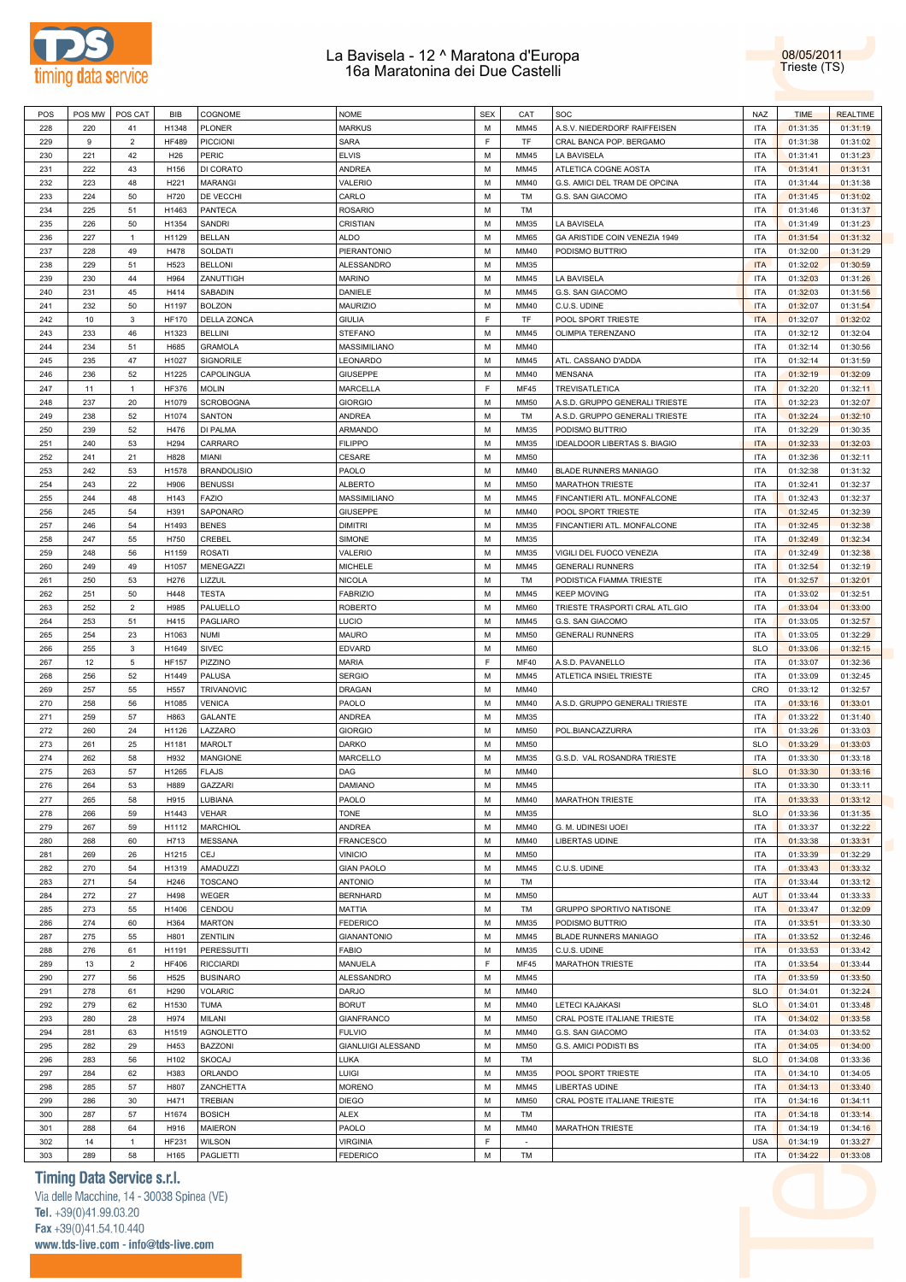



| POS | POS MW | POS CAT        | BIB              | COGNOME            | <b>NOME</b>               | <b>SEX</b> | CAT         | SOC                                 | <b>NAZ</b> | <b>TIME</b> | <b>REALTIME</b> |
|-----|--------|----------------|------------------|--------------------|---------------------------|------------|-------------|-------------------------------------|------------|-------------|-----------------|
| 228 | 220    | 41             | H1348            | <b>PLONER</b>      | <b>MARKUS</b>             | M          | MM45        | A.S.V. NIEDERDORF RAIFFEISEN        | <b>ITA</b> | 01:31:35    | 01:31:19        |
| 229 | 9      | $\overline{2}$ | <b>HF489</b>     | <b>PICCIONI</b>    | SARA                      | F          | TF          | CRAL BANCA POP. BERGAMO             | <b>ITA</b> | 01:31:38    | 01:31:02        |
| 230 | 221    | 42             | H <sub>26</sub>  | PERIC              | <b>ELVIS</b>              | M          | MM45        | LA BAVISELA                         | <b>ITA</b> | 01:31:41    | 01:31:23        |
| 231 | 222    | 43             | H156             | DI CORATO          | <b>ANDREA</b>             | M          | MM45        | ATLETICA COGNE AOSTA                | <b>ITA</b> | 01:31:41    | 01:31:31        |
| 232 | 223    | 48             | H <sub>221</sub> | <b>MARANGI</b>     | VALERIO                   | M          | MM40        | G.S. AMICI DEL TRAM DE OPCINA       | <b>ITA</b> | 01:31:44    | 01:31:38        |
| 233 | 224    | 50             | H720             | DE VECCHI          | CARLO                     | M          | TM          | G.S. SAN GIACOMO                    | <b>ITA</b> | 01:31:45    | 01:31:02        |
| 234 | 225    | 51             | H1463            | <b>PANTECA</b>     | <b>ROSARIO</b>            | M          | TM          |                                     | <b>ITA</b> | 01:31:46    | 01:31:37        |
| 235 | 226    | 50             | H1354            | <b>SANDRI</b>      | <b>CRISTIAN</b>           | M          | MM35        | LA BAVISELA                         | <b>ITA</b> | 01:31:49    | 01:31:23        |
| 236 | 227    | $\overline{1}$ | H1129            | <b>BELLAN</b>      | <b>ALDO</b>               | M          | MM65        | GA ARISTIDE COIN VENEZIA 1949       | <b>ITA</b> | 01:31:54    | 01:31:32        |
| 237 | 228    | 49             | H478             | SOLDATI            | PIERANTONIO               | M          | MM40        | PODISMO BUTTRIO                     | <b>ITA</b> | 01:32:00    | 01:31:29        |
| 238 | 229    | 51             | H523             | <b>BELLONI</b>     | ALESSANDRO                | M          | MM35        |                                     | <b>ITA</b> | 01:32:02    | 01:30:59        |
| 239 | 230    | 44             | H964             | ZANUTTIGH          | <b>MARINO</b>             | M          | MM45        | LA BAVISELA                         | <b>ITA</b> | 01:32:03    | 01:31:26        |
| 240 | 231    | 45             | H414             | <b>SABADIN</b>     | DANIELE                   | M          | MM45        | G.S. SAN GIACOMO                    | <b>ITA</b> | 01:32:03    | 01:31:56        |
| 241 | 232    | 50             | H1197            | <b>BOLZON</b>      | <b>MAURIZIO</b>           | M          | MM40        | C.U.S. UDINE                        | <b>ITA</b> | 01:32:07    | 01:31:54        |
| 242 | 10     | 3              | <b>HF170</b>     | <b>DELLA ZONCA</b> | <b>GIULIA</b>             | F          | TF          | POOL SPORT TRIESTE                  | <b>ITA</b> | 01:32:07    | 01:32:02        |
| 243 | 233    | 46             | H1323            | <b>BELLINI</b>     | <b>STEFANO</b>            | M          | MM45        | OLIMPIA TERENZANO                   | <b>ITA</b> | 01:32:12    | 01:32:04        |
| 244 | 234    | 51             | H685             | <b>GRAMOLA</b>     | MASSIMILIANO              | M          | MM40        |                                     | <b>ITA</b> | 01:32:14    | 01:30:56        |
| 245 | 235    |                | H1027            | SIGNORILE          | LEONARDO                  | M          | MM45        |                                     | <b>ITA</b> |             |                 |
|     |        | 47<br>52       |                  |                    |                           | M          |             | ATL. CASSANO D'ADDA                 |            | 01:32:14    | 01:31:59        |
| 246 | 236    |                | H1225            | CAPOLINGUA         | <b>GIUSEPPE</b>           |            | MM40        | <b>MENSANA</b>                      | <b>ITA</b> | 01:32:19    | 01:32:09        |
| 247 | 11     | $\mathbf{1}$   | <b>HF376</b>     | <b>MOLIN</b>       | <b>MARCELLA</b>           | F          | MF45        | <b>TREVISATLETICA</b>               | <b>ITA</b> | 01:32:20    | 01:32:11        |
| 248 | 237    | 20             | H1079            | <b>SCROBOGNA</b>   | <b>GIORGIO</b>            | M          | <b>MM50</b> | A.S.D. GRUPPO GENERALI TRIESTE      | <b>ITA</b> | 01:32:23    | 01:32:07        |
| 249 | 238    | 52             | H1074            | <b>SANTON</b>      | <b>ANDREA</b>             | M          | TM          | A.S.D. GRUPPO GENERALI TRIESTE      | <b>ITA</b> | 01:32:24    | 01:32:10        |
| 250 | 239    | 52             | H476             | DI PALMA           | ARMANDO                   | M          | MM35        | PODISMO BUTTRIO                     | <b>ITA</b> | 01:32:29    | 01:30:35        |
| 251 | 240    | 53             | H294             | CARRARO            | <b>FILIPPO</b>            | M          | MM35        | <b>IDEALDOOR LIBERTAS S. BIAGIO</b> | <b>ITA</b> | 01:32:33    | 01:32:03        |
| 252 | 241    | 21             | H828             | MIANI              | CESARE                    | M          | <b>MM50</b> |                                     | <b>ITA</b> | 01:32:36    | 01:32:11        |
| 253 | 242    | 53             | H1578            | <b>BRANDOLISIO</b> | PAOLO                     | M          | MM40        | BLADE RUNNERS MANIAGO               | <b>ITA</b> | 01:32:38    | 01:31:32        |
| 254 | 243    | 22             | H906             | <b>BENUSSI</b>     | <b>ALBERTO</b>            | M          | <b>MM50</b> | <b>MARATHON TRIESTE</b>             | <b>ITA</b> | 01:32:41    | 01:32:37        |
| 255 | 244    | 48             | H143             | <b>FAZIO</b>       | MASSIMILIANO              | M          | MM45        | FINCANTIERI ATL. MONFALCONE         | <b>ITA</b> | 01:32:43    | 01:32:37        |
| 256 | 245    | 54             | H391             | SAPONARO           | GIUSEPPE                  | M          | MM40        | POOL SPORT TRIESTE                  | <b>ITA</b> | 01:32:45    | 01:32:39        |
| 257 | 246    | 54             | H1493            | <b>BENES</b>       | <b>DIMITRI</b>            | M          | MM35        | FINCANTIERI ATL. MONFALCONE         | <b>ITA</b> | 01:32:45    | 01:32:38        |
| 258 | 247    | 55             | H750             | CREBEL             | SIMONE                    | M          | MM35        |                                     | <b>ITA</b> | 01:32:49    | 01:32:34        |
| 259 | 248    | 56             | H1159            | <b>ROSATI</b>      | VALERIO                   | M          | MM35        | VIGILI DEL FUOCO VENEZIA            | <b>ITA</b> | 01:32:49    | 01:32:38        |
| 260 | 249    | 49             | H1057            | <b>MENEGAZZI</b>   | <b>MICHELE</b>            | M          | MM45        | <b>GENERALI RUNNERS</b>             | <b>ITA</b> | 01:32:54    | 01:32:19        |
| 261 | 250    | 53             | H276             | LIZZUL             | <b>NICOLA</b>             | M          | TM          | PODISTICA FIAMMA TRIESTE            | <b>ITA</b> | 01:32:57    | 01:32:01        |
| 262 | 251    | 50             | H448             | <b>TESTA</b>       | <b>FABRIZIO</b>           | M          | MM45        | <b>KEEP MOVING</b>                  | <b>ITA</b> | 01:33:02    | 01:32:51        |
| 263 | 252    | $\overline{2}$ | H985             | PALUELLO           | <b>ROBERTO</b>            | M          | <b>MM60</b> | TRIESTE TRASPORTI CRAL ATL.GIO      | <b>ITA</b> | 01:33:04    | 01:33:00        |
| 264 | 253    | 51             | H415             | PAGLIARO           | LUCIO                     | M          | MM45        | G.S. SAN GIACOMO                    | <b>ITA</b> | 01:33:05    | 01:32:57        |
| 265 | 254    | 23             | H1063            | <b>NUMI</b>        | <b>MAURO</b>              | M          | <b>MM50</b> | <b>GENERALI RUNNERS</b>             | <b>ITA</b> | 01:33:05    | 01:32:29        |
| 266 | 255    | 3              | H1649            | <b>SIVEC</b>       | <b>EDVARD</b>             | M          | <b>MM60</b> |                                     | <b>SLO</b> | 01:33:06    | 01:32:15        |
| 267 | 12     | 5              | <b>HF157</b>     | PIZZINO            | <b>MARIA</b>              | F          | <b>MF40</b> | A.S.D. PAVANELLO                    | <b>ITA</b> | 01:33:07    | 01:32:36        |
| 268 | 256    | 52             | H1449            | <b>PALUSA</b>      | <b>SERGIO</b>             | M          | MM45        | ATLETICA INSIEL TRIESTE             | <b>ITA</b> | 01:33:09    | 01:32:45        |
| 269 | 257    | 55             | H557             | TRIVANOVIC         | <b>DRAGAN</b>             | M          | MM40        |                                     | CRO        | 01:33:12    | 01:32:57        |
| 270 | 258    | 56             | H1085            | <b>VENICA</b>      | PAOLO                     | M          | MM40        | A.S.D. GRUPPO GENERALI TRIESTE      | <b>ITA</b> | 01:33:16    | 01:33:01        |
| 271 | 259    | 57             | H863             | <b>GALANTE</b>     | <b>ANDREA</b>             | M          | MM35        |                                     | <b>ITA</b> | 01:33:22    | 01:31:40        |
| 272 | 260    | 24             | H1126            | LAZZARO            | <b>GIORGIO</b>            | M          | <b>MM50</b> | POL.BIANCAZZURRA                    | <b>ITA</b> | 01:33:26    | 01:33:03        |
| 273 | 261    | 25             | H1181            | <b>MAROLT</b>      | DARKO                     | M          | <b>MM50</b> |                                     | <b>SLO</b> | 01:33:29    | 01:33:03        |
| 274 | 262    | 58             | H932             | MANGIONE           | MARCELLO                  | M          | MM35        | G.S.D. VAL ROSANDRA TRIESTE         | <b>ITA</b> | 01:33:30    | 01:33:18        |
| 275 | 263    | 57             | H1265            | <b>FLAJS</b>       | DAG                       | M          | MM40        |                                     | <b>SLO</b> | 01:33:30    | 01:33:16        |
| 276 | 264    | 53             | H889             | GAZZARI            | <b>DAMIANO</b>            | M          | MM45        |                                     | <b>ITA</b> | 01:33:30    | 01:33:11        |
| 277 | 265    | 58             | H915             | LUBIANA            | PAOLO                     | M          | MM40        | <b>MARATHON TRIESTE</b>             | <b>ITA</b> | 01:33:33    | 01:33:12        |
| 278 | 266    | 59             | H1443            | <b>VEHAR</b>       | TONE                      | M          | MM35        |                                     | <b>SLO</b> | 01:33:36    | 01:31:35        |
| 279 | 267    | 59             | H1112            | <b>MARCHIOL</b>    | <b>ANDREA</b>             | M          | MM40        | G. M. UDINESI UOEI                  | <b>ITA</b> | 01:33:37    | 01:32:22        |
| 280 | 268    | 60             | H713             | <b>MESSANA</b>     | <b>FRANCESCO</b>          | M          | MM40        | <b>LIBERTAS UDINE</b>               | <b>ITA</b> | 01:33:38    | 01:33:31        |
| 281 | 269    | 26             | H1215            | <b>CEJ</b>         | <b>VINICIO</b>            | M          | <b>MM50</b> |                                     | <b>ITA</b> | 01:33:39    | 01:32:29        |
| 282 | 270    | 54             | H1319            | AMADUZZI           | <b>GIAN PAOLO</b>         | M          | MM45        | C.U.S. UDINE                        | <b>ITA</b> | 01:33:43    | 01:33:32        |
| 283 | 271    | 54             | H246             | <b>TOSCANO</b>     | <b>ANTONIO</b>            | M          | TM          |                                     | <b>ITA</b> | 01:33:44    | 01:33:12        |
| 284 | 272    | 27             | H498             | WEGER              | <b>BERNHARD</b>           | M          | <b>MM50</b> |                                     | AUT        | 01:33:44    | 01:33:33        |
| 285 | 273    | 55             | H1406            | CENDOU             | MATTIA                    | M          | TM          | GRUPPO SPORTIVO NATISONE            | <b>ITA</b> | 01:33:47    | 01:32:09        |
| 286 | 274    | 60             | H364             |                    | <b>FEDERICO</b>           | M          | MM35        | PODISMO BUTTRIO                     | <b>ITA</b> |             |                 |
|     |        |                |                  | <b>MARTON</b>      |                           |            |             |                                     |            | 01:33:51    | 01:33:30        |
| 287 | 275    | 55             | H801             | ZENTILIN           | <b>GIANANTONIO</b>        | M          | MM45        | BLADE RUNNERS MANIAGO               | <b>ITA</b> | 01:33:52    | 01:32:46        |
| 288 | 276    | 61             | H1191            | <b>PERESSUTTI</b>  | <b>FABIO</b>              | M          | MM35        | C.U.S. UDINE                        | <b>ITA</b> | 01:33:53    | 01:33:42        |
| 289 | 13     | $\overline{2}$ | <b>HF406</b>     | <b>RICCIARDI</b>   | MANUELA                   | F          | MF45        | <b>MARATHON TRIESTE</b>             | <b>ITA</b> | 01:33:54    | 01:33:44        |
| 290 | 277    | 56             | H525             | <b>BUSINARO</b>    | ALESSANDRO                | M          | MM45        |                                     | <b>ITA</b> | 01:33:59    | 01:33:50        |
| 291 | 278    | 61             | H290             | <b>VOLARIC</b>     | <b>DARJO</b>              | M          | MM40        |                                     | <b>SLO</b> | 01:34:01    | 01:32:24        |
| 292 | 279    | 62             | H1530            | <b>TUMA</b>        | <b>BORUT</b>              | M          | MM40        | LETECI KAJAKASI                     | <b>SLO</b> | 01:34:01    | 01:33:48        |
| 293 | 280    | 28             | H974             | MILANI             | <b>GIANFRANCO</b>         | M          | <b>MM50</b> | CRAL POSTE ITALIANE TRIESTE         | <b>ITA</b> | 01:34:02    | 01:33:58        |
| 294 | 281    | 63             | H1519            | <b>AGNOLETTO</b>   | <b>FULVIO</b>             | M          | MM40        | G.S. SAN GIACOMO                    | <b>ITA</b> | 01:34:03    | 01:33:52        |
| 295 | 282    | 29             | H453             | <b>BAZZONI</b>     | <b>GIANLUIGI ALESSAND</b> | M          | <b>MM50</b> | G.S. AMICI PODISTI BS               | <b>ITA</b> | 01:34:05    | 01:34:00        |
| 296 | 283    | 56             | H102             | <b>SKOCAJ</b>      | LUKA                      | M          | TM          |                                     | <b>SLO</b> | 01:34:08    | 01:33:36        |
| 297 | 284    | 62             | H383             | ORLANDO            | LUIGI                     | M          | MM35        | POOL SPORT TRIESTE                  | <b>ITA</b> | 01:34:10    | 01:34:05        |
| 298 | 285    | 57             | H807             | ZANCHETTA          | <b>MORENO</b>             | M          | MM45        | LIBERTAS UDINE                      | <b>ITA</b> | 01:34:13    | 01:33:40        |
| 299 | 286    | 30             | H471             | <b>TREBIAN</b>     | <b>DIEGO</b>              | M          | <b>MM50</b> | CRAL POSTE ITALIANE TRIESTE         | <b>ITA</b> | 01:34:16    | 01:34:11        |
| 300 | 287    | 57             | H1674            | <b>BOSICH</b>      | ALEX                      | M          | TM          |                                     | <b>ITA</b> | 01:34:18    | 01:33:14        |
| 301 | 288    | 64             | H916             | <b>MAIERON</b>     | PAOLO                     | M          | MM40        | MARATHON TRIESTE                    | <b>ITA</b> | 01:34:19    | 01:34:16        |
| 302 | 14     | $\mathbf{1}$   | <b>HF231</b>     | <b>WILSON</b>      | <b>VIRGINIA</b>           | F          | $\sim$      |                                     | <b>USA</b> | 01:34:19    | 01:33:27        |
| 303 | 289    | 58             | H165             | PAGLIETTI          | <b>FEDERICO</b>           | M          | TM          |                                     | <b>ITA</b> | 01:34:22    | 01:33:08        |

## **Timing Data Service s.r.l.**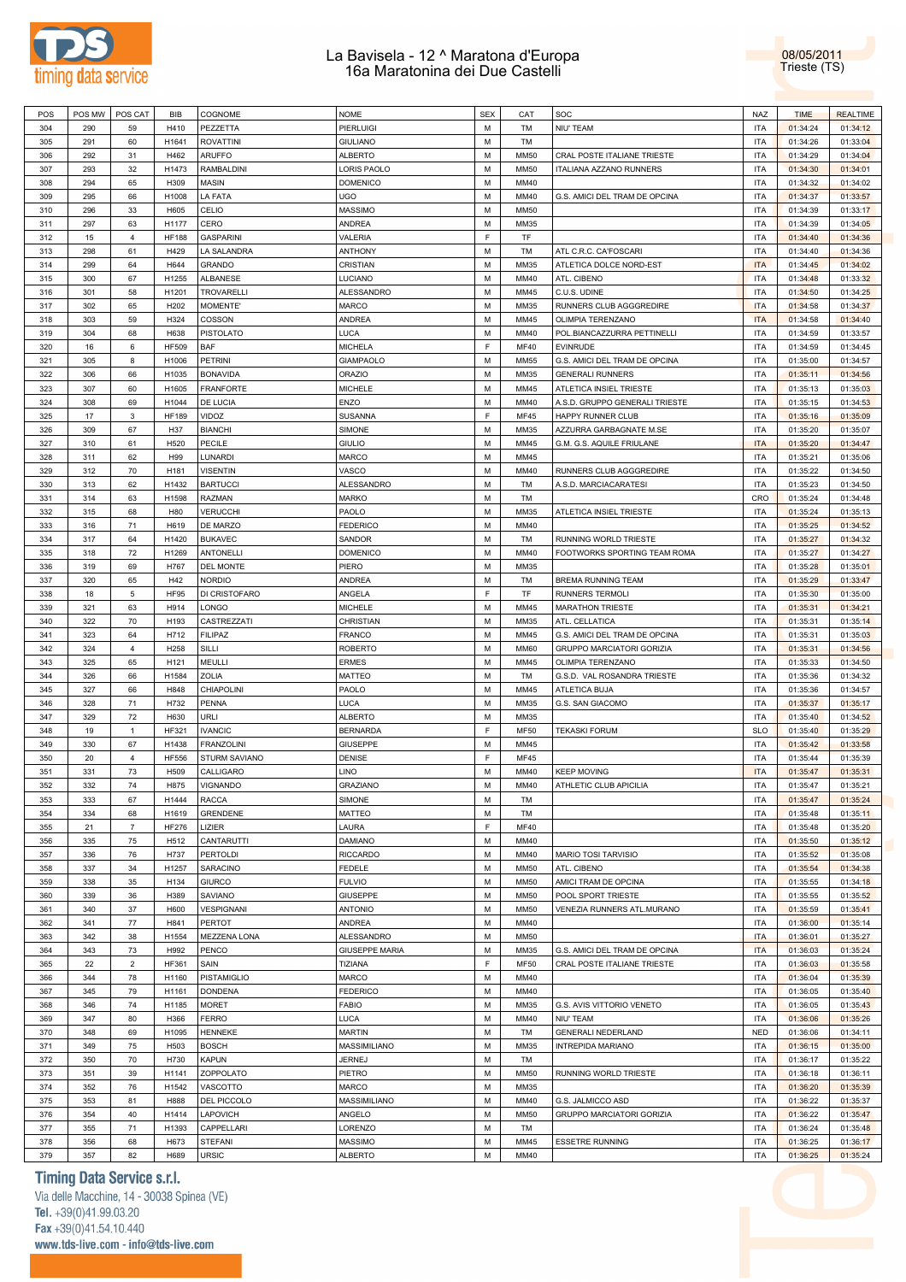



| POS | POS MW | POS CAT        | BIB          | COGNOME              | <b>NOME</b>           | <b>SEX</b> | CAT         | SOC                              | <b>NAZ</b> | <b>TIME</b> | <b>REALTIME</b> |
|-----|--------|----------------|--------------|----------------------|-----------------------|------------|-------------|----------------------------------|------------|-------------|-----------------|
| 304 | 290    | 59             | H410         | PEZZETTA             | <b>PIERLUIGI</b>      | M          | TM          | NIU' TEAM                        | <b>ITA</b> | 01:34:24    | 01:34:12        |
|     |        |                |              |                      |                       |            |             |                                  |            |             |                 |
| 305 | 291    | 60             | H1641        | <b>ROVATTINI</b>     | <b>GIULIANO</b>       | M          | <b>TM</b>   |                                  | <b>ITA</b> | 01:34:26    | 01:33:04        |
| 306 | 292    | 31             | H462         | <b>ARUFFO</b>        | <b>ALBERTO</b>        | M          | <b>MM50</b> | CRAL POSTE ITALIANE TRIESTE      | <b>ITA</b> | 01:34:29    | 01:34:04        |
| 307 | 293    | 32             | H1473        | RAMBALDINI           | LORIS PAOLO           | M          | <b>MM50</b> | ITALIANA AZZANO RUNNERS          | <b>ITA</b> | 01:34:30    | 01:34:01        |
| 308 | 294    | 65             | H309         | <b>MASIN</b>         | <b>DOMENICO</b>       | M          | MM40        |                                  | <b>ITA</b> | 01:34:32    | 01:34:02        |
| 309 | 295    | 66             | H1008        | <b>LA FATA</b>       | <b>UGO</b>            | M          | MM40        | G.S. AMICI DEL TRAM DE OPCINA    | <b>ITA</b> | 01:34:37    | 01:33:57        |
|     |        |                |              |                      |                       |            |             |                                  |            |             |                 |
| 310 | 296    | 33             | H605         | CELIO                | <b>MASSIMO</b>        | M          | <b>MM50</b> |                                  | <b>ITA</b> | 01:34:39    | 01:33:17        |
| 311 | 297    | 63             | H1177        | CERO                 | <b>ANDREA</b>         | M          | MM35        |                                  | <b>ITA</b> | 01:34:39    | 01:34:05        |
| 312 | 15     | $\overline{4}$ | <b>HF188</b> | <b>GASPARINI</b>     | VALERIA               | F          | TF          |                                  | <b>ITA</b> | 01:34:40    | 01:34:36        |
| 313 | 298    | 61             | H429         | LA SALANDRA          | <b>ANTHONY</b>        | M          | TM          | ATL C.R.C. CA'FOSCARI            | <b>ITA</b> | 01:34:40    | 01:34:36        |
|     | 299    | 64             | H644         | <b>GRANDO</b>        | <b>CRISTIAN</b>       | M          | MM35        | ATLETICA DOLCE NORD-EST          | <b>ITA</b> | 01:34:45    |                 |
| 314 |        |                |              |                      |                       |            |             |                                  |            |             | 01:34:02        |
| 315 | 300    | 67             | H1255        | ALBANESE             | <b>LUCIANO</b>        | M          | MM40        | ATL. CIBENO                      | <b>ITA</b> | 01:34:48    | 01:33:32        |
| 316 | 301    | 58             | H1201        | TROVARELLI           | <b>ALESSANDRO</b>     | M          | MM45        | C.U.S. UDINE                     | <b>ITA</b> | 01:34:50    | 01:34:25        |
| 317 | 302    | 65             | H202         | MOMENTE'             | <b>MARCO</b>          | M          | MM35        | RUNNERS CLUB AGGGREDIRE          | <b>ITA</b> | 01:34:58    | 01:34:37        |
| 318 | 303    | 59             | H324         | COSSON               | ANDREA                | M          | MM45        | OLIMPIA TERENZANO                | <b>ITA</b> | 01:34:58    | 01:34:40        |
|     |        |                |              |                      |                       |            |             |                                  |            |             |                 |
| 319 | 304    | 68             | H638         | <b>PISTOLATO</b>     | LUCA                  | M          | MM40        | POL.BIANCAZZURRA PETTINELLI      | <b>ITA</b> | 01:34:59    | 01:33:57        |
| 320 | 16     | 6              | <b>HF509</b> | <b>BAF</b>           | <b>MICHELA</b>        | E          | <b>MF40</b> | <b>EVINRUDE</b>                  | <b>ITA</b> | 01:34:59    | 01:34:45        |
| 321 | 305    | 8              | H1006        | <b>PETRINI</b>       | <b>GIAMPAOLO</b>      | M          | <b>MM55</b> | G.S. AMICI DEL TRAM DE OPCINA    | <b>ITA</b> | 01:35:00    | 01:34:57        |
| 322 | 306    | 66             | H1035        | <b>BONAVIDA</b>      | <b>ORAZIO</b>         | M          | MM35        | <b>GENERALI RUNNERS</b>          | <b>ITA</b> | 01:35:11    | 01:34:56        |
| 323 | 307    | 60             | H1605        | <b>FRANFORTE</b>     | <b>MICHELE</b>        | M          | MM45        | ATLETICA INSIEL TRIESTE          | <b>ITA</b> | 01:35:13    | 01:35:03        |
|     |        |                |              |                      |                       |            |             |                                  |            |             |                 |
| 324 | 308    | 69             | H1044        | DE LUCIA             | ENZO                  | M          | MM40        | A.S.D. GRUPPO GENERALI TRIESTE   | <b>ITA</b> | 01:35:15    | 01:34:53        |
| 325 | 17     | $\mathbf{3}$   | <b>HF189</b> | VIDOZ                | <b>SUSANNA</b>        | F          | <b>MF45</b> | HAPPY RUNNER CLUB                | <b>ITA</b> | 01:35:16    | 01:35:09        |
| 326 | 309    | 67             | H37          | <b>BIANCHI</b>       | SIMONE                | M          | MM35        | AZZURRA GARBAGNATE M.SE          | <b>ITA</b> | 01:35:20    | 01:35:07        |
| 327 | 310    | 61             | H520         | PECILE               | <b>GIULIO</b>         | M          | MM45        | G.M. G.S. AQUILE FRIULANE        | <b>ITA</b> | 01:35:20    | 01:34:47        |
| 328 | 311    | 62             | H99          | LUNARDI              | <b>MARCO</b>          | M          | MM45        |                                  | <b>ITA</b> | 01:35:21    | 01:35:06        |
|     |        |                |              |                      |                       |            |             |                                  |            |             |                 |
| 329 | 312    | 70             | H181         | <b>VISENTIN</b>      | VASCO                 | M          | MM40        | RUNNERS CLUB AGGGREDIRE          | <b>ITA</b> | 01:35:22    | 01:34:50        |
| 330 | 313    | 62             | H1432        | <b>BARTUCCI</b>      | <b>ALESSANDRO</b>     | M          | TM          | A.S.D. MARCIACARATESI            | <b>ITA</b> | 01:35:23    | 01:34:50        |
| 331 | 314    | 63             | H1598        | <b>RAZMAN</b>        | <b>MARKO</b>          | M          | TM          |                                  | CRO        | 01:35:24    | 01:34:48        |
| 332 | 315    | 68             | H80          | <b>VERUCCHI</b>      | PAOLO                 | M          | MM35        | ATLETICA INSIEL TRIESTE          | <b>ITA</b> | 01:35:24    | 01:35:13        |
|     | 316    |                | H619         | DE MARZO             | <b>FEDERICO</b>       | M          | MM40        |                                  | <b>ITA</b> |             | 01:34:52        |
| 333 |        | 71             |              |                      |                       |            |             |                                  |            | 01:35:25    |                 |
| 334 | 317    | 64             | H1420        | <b>BUKAVEC</b>       | SANDOR                | M          | TM          | RUNNING WORLD TRIESTE            | <b>ITA</b> | 01:35:27    | 01:34:32        |
| 335 | 318    | 72             | H1269        | <b>ANTONELLI</b>     | <b>DOMENICO</b>       | M          | MM40        | FOOTWORKS SPORTING TEAM ROMA     | <b>ITA</b> | 01:35:27    | 01:34:27        |
| 336 | 319    | 69             | H767         | <b>DEL MONTE</b>     | PIERO                 | M          | MM35        |                                  | <b>ITA</b> | 01:35:28    | 01:35:01        |
| 337 | 320    | 65             | H42          | <b>NORDIO</b>        | <b>ANDREA</b>         | M          | TM          | <b>BREMA RUNNING TEAM</b>        | <b>ITA</b> | 01:35:29    | 01:33:47        |
| 338 | 18     | 5              | <b>HF95</b>  | DI CRISTOFARO        | ANGELA                | F          | <b>TF</b>   | <b>RUNNERS TERMOLI</b>           | <b>ITA</b> |             |                 |
|     |        |                |              |                      |                       |            |             |                                  |            | 01:35:30    | 01:35:00        |
| 339 | 321    | 63             | H914         | LONGO                | <b>MICHELE</b>        | M          | MM45        | <b>MARATHON TRIESTE</b>          | <b>ITA</b> | 01:35:31    | 01:34:21        |
| 340 | 322    | 70             | H193         | CASTREZZATI          | CHRISTIAN             | M          | MM35        | ATL. CELLATICA                   | <b>ITA</b> | 01:35:31    | 01:35:14        |
| 341 | 323    | 64             | H712         | <b>FILIPAZ</b>       | <b>FRANCO</b>         | M          | MM45        | G.S. AMICI DEL TRAM DE OPCINA    | <b>ITA</b> | 01:35:31    | 01:35:03        |
| 342 | 324    | $\overline{4}$ | H258         | SILLI                | <b>ROBERTO</b>        | M          | <b>MM60</b> | <b>GRUPPO MARCIATORI GORIZIA</b> | <b>ITA</b> | 01:35:31    | 01:34:56        |
| 343 | 325    | 65             | H121         | MEULLI               | <b>ERMES</b>          | M          | MM45        | OLIMPIA TERENZANO                | <b>ITA</b> | 01:35:33    | 01:34:50        |
|     |        |                |              |                      |                       |            |             |                                  |            |             |                 |
| 344 | 326    | 66             | H1584        | ZOLIA                | <b>MATTEO</b>         | M          | TM          | G.S.D. VAL ROSANDRA TRIESTE      | <b>ITA</b> | 01:35:36    | 01:34:32        |
| 345 | 327    | 66             | H848         | CHIAPOLINI           | PAOLO                 | M          | MM45        | ATLETICA BUJA                    | <b>ITA</b> | 01:35:36    | 01:34:57        |
| 346 | 328    | 71             | H732         | PENNA                | LUCA                  | M          | MM35        | G.S. SAN GIACOMO                 | <b>ITA</b> | 01:35:37    | 01:35:17        |
| 347 | 329    | 72             | H630         | URLI                 | <b>ALBERTO</b>        | M          | MM35        |                                  | <b>ITA</b> | 01:35:40    | 01:34:52        |
| 348 | 19     | $\mathbf{1}$   | HF321        | <b>IVANCIC</b>       | <b>BERNARDA</b>       | F          | <b>MF50</b> | <b>TEKASKI FORUM</b>             | <b>SLO</b> | 01:35:40    | 01:35:29        |
|     |        |                |              |                      |                       |            |             |                                  |            |             |                 |
| 349 | 330    | 67             | H1438        | <b>FRANZOLINI</b>    | <b>GIUSEPPE</b>       | M          | MM45        |                                  | <b>ITA</b> | 01:35:42    | 01:33:58        |
| 350 | 20     | $\overline{4}$ | <b>HF556</b> | <b>STURM SAVIANO</b> | DENISE                | F          | <b>MF45</b> |                                  | <b>ITA</b> | 01:35:44    | 01:35:39        |
| 351 | 331    | 73             | H509         | CALLIGARO            | LINO                  | M          | MM40        | <b>KEEP MOVING</b>               | <b>ITA</b> | 01:35:47    | 01:35:31        |
| 352 | 332    | 74             | H875         | VIGNANDO             | <b>GRAZIANO</b>       | M          | MM40        | ATHLETIC CLUB APICILIA           | <b>ITA</b> | 01:35:47    | 01:35:21        |
|     | 333    |                | H1444        | <b>RACCA</b>         | SIMONE                | M          | TM          |                                  | <b>ITA</b> |             | 01:35:24        |
| 353 |        | 67             |              |                      |                       |            |             |                                  |            | 01:35:47    |                 |
| 354 | 334    | 68             | H1619        | <b>GRENDENE</b>      | <b>MATTEO</b>         | M          | TM          |                                  | ITA        | 01:35:48    | 01:35:11        |
| 355 | 21     | $\overline{7}$ | <b>HF276</b> | LIZIER               | LAURA                 | F          | <b>MF40</b> |                                  | <b>ITA</b> | 01:35:48    | 01:35:20        |
| 356 | 335    | 75             | H512         | <b>CANTARUTTI</b>    | DAMIANO               | M          | MM40        |                                  | ITA        | 01:35:50    | 01:35:12        |
| 357 | 336    | 76             | H737         | <b>PERTOLDI</b>      | <b>RICCARDO</b>       | M          | MM40        | <b>MARIO TOSI TARVISIO</b>       | <b>ITA</b> | 01:35:52    | 01:35:08        |
| 358 | 337    | 34             | H1257        | SARACINO             | <b>FEDELE</b>         | M          | <b>MM50</b> | ATL. CIBENO                      | ITA        | 01:35:54    | 01:34:38        |
|     |        |                |              |                      |                       |            |             |                                  |            |             |                 |
| 359 | 338    | 35             | H134         | <b>GIURCO</b>        | <b>FULVIO</b>         | M          | <b>MM50</b> | AMICI TRAM DE OPCINA             | <b>ITA</b> | 01:35:55    | 01:34:18        |
| 360 | 339    | 36             | H389         | SAVIANO              | <b>GIUSEPPE</b>       | M          | <b>MM50</b> | POOL SPORT TRIESTE               | ITA        | 01:35:55    | 01:35:52        |
| 361 | 340    | 37             | H600         | VESPIGNANI           | <b>ANTONIO</b>        | M          | <b>MM50</b> | VENEZIA RUNNERS ATL.MURANO       | <b>ITA</b> | 01:35:59    | 01:35:41        |
| 362 | 341    | 77             | H841         | <b>PERTOT</b>        | <b>ANDREA</b>         | M          | MM40        |                                  | ITA        | 01:36:00    | 01:35:14        |
|     |        |                |              |                      |                       |            |             |                                  |            |             |                 |
| 363 | 342    | 38             | H1554        | <b>MEZZENA LONA</b>  | ALESSANDRO            | M          | <b>MM50</b> |                                  | <b>ITA</b> | 01:36:01    | 01:35:27        |
| 364 | 343    | 73             | H992         | PENCO                | <b>GIUSEPPE MARIA</b> | M          | MM35        | G.S. AMICI DEL TRAM DE OPCINA    | <b>ITA</b> | 01:36:03    | 01:35:24        |
| 365 | 22     | $\overline{2}$ | HF361        | SAIN                 | TIZIANA               | F          | <b>MF50</b> | CRAL POSTE ITALIANE TRIESTE      | <b>ITA</b> | 01:36:03    | 01:35:58        |
| 366 | 344    | 78             | H1160        | PISTAMIGLIO          | <b>MARCO</b>          | M          | MM40        |                                  | ITA        | 01:36:04    | 01:35:39        |
| 367 | 345    | 79             | H1161        | <b>DONDENA</b>       | <b>FEDERICO</b>       | M          | MM40        |                                  | ITA        | 01:36:05    | 01:35:40        |
|     |        |                |              |                      |                       |            |             |                                  |            |             |                 |
| 368 | 346    | 74             | H1185        | <b>MORET</b>         | <b>FABIO</b>          | M          | MM35        | G.S. AVIS VITTORIO VENETO        | ITA        | 01:36:05    | 01:35:43        |
| 369 | 347    | 80             | H366         | <b>FERRO</b>         | LUCA                  | M          | MM40        | NIU' TEAM                        | <b>ITA</b> | 01:36:06    | 01:35:26        |
| 370 | 348    | 69             | H1095        | <b>HENNEKE</b>       | <b>MARTIN</b>         | M          | TM          | <b>GENERALI NEDERLAND</b>        | <b>NED</b> | 01:36:06    | 01:34:11        |
| 371 | 349    | 75             | H503         | <b>BOSCH</b>         | MASSIMILIANO          | M          | MM35        | INTREPIDA MARIANO                | <b>ITA</b> | 01:36:15    | 01:35:00        |
| 372 | 350    | 70             | H730         | <b>KAPUN</b>         | <b>JERNEJ</b>         | M          | TM          |                                  | ITA        | 01:36:17    | 01:35:22        |
|     |        |                |              |                      |                       |            |             |                                  |            |             |                 |
| 373 | 351    | 39             | H1141        | ZOPPOLATO            | PIETRO                | M          | <b>MM50</b> | RUNNING WORLD TRIESTE            | <b>ITA</b> | 01:36:18    | 01:36:11        |
| 374 | 352    | 76             | H1542        | VASCOTTO             | <b>MARCO</b>          | M          | MM35        |                                  | ITA        | 01:36:20    | 01:35:39        |
| 375 | 353    | 81             | H888         | DEL PICCOLO          | MASSIMILIANO          | M          | MM40        | G.S. JALMICCO ASD                | <b>ITA</b> | 01:36:22    | 01:35:37        |
| 376 | 354    | 40             | H1414        | LAPOVICH             | ANGELO                | M          | <b>MM50</b> | GRUPPO MARCIATORI GORIZIA        | ITA        | 01:36:22    | 01:35:47        |
|     |        |                |              |                      |                       |            |             |                                  |            |             |                 |
| 377 | 355    | 71             | H1393        | CAPPELLARI           | LORENZO               | M          | TM          |                                  | ITA        | 01:36:24    | 01:35:48        |
| 378 | 356    | 68             | H673         | <b>STEFANI</b>       | <b>MASSIMO</b>        | M          | MM45        | ESSETRE RUNNING                  | ITA        | 01:36:25    | 01:36:17        |
| 379 | 357    | 82             | H689         | <b>URSIC</b>         | ALBERTO               | М          | MM40        |                                  | ITA        | 01:36:25    | 01:35:24        |

## **Timing Data Service s.r.l.**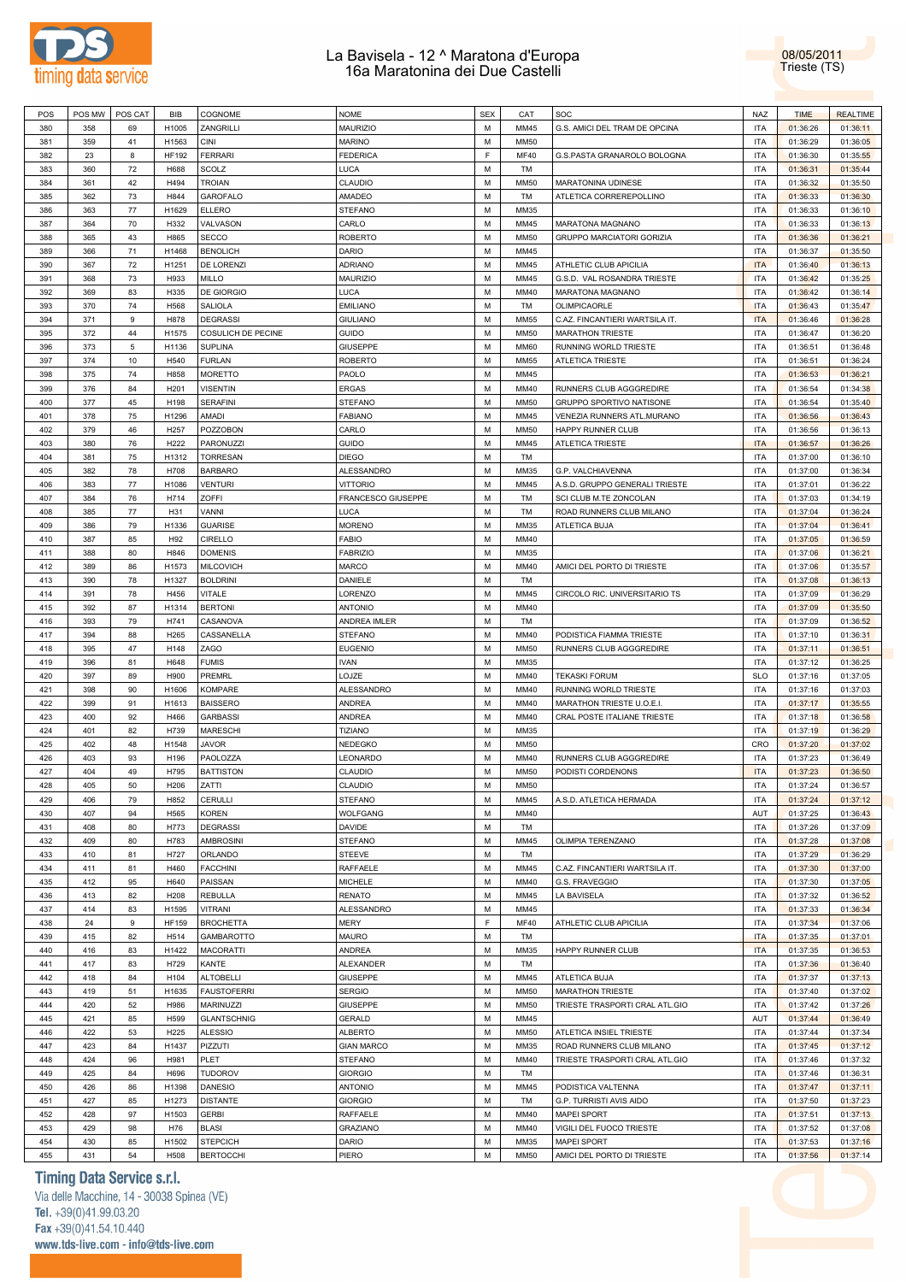



| POS | POS MW | POS CAT    | <b>BIB</b>   | COGNOME            | <b>NOME</b>        | <b>SEX</b> | CAT         | SOC                               | <b>NAZ</b> | <b>TIME</b> | <b>REALTIME</b> |
|-----|--------|------------|--------------|--------------------|--------------------|------------|-------------|-----------------------------------|------------|-------------|-----------------|
| 380 | 358    | 69         | H1005        | ZANGRILLI          | <b>MAURIZIO</b>    | M          | MM45        | G.S. AMICI DEL TRAM DE OPCINA     | <b>ITA</b> | 01:36:26    | 01:36:11        |
|     |        |            |              |                    |                    |            |             |                                   |            |             |                 |
| 381 | 359    | 41         | H1563        | <b>CINI</b>        | <b>MARINO</b>      | M          | <b>MM50</b> |                                   | <b>ITA</b> | 01:36:29    | 01:36:05        |
| 382 | 23     | 8          | <b>HF192</b> | <b>FERRARI</b>     | <b>FEDERICA</b>    | F          | <b>MF40</b> | G.S.PASTA GRANAROLO BOLOGNA       | ITA        | 01:36:30    | 01:35:55        |
| 383 | 360    | 72         | H688         | SCOLZ              | LUCA               | M          | TM          |                                   | <b>ITA</b> | 01:36:31    | 01:35:44        |
| 384 | 361    | 42         | H494         | <b>TROIAN</b>      | CLAUDIO            | M          | <b>MM50</b> | MARATONINA UDINESE                | <b>ITA</b> | 01:36:32    | 01:35:50        |
| 385 | 362    | 73         | H844         | GAROFALO           | AMADEO             | M          | TM          | ATLETICA CORREREPOLLINO           | <b>ITA</b> | 01:36:33    | 01:36:30        |
|     |        |            |              |                    |                    |            |             |                                   |            |             |                 |
| 386 | 363    | 77         | H1629        | <b>ELLERO</b>      | <b>STEFANO</b>     | M          | MM35        |                                   | <b>ITA</b> | 01:36:33    | 01:36:10        |
| 387 | 364    | 70         | H332         | VALVASON           | CARLO              | M          | MM45        | MARATONA MAGNANO                  | <b>ITA</b> | 01:36:33    | 01:36:13        |
| 388 | 365    | 43         | H865         | <b>SECCO</b>       | <b>ROBERTO</b>     | M          | <b>MM50</b> | GRUPPO MARCIATORI GORIZIA         | <b>ITA</b> | 01:36:36    | 01:36:21        |
| 389 | 366    | 71         | H1468        | <b>BENOLICH</b>    | DARIO              | M          | MM45        |                                   | <b>ITA</b> | 01:36:37    | 01:35:50        |
|     |        |            |              |                    |                    |            |             |                                   |            |             |                 |
| 390 | 367    | 72         | H1251        | DE LORENZI         | <b>ADRIANO</b>     | M          | MM45        | ATHLETIC CLUB APICILIA            | <b>ITA</b> | 01:36:40    | 01:36:13        |
| 391 | 368    | 73         | H933         | MILLO              | <b>MAURIZIO</b>    | M          | MM45        | G.S.D. VAL ROSANDRA TRIESTE       | ITA        | 01:36:42    | 01:35:25        |
| 392 | 369    | 83         | H335         | DE GIORGIO         | LUCA               | M          | MM40        | MARATONA MAGNANO                  | ITA        | 01:36:42    | 01:36:14        |
| 393 | 370    | 74         | H568         | <b>SALIOLA</b>     | <b>EMILIANO</b>    | M          | TM          | OLIMPICAORLE                      | <b>ITA</b> | 01:36:43    | 01:35:47        |
|     |        |            |              |                    |                    | M          |             |                                   |            |             |                 |
| 394 | 371    | 9          | H878         | <b>DEGRASSI</b>    | <b>GIULIANO</b>    |            | <b>MM55</b> | C.AZ. FINCANTIERI WARTSILA IT.    | <b>ITA</b> | 01:36:46    | 01:36:28        |
| 395 | 372    | 44         | H1575        | COSULICH DE PECINE | <b>GUIDO</b>       | M          | <b>MM50</b> | <b>MARATHON TRIESTE</b>           | <b>ITA</b> | 01:36:47    | 01:36:20        |
| 396 | 373    | $\sqrt{5}$ | H1136        | <b>SUPLINA</b>     | GIUSEPPE           | M          | <b>MM60</b> | RUNNING WORLD TRIESTE             | <b>ITA</b> | 01:36:51    | 01:36:48        |
| 397 | 374    | 10         | H540         | <b>FURLAN</b>      | <b>ROBERTO</b>     | M          | <b>MM55</b> | <b>ATLETICA TRIESTE</b>           | <b>ITA</b> | 01:36:51    | 01:36:24        |
| 398 | 375    | 74         | H858         | <b>MORETTO</b>     | PAOLO              | M          | MM45        |                                   | <b>ITA</b> | 01:36:53    | 01:36:21        |
|     |        |            |              |                    |                    |            |             |                                   |            |             |                 |
| 399 | 376    | 84         | H201         | <b>VISENTIN</b>    | <b>ERGAS</b>       | M          | MM40        | RUNNERS CLUB AGGGREDIRE           | <b>ITA</b> | 01:36:54    | 01:34:38        |
| 400 | 377    | 45         | H198         | <b>SERAFINI</b>    | <b>STEFANO</b>     | M          | <b>MM50</b> | GRUPPO SPORTIVO NATISONE          | <b>ITA</b> | 01:36:54    | 01:35:40        |
| 401 | 378    | 75         | H1296        | AMADI              | <b>FABIANO</b>     | M          | MM45        | <b>VENEZIA RUNNERS ATL.MURANO</b> | <b>ITA</b> | 01:36:56    | 01:36:43        |
| 402 | 379    | 46         | H257         | POZZOBON           | CARLO              | M          | <b>MM50</b> | HAPPY RUNNER CLUB                 | <b>ITA</b> | 01:36:56    | 01:36:13        |
|     |        |            |              |                    |                    |            |             |                                   |            |             |                 |
| 403 | 380    | 76         | H222         | PARONUZZI          | <b>GUIDO</b>       | M          | MM45        | <b>ATLETICA TRIESTE</b>           | <b>ITA</b> | 01:36:57    | 01:36:26        |
| 404 | 381    | 75         | H1312        | <b>TORRESAN</b>    | <b>DIEGO</b>       | M          | TM          |                                   | ITA        | 01:37:00    | 01:36:10        |
| 405 | 382    | 78         | H708         | <b>BARBARO</b>     | ALESSANDRO         | M          | MM35        | G.P. VALCHIAVENNA                 | ITA        | 01:37:00    | 01:36:34        |
| 406 | 383    | 77         | H1086        | <b>VENTURI</b>     | <b>VITTORIO</b>    | M          | MM45        | A.S.D. GRUPPO GENERALI TRIESTE    | ITA        | 01:37:01    | 01:36:22        |
|     |        |            |              |                    |                    |            |             |                                   |            |             |                 |
| 407 | 384    | 76         | H714         | ZOFFI              | FRANCESCO GIUSEPPE | M          | TM          | SCI CLUB M.TE ZONCOLAN            | ITA        | 01:37:03    | 01:34:19        |
| 408 | 385    | 77         | H31          | VANNI              | LUCA               | M          | TM          | ROAD RUNNERS CLUB MILANO          | ITA        | 01:37:04    | 01:36:24        |
| 409 | 386    | 79         | H1336        | <b>GUARISE</b>     | <b>MORENO</b>      | M          | MM35        | ATLETICA BUJA                     | <b>ITA</b> | 01:37:04    | 01:36:41        |
| 410 | 387    | 85         | H92          | CIRELLO            | <b>FABIO</b>       | M          | MM40        |                                   | <b>ITA</b> | 01:37:05    | 01:36:59        |
| 411 | 388    | 80         | H846         |                    |                    | M          | MM35        |                                   | <b>ITA</b> |             |                 |
|     |        |            |              | <b>DOMENIS</b>     | <b>FABRIZIO</b>    |            |             |                                   |            | 01:37:06    | 01:36:21        |
| 412 | 389    | 86         | H1573        | <b>MILCOVICH</b>   | <b>MARCO</b>       | M          | MM40        | AMICI DEL PORTO DI TRIESTE        | <b>ITA</b> | 01:37:06    | 01:35:57        |
| 413 | 390    | 78         | H1327        | <b>BOLDRINI</b>    | DANIELE            | M          | TM          |                                   | <b>ITA</b> | 01:37:08    | 01:36:13        |
| 414 | 391    | 78         | H456         | <b>VITALE</b>      | LORENZO            | M          | MM45        | CIRCOLO RIC. UNIVERSITARIO TS     | <b>ITA</b> | 01:37:09    | 01:36:29        |
| 415 | 392    | 87         | H1314        | <b>BERTONI</b>     | <b>ANTONIO</b>     | M          | MM40        |                                   | <b>ITA</b> |             |                 |
|     |        |            |              |                    |                    |            |             |                                   |            | 01:37:09    | 01:35:50        |
| 416 | 393    | 79         | H741         | CASANOVA           | ANDREA IMLER       | M          | TM          |                                   | <b>ITA</b> | 01:37:09    | 01:36:52        |
| 417 | 394    | 88         | H265         | CASSANELLA         | <b>STEFANO</b>     | M          | MM40        | PODISTICA FIAMMA TRIESTE          | <b>ITA</b> | 01:37:10    | 01:36:31        |
| 418 | 395    | 47         | H148         | ZAGO               | <b>EUGENIO</b>     | M          | <b>MM50</b> | RUNNERS CLUB AGGGREDIRE           | <b>ITA</b> | 01:37:11    | 01:36:51        |
| 419 | 396    | 81         | H648         | <b>FUMIS</b>       | <b>IVAN</b>        | M          | MM35        |                                   | <b>ITA</b> | 01:37:12    | 01:36:25        |
|     |        |            |              |                    |                    |            |             |                                   |            |             |                 |
| 420 | 397    | 89         | H900         | <b>PREMRL</b>      | LOJZE              | M          | MM40        | <b>TEKASKI FORUM</b>              | <b>SLO</b> | 01:37:16    | 01:37:05        |
| 421 | 398    | 90         | H1606        | <b>KOMPARE</b>     | ALESSANDRO         | M          | MM40        | RUNNING WORLD TRIESTE             | <b>ITA</b> | 01:37:16    | 01:37:03        |
| 422 | 399    | 91         | H1613        | <b>BAISSERO</b>    | ANDREA             | M          | MM40        | MARATHON TRIESTE U.O.E.I.         | <b>ITA</b> | 01:37:17    | 01:35:55        |
| 423 | 400    | 92         | H466         | <b>GARBASSI</b>    | ANDREA             | M          | MM40        | CRAL POSTE ITALIANE TRIESTE       | <b>ITA</b> | 01:37:18    | 01:36:58        |
| 424 | 401    | 82         | H739         | <b>MARESCHI</b>    | TIZIANO            | M          | MM35        |                                   | <b>ITA</b> | 01:37:19    | 01:36:29        |
|     |        |            |              |                    |                    |            |             |                                   |            |             |                 |
| 425 | 402    | 48         | H1548        | <b>JAVOR</b>       | NEDEGKO            | M          | <b>MM50</b> |                                   | CRO        | 01:37:20    | 01:37:02        |
| 426 | 403    | 93         | H196         | PAOLOZZA           | LEONARDO           | M          | MM40        | RUNNERS CLUB AGGGREDIRE           | <b>ITA</b> | 01:37:23    | 01:36:49        |
| 427 | 404    | 49         | H795         | <b>BATTISTON</b>   | CLAUDIO            | M          | <b>MM50</b> | PODISTI CORDENONS                 | <b>ITA</b> | 01:37:23    | 01:36:50        |
| 428 | 405    | 50         | H206         | ZATTI              | CLAUDIO            | M          | <b>MM50</b> |                                   | <b>ITA</b> | 01:37:24    | 01:36:57        |
|     |        |            |              | <b>CERULLI</b>     | <b>STEFANO</b>     | M          |             |                                   |            |             |                 |
| 429 | 406    | 79         | H852         |                    |                    |            | MM45        | A.S.D. ATLETICA HERMADA           | <b>ITA</b> | 01:37:24    | 01:37:12        |
| 430 | 407    | 94         | H565         | <b>KOREN</b>       | WOLFGANG           | M          | MM40        |                                   | AUT        | 01:37:25    | 01:36:43        |
| 431 | 408    | 80         | H773         | <b>DEGRASSI</b>    | DAVIDE             | M          | TM          |                                   | <b>ITA</b> | 01:37:26    | 01:37:09        |
| 432 | 409    | 80         | H783         | <b>AMBROSINI</b>   | <b>STEFANO</b>     | M          | MM45        | OLIMPIA TERENZANO                 | <b>ITA</b> | 01:37:28    | 01:37:08        |
| 433 | 410    | 81         | H727         | ORLANDO            | STEEVE             | M          | TM          |                                   | <b>ITA</b> | 01:37:29    | 01:36:29        |
|     |        |            |              |                    |                    |            |             |                                   |            |             |                 |
| 434 | 411    | 81         | H460         | <b>FACCHINI</b>    | RAFFAELE           | M          | MM45        | C.AZ. FINCANTIERI WARTSILA IT.    | <b>ITA</b> | 01:37:30    | 01:37:00        |
| 435 | 412    | 95         | H640         | PAISSAN            | MICHELE            | M          | MM40        | G.S. FRAVEGGIO                    | <b>ITA</b> | 01:37:30    | 01:37:05        |
| 436 | 413    | 82         | H208         | <b>REBULLA</b>     | <b>RENATO</b>      | M          | MM45        | LA BAVISELA                       | <b>ITA</b> | 01:37:32    | 01:36:52        |
| 437 | 414    | 83         | H1595        | <b>VITRANI</b>     | ALESSANDRO         | M          | MM45        |                                   | <b>ITA</b> | 01:37:33    | 01:36:34        |
|     |        |            |              |                    |                    |            |             |                                   |            |             |                 |
| 438 | 24     | 9          | <b>HF159</b> | <b>BROCHETTA</b>   | MERY               | F          | <b>MF40</b> | ATHLETIC CLUB APICILIA            | <b>ITA</b> | 01:37:34    | 01:37:06        |
| 439 | 415    | 82         | H514         | <b>GAMBAROTTO</b>  | MAURO              | M          | TM          |                                   | <b>ITA</b> | 01:37:35    | 01:37:01        |
| 440 | 416    | 83         | H1422        | <b>MACORATTI</b>   | ANDREA             | M          | MM35        | HAPPY RUNNER CLUB                 | <b>ITA</b> | 01:37:35    | 01:36:53        |
| 441 | 417    | 83         | H729         | KANTE              | ALEXANDER          | M          | TM          |                                   | ITA        | 01:37:36    | 01:36:40        |
|     |        |            |              |                    |                    |            |             |                                   |            |             |                 |
| 442 | 418    | 84         | H104         | <b>ALTOBELLI</b>   | <b>GIUSEPPE</b>    | M          | MM45        | ATLETICA BUJA                     | ITA        | 01:37:37    | 01:37:13        |
| 443 | 419    | 51         | H1635        | <b>FAUSTOFERRI</b> | <b>SERGIO</b>      | M          | <b>MM50</b> | <b>MARATHON TRIESTE</b>           | ITA        | 01:37:40    | 01:37:02        |
| 444 | 420    | 52         | H986         | <b>MARINUZZI</b>   | GIUSEPPE           | M          | <b>MM50</b> | TRIESTE TRASPORTI CRAL ATL.GIO    | ITA        | 01:37:42    | 01:37:26        |
| 445 | 421    | 85         | H599         | <b>GLANTSCHNIG</b> | GERALD             | M          | MM45        |                                   | AUT        | 01:37:44    | 01:36:49        |
|     |        |            |              |                    |                    |            |             |                                   |            |             |                 |
| 446 | 422    | 53         | H225         | <b>ALESSIO</b>     | <b>ALBERTO</b>     | M          | <b>MM50</b> | ATLETICA INSIEL TRIESTE           | ITA        | 01:37:44    | 01:37:34        |
| 447 | 423    | 84         | H1437        | PIZZUTI            | <b>GIAN MARCO</b>  | M          | MM35        | ROAD RUNNERS CLUB MILANO          | <b>ITA</b> | 01:37:45    | 01:37:12        |
| 448 | 424    | 96         | H981         | PLET               | STEFANO            | M          | MM40        | TRIESTE TRASPORTI CRAL ATL.GIO    | <b>ITA</b> | 01:37:46    | 01:37:32        |
| 449 | 425    | 84         | H696         | <b>TUDOROV</b>     | <b>GIORGIO</b>     | M          | TM          |                                   | <b>ITA</b> | 01:37:46    | 01:36:31        |
|     |        |            |              |                    |                    | M          |             |                                   |            |             |                 |
| 450 | 426    | 86         | H1398        | <b>DANESIO</b>     | <b>ANTONIO</b>     |            | MM45        | PODISTICA VALTENNA                | ITA        | 01:37:47    | 01:37:11        |
| 451 | 427    | 85         | H1273        | <b>DISTANTE</b>    | <b>GIORGIO</b>     | M          | TM          | G.P. TURRISTI AVIS AIDO           | <b>ITA</b> | 01:37:50    | 01:37:23        |
| 452 | 428    | 97         | H1503        | <b>GERBI</b>       | RAFFAELE           | M          | MM40        | <b>MAPEI SPORT</b>                | ITA        | 01:37:51    | 01:37:13        |
| 453 | 429    | 98         | H76          | <b>BLASI</b>       | <b>GRAZIANO</b>    | M          | MM40        | VIGILI DEL FUOCO TRIESTE          | ITA        | 01:37:52    | 01:37:08        |
| 454 | 430    | 85         | H1502        |                    | DARIO              | M          | MM35        | <b>MAPEI SPORT</b>                | ITA        |             | 01:37:16        |
|     |        |            |              | <b>STEPCICH</b>    |                    |            |             |                                   |            | 01:37:53    |                 |
| 455 | 431    | 54         | H508         | <b>BERTOCCHI</b>   | PIERO              | M          | <b>MM50</b> | AMICI DEL PORTO DI TRIESTE        | ITA        | 01:37:56    | 01:37:14        |

## **Timing Data Service s.r.l.**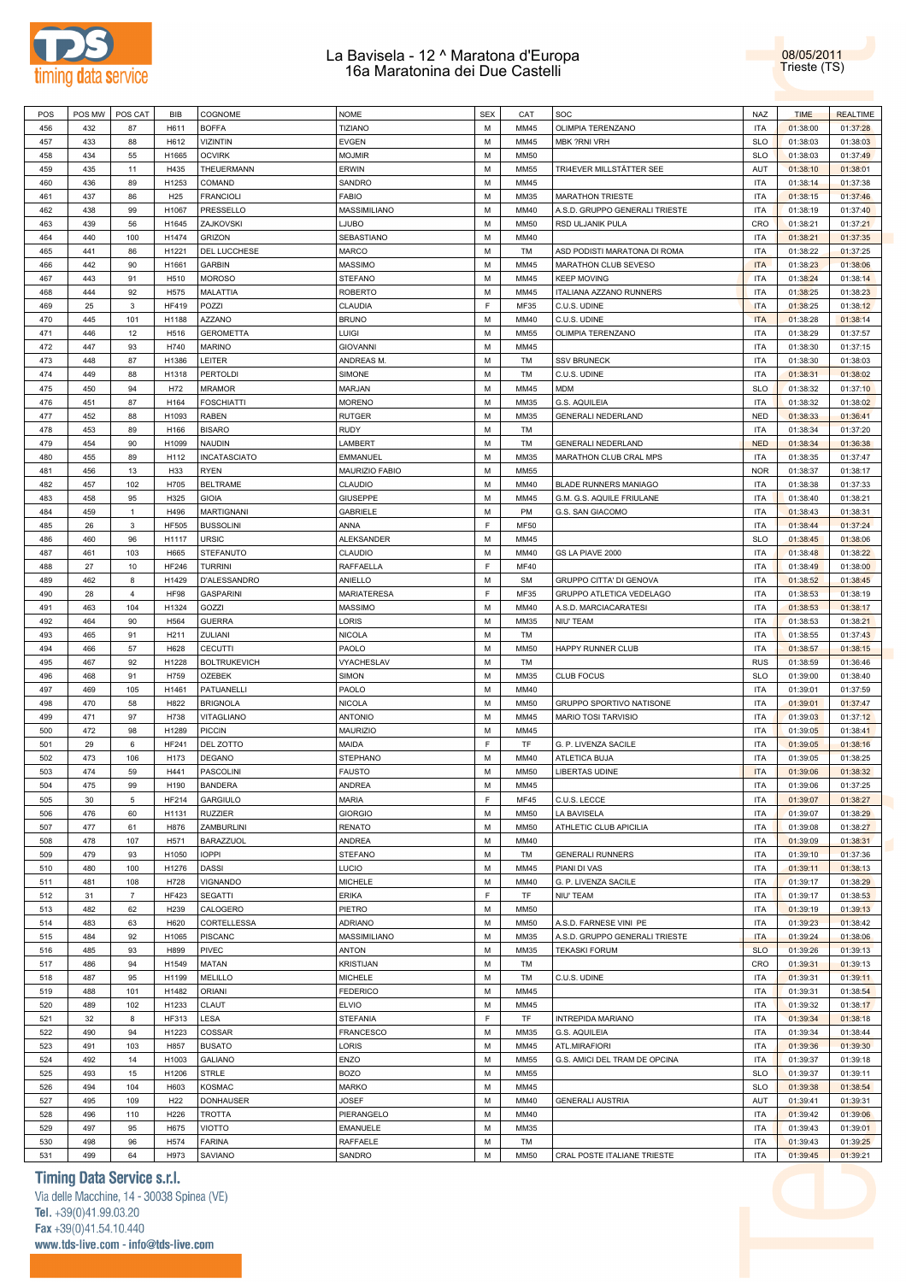

08/05/2011 Trieste (TS)

| POS        | POS MW     | POS CAT        | <b>BIB</b>      | COGNOME                  | <b>NOME</b>        | <b>SEX</b> | CAT               | SOC                             | <b>NAZ</b>               | <b>TIME</b>          | <b>REALTIME</b>      |  |
|------------|------------|----------------|-----------------|--------------------------|--------------------|------------|-------------------|---------------------------------|--------------------------|----------------------|----------------------|--|
| 456        | 432        | 87             | H611            | <b>BOFFA</b>             | <b>TIZIANO</b>     | M          | MM45              | OLIMPIA TERENZANO               | <b>ITA</b>               | 01:38:00             | 01:37:28             |  |
| 457        | 433        | 88             | H612            | <b>VIZINTIN</b>          | <b>EVGEN</b>       | M          | MM45              | <b>MBK ?RNI VRH</b>             | <b>SLO</b>               | 01:38:03             | 01:38:03             |  |
| 458        | 434        | 55             | H1665           | <b>OCVIRK</b>            | <b>MOJMIR</b>      | M          | <b>MM50</b>       |                                 | <b>SLO</b>               | 01:38:03             | 01:37:49             |  |
|            |            |                |                 |                          |                    |            |                   |                                 |                          |                      |                      |  |
| 459        | 435        | 11             | H435            | THEUERMANN               | <b>ERWIN</b>       | M          | <b>MM55</b>       | TRI4EVER MILLSTÄTTER SEE        | AUT                      | 01:38:10             | 01:38:01             |  |
| 460        | 436        | 89             | H1253           | COMAND                   | SANDRO             | M          | MM45              |                                 | <b>ITA</b>               | 01:38:14             | 01:37:38             |  |
| 461        | 437        | 86             | H <sub>25</sub> | <b>FRANCIOLI</b>         | <b>FABIO</b>       | M          | MM35              | <b>MARATHON TRIESTE</b>         | <b>ITA</b>               | 01:38:15             | 01:37:46             |  |
| 462        | 438        | 99             | H1067           | PRESSELLO                | MASSIMILIANO       | M          | MM40              | A.S.D. GRUPPO GENERALI TRIESTE  | <b>ITA</b>               | 01:38:19             | 01:37:40             |  |
| 463        | 439        | 56             | H1645           | ZAJKOVSKI                | LJUBO              | M          | <b>MM50</b>       | RSD ULJANIK PULA                | CRO                      | 01:38:21             | 01:37:21             |  |
|            |            |                |                 |                          |                    |            |                   |                                 |                          |                      |                      |  |
| 464        | 440        | 100            | H1474           | <b>GRIZON</b>            | SEBASTIANO         | M          | MM40              |                                 | <b>ITA</b>               | 01:38:21             | 01:37:35             |  |
| 465        | 441        | 86             | H1221           | DEL LUCCHESE             | <b>MARCO</b>       | M          | TM                | ASD PODISTI MARATONA DI ROMA    | <b>ITA</b>               | 01:38:22             | 01:37:25             |  |
| 466        | 442        | 90             | H1661           | <b>GARBIN</b>            | <b>MASSIMO</b>     | M          | MM45              | MARATHON CLUB SEVESO            | <b>ITA</b>               | 01:38:23             | 01:38:06             |  |
| 467        | 443        | 91             | H510            | <b>MOROSO</b>            | <b>STEFANO</b>     | M          | MM45              | <b>KEEP MOVING</b>              | <b>ITA</b>               | 01:38:24             | 01:38:14             |  |
| 468        | 444        | 92             | H575            | <b>MALATTIA</b>          | <b>ROBERTO</b>     | M          | MM45              | ITALIANA AZZANO RUNNERS         | <b>ITA</b>               | 01:38:25             | 01:38:23             |  |
|            |            |                |                 |                          |                    |            |                   |                                 |                          |                      |                      |  |
| 469        | 25         | $\mathbf{3}$   | <b>HF419</b>    | POZZI                    | CLAUDIA            | E          | MF35              | C.U.S. UDINE                    | <b>ITA</b>               | 01:38:25             | 01:38:12             |  |
| 470        | 445        | 101            | H1188           | <b>AZZANO</b>            | <b>BRUNO</b>       | M          | MM40              | C.U.S. UDINE                    | <b>ITA</b>               | 01:38:28             | 01:38:14             |  |
| 471        | 446        | 12             | H516            | <b>GEROMETTA</b>         | LUIGI              | M          | <b>MM55</b>       | OLIMPIA TERENZANO               | <b>ITA</b>               | 01:38:29             | 01:37:57             |  |
| 472        | 447        | 93             | H740            | <b>MARINO</b>            | <b>GIOVANNI</b>    | M          | MM45              |                                 | <b>ITA</b>               | 01:38:30             | 01:37:15             |  |
| 473        | 448        | 87             | H1386           | LEITER                   | ANDREAS M.         | M          | TM                | <b>SSV BRUNECK</b>              | <b>ITA</b>               | 01:38:30             | 01:38:03             |  |
|            |            |                |                 |                          |                    |            |                   |                                 |                          |                      |                      |  |
| 474        | 449        | 88             | H1318           | <b>PERTOLDI</b>          | SIMONE             | M          | TM                | C.U.S. UDINE                    | <b>ITA</b>               | 01:38:31             | 01:38:02             |  |
| 475        | 450        | 94             | H72             | <b>MRAMOR</b>            | MARJAN             | M          | MM45              | <b>MDM</b>                      | <b>SLO</b>               | 01:38:32             | 01:37:10             |  |
| 476        | 451        | 87             | H164            | <b>FOSCHIATTI</b>        | <b>MORENO</b>      | M          | MM35              | G.S. AQUILEIA                   | <b>ITA</b>               | 01:38:32             | 01:38:02             |  |
| 477        | 452        | 88             | H1093           | RABEN                    | <b>RUTGER</b>      | M          | MM35              | <b>GENERALI NEDERLAND</b>       | <b>NED</b>               | 01:38:33             | 01:36:41             |  |
| 478        | 453        | 89             | H166            | <b>BISARO</b>            | <b>RUDY</b>        | M          | TM                |                                 | <b>ITA</b>               | 01:38:34             | 01:37:20             |  |
|            |            |                |                 |                          |                    |            |                   |                                 |                          |                      |                      |  |
| 479        | 454        | 90             | H1099           | <b>NAUDIN</b>            | LAMBERT            | M          | TM                | <b>GENERALI NEDERLAND</b>       | <b>NED</b>               | 01:38:34             | 01:36:38             |  |
| 480        | 455        | 89             | H112            | <b>INCATASCIATO</b>      | EMMANUEL           | M          | MM35              | MARATHON CLUB CRAL MPS          | <b>ITA</b>               | 01:38:35             | 01:37:47             |  |
| 481        | 456        | 13             | H33             | <b>RYEN</b>              | MAURIZIO FABIO     | M          | <b>MM55</b>       |                                 | <b>NOR</b>               | 01:38:37             | 01:38:17             |  |
| 482        | 457        | 102            | H705            | <b>BELTRAME</b>          | CLAUDIO            | M          | MM40              | BLADE RUNNERS MANIAGO           | <b>ITA</b>               | 01:38:38             | 01:37:33             |  |
| 483        | 458        | 95             | H325            | <b>GIOIA</b>             | <b>GIUSEPPE</b>    | M          | MM45              | G.M. G.S. AQUILE FRIULANE       | <b>ITA</b>               | 01:38:40             | 01:38:21             |  |
|            |            |                |                 |                          |                    |            |                   |                                 |                          |                      |                      |  |
| 484        | 459        | $\mathbf{1}$   | H496            | <b>MARTIGNANI</b>        | <b>GABRIELE</b>    | M          | <b>PM</b>         | G.S. SAN GIACOMO                | <b>ITA</b>               | 01:38:43             | 01:38:31             |  |
| 485        | 26         | $\mathbf{3}$   | <b>HF505</b>    | <b>BUSSOLINI</b>         | ANNA               | E          | <b>MF50</b>       |                                 | <b>ITA</b>               | 01:38:44             | 01:37:24             |  |
| 486        | 460        | 96             | H1117           | <b>URSIC</b>             | <b>ALEKSANDER</b>  | M          | MM45              |                                 | <b>SLO</b>               | 01:38:45             | 01:38:06             |  |
| 487        | 461        | 103            | H665            | STEFANUTO                | CLAUDIO            | M          | MM40              | GS LA PIAVE 2000                | <b>ITA</b>               | 01:38:48             | 01:38:22             |  |
| 488        | 27         | 10             | <b>HF246</b>    | <b>TURRINI</b>           | RAFFAELLA          | E          | MF40              |                                 | <b>ITA</b>               | 01:38:49             | 01:38:00             |  |
|            |            |                |                 |                          |                    |            |                   |                                 |                          |                      |                      |  |
| 489        | 462        | 8              | H1429           | D'ALESSANDRO             | ANIELLO            | M          | <b>SM</b>         | GRUPPO CITTA' DI GENOVA         | <b>ITA</b>               | 01:38:52             | 01:38:45             |  |
| 490        | 28         | $\overline{4}$ | <b>HF98</b>     | <b>GASPARINI</b>         | MARIATERESA        | E          | MF35              | GRUPPO ATLETICA VEDELAGO        | <b>ITA</b>               | 01:38:53             | 01:38:19             |  |
| 491        | 463        | 104            | H1324           | GOZZI                    | <b>MASSIMO</b>     | M          | MM40              | A.S.D. MARCIACARATESI           | <b>ITA</b>               | 01:38:53             | 01:38:17             |  |
| 492        | 464        | 90             | H564            | <b>GUERRA</b>            | LORIS              | M          | MM35              | <b>NIU' TEAM</b>                | <b>ITA</b>               | 01:38:53             | 01:38:21             |  |
|            |            |                |                 |                          |                    |            |                   |                                 |                          |                      |                      |  |
|            |            |                |                 |                          |                    |            |                   |                                 |                          |                      |                      |  |
| 493        | 465        | 91             | H211            | ZULIANI                  | <b>NICOLA</b>      | M          | TM                |                                 | <b>ITA</b>               | 01:38:55             | 01:37:43             |  |
| 494        | 466        | 57             | H628            | <b>CECUTTI</b>           | PAOLO              | M          | <b>MM50</b>       | HAPPY RUNNER CLUB               | <b>ITA</b>               | 01:38:57             | 01:38:15             |  |
| 495        | 467        | 92             | H1228           | <b>BOLTRUKEVICH</b>      | VYACHESLAV         | M          | TM                |                                 | <b>RUS</b>               | 01:38:59             | 01:36:46             |  |
| 496        | 468        | 91             | H759            | <b>OZEBEK</b>            | SIMON              | M          | MM35              | <b>CLUB FOCUS</b>               | <b>SLO</b>               | 01:39:00             | 01:38:40             |  |
| 497        | 469        | 105            | H1461           | PATUANELLI               | PAOLO              | M          | MM40              |                                 | <b>ITA</b>               | 01:39:01             | 01:37:59             |  |
|            |            |                |                 |                          |                    |            |                   |                                 |                          |                      |                      |  |
| 498        | 470        | 58             | H822            | <b>BRIGNOLA</b>          | <b>NICOLA</b>      | M          | <b>MM50</b>       | <b>GRUPPO SPORTIVO NATISONE</b> | <b>ITA</b>               | 01:39:01             | 01:37:47             |  |
| 499        | 471        | 97             | H738            | VITAGLIANO               | <b>ANTONIO</b>     | M          | MM45              | MARIO TOSI TARVISIO             | <b>ITA</b>               | 01:39:03             | 01:37:12             |  |
| 500        | 472        | 98             | H1289           | <b>PICCIN</b>            | MAURIZIO           | M          | MM45              |                                 | <b>ITA</b>               | 01:39:05             | 01:38:41             |  |
| 501        | 29         | 6              | <b>HF241</b>    | DEL ZOTTO                | MAIDA              | E          | TF                | G. P. LIVENZA SACILE            | <b>ITA</b>               | 01:39:05             | 01:38:16             |  |
| 502        | 473        | 106            | H173            | <b>DEGANO</b>            | <b>STEPHANO</b>    | M          | MM40              | ATLETICA BUJA                   | <b>ITA</b>               | 01:39:05             | 01:38:25             |  |
|            |            |                |                 |                          |                    |            |                   |                                 |                          |                      |                      |  |
| 503        | 474        | 59             | H441            | PASCOLINI                | <b>FAUSTO</b>      | M          | <b>MM50</b>       | <b>LIBERTAS UDINE</b>           | <b>ITA</b>               | 01:39:06             | 01:38:32             |  |
| 504        | 475        | 99             | H190            | <b>BANDERA</b>           | ANDREA             | M          | MM45              |                                 | <b>ITA</b>               | 01:39:06             | 01:37:25             |  |
| 505        | 30         | 5              | HF214           | GARGIULO                 | <b>MARIA</b>       | F          | MF45              | C.U.S. LECCE                    | <b>ITA</b>               | 01:39:07             | 01:38:27             |  |
| 506        | 476        | 60             | H1131           | <b>RUZZIER</b>           | <b>GIORGIO</b>     | M          | <b>MM50</b>       | LA BAVISELA                     | <b>ITA</b>               | 01:39:07             | 01:38:29             |  |
| 507        | 477        | 61             | H876            | ZAMBURLINI               | <b>RENATO</b>      | M          | <b>MM50</b>       | ATHLETIC CLUB APICILIA          | <b>ITA</b>               | 01:39:08             | 01:38:27             |  |
| 508        | 478        | 107            | H571            | BARAZZUOL                | ANDREA             | M          | MM40              |                                 | <b>ITA</b>               | 01:39:09             | 01:38:31             |  |
|            |            |                |                 |                          |                    |            |                   |                                 |                          |                      |                      |  |
| 509        | 479        | 93             | H1050           | <b>IOPPI</b>             | <b>STEFANO</b>     | M          | TM                | <b>GENERALI RUNNERS</b>         | <b>ITA</b>               | 01:39:10             | 01:37:36             |  |
| 510        | 480        | 100            | H1276           | DASSI                    | LUCIO              | M          | MM45              | PIANI DI VAS                    | <b>ITA</b>               | 01:39:11             | 01:38:13             |  |
| 511        | 481        | 108            | H728            | <b>VIGNANDO</b>          | <b>MICHELE</b>     | M          | MM40              | G. P. LIVENZA SACILE            | <b>ITA</b>               | 01:39:17             | 01:38:29             |  |
| 512        | 31         | $\overline{7}$ | <b>HF423</b>    | <b>SEGATTI</b>           | <b>ERIKA</b>       | F          | TF                | <b>NIU' TEAM</b>                | <b>ITA</b>               | 01:39:17             | 01:38:53             |  |
| 513        | 482        | 62             | H239            | CALOGERO                 | PIETRO             | M          | <b>MM50</b>       |                                 | <b>ITA</b>               | 01:39:19             | 01:39:13             |  |
|            |            |                |                 |                          |                    |            |                   |                                 |                          |                      |                      |  |
| 514        | 483        | 63             | H620            | CORTELLESSA              | <b>ADRIANO</b>     | M          | <b>MM50</b>       | A.S.D. FARNESE VINI PE          | <b>ITA</b>               | 01:39:23             | 01:38:42             |  |
| 515        | 484        | 92             | H1065           | <b>PISCANC</b>           | MASSIMILIANO       | M          | MM35              | A.S.D. GRUPPO GENERALI TRIESTE  | <b>ITA</b>               | 01:39:24             | 01:38:06             |  |
| 516        | 485        | 93             | H899            | PIVEC                    | <b>ANTON</b>       | M          | MM35              | <b>TEKASKI FORUM</b>            | <b>SLO</b>               | 01:39:26             | 01:39:13             |  |
| 517        | 486        | 94             | H1549           | MATAN                    | <b>KRISTIJAN</b>   | M          | TM                |                                 | CRO                      | 01:39:31             | 01:39:13             |  |
| 518        | 487        | 95             | H1199           | MELILLO                  | <b>MICHELE</b>     | M          | TM                | C.U.S. UDINE                    | <b>ITA</b>               | 01:39:31             | 01:39:11             |  |
|            |            |                |                 |                          |                    |            |                   |                                 |                          |                      |                      |  |
| 519        | 488        | 101            | H1482           | <b>ORIANI</b>            | <b>FEDERICO</b>    | M          | MM45              |                                 | <b>ITA</b>               | 01:39:31             | 01:38:54             |  |
| 520        | 489        | 102            | H1233           | CLAUT                    | <b>ELVIO</b>       | M          | MM45              |                                 | <b>ITA</b>               | 01:39:32             | 01:38:17             |  |
| 521        | 32         | 8              | <b>HF313</b>    | LESA                     | <b>STEFANIA</b>    | E          | TF                | <b>INTREPIDA MARIANO</b>        | <b>ITA</b>               | 01:39:34             | 01:38:18             |  |
| 522        | 490        | 94             | H1223           | COSSAR                   | <b>FRANCESCO</b>   | M          | MM35              | G.S. AQUILEIA                   | <b>ITA</b>               | 01:39:34             | 01:38:44             |  |
| 523        | 491        | 103            | H857            | <b>BUSATO</b>            | LORIS              | M          | MM45              | ATL.MIRAFIORI                   | <b>ITA</b>               | 01:39:36             | 01:39:30             |  |
|            |            |                |                 |                          |                    |            |                   |                                 |                          |                      |                      |  |
| 524        | 492        | 14             | H1003           | <b>GALIANO</b>           | ENZO               | M          | <b>MM55</b>       | G.S. AMICI DEL TRAM DE OPCINA   | <b>ITA</b>               | 01:39:37             | 01:39:18             |  |
| 525        | 493        | 15             | H1206           | <b>STRLE</b>             | <b>BOZO</b>        | M          | <b>MM55</b>       |                                 | <b>SLO</b>               | 01:39:37             | 01:39:11             |  |
| 526        | 494        | 104            | H603            | <b>KOSMAC</b>            | <b>MARKO</b>       | M          | MM45              |                                 | <b>SLO</b>               | 01:39:38             | 01:38:54             |  |
| 527        | 495        | 109            | H <sub>22</sub> | <b>DONHAUSER</b>         | <b>JOSEF</b>       | M          | MM40              | <b>GENERALI AUSTRIA</b>         | AUT                      | 01:39:41             | 01:39:31             |  |
|            |            |                |                 |                          |                    |            |                   |                                 |                          |                      |                      |  |
| 528        | 496        | 110            | H226            | <b>TROTTA</b>            | PIERANGELO         | M          | MM40              |                                 | <b>ITA</b>               | 01:39:42             | 01:39:06             |  |
| 529        | 497        | 95             | H675            | VIOTTO                   | EMANUELE           | M          | MM35              |                                 | <b>ITA</b>               | 01:39:43             | 01:39:01             |  |
| 530<br>531 | 498<br>499 | 96<br>64       | H574<br>H973    | <b>FARINA</b><br>SAVIANO | RAFFAELE<br>SANDRO | M<br>M     | TM<br><b>MM50</b> | CRAL POSTE ITALIANE TRIESTE     | <b>ITA</b><br><b>ITA</b> | 01:39:43<br>01:39:45 | 01:39:25<br>01:39:21 |  |

## **Timing Data Service s.r.l.**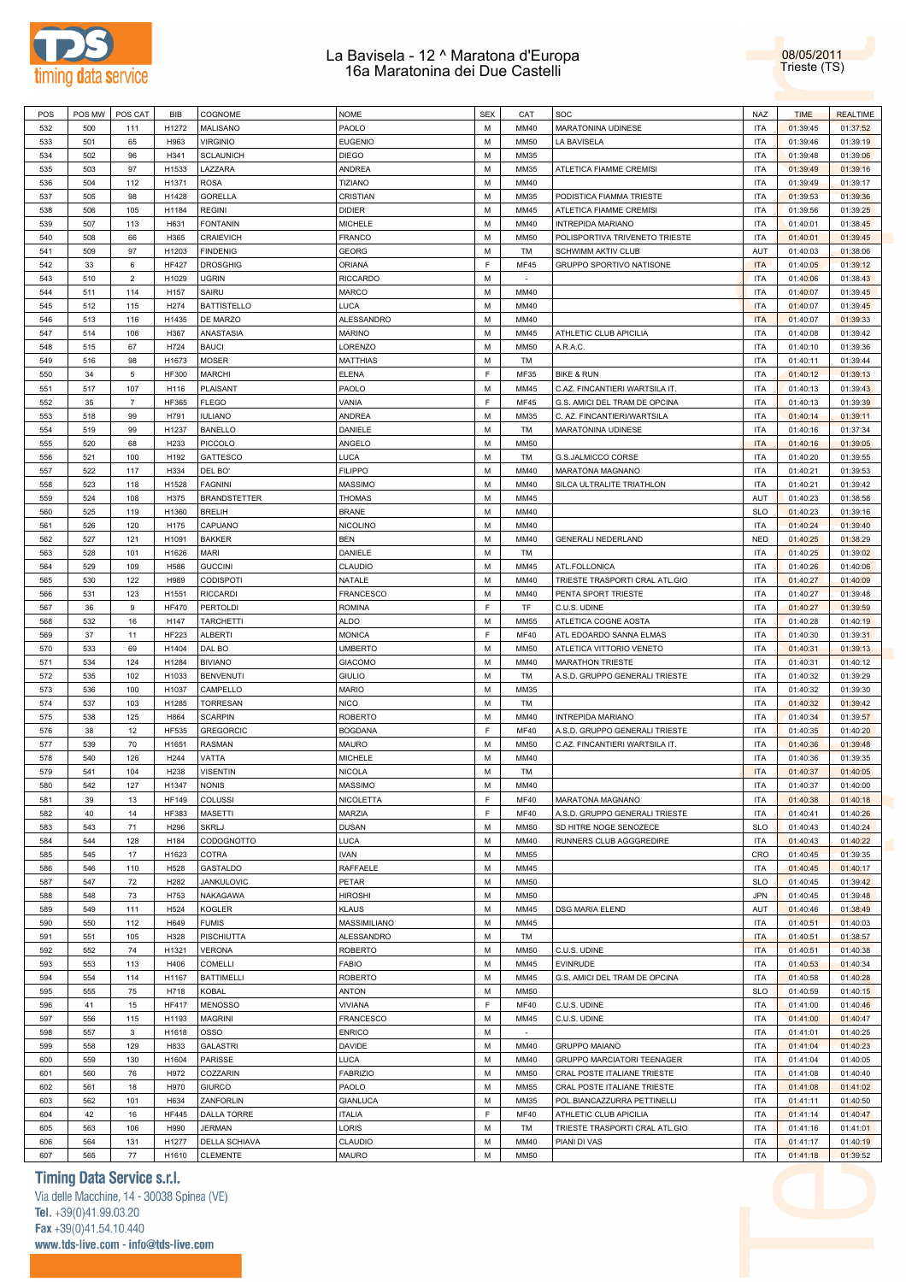

08/05/2011 Trieste (TS)

| POS | POS MW | POS CAT        | <b>BIB</b>   | COGNOME             | <b>NOME</b>      | <b>SEX</b> | CAT         | <b>SOC</b>                     | <b>NAZ</b> | <b>TIME</b> | <b>REALTIME</b> |
|-----|--------|----------------|--------------|---------------------|------------------|------------|-------------|--------------------------------|------------|-------------|-----------------|
| 532 | 500    | 111            | H1272        | MALISANO            | PAOLO            | M          | MM40        | MARATONINA UDINESE             | <b>ITA</b> | 01:39:45    | 01:37:52        |
| 533 | 501    | 65             | H963         | <b>VIRGINIO</b>     | <b>EUGENIO</b>   | M          | <b>MM50</b> | LA BAVISELA                    | <b>ITA</b> | 01:39:46    | 01:39:19        |
| 534 | 502    | 96             | H341         | <b>SCLAUNICH</b>    | <b>DIEGO</b>     | M          | MM35        |                                | <b>ITA</b> | 01:39:48    | 01:39:06        |
|     |        |                |              |                     |                  |            |             |                                |            |             |                 |
| 535 | 503    | 97             | H1533        | LAZZARA             | <b>ANDREA</b>    | M          | MM35        | ATLETICA FIAMME CREMISI        | <b>ITA</b> | 01:39:49    | 01:39:16        |
| 536 | 504    | 112            | H1371        | <b>ROSA</b>         | TIZIANO          | M          | MM40        |                                | <b>ITA</b> | 01:39:49    | 01:39:17        |
| 537 | 505    | 98             | H1428        | <b>GORELLA</b>      | CRISTIAN         | M          | MM35        | PODISTICA FIAMMA TRIESTE       | <b>ITA</b> | 01:39:53    | 01:39:36        |
| 538 | 506    | 105            | H1184        | <b>REGINI</b>       | <b>DIDIER</b>    | M          | MM45        | ATLETICA FIAMME CREMISI        | <b>ITA</b> | 01:39:56    | 01:39:25        |
| 539 | 507    | 113            | H631         | <b>FONTANIN</b>     | <b>MICHELE</b>   | M          | <b>MM40</b> | <b>INTREPIDA MARIANO</b>       | <b>ITA</b> | 01:40:01    | 01:38:45        |
| 540 | 508    | 66             | H365         | <b>CRAIEVICH</b>    | <b>FRANCO</b>    | M          | <b>MM50</b> | POLISPORTIVA TRIVENETO TRIESTE | <b>ITA</b> | 01:40:01    | 01:39:45        |
|     | 509    | 97             | H1203        |                     |                  | M          | TM          | <b>SCHWIMM AKTIV CLUB</b>      | <b>AUT</b> |             |                 |
| 541 |        |                |              | <b>FINDENIG</b>     | <b>GEORG</b>     |            |             |                                |            | 01:40:03    | 01:38:06        |
| 542 | 33     | 6              | <b>HF427</b> | <b>DROSGHIG</b>     | <b>ORIANA</b>    | E          | <b>MF45</b> | GRUPPO SPORTIVO NATISONE       | <b>ITA</b> | 01:40:05    | 01:39:12        |
| 543 | 510    | $\overline{2}$ | H1029        | <b>UGRIN</b>        | <b>RICCARDO</b>  | M          | ×.          |                                | <b>ITA</b> | 01:40:06    | 01:38:43        |
| 544 | 511    | 114            | H157         | SAIRU               | <b>MARCO</b>     | M          | MM40        |                                | <b>ITA</b> | 01:40:07    | 01:39:45        |
| 545 | 512    | 115            | H274         | <b>BATTISTELLO</b>  | LUCA             | M          | MM40        |                                | <b>ITA</b> | 01:40:07    | 01:39:45        |
| 546 | 513    | 116            | H1435        | DE MARZO            | ALESSANDRO       | M          | MM40        |                                | <b>ITA</b> | 01:40:07    | 01:39:33        |
| 547 | 514    | 106            | H367         | ANASTASIA           | <b>MARINO</b>    | M          | MM45        | ATHLETIC CLUB APICILIA         | <b>ITA</b> | 01:40:08    | 01:39:42        |
| 548 |        | 67             | H724         | <b>BAUCI</b>        |                  | M          | <b>MM50</b> | A.R.A.C.                       | <b>ITA</b> | 01:40:10    |                 |
|     | 515    |                |              |                     | LORENZO          |            |             |                                |            |             | 01:39:36        |
| 549 | 516    | 98             | H1673        | <b>MOSER</b>        | <b>MATTHIAS</b>  | M          | TM          |                                | <b>ITA</b> | 01:40:11    | 01:39:44        |
| 550 | 34     | $\,$ 5 $\,$    | <b>HF300</b> | <b>MARCHI</b>       | <b>ELENA</b>     | E          | MF35        | <b>BIKE &amp; RUN</b>          | <b>ITA</b> | 01:40:12    | 01:39:13        |
| 551 | 517    | 107            | H116         | PLAISANT            | PAOLO            | M          | MM45        | C.AZ. FINCANTIERI WARTSILA IT. | <b>ITA</b> | 01:40:13    | 01:39:43        |
| 552 | 35     | $\overline{7}$ | HF365        | <b>FLEGO</b>        | VANIA            | E          | <b>MF45</b> | G.S. AMICI DEL TRAM DE OPCINA  | <b>ITA</b> | 01:40:13    | 01:39:39        |
| 553 | 518    | 99             | H791         | <b>IULIANO</b>      | <b>ANDREA</b>    | M          | MM35        | C. AZ. FINCANTIERI/WARTSILA    | <b>ITA</b> | 01:40:14    | 01:39:11        |
| 554 | 519    | 99             | H1237        | <b>BANELLO</b>      | DANIELE          | M          | TM          | MARATONINA UDINESE             | <b>ITA</b> | 01:40:16    | 01:37:34        |
|     |        |                |              |                     |                  |            |             |                                |            |             |                 |
| 555 | 520    | 68             | H233         | <b>PICCOLO</b>      | ANGELO           | M          | <b>MM50</b> |                                | <b>ITA</b> | 01:40:16    | 01:39:05        |
| 556 | 521    | 100            | H192         | <b>GATTESCO</b>     | LUCA             | M          | TM          | G.S.JALMICCO CORSE             | <b>ITA</b> | 01:40:20    | 01:39:55        |
| 557 | 522    | 117            | H334         | DEL BO'             | <b>FILIPPO</b>   | M          | MM40        | MARATONA MAGNANO               | <b>ITA</b> | 01:40:21    | 01:39:53        |
| 558 | 523    | 118            | H1528        | <b>FAGNINI</b>      | <b>MASSIMO</b>   | M          | MM40        | SILCA ULTRALITE TRIATHLON      | <b>ITA</b> | 01:40:21    | 01:39:42        |
| 559 | 524    | 108            | H375         | <b>BRANDSTETTER</b> | <b>THOMAS</b>    | M          | MM45        |                                | AUT        | 01:40:23    | 01:38:58        |
| 560 | 525    | 119            | H1360        | <b>BRELIH</b>       | <b>BRANE</b>     | M          | MM40        |                                | <b>SLO</b> | 01:40:23    | 01:39:16        |
|     |        |                |              |                     |                  |            |             |                                |            |             |                 |
| 561 | 526    | 120            | H175         | CAPUANO             | <b>NICOLINO</b>  | M          | MM40        |                                | <b>ITA</b> | 01:40:24    | 01:39:40        |
| 562 | 527    | 121            | H1091        | <b>BAKKER</b>       | <b>BEN</b>       | M          | MM40        | GENERALI NEDERLAND             | <b>NED</b> | 01:40:25    | 01:38:29        |
| 563 | 528    | 101            | H1626        | <b>MARI</b>         | DANIELE          | M          | TM          |                                | <b>ITA</b> | 01:40:25    | 01:39:02        |
| 564 | 529    | 109            | H586         | <b>GUCCINI</b>      | CLAUDIO          | M          | MM45        | ATL.FOLLONICA                  | <b>ITA</b> | 01:40:26    | 01:40:06        |
| 565 | 530    | 122            | H989         | CODISPOTI           | NATALE           | M          | <b>MM40</b> | TRIESTE TRASPORTI CRAL ATL.GIO | <b>ITA</b> | 01:40:27    | 01:40:09        |
| 566 | 531    | 123            | H1551        | <b>RICCARDI</b>     | <b>FRANCESCO</b> | M          | MM40        | PENTA SPORT TRIESTE            | <b>ITA</b> | 01:40:27    | 01:39:48        |
| 567 | 36     | 9              | <b>HF470</b> |                     | <b>ROMINA</b>    | F          | TF          |                                | <b>ITA</b> |             |                 |
|     |        |                |              | PERTOLDI            |                  |            |             | C.U.S. UDINE                   |            | 01:40:27    | 01:39:59        |
| 568 | 532    | 16             | H147         | <b>TARCHETTI</b>    | <b>ALDO</b>      | M          | <b>MM55</b> | ATLETICA COGNE AOSTA           | <b>ITA</b> | 01:40:28    | 01:40:19        |
| 569 | 37     | 11             | <b>HF223</b> | ALBERTI             | <b>MONICA</b>    | F          | <b>MF40</b> | ATL EDOARDO SANNA ELMAS        | <b>ITA</b> | 01:40:30    | 01:39:31        |
| 570 | 533    | 69             | H1404        | DAL BO              | <b>UMBERTO</b>   | M          | <b>MM50</b> | ATLETICA VITTORIO VENETO       | <b>ITA</b> | 01:40:31    | 01:39:13        |
| 571 | 534    | 124            | H1284        | <b>BIVIANO</b>      | <b>GIACOMO</b>   | M          | MM40        | <b>MARATHON TRIESTE</b>        | <b>ITA</b> | 01:40:31    | 01:40:12        |
| 572 | 535    | 102            | H1033        | <b>BENVENUTI</b>    | <b>GIULIO</b>    | M          | TM          | A.S.D. GRUPPO GENERALI TRIESTE | <b>ITA</b> | 01:40:32    | 01:39:29        |
| 573 | 536    | 100            | H1037        | CAMPELLO            | <b>MARIO</b>     | M          | MM35        |                                | <b>ITA</b> | 01:40:32    | 01:39:30        |
|     |        |                |              |                     |                  |            |             |                                |            |             |                 |
| 574 | 537    | 103            | H1285        | <b>TORRESAN</b>     | <b>NICO</b>      | M          | TM          |                                | <b>ITA</b> | 01:40:32    | 01:39:42        |
| 575 | 538    | 125            | H864         | <b>SCARPIN</b>      | <b>ROBERTO</b>   | M          | MM40        | <b>INTREPIDA MARIANO</b>       | <b>ITA</b> | 01:40:34    | 01:39:57        |
| 576 | 38     | 12             | <b>HF535</b> | <b>GREGORCIC</b>    | <b>BOGDANA</b>   | E          | <b>MF40</b> | A.S.D. GRUPPO GENERALI TRIESTE | <b>ITA</b> | 01:40:35    | 01:40:20        |
| 577 | 539    | 70             | H1651        | <b>RASMAN</b>       | <b>MAURO</b>     | М          | <b>MM50</b> | C.AZ. FINCANTIERI WARTSILA IT. | <b>ITA</b> | 01:40:36    | 01:39:48        |
| 578 | 540    | 126            | H244         | VATTA               | <b>MICHELE</b>   | M          | MM40        |                                | <b>ITA</b> | 01:40:36    | 01:39:35        |
| 579 | 541    | 104            | H238         | <b>VISENTIN</b>     | <b>NICOLA</b>    | M          | TM          |                                | <b>ITA</b> | 01:40:37    | 01:40:05        |
| 580 |        | 127            |              |                     |                  | M          |             |                                |            |             |                 |
|     | 542    |                | H1347        | <b>NONIS</b>        | <b>MASSIMO</b>   |            | MM40        |                                | ITA        | 01:40:37    | 01:40:00        |
| 581 | 39     | 13             | <b>HF149</b> | COLUSSI             | NICOLETTA        | E          | <b>MF40</b> | MARATONA MAGNANO               | <b>ITA</b> | 01:40:38    | 01:40:18        |
| 582 | 40     | 14             | <b>HF383</b> | <b>MASETTI</b>      | MARZIA           | F.         | <b>MF40</b> | A.S.D. GRUPPO GENERALI TRIESTE | <b>ITA</b> | 01:40:41    | 01:40:26        |
| 583 | 543    | 71             | H296         | <b>SKRLJ</b>        | <b>DUSAN</b>     | M          | <b>MM50</b> | SD HITRE NOGE SENOZECE         | <b>SLO</b> | 01:40:43    | 01:40:24        |
| 584 | 544    | 128            | H184         | CODOGNOTTO          | LUCA             | M          | MM40        | RUNNERS CLUB AGGGREDIRE        | <b>ITA</b> | 01:40:43    | 01:40:22        |
| 585 | 545    | 17             | H1623        | COTRA               | <b>IVAN</b>      | М          | <b>MM55</b> |                                | CRO        | 01:40:45    | 01:39:35        |
| 586 | 546    | 110            | H528         | GASTALDO            | RAFFAELE         | M          | MM45        |                                | <b>ITA</b> | 01:40:45    | 01:40:17        |
|     |        |                |              |                     |                  |            |             |                                |            |             |                 |
| 587 | 547    | 72             | H282         | JANKULOVIC          | PETAR            | М          | <b>MM50</b> |                                | <b>SLO</b> | 01:40:45    | 01:39:42        |
| 588 | 548    | 73             | H753         | NAKAGAWA            | <b>HIROSHI</b>   | M          | <b>MM50</b> |                                | <b>JPN</b> | 01:40:45    | 01:39:48        |
| 589 | 549    | 111            | H524         | <b>KOGLER</b>       | <b>KLAUS</b>     | M          | MM45        | DSG MARIA ELEND                | AUT        | 01:40:46    | 01:38:49        |
| 590 | 550    | 112            | H649         | <b>FUMIS</b>        | MASSIMILIANO     | M          | MM45        |                                | <b>ITA</b> | 01:40:51    | 01:40:03        |
| 591 | 551    | 105            | H328         | PISCHIUTTA          | ALESSANDRO       | M          | TM          |                                | <b>ITA</b> | 01:40:51    | 01:38:57        |
| 592 | 552    | 74             | H1321        | <b>VERONA</b>       | <b>ROBERTO</b>   | M          | <b>MM50</b> | C.U.S. UDINE                   | <b>ITA</b> | 01:40:51    | 01:40:38        |
|     | 553    | 113            | H406         |                     |                  | M          | MM45        | <b>EVINRUDE</b>                | <b>ITA</b> |             |                 |
| 593 |        |                |              | COMELLI             | <b>FABIO</b>     |            |             |                                |            | 01:40:53    | 01:40:34        |
| 594 | 554    | 114            | H1167        | <b>BATTIMELLI</b>   | <b>ROBERTO</b>   | M          | MM45        | G.S. AMICI DEL TRAM DE OPCINA  | <b>ITA</b> | 01:40:58    | 01:40:28        |
| 595 | 555    | 75             | H718         | <b>KOBAL</b>        | ANTON            | M          | <b>MM50</b> |                                | <b>SLO</b> | 01:40:59    | 01:40:15        |
| 596 | 41     | 15             | <b>HF417</b> | <b>MENOSSO</b>      | <b>VIVIANA</b>   | E          | <b>MF40</b> | C.U.S. UDINE                   | <b>ITA</b> | 01:41:00    | 01:40:46        |
| 597 | 556    | 115            | H1193        | <b>MAGRINI</b>      | <b>FRANCESCO</b> | M          | MM45        | C.U.S. UDINE                   | <b>ITA</b> | 01:41:00    | 01:40:47        |
| 598 | 557    | $\mathbf{3}$   | H1618        | <b>OSSO</b>         | <b>ENRICO</b>    | M          | $\omega$    |                                | <b>ITA</b> | 01:41:01    | 01:40:25        |
| 599 | 558    | 129            | H833         | <b>GALASTRI</b>     | DAVIDE           | М          | MM40        | <b>GRUPPO MAIANO</b>           | <b>ITA</b> | 01:41:04    | 01:40:23        |
|     |        |                |              |                     |                  | M          | MM40        |                                |            |             |                 |
| 600 | 559    | 130            | H1604        | PARISSE             | LUCA             |            |             | GRUPPO MARCIATORI TEENAGER     | <b>ITA</b> | 01:41:04    | 01:40:05        |
| 601 | 560    | 76             | H972         | COZZARIN            | <b>FABRIZIO</b>  | M          | <b>MM50</b> | CRAL POSTE ITALIANE TRIESTE    | <b>ITA</b> | 01:41:08    | 01:40:40        |
| 602 | 561    | 18             | H970         | <b>GIURCO</b>       | PAOLO            | M          | <b>MM55</b> | CRAL POSTE ITALIANE TRIESTE    | <b>ITA</b> | 01:41:08    | 01:41:02        |
| 603 | 562    | 101            | H634         | ZANFORLIN           | <b>GIANLUCA</b>  | М          | MM35        | POL.BIANCAZZURRA PETTINELLI    | <b>ITA</b> | 01:41:11    | 01:40:50        |
| 604 | 42     | 16             | <b>HF445</b> | DALLA TORRE         | <b>ITALIA</b>    | E          | MF40        | ATHLETIC CLUB APICILIA         | <b>ITA</b> | 01:41:14    | 01:40:47        |
| 605 | 563    | 106            | H990         | <b>JERMAN</b>       | LORIS            | M          | TM          | TRIESTE TRASPORTI CRAL ATL.GIO | <b>ITA</b> | 01:41:16    | 01:41:01        |
|     |        |                |              |                     |                  |            | MM40        |                                |            |             |                 |
| 606 | 564    | 131            | H1277        | DELLA SCHIAVA       | CLAUDIO          | М          |             | PIANI DI VAS                   | <b>ITA</b> | 01:41:17    | 01:40:19        |
| 607 | 565    | 77             | H1610        | <b>CLEMENTE</b>     | <b>MAURO</b>     | М          | <b>MM50</b> |                                | <b>ITA</b> | 01:41:18    | 01:39:52        |

### **Timing Data Service s.r.l.**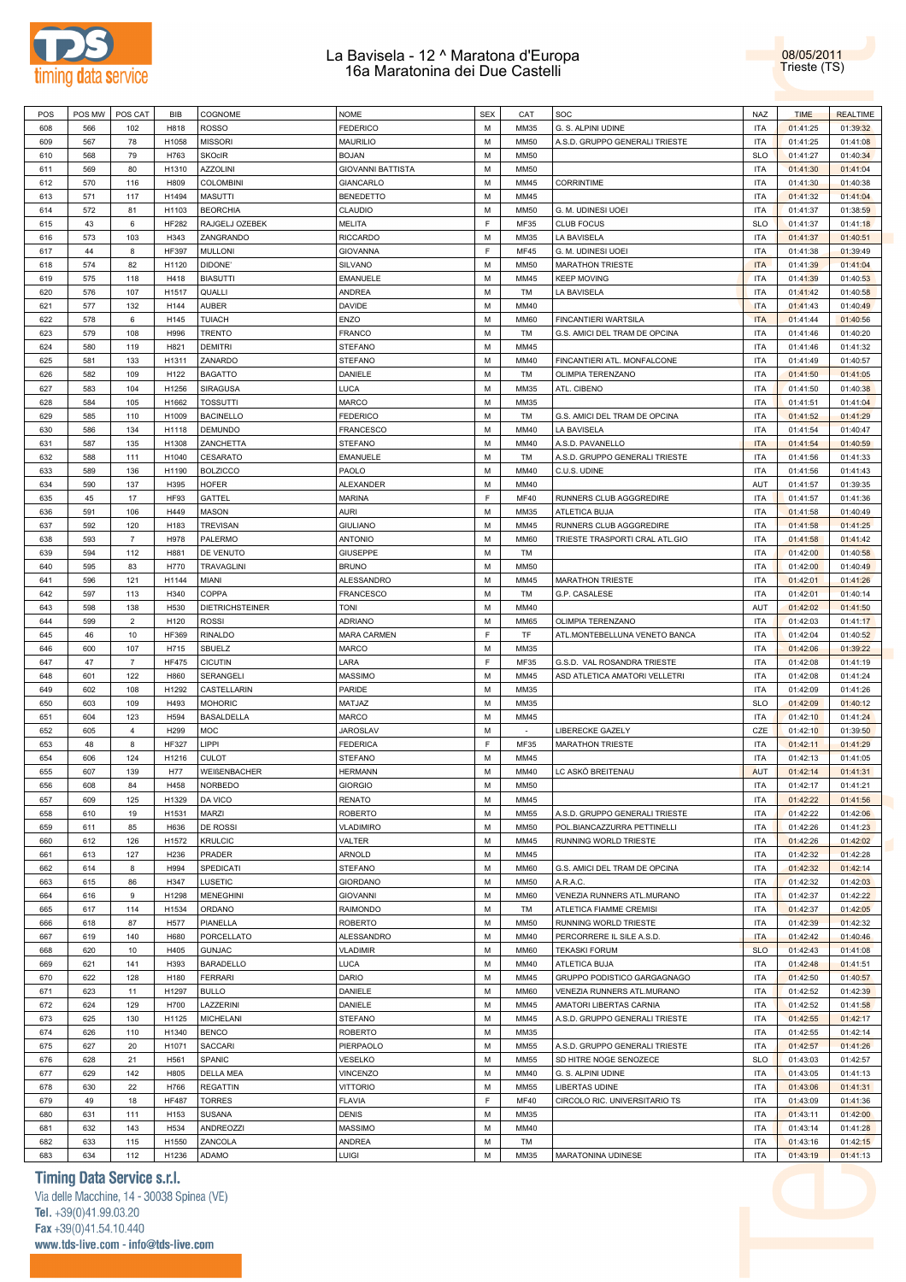



| POS | POS MW | POS CAT        | <b>BIB</b>   | COGNOME           | <b>NOME</b>              | <b>SEX</b> | CAT         | SOC                            | <b>NAZ</b> | <b>TIME</b> | <b>REALTIME</b> |
|-----|--------|----------------|--------------|-------------------|--------------------------|------------|-------------|--------------------------------|------------|-------------|-----------------|
| 608 | 566    |                |              | <b>ROSSO</b>      |                          | M          | MM35        |                                |            |             |                 |
|     |        | 102            | H818         |                   | <b>FEDERICO</b>          |            |             | G. S. ALPINI UDINE             | <b>ITA</b> | 01:41:25    | 01:39:32        |
| 609 | 567    | 78             | H1058        | <b>MISSORI</b>    | <b>MAURILIO</b>          | M          | <b>MM50</b> | A.S.D. GRUPPO GENERALI TRIESTE | <b>ITA</b> | 01:41:25    | 01:41:08        |
| 610 | 568    | 79             | H763         | <b>SKOcIR</b>     | <b>BOJAN</b>             | M          | <b>MM50</b> |                                | <b>SLO</b> | 01:41:27    | 01:40:34        |
| 611 | 569    | 80             | H1310        | <b>AZZOLINI</b>   | <b>GIOVANNI BATTISTA</b> | M          | <b>MM50</b> |                                | <b>ITA</b> | 01:41:30    | 01:41:04        |
| 612 | 570    | 116            | H809         | <b>COLOMBINI</b>  | GIANCARLO                | M          | MM45        | <b>CORRINTIME</b>              | <b>ITA</b> | 01:41:30    | 01:40:38        |
|     |        |                |              |                   |                          |            |             |                                |            |             |                 |
| 613 | 571    | 117            | H1494        | <b>MASUTTI</b>    | <b>BENEDETTO</b>         | M          | MM45        |                                | <b>ITA</b> | 01:41:32    | 01:41:04        |
| 614 | 572    | 81             | H1103        | <b>BEORCHIA</b>   | CLAUDIO                  | M          | <b>MM50</b> | G. M. UDINESI UOEI             | <b>ITA</b> | 01:41:37    | 01:38:59        |
| 615 | 43     | 6              | <b>HF282</b> | RAJGELJ OZEBEK    | <b>MELITA</b>            | F          | MF35        | <b>CLUB FOCUS</b>              | <b>SLO</b> | 01:41:37    | 01:41:18        |
| 616 | 573    | 103            | H343         | ZANGRANDO         | <b>RICCARDO</b>          | M          | MM35        | LA BAVISELA                    | <b>ITA</b> | 01:41:37    | 01:40:51        |
| 617 | 44     | 8              | <b>HF397</b> | <b>MULLONI</b>    | <b>GIOVANNA</b>          | F          | MF45        | G. M. UDINESI UOEI             | <b>ITA</b> | 01:41:38    | 01:39:49        |
|     |        |                |              |                   |                          |            |             |                                |            |             |                 |
| 618 | 574    | 82             | H1120        | DIDONE'           | SILVANO                  | M          | <b>MM50</b> | <b>MARATHON TRIESTE</b>        | <b>ITA</b> | 01:41:39    | 01:41:04        |
| 619 | 575    | 118            | H418         | <b>BIASUTTI</b>   | EMANUELE                 | M          | MM45        | <b>KEEP MOVING</b>             | <b>ITA</b> | 01:41:39    | 01:40:53        |
| 620 | 576    | 107            | H1517        | QUALLI            | ANDREA                   | M          | TM          | LA BAVISELA                    | <b>ITA</b> | 01:41:42    | 01:40:58        |
| 621 | 577    | 132            | H144         | <b>AUBER</b>      | DAVIDE                   | M          | MM40        |                                | <b>ITA</b> | 01:41:43    | 01:40:49        |
| 622 | 578    | 6              | H145         | <b>TUIACH</b>     | ENZO                     | M          | <b>MM60</b> | FINCANTIERI WARTSILA           | <b>ITA</b> | 01:41:44    | 01:40:56        |
|     |        |                |              |                   |                          |            |             |                                |            |             |                 |
| 623 | 579    | 108            | H996         | <b>TRENTO</b>     | <b>FRANCO</b>            | M          | TM          | G.S. AMICI DEL TRAM DE OPCINA  | <b>ITA</b> | 01:41:46    | 01:40:20        |
| 624 | 580    | 119            | H821         | <b>DEMITRI</b>    | <b>STEFANO</b>           | M          | MM45        |                                | <b>ITA</b> | 01:41:46    | 01:41:32        |
| 625 | 581    | 133            | H1311        | ZANARDO           | <b>STEFANO</b>           | M          | MM40        | FINCANTIERI ATL. MONFALCONE    | <b>ITA</b> | 01:41:49    | 01:40:57        |
| 626 | 582    | 109            | H122         | <b>BAGATTO</b>    | DANIELE                  | M          | TM          | OLIMPIA TERENZANO              | <b>ITA</b> | 01:41:50    | 01:41:05        |
| 627 | 583    | 104            | H1256        | <b>SIRAGUSA</b>   | LUCA                     | M          | MM35        | ATL. CIBENO                    | <b>ITA</b> | 01:41:50    | 01:40:38        |
|     |        |                |              |                   |                          |            |             |                                |            |             |                 |
| 628 | 584    | 105            | H1662        | <b>TOSSUTTI</b>   | <b>MARCO</b>             | M          | MM35        |                                | <b>ITA</b> | 01:41:51    | 01:41:04        |
| 629 | 585    | 110            | H1009        | <b>BACINELLO</b>  | <b>FEDERICO</b>          | M          | TM          | G.S. AMICI DEL TRAM DE OPCINA  | <b>ITA</b> | 01:41:52    | 01:41:29        |
| 630 | 586    | 134            | H1118        | <b>DEMUNDO</b>    | FRANCESCO                | M          | MM40        | LA BAVISELA                    | <b>ITA</b> | 01:41:54    | 01:40:47        |
| 631 | 587    | 135            | H1308        | ZANCHETTA         | <b>STEFANO</b>           | M          | MM40        | A.S.D. PAVANELLO               | <b>ITA</b> | 01:41:54    | 01:40:59        |
| 632 |        | 111            | H1040        | CESARATO          | <b>EMANUELE</b>          | M          | TM          |                                | <b>ITA</b> | 01:41:56    | 01:41:33        |
|     | 588    |                |              |                   |                          |            |             | A.S.D. GRUPPO GENERALI TRIESTE |            |             |                 |
| 633 | 589    | 136            | H1190        | <b>BOLZICCO</b>   | PAOLO                    | M          | MM40        | C.U.S. UDINE                   | <b>ITA</b> | 01:41:56    | 01:41:43        |
| 634 | 590    | 137            | H395         | <b>HOFER</b>      | ALEXANDER                | M          | MM40        |                                | AUT        | 01:41:57    | 01:39:35        |
| 635 | 45     | 17             | HF93         | GATTEL            | <b>MARINA</b>            | F          | <b>MF40</b> | RUNNERS CLUB AGGGREDIRE        | <b>ITA</b> | 01:41:57    | 01:41:36        |
| 636 | 591    | 106            | H449         | <b>MASON</b>      | <b>AURI</b>              | M          | MM35        | ATLETICA BUJA                  | <b>ITA</b> | 01:41:58    | 01:40:49        |
|     |        |                |              |                   |                          |            |             |                                |            |             |                 |
| 637 | 592    | 120            | H183         | <b>TREVISAN</b>   | <b>GIULIANO</b>          | M          | MM45        | RUNNERS CLUB AGGGREDIRE        | <b>ITA</b> | 01:41:58    | 01:41:25        |
| 638 | 593    | $\overline{7}$ | H978         | PALERMO           | <b>ANTONIO</b>           | M          | <b>MM60</b> | TRIESTE TRASPORTI CRAL ATL.GIO | <b>ITA</b> | 01:41:58    | 01:41:42        |
| 639 | 594    | 112            | H881         | DE VENUTO         | <b>GIUSEPPE</b>          | M          | TM          |                                | <b>ITA</b> | 01:42:00    | 01:40:58        |
| 640 | 595    | 83             | H770         | <b>TRAVAGLINI</b> | <b>BRUNO</b>             | M          | <b>MM50</b> |                                | <b>ITA</b> | 01:42:00    | 01:40:49        |
| 641 | 596    | 121            | H1144        | MIANI             | ALESSANDRO               | M          | MM45        | <b>MARATHON TRIESTE</b>        | <b>ITA</b> | 01:42:01    | 01:41:26        |
|     |        |                |              |                   |                          |            |             |                                |            |             |                 |
| 642 | 597    | 113            | H340         | COPPA             | FRANCESCO                | M          | TM          | G.P. CASALESE                  | <b>ITA</b> | 01:42:01    | 01:40:14        |
| 643 | 598    | 138            | H530         | DIETRICHSTEINER   | TONI                     | M          | MM40        |                                | AUT        | 01:42:02    | 01:41:50        |
| 644 | 599    | $\overline{2}$ | H120         | <b>ROSSI</b>      | <b>ADRIANO</b>           | M          | <b>MM65</b> | OLIMPIA TERENZANO              | <b>ITA</b> | 01:42:03    | 01:41:17        |
| 645 | 46     | 10             | <b>HF369</b> | <b>RINALDO</b>    | <b>MARA CARMEN</b>       | F          | TF          | ATL.MONTEBELLUNA VENETO BANCA  | <b>ITA</b> | 01:42:04    | 01:40:52        |
| 646 | 600    | 107            | H715         | SBUELZ            | MARCO                    | M          | MM35        |                                | <b>ITA</b> | 01:42:06    | 01:39:22        |
| 647 | 47     | $\overline{7}$ | <b>HF475</b> | <b>CICUTIN</b>    | LARA                     | F          | MF35        |                                | <b>ITA</b> | 01:42:08    | 01:41:19        |
|     |        |                |              |                   |                          |            |             | G.S.D. VAL ROSANDRA TRIESTE    |            |             |                 |
| 648 | 601    | 122            | H860         | SERANGELI         | <b>MASSIMO</b>           | M          | MM45        | ASD ATLETICA AMATORI VELLETRI  | <b>ITA</b> | 01:42:08    | 01:41:24        |
| 649 | 602    | 108            | H1292        | CASTELLARIN       | PARIDE                   | M          | MM35        |                                | <b>ITA</b> | 01:42:09    | 01:41:26        |
| 650 | 603    | 109            | H493         | <b>MOHORIC</b>    | MATJAZ                   | M          | MM35        |                                | <b>SLO</b> | 01:42:09    | 01:40:12        |
| 651 | 604    | 123            | H594         | <b>BASALDELLA</b> | <b>MARCO</b>             | M          | MM45        |                                | <b>ITA</b> | 01:42:10    | 01:41:24        |
|     |        | $\overline{4}$ | H299         | MOC               | <b>JAROSLAV</b>          | M          | $\sim$      | LIBERECKE GAZELY               | CZE        |             |                 |
| 652 | 605    |                |              |                   |                          |            |             |                                |            | 01:42:10    | 01:39:50        |
| 653 | 48     | 8              | <b>HF327</b> | LIPPI             | <b>FEDERICA</b>          | F          | MF35        | <b>MARATHON TRIESTE</b>        | <b>ITA</b> | 01:42:11    | 01:41:29        |
| 654 | 606    | 124            | H1216        | <b>CULOT</b>      | <b>STEFANO</b>           | M          | MM45        |                                | <b>ITA</b> | 01:42:13    | 01:41:05        |
| 655 | 607    | 139            | H77          | WEIßENBACHER      | <b>HERMANN</b>           | M          | MM40        | LC ASKÖ BREITENAU              | AUT        | 01:42:14    | 01:41:31        |
| 656 | 608    | 84             | H458         | <b>NORBEDO</b>    | GIORGIO                  | M          | <b>MM50</b> |                                | <b>ITA</b> | 01:42:17    | 01:41:21        |
|     |        |                |              | DA VICO           |                          |            |             |                                |            |             |                 |
| 657 | 609    | 125            | H1329        |                   | <b>RENATO</b>            | M          | MM45        |                                | <b>ITA</b> | 01:42:22    | 01:41:56        |
| 658 | 610    | 19             | H1531        | MARZI             | <b>ROBERTO</b>           | M          | <b>MM55</b> | A.S.D. GRUPPO GENERALI TRIESTE | <b>ITA</b> | 01:42:22    | 01:42:06        |
| 659 | 611    | 85             | H636         | DE ROSSI          | <b>VLADIMIRO</b>         | M          | <b>MM50</b> | POL.BIANCAZZURRA PETTINELLI    | <b>ITA</b> | 01:42:26    | 01:41:23        |
| 660 | 612    | 126            | H1572        | <b>KRULCIC</b>    | VALTER                   | M          | MM45        | RUNNING WORLD TRIESTE          | <b>ITA</b> | 01:42:26    | 01:42:02        |
| 661 | 613    | 127            | H236         | <b>PRADER</b>     | ARNOLD                   | M          | MM45        |                                | <b>ITA</b> | 01:42:32    | 01:42:28        |
| 662 | 614    | 8              | H994         | SPEDICATI         | <b>STEFANO</b>           | M          | <b>MM60</b> | G.S. AMICI DEL TRAM DE OPCINA  | <b>ITA</b> | 01:42:32    | 01:42:14        |
|     |        |                |              |                   |                          |            |             |                                |            |             |                 |
| 663 | 615    | 86             | H347         | LUSETIC           | <b>GIORDANO</b>          | M          | <b>MM50</b> | A.R.A.C.                       | <b>ITA</b> | 01:42:32    | 01:42:03        |
| 664 | 616    | 9              | H1298        | <b>MENEGHINI</b>  | <b>GIOVANNI</b>          | M          | <b>MM60</b> | VENEZIA RUNNERS ATL.MURANO     | <b>ITA</b> | 01:42:37    | 01:42:22        |
| 665 | 617    | 114            | H1534        | ORDANO            | <b>RAIMONDO</b>          | M          | TM          | ATLETICA FIAMME CREMISI        | <b>ITA</b> | 01:42:37    | 01:42:05        |
| 666 | 618    | 87             | H577         | PIANELLA          | <b>ROBERTO</b>           | M          | <b>MM50</b> | RUNNING WORLD TRIESTE          | <b>ITA</b> | 01:42:39    | 01:42:32        |
|     |        |                |              |                   |                          |            |             |                                |            |             |                 |
| 667 | 619    | 140            | H680         | <b>PORCELLATO</b> | ALESSANDRO               | M          | MM40        | PERCORRERE IL SILE A.S.D.      | <b>ITA</b> | 01:42:42    | 01:40:46        |
| 668 | 620    | 10             | H405         | <b>GUNJAC</b>     | <b>VLADIMIR</b>          | M          | <b>MM60</b> | <b>TEKASKI FORUM</b>           | <b>SLO</b> | 01:42:43    | 01:41:08        |
| 669 | 621    | 141            | H393         | <b>BARADELLO</b>  | LUCA                     | M          | MM40        | ATLETICA BUJA                  | <b>ITA</b> | 01:42:48    | 01:41:51        |
| 670 | 622    | 128            | H180         | <b>FERRARI</b>    | DARIO                    | M          | MM45        | GRUPPO PODISTICO GARGAGNAGO    | ITA        | 01:42:50    | 01:40:57        |
| 671 | 623    | 11             | H1297        | <b>BULLO</b>      | DANIELE                  | M          | <b>MM60</b> | VENEZIA RUNNERS ATL.MURANO     | <b>ITA</b> | 01:42:52    | 01:42:39        |
|     |        |                |              |                   |                          |            |             |                                |            |             |                 |
| 672 | 624    | 129            | H700         | LAZZERINI         | DANIELE                  | M          | MM45        | AMATORI LIBERTAS CARNIA        | ITA        | 01:42:52    | 01:41:58        |
| 673 | 625    | 130            | H1125        | <b>MICHELANI</b>  | <b>STEFANO</b>           | M          | MM45        | A.S.D. GRUPPO GENERALI TRIESTE | <b>ITA</b> | 01:42:55    | 01:42:17        |
| 674 | 626    | 110            | H1340        | <b>BENCO</b>      | <b>ROBERTO</b>           | M          | MM35        |                                | ITA        | 01:42:55    | 01:42:14        |
| 675 | 627    | 20             | H1071        | <b>SACCARI</b>    | PIERPAOLO                | M          | <b>MM55</b> | A.S.D. GRUPPO GENERALI TRIESTE | <b>ITA</b> | 01:42:57    | 01:41:26        |
| 676 | 628    | 21             | H561         | SPANIC            | VESELKO                  | M          | <b>MM55</b> | SD HITRE NOGE SENOZECE         | <b>SLO</b> | 01:43:03    | 01:42:57        |
|     |        |                |              |                   |                          |            |             |                                |            |             |                 |
| 677 | 629    | 142            | H805         | <b>DELLA MEA</b>  | VINCENZO                 | M          | MM40        | G. S. ALPINI UDINE             | <b>ITA</b> | 01:43:05    | 01:41:13        |
| 678 | 630    | 22             | H766         | <b>REGATTIN</b>   | <b>VITTORIO</b>          | M          | <b>MM55</b> | LIBERTAS UDINE                 | <b>ITA</b> | 01:43:06    | 01:41:31        |
| 679 | 49     | 18             | <b>HF487</b> | <b>TORRES</b>     | <b>FLAVIA</b>            | F          | <b>MF40</b> | CIRCOLO RIC. UNIVERSITARIO TS  | <b>ITA</b> | 01:43:09    | 01:41:36        |
| 680 | 631    | 111            | H153         | <b>SUSANA</b>     | <b>DENIS</b>             | M          | MM35        |                                | <b>ITA</b> | 01:43:11    | 01:42:00        |
|     |        |                |              |                   |                          |            |             |                                |            |             |                 |
| 681 | 632    | 143            | H534         | ANDREOZZI         | <b>MASSIMO</b>           | M          | MM40        |                                | <b>ITA</b> | 01:43:14    | 01:41:28        |
| 682 | 633    | 115            | H1550        | ZANCOLA           | <b>ANDREA</b>            | M          | TM          |                                | ITA        | 01:43:16    | 01:42:15        |
| 683 | 634    | 112            | H1236        | ADAMO             | LUIGI                    | M          | MM35        | MARATONINA UDINESE             | ITA        | 01:43:19    | 01:41:13        |

## **Timing Data Service s.r.l.**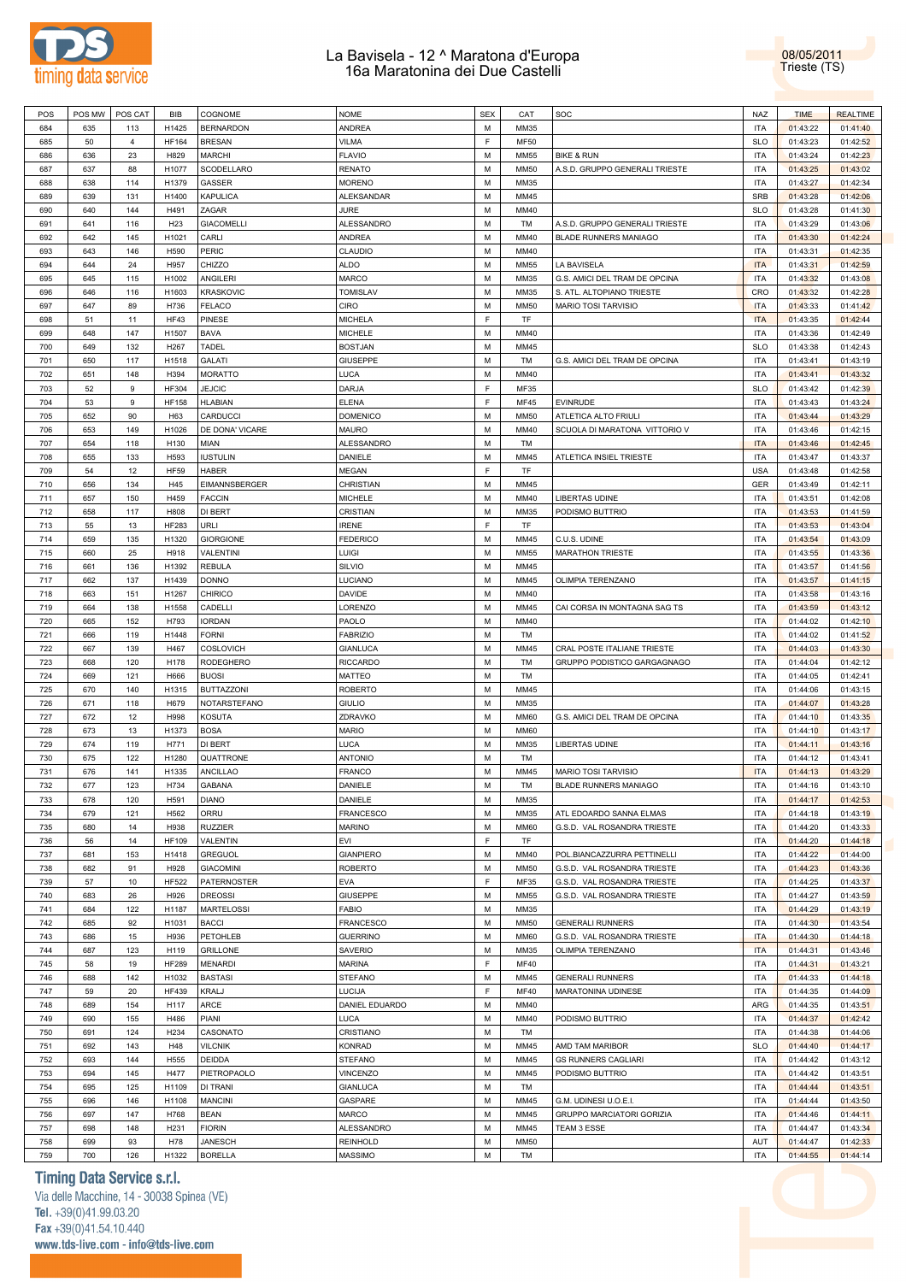



| POS | POS MW | POS CAT | BIB             | COGNOME           | <b>NOME</b>       | <b>SEX</b> | CAT         | SOC                            | NAZ                      | <b>TIME</b> | <b>REALTIME</b> |
|-----|--------|---------|-----------------|-------------------|-------------------|------------|-------------|--------------------------------|--------------------------|-------------|-----------------|
| 684 | 635    | 113     | H1425           | <b>BERNARDON</b>  | ANDREA            | M          | MM35        |                                | <b>ITA</b>               | 01:43:22    | 01:41:40        |
| 685 | 50     | 4       | <b>HF164</b>    | <b>BRESAN</b>     | VILMA             | F          | <b>MF50</b> |                                | <b>SLO</b>               | 01:43:23    | 01:42:52        |
| 686 | 636    | 23      | H829            | <b>MARCHI</b>     | <b>FLAVIO</b>     | M          | <b>MM55</b> | <b>BIKE &amp; RUN</b>          | <b>ITA</b>               | 01:43:24    | 01:42:23        |
| 687 | 637    | 88      | H1077           | SCODELLARO        | <b>RENATO</b>     | M          | <b>MM50</b> | A.S.D. GRUPPO GENERALI TRIESTE | <b>ITA</b>               | 01:43:25    | 01:43:02        |
| 688 | 638    | 114     | H1379           | GASSER            | <b>MORENO</b>     | M          | MM35        |                                | <b>ITA</b>               | 01:43:27    | 01:42:34        |
| 689 | 639    | 131     | H1400           | KAPULICA          | ALEKSANDAR        | M          | MM45        |                                | SRB                      | 01:43:28    | 01:42:06        |
| 690 | 640    | 144     | H491            | ZAGAR             | JURE              | M          | MM40        |                                | <b>SLO</b>               | 01:43:28    | 01:41:30        |
| 691 | 641    | 116     | H <sub>23</sub> | <b>GIACOMELLI</b> | ALESSANDRO        | M          | TM          | A.S.D. GRUPPO GENERALI TRIESTE | <b>ITA</b>               | 01:43:29    | 01:43:06        |
| 692 | 642    | 145     | H1021           | CARLI             | ANDREA            | M          | MM40        | <b>BLADE RUNNERS MANIAGO</b>   | <b>ITA</b>               | 01:43:30    | 01:42:24        |
| 693 | 643    | 146     | H590            | PERIC             | CLAUDIO           | M          | MM40        |                                | <b>ITA</b>               | 01:43:31    | 01:42:35        |
| 694 | 644    | 24      | H957            | CHIZZO            | <b>ALDO</b>       | M          | <b>MM55</b> | LA BAVISELA                    | <b>ITA</b>               | 01:43:31    | 01:42:59        |
| 695 | 645    | 115     | H1002           | <b>ANGILERI</b>   | MARCO             | M          | MM35        | G.S. AMICI DEL TRAM DE OPCINA  | <b>ITA</b>               | 01:43:32    | 01:43:08        |
| 696 | 646    | 116     | H1603           | <b>KRASKOVIC</b>  | <b>TOMISLAV</b>   | M          | MM35        | S. ATL. ALTOPIANO TRIESTE      | CRO                      | 01:43:32    | 01:42:28        |
| 697 | 647    | 89      | H736            | <b>FELACO</b>     | CIRO              | M          | <b>MM50</b> | MARIO TOSI TARVISIO            | <b>ITA</b>               | 01:43:33    | 01:41:42        |
| 698 | 51     | 11      | HF43            | PINESE            | MICHELA           | E          | TF          |                                | <b>ITA</b>               | 01:43:35    | 01:42:44        |
| 699 | 648    | 147     | H1507           | BAVA              | <b>MICHELE</b>    | M          | MM40        |                                | <b>ITA</b>               | 01:43:36    | 01:42:49        |
| 700 | 649    | 132     | H267            | TADEL             | <b>BOSTJAN</b>    | M          | MM45        |                                | <b>SLO</b>               | 01:43:38    | 01:42:43        |
| 701 | 650    |         | H1518           | <b>GALATI</b>     |                   | M          | TM          |                                | <b>ITA</b>               |             | 01:43:19        |
|     |        | 117     |                 |                   | GIUSEPPE          | M          |             | G.S. AMICI DEL TRAM DE OPCINA  |                          | 01:43:41    |                 |
| 702 | 651    | 148     | H394            | <b>MORATTO</b>    | LUCA              | E          | MM40        |                                | <b>ITA</b><br><b>SLO</b> | 01:43:41    | 01:43:32        |
| 703 | 52     | 9       | <b>HF304</b>    | <b>JEJCIC</b>     | DARJA             | E          | MF35        |                                |                          | 01:43:42    | 01:42:39        |
| 704 | 53     | 9       | <b>HF158</b>    | <b>HLABIAN</b>    | <b>ELENA</b>      |            | MF45        | <b>EVINRUDE</b>                | <b>ITA</b>               | 01:43:43    | 01:43:24        |
| 705 | 652    | 90      | H63             | CARDUCCI          | <b>DOMENICO</b>   | M          | <b>MM50</b> | ATLETICA ALTO FRIULI           | <b>ITA</b>               | 01:43:44    | 01:43:29        |
| 706 | 653    | 149     | H1026           | DE DONA' VICARE   | <b>MAURO</b>      | M          | MM40        | SCUOLA DI MARATONA VITTORIO V  | <b>ITA</b>               | 01:43:46    | 01:42:15        |
| 707 | 654    | 118     | H130            | MIAN              | ALESSANDRO        | M          | TM          |                                | <b>ITA</b>               | 01:43:46    | 01:42:45        |
| 708 | 655    | 133     | H593            | <b>IUSTULIN</b>   | DANIELE           | M          | MM45        | ATLETICA INSIEL TRIESTE        | <b>ITA</b>               | 01:43:47    | 01:43:37        |
| 709 | 54     | 12      | <b>HF59</b>     | HABER             | <b>MEGAN</b>      | E          | TF          |                                | <b>USA</b>               | 01:43:48    | 01:42:58        |
| 710 | 656    | 134     | H45             | EIMANNSBERGER     | CHRISTIAN         | M          | MM45        |                                | <b>GER</b>               | 01:43:49    | 01:42:11        |
| 711 | 657    | 150     | H459            | <b>FACCIN</b>     | <b>MICHELE</b>    | M          | MM40        | LIBERTAS UDINE                 | <b>ITA</b>               | 01:43:51    | 01:42:08        |
| 712 | 658    | 117     | H808            | DI BERT           | CRISTIAN          | M          | MM35        | PODISMO BUTTRIO                | <b>ITA</b>               | 01:43:53    | 01:41:59        |
| 713 | 55     | 13      | <b>HF283</b>    | URLI              | <b>IRENE</b>      | E          | TF          |                                | <b>ITA</b>               | 01:43:53    | 01:43:04        |
| 714 | 659    | 135     | H1320           | <b>GIORGIONE</b>  | <b>FEDERICO</b>   | M          | MM45        | C.U.S. UDINE                   | <b>ITA</b>               | 01:43:54    | 01:43:09        |
| 715 | 660    | 25      | H918            | VALENTINI         | LUIGI             | M          | <b>MM55</b> | <b>MARATHON TRIESTE</b>        | <b>ITA</b>               | 01:43:55    | 01:43:36        |
| 716 | 661    | 136     | H1392           | <b>REBULA</b>     | SILVIO            | M          | MM45        |                                | <b>ITA</b>               | 01:43:57    | 01:41:56        |
| 717 | 662    | 137     | H1439           | <b>DONNO</b>      | LUCIANO           | M          | MM45        | OLIMPIA TERENZANO              | <b>ITA</b>               | 01:43:57    | 01:41:15        |
| 718 | 663    | 151     | H1267           | <b>CHIRICO</b>    | DAVIDE            | M          | MM40        |                                | <b>ITA</b>               | 01:43:58    | 01:43:16        |
| 719 | 664    | 138     | H1558           | CADELLI           | LORENZO           | M          | MM45        | CAI CORSA IN MONTAGNA SAG TS   | <b>ITA</b>               | 01:43:59    | 01:43:12        |
| 720 | 665    | 152     | H793            | <b>IORDAN</b>     | PAOLO             | M          | MM40        |                                | <b>ITA</b>               | 01:44:02    | 01:42:10        |
| 721 | 666    | 119     | H1448           | <b>FORNI</b>      | <b>FABRIZIO</b>   | M          | TM          |                                | <b>ITA</b>               | 01:44:02    | 01:41:52        |
| 722 | 667    | 139     | H467            | <b>COSLOVICH</b>  | GIANLUCA          | M          | MM45        | CRAL POSTE ITALIANE TRIESTE    | <b>ITA</b>               | 01:44:03    | 01:43:30        |
| 723 | 668    | 120     | H178            | <b>RODEGHERO</b>  | <b>RICCARDO</b>   | M          | TM          | GRUPPO PODISTICO GARGAGNAGO    | <b>ITA</b>               | 01:44:04    | 01:42:12        |
| 724 | 669    | 121     | H666            | <b>BUOSI</b>      | MATTEO            | M          | TM          |                                | <b>ITA</b>               | 01:44:05    | 01:42:41        |
| 725 | 670    | 140     | H1315           | <b>BUTTAZZONI</b> | <b>ROBERTO</b>    | M          | MM45        |                                | <b>ITA</b>               | 01:44:06    | 01:43:15        |
| 726 | 671    | 118     | H679            | NOTARSTEFANO      | <b>GIULIO</b>     | M          | MM35        |                                | <b>ITA</b>               | 01:44:07    | 01:43:28        |
| 727 | 672    | 12      | H998            | KOSUTA            | ZDRAVKO           | M          | <b>MM60</b> | G.S. AMICI DEL TRAM DE OPCINA  | <b>ITA</b>               | 01:44:10    | 01:43:35        |
| 728 | 673    | 13      | H1373           | <b>BOSA</b>       | <b>MARIO</b>      | M          | <b>MM60</b> |                                | <b>ITA</b>               | 01:44:10    | 01:43:17        |
| 729 | 674    | 119     | H771            | DI BERT           | LUCA              | M          | MM35        | LIBERTAS UDINE                 | <b>ITA</b>               | 01:44:11    | 01:43:16        |
| 730 | 675    | 122     | H1280           | QUATTRONE         | <b>ANTONIO</b>    | M          | TM          |                                | <b>ITA</b>               | 01:44:12    | 01:43:41        |
| 731 | 676    | 141     | H1335           | <b>ANCILLAO</b>   | FRANCO            | M          | MM45        | MARIO TOSI TARVISIO            | <b>ITA</b>               | 01:44:13    | 01:43:29        |
| 732 | 677    | 123     | H734            | <b>GABANA</b>     | DANIELE           | M          | TM          | BLADE RUNNERS MANIAGO          | <b>ITA</b>               | 01:44:16    | 01:43:10        |
| 733 | 678    | 120     | H591            | <b>DIANO</b>      | DANIELE           | M          | MM35        |                                | <b>ITA</b>               | 01:44:17    | 01:42:53        |
| 734 | 679    | 121     | H562            | ORRU              | <b>FRANCESCO</b>  | M          | MM35        | ATL EDOARDO SANNA ELMAS        | <b>ITA</b>               | 01:44:18    | 01:43:19        |
| 735 | 680    | 14      | H938            | <b>RUZZIER</b>    | <b>MARINO</b>     | M          | <b>MM60</b> | G.S.D. VAL ROSANDRA TRIESTE    | <b>ITA</b>               | 01:44:20    | 01:43:33        |
| 736 | 56     | 14      | <b>HF109</b>    | VALENTIN          | EVI               | E          | TF          |                                | <b>ITA</b>               | 01:44:20    | 01:44:18        |
| 737 | 681    | 153     | H1418           | <b>GREGUOL</b>    | <b>GIANPIERO</b>  | M          | MM40        | POL.BIANCAZZURRA PETTINELLI    | <b>ITA</b>               | 01:44:22    | 01:44:00        |
| 738 | 682    | 91      | H928            | <b>GIACOMINI</b>  | <b>ROBERTO</b>    | M          | <b>MM50</b> | G.S.D. VAL ROSANDRA TRIESTE    | <b>ITA</b>               | 01:44:23    | 01:43:36        |
| 739 | 57     | 10      | <b>HF522</b>    | PATERNOSTER       | EVA               | F          | MF35        | G.S.D. VAL ROSANDRA TRIESTE    | <b>ITA</b>               | 01:44:25    | 01:43:37        |
| 740 | 683    | 26      | H926            | <b>DREOSSI</b>    | GIUSEPPE          | M          | MM55        | G.S.D. VAL ROSANDRA TRIESTE    | <b>ITA</b>               | 01:44:27    | 01:43:59        |
| 741 | 684    | 122     | H1187           | <b>MARTELOSSI</b> | FABIO             | M          | MM35        |                                | <b>ITA</b>               | 01:44:29    | 01:43:19        |
| 742 | 685    | 92      | H1031           | <b>BACCI</b>      | FRANCESCO         | M          | <b>MM50</b> | <b>GENERALI RUNNERS</b>        | <b>ITA</b>               | 01:44:30    | 01:43:54        |
| 743 | 686    | 15      | H936            | PETOHLEB          | <b>GUERRINO</b>   | M          | <b>MM60</b> | G.S.D. VAL ROSANDRA TRIESTE    | <b>ITA</b>               | 01:44:30    | 01:44:18        |
| 744 | 687    | 123     | H119            | <b>GRILLONE</b>   | SAVERIO           | M          | MM35        | OLIMPIA TERENZANO              | <b>ITA</b>               | 01:44:31    | 01:43:46        |
|     |        |         |                 |                   |                   | F          |             |                                |                          |             |                 |
| 745 | 58     | 19      | <b>HF289</b>    | <b>MENARDI</b>    | <b>MARINA</b>     |            | <b>MF40</b> |                                | <b>ITA</b>               | 01:44:31    | 01:43:21        |
| 746 | 688    | 142     | H1032           | <b>BASTASI</b>    | <b>STEFANO</b>    | M          | MM45        | <b>GENERALI RUNNERS</b>        | <b>ITA</b>               | 01:44:33    | 01:44:18        |
| 747 | 59     | 20      | <b>HF439</b>    | KRALJ             | LUCIJA            | F          | <b>MF40</b> | MARATONINA UDINESE             | <b>ITA</b>               | 01:44:35    | 01:44:09        |
| 748 | 689    | 154     | H117            | ARCE              | DANIEL EDUARDO    | M          | MM40        |                                | ARG                      | 01:44:35    | 01:43:51        |
| 749 | 690    | 155     | H486            | PIANI             | LUCA              | M          | MM40        | PODISMO BUTTRIO                | <b>ITA</b>               | 01:44:37    | 01:42:42        |
| 750 | 691    | 124     | H234            | CASONATO          | CRISTIANO         | M          | TM          |                                | <b>ITA</b>               | 01:44:38    | 01:44:06        |
| 751 | 692    | 143     | H48             | <b>VILCNIK</b>    | <b>KONRAD</b>     | M          | MM45        | AMD TAM MARIBOR                | <b>SLO</b>               | 01:44:40    | 01:44:17        |
| 752 | 693    | 144     | H555            | <b>DEIDDA</b>     | <b>STEFANO</b>    | M          | MM45        | <b>GS RUNNERS CAGLIARI</b>     | <b>ITA</b>               | 01:44:42    | 01:43:12        |
| 753 | 694    | 145     | H477            | PIETROPAOLO       | <b>VINCENZO</b>   | M          | MM45        | PODISMO BUTTRIO                | <b>ITA</b>               | 01:44:42    | 01:43:51        |
| 754 | 695    | 125     | H1109           | <b>DI TRANI</b>   | <b>GIANLUCA</b>   | M          | TM          |                                | <b>ITA</b>               | 01:44:44    | 01:43:51        |
| 755 | 696    | 146     | H1108           | <b>MANCINI</b>    | GASPARE           | M          | MM45        | G.M. UDINESI U.O.E.I.          | <b>ITA</b>               | 01:44:44    | 01:43:50        |
| 756 | 697    | 147     | H768            | <b>BEAN</b>       | MARCO             | M          | MM45        | GRUPPO MARCIATORI GORIZIA      | <b>ITA</b>               | 01:44:46    | 01:44:11        |
| 757 | 698    | 148     | H231            | <b>FIORIN</b>     | <b>ALESSANDRO</b> | M          | MM45        | TEAM 3 ESSE                    | <b>ITA</b>               | 01:44:47    | 01:43:34        |
| 758 | 699    | 93      | H78             | <b>JANESCH</b>    | <b>REINHOLD</b>   | M          | <b>MM50</b> |                                | AUT                      | 01:44:47    | 01:42:33        |
| 759 | 700    | 126     | H1322           | <b>BORELLA</b>    | MASSIMO           | M          | TM          |                                | <b>ITA</b>               | 01:44:55    | 01:44:14        |

## **Timing Data Service s.r.l.**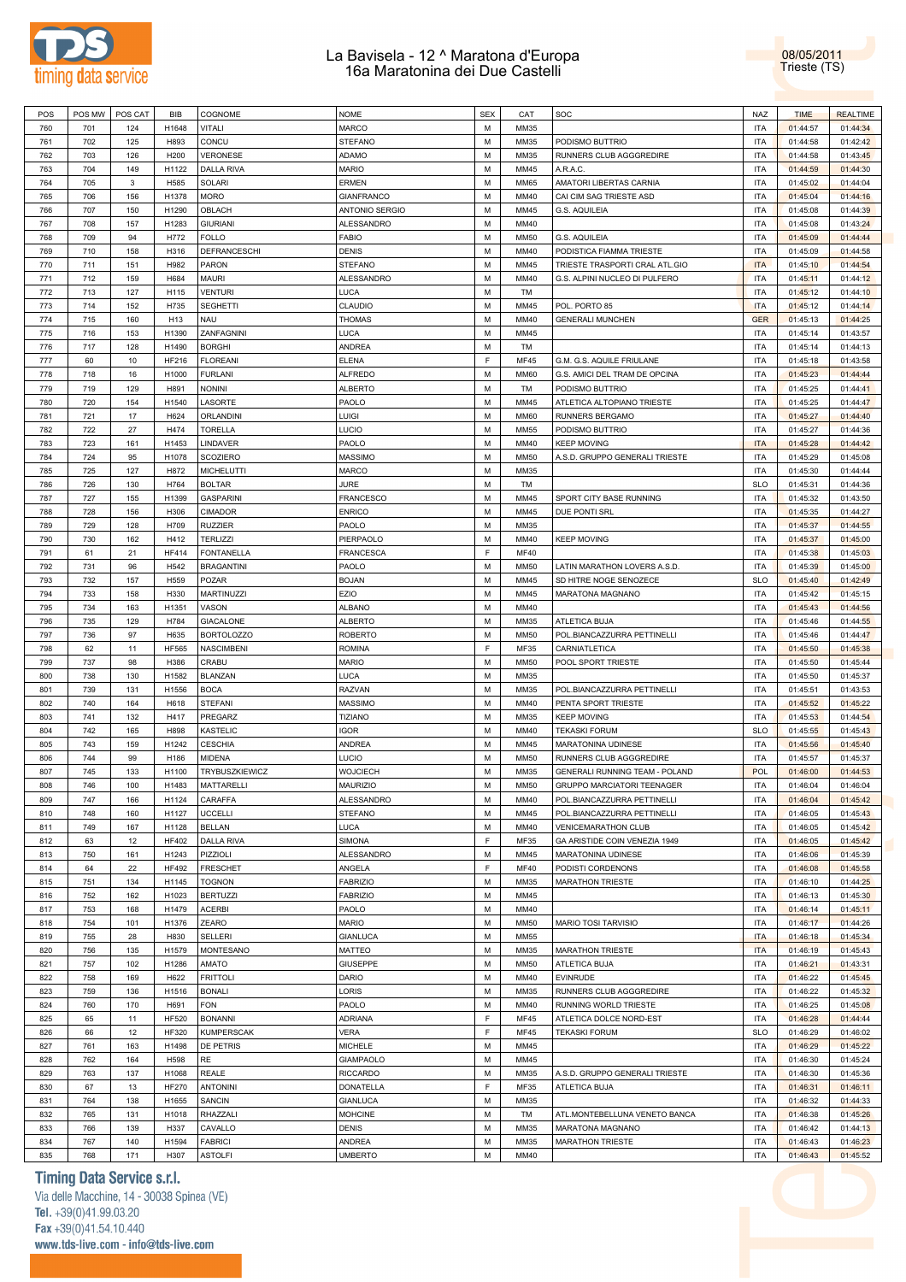

| POS        | POS MW     | POS CAT    | BIB             | COGNOME                          | <b>NOME</b>              | <b>SEX</b> | CAT          | SOC                                   | NAZ                      | <b>TIME</b>          | <b>REALTIME</b>      |  |
|------------|------------|------------|-----------------|----------------------------------|--------------------------|------------|--------------|---------------------------------------|--------------------------|----------------------|----------------------|--|
| 760        | 701        | 124        | H1648           | VITALI                           | <b>MARCO</b>             | M          | MM35         |                                       | <b>ITA</b>               | 01:44:57             | 01:44:34             |  |
| 761        | 702        | 125        | H893            | CONCU                            | <b>STEFANO</b>           | M          | MM35         | PODISMO BUTTRIO                       | <b>ITA</b>               | 01:44:58             | 01:42:42             |  |
|            |            |            |                 | <b>VERONESE</b>                  |                          | M          |              |                                       | <b>ITA</b>               |                      |                      |  |
| 762        | 703        | 126        | H200            |                                  | <b>ADAMO</b>             |            | MM35         | RUNNERS CLUB AGGGREDIRE               |                          | 01:44:58             | 01:43:45             |  |
| 763        | 704        | 149        | H1122           | <b>DALLA RIVA</b>                | <b>MARIO</b>             | M          | MM45         | A.R.A.C.                              | <b>ITA</b>               | 01:44:59             | 01:44:30             |  |
| 764        | 705        | 3          | H585            | SOLARI                           | <b>ERMEN</b>             | M          | <b>MM65</b>  | AMATORI LIBERTAS CARNIA               | <b>ITA</b>               | 01:45:02             | 01:44:04             |  |
| 765        | 706        | 156        | H1378           | MORO                             | <b>GIANFRANCO</b>        | M          | MM40         | CAI CIM SAG TRIESTE ASD               | <b>ITA</b>               | 01:45:04             | 01:44:16             |  |
| 766        | 707        | 150        | H1290           | OBLACH                           | ANTONIO SERGIO           | M          | MM45         | <b>G.S. AQUILEIA</b>                  | <b>ITA</b>               | 01:45:08             | 01:44:39             |  |
| 767        | 708        | 157        | H1283           | <b>GIURIANI</b>                  | ALESSANDRO               | M          | MM40         |                                       | <b>ITA</b>               | 01:45:08             | 01:43:24             |  |
| 768        | 709        | 94         | H772            | FOLLO                            | <b>FABIO</b>             | M          | <b>MM50</b>  | <b>G.S. AQUILEIA</b>                  | <b>ITA</b>               | 01:45:09             | 01:44:44             |  |
|            |            |            |                 |                                  |                          |            |              |                                       |                          |                      |                      |  |
| 769        | 710        | 158        | H316            | DEFRANCESCHI                     | <b>DENIS</b>             | M          | MM40         | PODISTICA FIAMMA TRIESTE              | <b>ITA</b>               | 01:45:09             | 01:44:58             |  |
| 770        | 711        | 151        | H982            | PARON                            | <b>STEFANO</b>           | M          | MM45         | TRIESTE TRASPORTI CRAL ATL.GIO        | <b>ITA</b>               | 01:45:10             | 01:44:54             |  |
| 771        | 712        | 159        | H684            | MAURI                            | ALESSANDRO               | M          | MM40         | G.S. ALPINI NUCLEO DI PULFERO         | <b>ITA</b>               | 01:45:11             | 01:44:12             |  |
| 772        | 713        | 127        | H115            | <b>VENTURI</b>                   | <b>LUCA</b>              | M          | TM           |                                       | <b>ITA</b>               | 01:45:12             | 01:44:10             |  |
| 773        | 714        | 152        | H735            | <b>SEGHETTI</b>                  | CLAUDIO                  | M          | MM45         | POL. PORTO 85                         | <b>ITA</b>               | 01:45:12             | 01:44:14             |  |
| 774        | 715        | 160        | H <sub>13</sub> | NAU                              | <b>THOMAS</b>            | M          | MM40         |                                       | <b>GER</b>               |                      | 01:44:25             |  |
|            |            |            |                 |                                  |                          |            |              | <b>GENERALI MUNCHEN</b>               |                          | 01:45:13             |                      |  |
| 775        | 716        | 153        | H1390           | ZANFAGNINI                       | <b>LUCA</b>              | M          | MM45         |                                       | <b>ITA</b>               | 01:45:14             | 01:43:57             |  |
| 776        | 717        | 128        | H1490           | <b>BORGHI</b>                    | ANDREA                   | M          | TM           |                                       | <b>ITA</b>               | 01:45:14             | 01:44:13             |  |
| 777        | 60         | 10         | HF216           | <b>FLOREANI</b>                  | <b>ELENA</b>             | F.         | <b>MF45</b>  | G.M. G.S. AQUILE FRIULANE             | <b>ITA</b>               | 01:45:18             | 01:43:58             |  |
| 778        | 718        | 16         | H1000           | <b>FURLANI</b>                   | <b>ALFREDO</b>           | M          | <b>MM60</b>  | G.S. AMICI DEL TRAM DE OPCINA         | <b>ITA</b>               | 01:45:23             | 01:44:44             |  |
| 779        | 719        | 129        | H891            | NONINI                           | <b>ALBERTO</b>           | M          | TM           | PODISMO BUTTRIO                       | <b>ITA</b>               | 01:45:25             | 01:44:41             |  |
| 780        | 720        | 154        | H1540           | LASORTE                          | PAOLO                    | M          | MM45         | ATLETICA ALTOPIANO TRIESTE            | <b>ITA</b>               | 01:45:25             | 01:44:47             |  |
|            |            |            |                 |                                  |                          |            |              |                                       |                          |                      |                      |  |
| 781        | 721        | 17         | H624            | ORLANDINI                        | LUIGI                    | M          | <b>MM60</b>  | RUNNERS BERGAMO                       | <b>ITA</b>               | 01:45:27             | 01:44:40             |  |
| 782        | 722        | 27         | H474            | <b>TORELLA</b>                   | LUCIO                    | M          | <b>MM55</b>  | PODISMO BUTTRIO                       | <b>ITA</b>               | 01:45:27             | 01:44:36             |  |
| 783        | 723        | 161        | H1453           | LINDAVER                         | PAOLO                    | M          | MM40         | <b>KEEP MOVING</b>                    | <b>ITA</b>               | 01:45:28             | 01:44:42             |  |
| 784        | 724        | 95         | H1078           | <b>SCOZIERO</b>                  | <b>MASSIMO</b>           | M          | <b>MM50</b>  | A.S.D. GRUPPO GENERALI TRIESTE        | <b>ITA</b>               | 01:45:29             | 01:45:08             |  |
| 785        | 725        | 127        | H872            | <b>MICHELUTTI</b>                | <b>MARCO</b>             | M          | MM35         |                                       | <b>ITA</b>               | 01:45:30             | 01:44:44             |  |
| 786        |            | 130        | H764            | <b>BOLTAR</b>                    | <b>JURE</b>              | M          | TM           |                                       | <b>SLO</b>               |                      | 01:44:36             |  |
|            | 726        |            |                 |                                  |                          |            |              |                                       |                          | 01:45:31             |                      |  |
| 787        | 727        | 155        | H1399           | <b>GASPARINI</b>                 | <b>FRANCESCO</b>         | M          | MM45         | SPORT CITY BASE RUNNING               | <b>ITA</b>               | 01:45:32             | 01:43:50             |  |
| 788        | 728        | 156        | H306            | <b>CIMADOR</b>                   | <b>ENRICO</b>            | M          | MM45         | DUE PONTI SRL                         | <b>ITA</b>               | 01:45:35             | 01:44:27             |  |
| 789        | 729        | 128        | H709            | <b>RUZZIER</b>                   | PAOLO                    | M          | MM35         |                                       | <b>ITA</b>               | 01:45:37             | 01:44:55             |  |
| 790        | 730        | 162        | H412            | <b>TERLIZZI</b>                  | PIERPAOLO                | M          | MM40         | <b>KEEP MOVING</b>                    | <b>ITA</b>               | 01:45:37             | 01:45:00             |  |
| 791        | 61         | 21         | HF414           | <b>FONTANELLA</b>                | <b>FRANCESCA</b>         | E          | <b>MF40</b>  |                                       | <b>ITA</b>               | 01:45:38             | 01:45:03             |  |
|            |            |            |                 |                                  |                          |            |              |                                       |                          |                      |                      |  |
| 792        | 731        | 96         | H542            | <b>BRAGANTINI</b>                | PAOLO                    | M          | <b>MM50</b>  | LATIN MARATHON LOVERS A.S.D.          | <b>ITA</b>               | 01:45:39             | 01:45:00             |  |
| 793        | 732        | 157        | H559            | POZAR                            | <b>BOJAN</b>             | M          | MM45         | SD HITRE NOGE SENOZECE                | <b>SLO</b>               | 01:45:40             | 01:42:49             |  |
| 794        | 733        | 158        | H330            | <b>MARTINUZZI</b>                | EZIO                     | M          | MM45         | MARATONA MAGNANO                      | <b>ITA</b>               | 01:45:42             | 01:45:15             |  |
| 795        | 734        | 163        | H1351           | VASON                            | <b>ALBANO</b>            | M          | MM40         |                                       | <b>ITA</b>               | 01:45:43             | 01:44:56             |  |
| 796        | 735        | 129        | H784            | <b>GIACALONE</b>                 | <b>ALBERTO</b>           | M          | MM35         | ATLETICA BUJA                         | <b>ITA</b>               | 01:45:46             | 01:44:55             |  |
| 797        | 736        | 97         | H635            | <b>BORTOLOZZO</b>                | <b>ROBERTO</b>           | M          | <b>MM50</b>  | POL.BIANCAZZURRA PETTINELLI           | <b>ITA</b>               | 01:45:46             | 01:44:47             |  |
| 798        |            | 11         | <b>HF565</b>    | NASCIMBENI                       | <b>ROMINA</b>            | F          | MF35         | CARNIATLETICA                         | <b>ITA</b>               |                      | 01:45:38             |  |
|            | 62         |            |                 |                                  |                          |            |              |                                       |                          | 01:45:50             |                      |  |
| 799        | 737        | 98         | H386            | CRABU                            | <b>MARIO</b>             | M          | <b>MM50</b>  | POOL SPORT TRIESTE                    | <b>ITA</b>               | 01:45:50             | 01:45:44             |  |
| 800        | 738        | 130        | H1582           | <b>BLANZAN</b>                   | <b>LUCA</b>              | M          | MM35         |                                       | <b>ITA</b>               | 01:45:50             | 01:45:37             |  |
| 801        | 739        | 131        | H1556           | <b>BOCA</b>                      | <b>RAZVAN</b>            | M          | MM35         | POL.BIANCAZZURRA PETTINELLI           | <b>ITA</b>               | 01:45:51             | 01:43:53             |  |
| 802        | 740        | 164        | H618            | <b>STEFANI</b>                   | <b>MASSIMO</b>           | M          | MM40         | PENTA SPORT TRIESTE                   | <b>ITA</b>               | 01:45:52             | 01:45:22             |  |
| 803        | 741        | 132        | H417            | PREGARZ                          | <b>TIZIANO</b>           | M          | MM35         | <b>KEEP MOVING</b>                    | <b>ITA</b>               | 01:45:53             | 01:44:54             |  |
| 804        | 742        | 165        | H898            | KASTELIC                         | <b>IGOR</b>              | M          | MM40         | <b>TEKASKI FORUM</b>                  | <b>SLO</b>               |                      | 01:45:43             |  |
|            |            |            |                 |                                  |                          |            |              |                                       |                          | 01:45:55             |                      |  |
| 805        | 743        | 159        | H1242           | <b>CESCHIA</b>                   | ANDREA                   | M          | MM45         | MARATONINA UDINESE                    | <b>ITA</b>               | 01:45:56             | 01:45:40             |  |
| 806        | 744        | 99         | H186            | MIDENA                           | LUCIO                    | M          | <b>MM50</b>  | RUNNERS CLUB AGGGREDIRE               | <b>ITA</b>               | 01:45:57             | 01:45:37             |  |
| 807        | 745        | 133        | H1100           | <b>TRYBUSZKIEWICZ</b>            | <b>WOJCIECH</b>          | M          | MM35         | <b>GENERALI RUNNING TEAM - POLAND</b> | POL                      | 01:46:00             | 01:44:53             |  |
| 808        | 746        | 100        | H1483           | MATTARELLI                       | <b>MAURIZIO</b>          | M          | <b>MM50</b>  | <b>GRUPPO MARCIATORI TEENAGER</b>     | <b>ITA</b>               | 01:46:04             | 01:46:04             |  |
| 809        | 747        | 166        | H1124           | CARAFFA                          | ALESSANDRO               | М          | MM40         | POL.BIANCAZZURRA PETTINELLI           | <b>ITA</b>               | 01:46:04             | 01:45:42             |  |
|            |            |            |                 |                                  |                          | M          |              |                                       |                          |                      | 01:45:43             |  |
| 810        | 748        | 160        | H1127           | UCCELLI                          | <b>STEFANO</b>           |            | MM45         | POL.BIANCAZZURRA PETTINELLI           | <b>ITA</b>               | 01:46:05             |                      |  |
| 811        | 749        | 167        | H1128           | <b>BELLAN</b>                    | <b>LUCA</b>              | M          | MM40         | <b>VENICEMARATHON CLUB</b>            | <b>ITA</b>               | 01:46:05             | 01:45:42             |  |
| 812        | 63         | 12         | HF402           | DALLA RIVA                       | <b>SIMONA</b>            | E          | MF35         | GA ARISTIDE COIN VENEZIA 1949         | <b>ITA</b>               | 01:46:05             | 01:45:42             |  |
| 813        | 750        | 161        | H1243           | PIZZIOLI                         | ALESSANDRO               | M          | MM45         | MARATONINA UDINESE                    | <b>ITA</b>               | 01:46:06             | 01:45:39             |  |
| 814        | 64         | 22         | <b>HF492</b>    | <b>FRESCHET</b>                  | ANGELA                   | E          | MF40         | PODISTI CORDENONS                     | <b>ITA</b>               | 01:46:08             | 01:45:58             |  |
| 815        | 751        | 134        | H1145           | <b>TOGNON</b>                    | <b>FABRIZIO</b>          | M          | MM35         | MARATHON TRIESTE                      | <b>ITA</b>               | 01:46:10             | 01:44:25             |  |
| 816        | 752        | 162        | H1023           | <b>BERTUZZI</b>                  | <b>FABRIZIO</b>          | M          | MM45         |                                       | <b>ITA</b>               | 01:46:13             | 01:45:30             |  |
|            |            |            |                 |                                  |                          |            |              |                                       |                          |                      |                      |  |
| 817        | 753        | 168        | H1479           | <b>ACERBI</b>                    | PAOLO                    | M          | MM40         |                                       | <b>ITA</b>               | 01:46:14             | 01:45:11             |  |
| 818        | 754        | 101        | H1376           | ZEARO                            | <b>MARIO</b>             | M          | <b>MM50</b>  | MARIO TOSI TARVISIO                   | <b>ITA</b>               | 01:46:17             | 01:44:26             |  |
| 819        | 755        | 28         | H830            | <b>SELLERI</b>                   | <b>GIANLUCA</b>          | M          | <b>MM55</b>  |                                       | <b>ITA</b>               | 01:46:18             | 01:45:34             |  |
| 820        | 756        | 135        | H1579           | MONTESANO                        | <b>MATTEO</b>            | M          | MM35         | <b>MARATHON TRIESTE</b>               | <b>ITA</b>               | 01:46:19             | 01:45:43             |  |
| 821        | 757        | 102        | H1286           | AMATO                            | <b>GIUSEPPE</b>          | M          | <b>MM50</b>  | ATLETICA BUJA                         | <b>ITA</b>               | 01:46:21             | 01:43:31             |  |
| 822        | 758        | 169        | H622            | <b>FRITTOLI</b>                  | DARIO                    | M          | MM40         | <b>EVINRUDE</b>                       | <b>ITA</b>               | 01:46:22             | 01:45:45             |  |
|            |            |            |                 |                                  |                          |            |              |                                       |                          |                      |                      |  |
| 823        | 759        | 136        | H1516           | <b>BONALI</b>                    | LORIS                    | M          | MM35         | RUNNERS CLUB AGGGREDIRE               | <b>ITA</b>               | 01:46:22             | 01:45:32             |  |
| 824        | 760        | 170        | H691            | <b>FON</b>                       | PAOLO                    | M          | MM40         | RUNNING WORLD TRIESTE                 | <b>ITA</b>               | 01:46:25             | 01:45:08             |  |
| 825        | 65         | 11         | <b>HF520</b>    | <b>BONANNI</b>                   | <b>ADRIANA</b>           | E          | MF45         | ATLETICA DOLCE NORD-EST               | <b>ITA</b>               | 01:46:28             | 01:44:44             |  |
|            |            | 12         | HF320           | KUMPERSCAK                       | <b>VERA</b>              | E          | MF45         | <b>TEKASKI FORUM</b>                  | <b>SLO</b>               | 01:46:29             | 01:46:02             |  |
| 826        | 66         |            |                 |                                  | <b>MICHELE</b>           | M          | MM45         |                                       | <b>ITA</b>               | 01:46:29             | 01:45:22             |  |
|            |            |            |                 |                                  |                          |            |              |                                       |                          |                      |                      |  |
| 827        | 761        | 163        | H1498           | DE PETRIS                        |                          |            |              |                                       |                          |                      |                      |  |
| 828        | 762        | 164        | H598            | RE                               | <b>GIAMPAOLO</b>         | M          | MM45         |                                       | <b>ITA</b>               | 01:46:30             | 01:45:24             |  |
| 829        | 763        | 137        | H1068           | <b>REALE</b>                     | <b>RICCARDO</b>          | M          | MM35         | A.S.D. GRUPPO GENERALI TRIESTE        | <b>ITA</b>               | 01:46:30             | 01:45:36             |  |
| 830        | 67         | 13         | <b>HF270</b>    | <b>ANTONINI</b>                  | <b>DONATELLA</b>         | E          | MF35         | ATLETICA BUJA                         | <b>ITA</b>               | 01:46:31             | 01:46:11             |  |
| 831        | 764        | 138        | H1655           | SANCIN                           | <b>GIANLUCA</b>          | M          | MM35         |                                       | <b>ITA</b>               | 01:46:32             | 01:44:33             |  |
| 832        | 765        | 131        | H1018           | RHAZZALI                         | <b>MOHCINE</b>           | M          | TM           | ATL.MONTEBELLUNA VENETO BANCA         | <b>ITA</b>               | 01:46:38             | 01:45:26             |  |
|            |            |            |                 |                                  |                          |            |              |                                       |                          |                      |                      |  |
| 833        | 766        | 139        | H337            | CAVALLO                          | <b>DENIS</b>             | M          | MM35         | MARATONA MAGNANO                      | <b>ITA</b>               | 01:46:42             | 01:44:13             |  |
| 834<br>835 | 767<br>768 | 140<br>171 | H1594<br>H307   | <b>FABRICI</b><br><b>ASTOLFI</b> | ANDREA<br><b>UMBERTO</b> | M<br>M     | MM35<br>MM40 | <b>MARATHON TRIESTE</b>               | <b>ITA</b><br><b>ITA</b> | 01:46:43<br>01:46:43 | 01:46:23<br>01:45:52 |  |

# **Timing Data Service s.r.l.**

Via delle Macchine, 14 - 30038 Spinea (VE) Tel. +39(0)41.99.03.20 Fax +39(0)41.54.10.440 www.tds-live.com - info@tds-live.com



08/05/2011 Trieste (TS)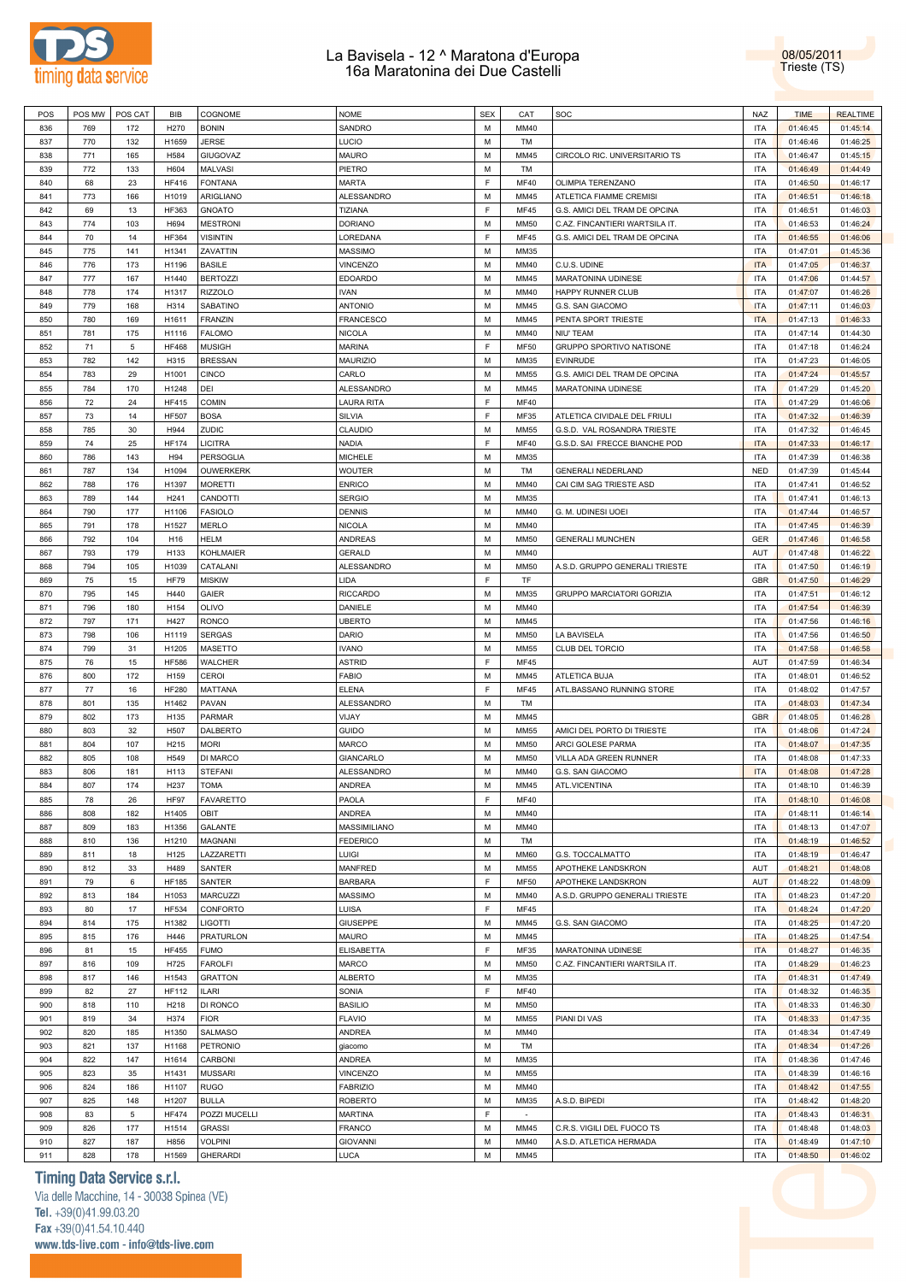



| POS | POS MW | POS CAT     | <b>BIB</b>       | COGNOME          | <b>NOME</b>       | <b>SEX</b> | CAT         | SOC                            | <b>NAZ</b> | <b>TIME</b> | <b>REALTIME</b> |
|-----|--------|-------------|------------------|------------------|-------------------|------------|-------------|--------------------------------|------------|-------------|-----------------|
|     |        |             |                  |                  |                   |            |             |                                |            |             |                 |
| 836 | 769    | 172         | H270             | <b>BONIN</b>     | SANDRO            | М          | MM40        |                                | <b>ITA</b> | 01:46:45    | 01:45:14        |
| 837 | 770    | 132         | H1659            | <b>JERSE</b>     | LUCIO             | М          | TM          |                                | <b>ITA</b> | 01:46:46    | 01:46:25        |
| 838 | 771    | 165         | H584             | GIUGOVAZ         | <b>MAURO</b>      | M          | MM45        | CIRCOLO RIC. UNIVERSITARIO TS  | <b>ITA</b> | 01:46:47    | 01:45:15        |
| 839 | 772    | 133         | H604             | MALVASI          | PIETRO            | М          | TM          |                                | <b>ITA</b> | 01:46:49    | 01:44:49        |
| 840 | 68     | 23          | <b>HF416</b>     | <b>FONTANA</b>   | <b>MARTA</b>      | F          | <b>MF40</b> | OLIMPIA TERENZANO              | <b>ITA</b> | 01:46:50    | 01:46:17        |
|     |        |             |                  |                  |                   |            |             |                                |            |             |                 |
| 841 | 773    | 166         | H1019            | ARIGLIANO        | ALESSANDRO        | М          | MM45        | ATLETICA FIAMME CREMISI        | <b>ITA</b> | 01:46:51    | 01:46:18        |
| 842 | 69     | 13          | <b>HF363</b>     | <b>GNOATO</b>    | TIZIANA           | F          | <b>MF45</b> | G.S. AMICI DEL TRAM DE OPCINA  | <b>ITA</b> | 01:46:51    | 01:46:03        |
| 843 | 774    | 103         | H694             | <b>MESTRONI</b>  | <b>DORIANO</b>    | М          | <b>MM50</b> | C.AZ. FINCANTIERI WARTSILA IT. | <b>ITA</b> | 01:46:53    | 01:46:24        |
| 844 | 70     | 14          | <b>HF364</b>     | <b>VISINTIN</b>  | LOREDANA          | F          | <b>MF45</b> | G.S. AMICI DEL TRAM DE OPCINA  | <b>ITA</b> | 01:46:55    | 01:46:06        |
| 845 | 775    | 141         | H1341            | ZAVATTIN         | <b>MASSIMO</b>    | M          | MM35        |                                | <b>ITA</b> | 01:47:01    | 01:45:36        |
|     |        |             |                  |                  |                   |            |             |                                |            |             |                 |
| 846 | 776    | 173         | H1196            | <b>BASILE</b>    | <b>VINCENZO</b>   | М          | MM40        | C.U.S. UDINE                   | <b>ITA</b> | 01:47:05    | 01:46:37        |
| 847 | 777    | 167         | H1440            | <b>BERTOZZI</b>  | <b>EDOARDO</b>    | М          | MM45        | MARATONINA UDINESE             | <b>ITA</b> | 01:47:06    | 01:44:57        |
| 848 | 778    | 174         | H1317            | <b>RIZZOLO</b>   | <b>IVAN</b>       | M          | MM40        | HAPPY RUNNER CLUB              | <b>ITA</b> | 01:47:07    | 01:46:26        |
| 849 | 779    | 168         | H314             | SABATINO         | <b>ANTONIO</b>    | М          | MM45        | G.S. SAN GIACOMO               | <b>ITA</b> | 01:47:11    | 01:46:03        |
| 850 | 780    | 169         | H1611            | FRANZIN          | FRANCESCO         | М          | MM45        |                                | <b>ITA</b> | 01:47:13    | 01:46:33        |
|     |        |             |                  |                  |                   |            |             | PENTA SPORT TRIESTE            |            |             |                 |
| 851 | 781    | 175         | H1116            | <b>FALOMO</b>    | <b>NICOLA</b>     | М          | MM40        | NIU' TEAM                      | <b>ITA</b> | 01:47:14    | 01:44:30        |
| 852 | 71     | 5           | <b>HF468</b>     | <b>MUSIGH</b>    | <b>MARINA</b>     | F          | <b>MF50</b> | GRUPPO SPORTIVO NATISONE       | <b>ITA</b> | 01:47:18    | 01:46:24        |
| 853 | 782    | 142         | H315             | <b>BRESSAN</b>   | <b>MAURIZIO</b>   | М          | MM35        | <b>EVINRUDE</b>                | <b>ITA</b> | 01:47:23    | 01:46:05        |
| 854 | 783    | 29          | H1001            | <b>CINCO</b>     | CARLO             | М          | <b>MM55</b> | G.S. AMICI DEL TRAM DE OPCINA  | <b>ITA</b> | 01:47:24    | 01:45:57        |
|     |        |             |                  |                  |                   |            |             |                                |            |             |                 |
| 855 | 784    | 170         | H1248            | DEI              | ALESSANDRO        | М          | MM45        | MARATONINA UDINESE             | <b>ITA</b> | 01:47:29    | 01:45:20        |
| 856 | 72     | 24          | <b>HF415</b>     | <b>COMIN</b>     | <b>LAURA RITA</b> | E          | <b>MF40</b> |                                | <b>ITA</b> | 01:47:29    | 01:46:06        |
| 857 | 73     | 14          | <b>HF507</b>     | <b>BOSA</b>      | SILVIA            | F          | MF35        | ATLETICA CIVIDALE DEL FRIULI   | <b>ITA</b> | 01:47:32    | 01:46:39        |
| 858 | 785    | 30          | H944             | ZUDIC            | CLAUDIO           | M          | <b>MM55</b> | G.S.D. VAL ROSANDRA TRIESTE    | <b>ITA</b> | 01:47:32    | 01:46:45        |
| 859 | 74     | 25          | <b>HF174</b>     | <b>LICITRA</b>   | NADIA             | F          | <b>MF40</b> | G.S.D. SAI FRECCE BIANCHE POD  | <b>ITA</b> | 01:47:33    | 01:46:17        |
|     |        |             |                  |                  |                   |            |             |                                |            |             |                 |
| 860 | 786    | 143         | H94              | PERSOGLIA        | <b>MICHELE</b>    | М          | MM35        |                                | <b>ITA</b> | 01:47:39    | 01:46:38        |
| 861 | 787    | 134         | H1094            | OUWERKERK        | <b>WOUTER</b>     | M          | TM          | <b>GENERALI NEDERLAND</b>      | <b>NED</b> | 01:47:39    | 01:45:44        |
| 862 | 788    | 176         | H1397            | <b>MORETTI</b>   | <b>ENRICO</b>     | М          | MM40        | CAI CIM SAG TRIESTE ASD        | <b>ITA</b> | 01:47:41    | 01:46:52        |
| 863 | 789    | 144         | H <sub>241</sub> | CANDOTTI         | <b>SERGIO</b>     | М          | MM35        |                                | <b>ITA</b> | 01:47:41    | 01:46:13        |
| 864 | 790    | 177         | H1106            | <b>FASIOLO</b>   | <b>DENNIS</b>     | М          | MM40        | G. M. UDINESI UOEI             | <b>ITA</b> | 01:47:44    | 01:46:57        |
|     |        |             |                  |                  |                   |            |             |                                |            |             |                 |
| 865 | 791    | 178         | H1527            | <b>MERLO</b>     | <b>NICOLA</b>     | M          | MM40        |                                | <b>ITA</b> | 01:47:45    | 01:46:39        |
| 866 | 792    | 104         | H16              | <b>HELM</b>      | ANDREAS           | М          | <b>MM50</b> | <b>GENERALI MUNCHEN</b>        | <b>GER</b> | 01:47:46    | 01:46:58        |
| 867 | 793    | 179         | H133             | KOHLMAIER        | <b>GERALD</b>     | M          | MM40        |                                | AUT        | 01:47:48    | 01:46:22        |
| 868 | 794    | 105         | H1039            | CATALANI         | ALESSANDRO        | M          | <b>MM50</b> | A.S.D. GRUPPO GENERALI TRIESTE | <b>ITA</b> | 01:47:50    | 01:46:19        |
| 869 | 75     | 15          | <b>HF79</b>      | <b>MISKIW</b>    | LIDA              | F          | TF          |                                | GBR        | 01:47:50    | 01:46:29        |
|     |        |             |                  |                  |                   |            |             |                                |            |             |                 |
| 870 | 795    | 145         | H440             | GAIER            | <b>RICCARDO</b>   | M          | MM35        | GRUPPO MARCIATORI GORIZIA      | <b>ITA</b> | 01:47:51    | 01:46:12        |
| 871 | 796    | 180         | H154             | <b>OLIVO</b>     | DANIELE           | M          | MM40        |                                | <b>ITA</b> | 01:47:54    | 01:46:39        |
| 872 | 797    | 171         | H427             | <b>RONCO</b>     | <b>UBERTO</b>     | М          | MM45        |                                | <b>ITA</b> | 01:47:56    | 01:46:16        |
| 873 | 798    | 106         | H1119            | <b>SERGAS</b>    | <b>DARIO</b>      | М          | <b>MM50</b> | LA BAVISELA                    | <b>ITA</b> | 01:47:56    | 01:46:50        |
| 874 | 799    | 31          | H1205            | MASETTO          | <b>IVANO</b>      | М          | <b>MM55</b> | CLUB DEL TORCIO                | <b>ITA</b> | 01:47:58    | 01:46:58        |
|     |        |             |                  |                  |                   | F          |             |                                |            |             |                 |
| 875 | 76     | 15          | <b>HF586</b>     | WALCHER          | <b>ASTRID</b>     |            | <b>MF45</b> |                                | AUT        | 01:47:59    | 01:46:34        |
| 876 | 800    | 172         | H159             | CEROI            | <b>FABIO</b>      | М          | MM45        | ATLETICA BUJA                  | <b>ITA</b> | 01:48:01    | 01:46:52        |
| 877 | 77     | 16          | <b>HF280</b>     | MATTANA          | <b>ELENA</b>      | F          | <b>MF45</b> | ATL.BASSANO RUNNING STORE      | <b>ITA</b> | 01:48:02    | 01:47:57        |
| 878 | 801    | 135         | H1462            | PAVAN            | ALESSANDRO        | М          | TM          |                                | <b>ITA</b> | 01:48:03    | 01:47:34        |
| 879 | 802    | 173         | H135             | PARMAR           | VIJAY             | M          | MM45        |                                | GBR        | 01:48:05    | 01:46:28        |
|     |        |             |                  |                  |                   |            |             |                                |            |             |                 |
| 880 | 803    | 32          | H507             | DALBERTO         | <b>GUIDO</b>      | M          | <b>MM55</b> | AMICI DEL PORTO DI TRIESTE     | <b>ITA</b> | 01:48:06    | 01:47:24        |
| 881 | 804    | 107         | H215             | <b>MORI</b>      | <b>MARCO</b>      | M          | <b>MM50</b> | ARCI GOLESE PARMA              | <b>ITA</b> | 01:48:07    | 01:47:35        |
| 882 | 805    | 108         | H549             | DI MARCO         | GIANCARLO         | М          | <b>MM50</b> | VILLA ADA GREEN RUNNER         | <b>ITA</b> | 01:48:08    | 01:47:33        |
| 883 | 806    | 181         | H113             | <b>STEFANI</b>   | ALESSANDRO        | М          | MM40        | G.S. SAN GIACOMO               | <b>ITA</b> | 01:48:08    | 01:47:28        |
| 884 | 807    | 174         | H <sub>237</sub> | <b>TOMA</b>      | ANDREA            | M          | <b>MM45</b> | ATL.VICENTINA                  | <b>ITA</b> | 01:48:10    | 01:46:39        |
|     |        |             |                  |                  |                   |            |             |                                |            |             |                 |
| 885 | 78     | 26          | <b>HF97</b>      | <b>FAVARETTO</b> | PAOLA             | F          | MF40        |                                | <b>ITA</b> | 01:48:10    | 01:46:08        |
| 886 | 808    | 182         | H1405            | OBIT             | ANDREA            | М          | MM40        |                                | <b>ITA</b> | 01:48:11    | 01:46:14        |
| 887 | 809    | 183         | H1356            | GALANTE          | MASSIMILIANO      | М          | MM40        |                                | <b>ITA</b> | 01:48:13    | 01:47:07        |
| 888 | 810    | 136         | H1210            | MAGNANI          | <b>FEDERICO</b>   | M          | TM          |                                | <b>ITA</b> | 01:48:19    | 01:46:52        |
| 889 | 811    | 18          | H125             | LAZZARETTI       | LUIGI             | M          | <b>MM60</b> | G.S. TOCCALMATTO               | <b>ITA</b> | 01:48:19    | 01:46:47        |
|     |        |             |                  |                  |                   |            |             |                                |            |             |                 |
| 890 | 812    | 33          | H489             | SANTER           | MANFRED           | М          | <b>MM55</b> | APOTHEKE LANDSKRON             | AUT        | 01:48:21    | 01:48:08        |
| 891 | 79     | 6           | <b>HF185</b>     | SANTER           | <b>BARBARA</b>    | F          | <b>MF50</b> | APOTHEKE LANDSKRON             | AUT        | 01:48:22    | 01:48:09        |
| 892 | 813    | 184         | H1053            | MARCUZZI         | <b>MASSIMO</b>    | М          | MM40        | A.S.D. GRUPPO GENERALI TRIESTE | <b>ITA</b> | 01:48:23    | 01:47:20        |
| 893 | 80     | 17          | <b>HF534</b>     | CONFORTO         | LUISA             | F          | <b>MF45</b> |                                | <b>ITA</b> | 01:48:24    | 01:47:20        |
| 894 | 814    | 175         | H1382            | LIGOTTI          | <b>GIUSEPPE</b>   | М          | MM45        | G.S. SAN GIACOMO               | <b>ITA</b> | 01:48:25    | 01:47:20        |
|     |        |             |                  |                  |                   |            |             |                                |            |             |                 |
| 895 | 815    | 176         | H446             | PRATURLON        | <b>MAURO</b>      | М          | MM45        |                                | <b>ITA</b> | 01:48:25    | 01:47:54        |
| 896 | 81     | 15          | <b>HF455</b>     | <b>FUMO</b>      | <b>ELISABETTA</b> | F          | MF35        | MARATONINA UDINESE             | <b>ITA</b> | 01:48:27    | 01:46:35        |
| 897 | 816    | 109         | H725             | <b>FAROLFI</b>   | <b>MARCO</b>      | М          | <b>MM50</b> | C.AZ. FINCANTIERI WARTSILA IT. | <b>ITA</b> | 01:48:29    | 01:46:23        |
| 898 | 817    | 146         | H1543            | <b>GRATTON</b>   | <b>ALBERTO</b>    | М          | MM35        |                                | <b>ITA</b> | 01:48:31    | 01:47:49        |
|     |        |             |                  |                  |                   | F          |             |                                |            |             |                 |
| 899 | 82     | 27          | <b>HF112</b>     | <b>ILARI</b>     | SONIA             |            | <b>MF40</b> |                                | <b>ITA</b> | 01:48:32    | 01:46:35        |
| 900 | 818    | 110         | H218             | DI RONCO         | <b>BASILIO</b>    | М          | <b>MM50</b> |                                | <b>ITA</b> | 01:48:33    | 01:46:30        |
| 901 | 819    | 34          | H374             | <b>FIOR</b>      | <b>FLAVIO</b>     | М          | <b>MM55</b> | PIANI DI VAS                   | <b>ITA</b> | 01:48:33    | 01:47:35        |
| 902 | 820    | 185         | H1350            | SALMASO          | ANDREA            | М          | MM40        |                                | <b>ITA</b> | 01:48:34    | 01:47:49        |
| 903 | 821    | 137         | H1168            | PETRONIO         | giacomo           | М          | TM          |                                | <b>ITA</b> | 01:48:34    | 01:47:26        |
|     |        |             |                  |                  |                   |            |             |                                |            |             |                 |
| 904 | 822    | 147         | H1614            | CARBONI          | ANDREA            | М          | MM35        |                                | <b>ITA</b> | 01:48:36    | 01:47:46        |
| 905 | 823    | 35          | H1431            | <b>MUSSARI</b>   | VINCENZO          | М          | <b>MM55</b> |                                | <b>ITA</b> | 01:48:39    | 01:46:16        |
| 906 | 824    | 186         | H1107            | <b>RUGO</b>      | <b>FABRIZIO</b>   | М          | MM40        |                                | <b>ITA</b> | 01:48:42    | 01:47:55        |
| 907 | 825    | 148         | H1207            | <b>BULLA</b>     | <b>ROBERTO</b>    | М          | MM35        | A.S.D. BIPEDI                  | <b>ITA</b> | 01:48:42    | 01:48:20        |
| 908 | 83     | $\,$ 5 $\,$ | <b>HF474</b>     | POZZI MUCELLI    | <b>MARTINA</b>    | F          | $\sim$      |                                | <b>ITA</b> | 01:48:43    | 01:46:31        |
|     |        |             |                  |                  |                   |            |             |                                |            |             |                 |
| 909 | 826    | 177         | H1514            | <b>GRASSI</b>    | <b>FRANCO</b>     | М          | MM45        | C.R.S. VIGILI DEL FUOCO TS     | <b>ITA</b> | 01:48:48    | 01:48:03        |
| 910 | 827    | 187         | H856             | <b>VOLPINI</b>   | <b>GIOVANNI</b>   | М          | MM40        | A.S.D. ATLETICA HERMADA        | <b>ITA</b> | 01:48:49    | 01:47:10        |
| 911 | 828    | 178         | H1569            | <b>GHERARDI</b>  | LUCA              | M          | MM45        |                                | <b>ITA</b> | 01:48:50    | 01:46:02        |

## **Timing Data Service s.r.l.**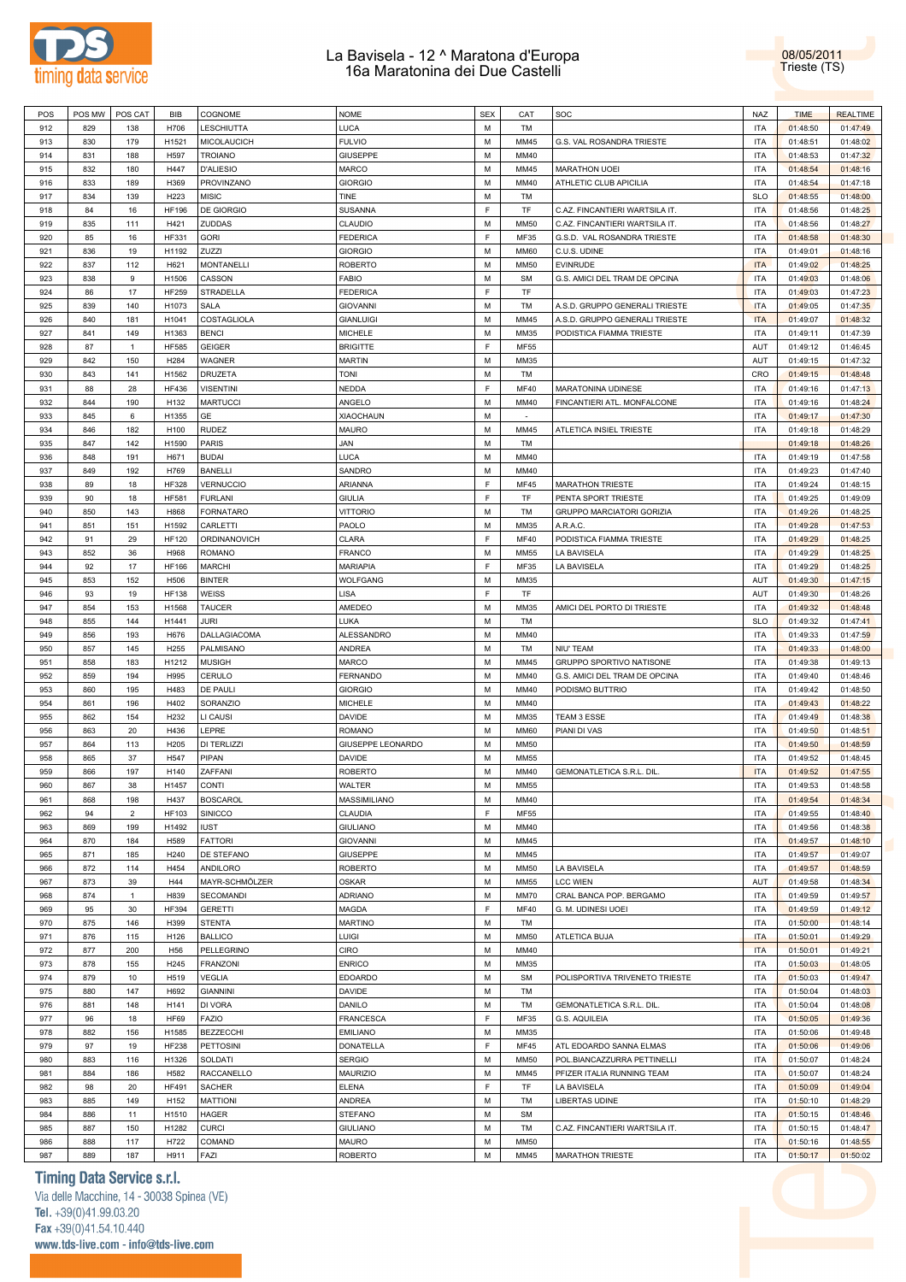

08/05/2011 Trieste (TS)

| POS | POS MW | POS CAT        | BIB               | COGNOME          | <b>NOME</b>       | <b>SEX</b> | CAT         | SOC                            | NAZ        | <b>TIME</b> | <b>REALTIME</b> |
|-----|--------|----------------|-------------------|------------------|-------------------|------------|-------------|--------------------------------|------------|-------------|-----------------|
| 912 | 829    | 138            | H706              | LESCHIUTTA       | LUCA              | M          | TM          |                                | <b>ITA</b> | 01:48:50    | 01:47:49        |
| 913 | 830    | 179            | H1521             | MICOLAUCICH      | <b>FULVIO</b>     | M          | MM45        | G.S. VAL ROSANDRA TRIESTE      | <b>ITA</b> | 01:48:51    | 01:48:02        |
| 914 | 831    | 188            | H597              | <b>TROIANO</b>   | <b>GIUSEPPE</b>   | M          | MM40        |                                | <b>ITA</b> | 01:48:53    | 01:47:32        |
| 915 | 832    | 180            | H447              | <b>D'ALIESIO</b> | <b>MARCO</b>      | M          | MM45        | <b>MARATHON UOEI</b>           | <b>ITA</b> | 01:48:54    | 01:48:16        |
|     |        |                |                   |                  |                   | M          |             |                                | <b>ITA</b> |             |                 |
| 916 | 833    | 189            | H369              | PROVINZANO       | <b>GIORGIO</b>    |            | MM40        | ATHLETIC CLUB APICILIA         |            | 01:48:54    | 01:47:18        |
| 917 | 834    | 139            | H223              | MISIC            | TINE              | M          | TM          |                                | <b>SLO</b> | 01:48:55    | 01:48:00        |
| 918 | 84     | 16             | <b>HF196</b>      | DE GIORGIO       | SUSANNA           | E          | TF          | C.AZ. FINCANTIERI WARTSILA IT. | <b>ITA</b> | 01:48:56    | 01:48:25        |
| 919 | 835    | 111            | H421              | ZUDDAS           | CLAUDIO           | M          | <b>MM50</b> | C.AZ. FINCANTIERI WARTSILA IT. | <b>ITA</b> | 01:48:56    | 01:48:27        |
| 920 | 85     | 16             | <b>HF331</b>      | <b>GORI</b>      | <b>FEDERICA</b>   | F          | MF35        | G.S.D. VAL ROSANDRA TRIESTE    | <b>ITA</b> | 01:48:58    | 01:48:30        |
| 921 | 836    | 19             | H1192             | ZUZZI            | <b>GIORGIO</b>    | M          | <b>MM60</b> | C.U.S. UDINE                   | <b>ITA</b> | 01:49:01    | 01:48:16        |
| 922 | 837    | 112            | H621              | MONTANELLI       | <b>ROBERTO</b>    | M          | <b>MM50</b> | <b>EVINRUDE</b>                | <b>ITA</b> | 01:49:02    | 01:48:25        |
| 923 | 838    | 9              | H1506             | CASSON           | <b>FABIO</b>      | M          | <b>SM</b>   | G.S. AMICI DEL TRAM DE OPCINA  | <b>ITA</b> | 01:49:03    | 01:48:06        |
| 924 | 86     | 17             | <b>HF259</b>      | STRADELLA        | <b>FEDERICA</b>   | F          | TF          |                                | <b>ITA</b> | 01:49:03    | 01:47:23        |
|     |        |                |                   | SALA             |                   | M          |             |                                | <b>ITA</b> |             |                 |
| 925 | 839    | 140            | H1073             |                  | <b>GIOVANNI</b>   |            | TM          | A.S.D. GRUPPO GENERALI TRIESTE |            | 01:49:05    | 01:47:35        |
| 926 | 840    | 181            | H1041             | COSTAGLIOLA      | <b>GIANLUIGI</b>  | M          | MM45        | A.S.D. GRUPPO GENERALI TRIESTE | <b>ITA</b> | 01:49:07    | 01:48:32        |
| 927 | 841    | 149            | H1363             | <b>BENCI</b>     | <b>MICHELE</b>    | M          | MM35        | PODISTICA FIAMMA TRIESTE       | <b>ITA</b> | 01:49:11    | 01:47:39        |
| 928 | 87     | $\overline{1}$ | <b>HF585</b>      | GEIGER           | <b>BRIGITTE</b>   | F          | <b>MF55</b> |                                | AUT        | 01:49:12    | 01:46:45        |
| 929 | 842    | 150            | H <sub>2</sub> 84 | WAGNER           | <b>MARTIN</b>     | M          | MM35        |                                | AUT        | 01:49:15    | 01:47:32        |
| 930 | 843    | 141            | H1562             | DRUZETA          | <b>TONI</b>       | M          | TM          |                                | CRO        | 01:49:15    | 01:48:48        |
| 931 | 88     | 28             | <b>HF436</b>      | <b>VISENTINI</b> | NEDDA             | F.         | <b>MF40</b> | MARATONINA UDINESE             | <b>ITA</b> | 01:49:16    | 01:47:13        |
| 932 | 844    | 190            | H132              | <b>MARTUCCI</b>  | ANGELO            | M          | MM40        | FINCANTIERI ATL. MONFALCONE    | <b>ITA</b> | 01:49:16    | 01:48:24        |
| 933 | 845    | 6              | H1355             | GE               | <b>XIAOCHAUN</b>  | M          | $\sim$      |                                | <b>ITA</b> | 01:49:17    | 01:47:30        |
| 934 |        |                |                   |                  |                   | M          | MM45        | ATLETICA INSIEL TRIESTE        | <b>ITA</b> |             |                 |
|     | 846    | 182            | H <sub>100</sub>  | RUDEZ            | <b>MAURO</b>      |            |             |                                |            | 01:49:18    | 01:48:29        |
| 935 | 847    | 142            | H1590             | PARIS            | <b>JAN</b>        | M          | TM          |                                |            | 01:49:18    | 01:48:26        |
| 936 | 848    | 191            | H671              | <b>BUDAI</b>     | LUCA              | M          | MM40        |                                | <b>ITA</b> | 01:49:19    | 01:47:58        |
| 937 | 849    | 192            | H769              | <b>BANELLI</b>   | SANDRO            | M          | MM40        |                                | <b>ITA</b> | 01:49:23    | 01:47:40        |
| 938 | 89     | 18             | <b>HF328</b>      | VERNUCCIO        | ARIANNA           | F          | MF45        | <b>MARATHON TRIESTE</b>        | <b>ITA</b> | 01:49:24    | 01:48:15        |
| 939 | 90     | 18             | <b>HF581</b>      | <b>FURLANI</b>   | GIULIA            | F.         | TF          | PENTA SPORT TRIESTE            | <b>ITA</b> | 01:49:25    | 01:49:09        |
| 940 | 850    | 143            | H868              | <b>FORNATARO</b> | <b>VITTORIO</b>   | M          | TM          | GRUPPO MARCIATORI GORIZIA      | <b>ITA</b> | 01:49:26    | 01:48:25        |
| 941 | 851    | 151            | H1592             | CARLETTI         | PAOLO             | M          | MM35        | A.R.A.C.                       | <b>ITA</b> | 01:49:28    | 01:47:53        |
| 942 | 91     | 29             | <b>HF120</b>      | ORDINANOVICH     | CLARA             | F          | <b>MF40</b> | PODISTICA FIAMMA TRIESTE       | <b>ITA</b> | 01:49:29    | 01:48:25        |
| 943 | 852    | 36             |                   | <b>ROMANO</b>    | <b>FRANCO</b>     | M          |             |                                | <b>ITA</b> | 01:49:29    | 01:48:25        |
|     |        |                | H968              |                  |                   |            | <b>MM55</b> | LA BAVISELA                    |            |             |                 |
| 944 | 92     | 17             | <b>HF166</b>      | MARCHI           | <b>MARIAPIA</b>   | F          | MF35        | LA BAVISELA                    | <b>ITA</b> | 01:49:29    | 01:48:25        |
| 945 | 853    | 152            | H506              | <b>BINTER</b>    | WOLFGANG          | M          | MM35        |                                | AUT        | 01:49:30    | 01:47:15        |
| 946 | 93     | 19             | <b>HF138</b>      | WEISS            | LISA              | F          | TF          |                                | AUT        | 01:49:30    | 01:48:26        |
| 947 | 854    | 153            | H1568             | TAUCER           | AMEDEO            | M          | MM35        | AMICI DEL PORTO DI TRIESTE     | <b>ITA</b> | 01:49:32    | 01:48:48        |
| 948 | 855    | 144            | H1441             | JURI             | LUKA              | M          | TM          |                                | <b>SLO</b> | 01:49:32    | 01:47:41        |
| 949 | 856    | 193            | H676              | DALLAGIACOMA     | ALESSANDRO        | M          | MM40        |                                | <b>ITA</b> | 01:49:33    | 01:47:59        |
| 950 | 857    | 145            | H <sub>255</sub>  | PALMISANO        | ANDREA            | M          | TM          | NIU' TEAM                      | <b>ITA</b> | 01:49:33    | 01:48:00        |
| 951 | 858    | 183            | H1212             | MUSIGH           | <b>MARCO</b>      | M          | MM45        | GRUPPO SPORTIVO NATISONE       | <b>ITA</b> | 01:49:38    | 01:49:13        |
| 952 | 859    | 194            | H995              | CERULO           | FERNANDO          | M          | MM40        | G.S. AMICI DEL TRAM DE OPCINA  | <b>ITA</b> | 01:49:40    | 01:48:46        |
| 953 | 860    | 195            | H483              | DE PAULI         | <b>GIORGIO</b>    | M          | MM40        | PODISMO BUTTRIO                | <b>ITA</b> | 01:49:42    | 01:48:50        |
|     |        |                |                   |                  |                   |            |             |                                |            |             |                 |
| 954 | 861    | 196            | H402              | SORANZIO         | <b>MICHELE</b>    | M          | MM40        |                                | <b>ITA</b> | 01:49:43    | 01:48:22        |
| 955 | 862    | 154            | H <sub>2</sub> 32 | LI CAUSI         | DAVIDE            | M          | MM35        | TEAM 3 ESSE                    | <b>ITA</b> | 01:49:49    | 01:48:38        |
| 956 | 863    | 20             | H436              | LEPRE            | <b>ROMANO</b>     | M          | <b>MM60</b> | PIANI DI VAS                   | <b>ITA</b> | 01:49:50    | 01:48:51        |
| 957 | 864    | 113            | H <sub>205</sub>  | DI TERLIZZI      | GIUSEPPE LEONARDO | M          | <b>MM50</b> |                                | <b>ITA</b> | 01:49:50    | 01:48:59        |
| 958 | 865    | 37             | H547              | PIPAN            | DAVIDE            | M          | <b>MM55</b> |                                | <b>ITA</b> | 01:49:52    | 01:48:45        |
| 959 | 866    | 197            | H140              | ZAFFANI          | <b>ROBERTO</b>    | M          | MM40        | GEMONATLETICA S.R.L. DIL       | <b>ITA</b> | 01:49:52    | 01:47:55        |
| 960 | 867    | 38             | H1457             | CONTI            | WALTER            | M          | <b>MM55</b> |                                | <b>ITA</b> | 01:49:53    | 01:48:58        |
| 961 | 868    | 198            | H437              | <b>BOSCAROL</b>  | MASSIMILIANO      | М          | MM40        |                                | <b>ITA</b> | 01:49:54    | 01:48:34        |
|     |        |                |                   |                  |                   | F          |             |                                |            |             |                 |
| 962 | 94     | $\overline{2}$ | <b>HF103</b>      | SINICCO          | CLAUDIA           |            | MF55        |                                | <b>ITA</b> | 01:49:55    | 01:48:40        |
| 963 | 869    | 199            | H1492             | <b>IUST</b>      | <b>GIULIANO</b>   | М          | MM40        |                                | <b>ITA</b> | 01:49:56    | 01:48:38        |
| 964 | 870    | 184            | H589              | <b>FATTORI</b>   | <b>GIOVANNI</b>   | M          | MM45        |                                | <b>ITA</b> | 01:49:57    | 01:48:10        |
| 965 | 871    | 185            | H240              | DE STEFANO       | <b>GIUSEPPE</b>   | M          | MM45        |                                | <b>ITA</b> | 01:49:57    | 01:49:07        |
| 966 | 872    | 114            | H454              | ANDILORO         | <b>ROBERTO</b>    | M          | <b>MM50</b> | LA BAVISELA                    | <b>ITA</b> | 01:49:57    | 01:48:59        |
| 967 | 873    | 39             | H44               | MAYR-SCHMÖLZER   | <b>OSKAR</b>      | M          | <b>MM55</b> | <b>LCC WIEN</b>                | AUT        | 01:49:58    | 01:48:34        |
| 968 | 874    | $\overline{1}$ | H839              | <b>SECOMANDI</b> | <b>ADRIANO</b>    | M          | <b>MM70</b> | CRAL BANCA POP. BERGAMO        | <b>ITA</b> | 01:49:59    | 01:49:57        |
| 969 | 95     | 30             | HF394             | <b>GERETTI</b>   | MAGDA             | F          | <b>MF40</b> | G. M. UDINESI UOEI             | <b>ITA</b> | 01:49:59    | 01:49:12        |
| 970 | 875    | 146            | H399              | STENTA           | <b>MARTINO</b>    | M          | TM          |                                | <b>ITA</b> | 01:50:00    | 01:48:14        |
| 971 | 876    | 115            | H126              | <b>BALLICO</b>   | <b>LUIGI</b>      | M          | <b>MM50</b> | ATLETICA BUJA                  | <b>ITA</b> | 01:50:01    | 01:49:29        |
|     |        |                |                   | PELLEGRINO       | <b>CIRO</b>       |            |             |                                | <b>ITA</b> |             |                 |
| 972 | 877    | 200            | H <sub>56</sub>   |                  |                   | M          | MM40        |                                |            | 01:50:01    | 01:49:21        |
| 973 |        |                |                   | <b>FRANZONI</b>  | <b>ENRICO</b>     | M          | MM35        |                                | <b>ITA</b> | 01:50:03    | 01:48:05        |
| 974 | 878    | 155            | H245              |                  |                   |            |             |                                |            |             |                 |
| 975 | 879    | 10             | H519              | VEGLIA           | <b>EDOARDO</b>    | M          | <b>SM</b>   | POLISPORTIVA TRIVENETO TRIESTE | <b>ITA</b> | 01:50:03    | 01:49:47        |
|     | 880    | 147            | H692              | <b>GIANNINI</b>  | DAVIDE            | M          | TM          |                                | <b>ITA</b> | 01:50:04    | 01:48:03        |
| 976 | 881    | 148            | H141              | DI VORA          | DANILO            | M          | TM          | GEMONATLETICA S.R.L. DIL.      | <b>ITA</b> | 01:50:04    | 01:48:08        |
| 977 | 96     | 18             | <b>HF69</b>       | FAZIO            | <b>FRANCESCA</b>  | F.         | MF35        | G.S. AQUILEIA                  | <b>ITA</b> | 01:50:05    | 01:49:36        |
| 978 | 882    | 156            | H1585             | <b>BEZZECCHI</b> | <b>EMILIANO</b>   | M          | MM35        |                                | <b>ITA</b> | 01:50:06    | 01:49:48        |
|     |        |                |                   |                  |                   |            |             |                                |            |             |                 |
| 979 | 97     | 19             | <b>HF238</b>      | <b>PETTOSINI</b> | DONATELLA         | F          | MF45        | ATL EDOARDO SANNA ELMAS        | <b>ITA</b> | 01:50:06    | 01:49:06        |
| 980 | 883    | 116            | H1326             | SOLDATI          | <b>SERGIO</b>     | M          | <b>MM50</b> | POL.BIANCAZZURRA PETTINELLI    | <b>ITA</b> | 01:50:07    | 01:48:24        |
| 981 | 884    | 186            | H582              | RACCANELLO       | MAURIZIO          | M          | MM45        | PFIZER ITALIA RUNNING TEAM     | <b>ITA</b> | 01:50:07    | 01:48:24        |
| 982 | 98     | 20             | HF491             | SACHER           | <b>ELENA</b>      | F          | TF          | LA BAVISELA                    | <b>ITA</b> | 01:50:09    | 01:49:04        |
| 983 | 885    | 149            | H152              | <b>MATTIONI</b>  | ANDREA            | М          | TM          | LIBERTAS UDINE                 | <b>ITA</b> | 01:50:10    | 01:48:29        |
| 984 | 886    | 11             | H1510             | HAGER            | <b>STEFANO</b>    | M          | SM          |                                | <b>ITA</b> | 01:50:15    | 01:48:46        |
| 985 | 887    | 150            | H1282             | <b>CURCI</b>     | <b>GIULIANO</b>   | М          | TM          | C.AZ. FINCANTIERI WARTSILA IT. | <b>ITA</b> | 01:50:15    | 01:48:47        |
| 986 | 888    | 117            | H722              | COMAND           | <b>MAURO</b>      | M          | <b>MM50</b> |                                | <b>ITA</b> | 01:50:16    | 01:48:55        |
| 987 | 889    | 187            | H911              | FAZI             | <b>ROBERTO</b>    | M          | MM45        | MARATHON TRIESTE               | <b>ITA</b> | 01:50:17    | 01:50:02        |

# **Timing Data Service s.r.l.**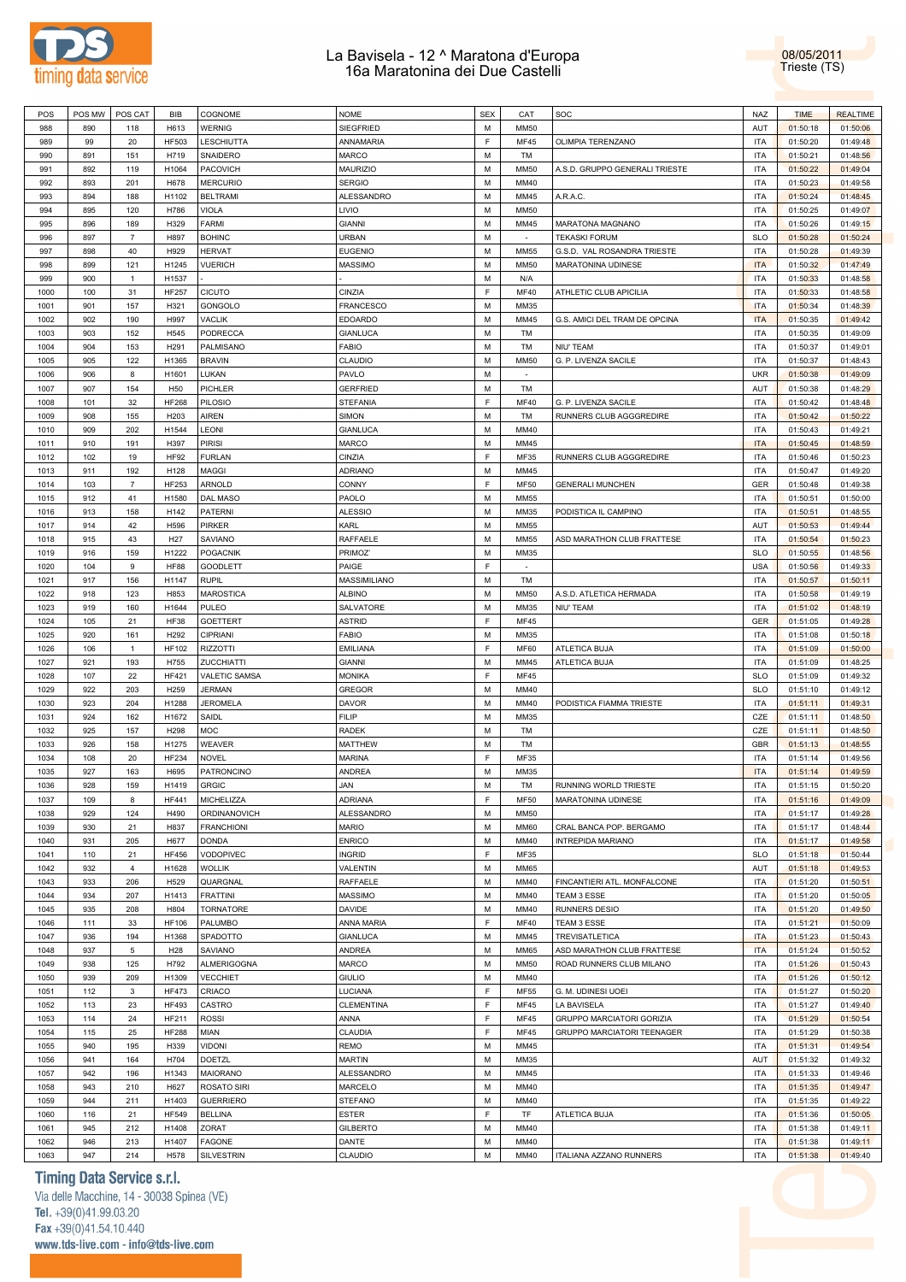

08/05/2011 Trieste (TS)

| POS  | POS MW | POS CAT        | BIB              | COGNOME           | <b>NOME</b>       | <b>SEX</b>  | CAT         | SOC                            | NAZ        | <b>TIME</b> | <b>REALTIME</b> |  |
|------|--------|----------------|------------------|-------------------|-------------------|-------------|-------------|--------------------------------|------------|-------------|-----------------|--|
| 988  | 890    | 118            | H613             | WERNIG            | SIEGFRIED         | М           | <b>MM50</b> |                                | AUT        | 01:50:18    | 01:50:06        |  |
|      |        |                |                  |                   |                   |             |             |                                |            |             |                 |  |
| 989  | 99     | 20             | <b>HF503</b>     | LESCHIUTTA        | ANNAMARIA         | E           | MF45        | OLIMPIA TERENZANO              | <b>ITA</b> | 01:50:20    | 01:49:48        |  |
| 990  | 891    | 151            | H719             | SNAIDERO          | <b>MARCO</b>      | M           | TM          |                                | <b>ITA</b> | 01:50:21    | 01:48:56        |  |
| 991  | 892    | 119            | H1064            | PACOVICH          | <b>MAURIZIO</b>   | М           | <b>MM50</b> | A.S.D. GRUPPO GENERALI TRIESTE | <b>ITA</b> | 01:50:22    | 01:49:04        |  |
|      |        |                |                  |                   |                   |             |             |                                |            |             |                 |  |
| 992  | 893    | 201            | H678             | <b>MERCURIO</b>   | <b>SERGIO</b>     | M           | MM40        |                                | <b>ITA</b> | 01:50:23    | 01:49:58        |  |
| 993  | 894    | 188            | H1102            | <b>BELTRAMI</b>   | ALESSANDRO        | M           | MM45        | A.R.A.C.                       | <b>ITA</b> | 01:50:24    | 01:48:45        |  |
| 994  | 895    | 120            | H786             | VIOLA             | LIVIO             | М           | MM50        |                                | <b>ITA</b> | 01:50:25    | 01:49:07        |  |
| 995  | 896    | 189            | H329             | FARMI             | <b>GIANNI</b>     | M           | MM45        | MARATONA MAGNANO               | <b>ITA</b> | 01:50:26    | 01:49:15        |  |
|      |        |                |                  |                   |                   |             |             |                                |            |             |                 |  |
| 996  | 897    | 7              | H897             | <b>BOHINC</b>     | URBAN             | M           | $\sim$      | TEKASKI FORUM                  | <b>SLO</b> | 01:50:28    | 01:50:24        |  |
| 997  | 898    | 40             | H929             | <b>HERVAT</b>     | <b>EUGENIO</b>    | M           | <b>MM55</b> | G.S.D. VAL ROSANDRA TRIESTE    | <b>ITA</b> | 01:50:28    | 01:49:39        |  |
| 998  | 899    | 121            | H1245            | VUERICH           | <b>MASSIMO</b>    | М           | <b>MM50</b> | MARATONINA UDINESE             | <b>ITA</b> | 01:50:32    | 01:47:49        |  |
|      |        |                |                  |                   |                   |             |             |                                |            |             |                 |  |
| 999  | 900    | $\mathbf{1}$   | H1537            |                   |                   | М           | N/A         |                                | <b>ITA</b> | 01:50:33    | 01:48:58        |  |
| 1000 | 100    | 31             | <b>HF257</b>     | CICUTO            | CINZIA            | E           | <b>MF40</b> | ATHLETIC CLUB APICILIA         | <b>ITA</b> | 01:50:33    | 01:48:58        |  |
| 1001 | 901    | 157            | H321             | GONGOLO           | <b>FRANCESCO</b>  | М           | MM35        |                                | <b>ITA</b> | 01:50:34    | 01:48:39        |  |
| 1002 | 902    | 190            | H997             | VACLIK            | <b>EDOARDO</b>    | М           | MM45        | G.S. AMICI DEL TRAM DE OPCINA  | <b>ITA</b> | 01:50:35    | 01:49:42        |  |
|      |        |                |                  |                   |                   |             |             |                                |            |             |                 |  |
| 1003 | 903    | 152            | H545             | PODRECCA          | <b>GIANLUCA</b>   | M           | TM          |                                | <b>ITA</b> | 01:50:35    | 01:49:09        |  |
| 1004 | 904    | 153            | H <sub>291</sub> | PALMISANO         | <b>FABIO</b>      | M           | TM          | NIU' TEAM                      | <b>ITA</b> | 01:50:37    | 01:49:01        |  |
| 1005 | 905    | 122            | H1365            | <b>BRAVIN</b>     | CLAUDIO           | М           | <b>MM50</b> | G. P. LIVENZA SACILE           | <b>ITA</b> | 01:50:37    | 01:48:43        |  |
|      |        |                |                  |                   | PAVLO             | М           | $\sim$      |                                | <b>UKR</b> |             | 01:49:09        |  |
| 1006 | 906    | 8              | H1601            | LUKAN             |                   |             |             |                                |            | 01:50:38    |                 |  |
| 1007 | 907    | 154            | H50              | PICHLER           | <b>GERFRIED</b>   | М           | TM          |                                | AUT        | 01:50:38    | 01:48:29        |  |
| 1008 | 101    | 32             | <b>HF268</b>     | PILOSIO           | <b>STEFANIA</b>   | E           | <b>MF40</b> | G. P. LIVENZA SACILE           | <b>ITA</b> | 01:50:42    | 01:48:48        |  |
| 1009 | 908    | 155            | H <sub>203</sub> | AIREN             | <b>SIMON</b>      | М           | TM          | RUNNERS CLUB AGGGREDIRE        | <b>ITA</b> | 01:50:42    | 01:50:22        |  |
|      |        |                |                  |                   |                   |             |             |                                |            |             |                 |  |
| 1010 | 909    | 202            | H1544            | LEONI             | GIANLUCA          | M           | MM40        |                                | <b>ITA</b> | 01:50:43    | 01:49:21        |  |
| 1011 | 910    | 191            | H397             | PIRISI            | <b>MARCO</b>      | M           | MM45        |                                | <b>ITA</b> | 01:50:45    | 01:48:59        |  |
| 1012 | 102    | 19             | <b>HF92</b>      | <b>FURLAN</b>     | CINZIA            | F           | MF35        | RUNNERS CLUB AGGGREDIRE        | <b>ITA</b> | 01:50:46    | 01:50:23        |  |
| 1013 | 911    | 192            | H128             | MAGGI             | <b>ADRIANO</b>    | М           | MM45        |                                | <b>ITA</b> | 01:50:47    | 01:49:20        |  |
|      |        |                |                  |                   |                   |             |             |                                |            |             |                 |  |
| 1014 | 103    | 7              | HF253            | ARNOLD            | CONNY             | E           | <b>MF50</b> | <b>GENERALI MUNCHEN</b>        | GER        | 01:50:48    | 01:49:38        |  |
| 1015 | 912    | 41             | H1580            | DAL MASO          | PAOLO             | M           | <b>MM55</b> |                                | <b>ITA</b> | 01:50:51    | 01:50:00        |  |
| 1016 | 913    | 158            | H142             | PATERNI           | <b>ALESSIO</b>    | М           | MM35        | PODISTICA IL CAMPINO           | <b>ITA</b> | 01:50:51    | 01:48:55        |  |
|      |        |                |                  |                   |                   |             |             |                                |            |             |                 |  |
| 1017 | 914    | 42             | H596             | PIRKER            | KARL              | М           | <b>MM55</b> |                                | AUT        | 01:50:53    | 01:49:44        |  |
| 1018 | 915    | 43             | H <sub>27</sub>  | SAVIANO           | RAFFAELE          | M           | MM55        | ASD MARATHON CLUB FRATTESE     | <b>ITA</b> | 01:50:54    | 01:50:23        |  |
| 1019 | 916    | 159            | H1222            | <b>POGACNIK</b>   | PRIMOZ'           | M           | MM35        |                                | <b>SLO</b> | 01:50:55    | 01:48:56        |  |
| 1020 | 104    | 9              | <b>HF88</b>      | GOODLETT          | PAIGE             | F           | $\sim$      |                                | <b>USA</b> | 01:50:56    | 01:49:33        |  |
|      |        |                |                  |                   |                   |             |             |                                |            |             |                 |  |
| 1021 | 917    | 156            | H1147            | RUPIL             | MASSIMILIANO      | М           | TM          |                                | <b>ITA</b> | 01:50:57    | 01:50:11        |  |
| 1022 | 918    | 123            | H853             | MAROSTICA         | <b>ALBINO</b>     | M           | <b>MM50</b> | A.S.D. ATLETICA HERMADA        | <b>ITA</b> | 01:50:58    | 01:49:19        |  |
| 1023 | 919    | 160            | H1644            | PULEO             | SALVATORE         | М           | MM35        | NIU' TEAM                      | <b>ITA</b> | 01:51:02    | 01:48:19        |  |
| 1024 |        |                | <b>HF38</b>      |                   | <b>ASTRID</b>     | F           |             |                                | GER        |             | 01:49:28        |  |
|      | 105    | 21             |                  | GOETTERT          |                   |             | MF45        |                                |            | 01:51:05    |                 |  |
| 1025 | 920    | 161            | H292             | CIPRIANI          | <b>FABIO</b>      | M           | MM35        |                                | <b>ITA</b> | 01:51:08    | 01:50:18        |  |
| 1026 | 106    | $\overline{1}$ | <b>HF102</b>     | <b>RIZZOTTI</b>   | <b>EMILIANA</b>   | F           | <b>MF60</b> | ATLETICA BUJA                  | <b>ITA</b> | 01:51:09    | 01:50:00        |  |
| 1027 | 921    | 193            | H755             | ZUCCHIATTI        | <b>GIANNI</b>     | М           | MM45        | ATLETICA BUJA                  | <b>ITA</b> | 01:51:09    | 01:48:25        |  |
|      |        |                | <b>HF421</b>     |                   |                   | E           |             |                                |            |             |                 |  |
| 1028 | 107    | 22             |                  | VALETIC SAMSA     | <b>MONIKA</b>     |             | <b>MF45</b> |                                | <b>SLO</b> | 01:51:09    | 01:49:32        |  |
| 1029 | 922    | 203            | H259             | <b>JERMAN</b>     | <b>GREGOR</b>     | M           | MM40        |                                | <b>SLO</b> | 01:51:10    | 01:49:12        |  |
| 1030 | 923    | 204            | H1288            | JEROMELA          | <b>DAVOR</b>      | М           | MM40        | PODISTICA FIAMMA TRIESTE       | <b>ITA</b> | 01:51:11    | 01:49:31        |  |
| 1031 | 924    | 162            | H1672            | SAIDL             | <b>FILIP</b>      | М           | MM35        |                                | CZE        | 01:51:11    | 01:48:50        |  |
|      |        |                |                  |                   |                   |             |             |                                |            |             |                 |  |
| 1032 | 925    | 157            | H298             | MOC               | <b>RADEK</b>      | М           | TM          |                                | CZE        | 01:51:11    | 01:48:50        |  |
| 1033 | 926    | 158            | H1275            | WEAVER            | <b>MATTHEW</b>    | М           | TM          |                                | GBR        | 01:51:13    | 01:48:55        |  |
| 1034 | 108    | 20             | HF234            | NOVEL             | <b>MARINA</b>     | F           | MF35        |                                | <b>ITA</b> | 01:51:14    | 01:49:56        |  |
|      | 927    |                |                  |                   |                   |             |             |                                | <b>ITA</b> |             |                 |  |
| 1035 |        | 163            | H695             | PATRONCINO        | ANDREA            | М           | MM35        |                                |            | 01:51:14    | 01:49:59        |  |
| 1036 | 928    | 159            | H1419            | <b>GRGIC</b>      | JAN               | M           | TM          | RUNNING WORLD TRIESTE          | <b>ITA</b> | 01:51:15    | 01:50:20        |  |
| 1037 | 109    | 8              | HF441            | MICHELIZZA        | <b>ADRIANA</b>    | F           | <b>MF50</b> | MARATONINA UDINESE             | <b>ITA</b> | 01:51:16    | 01:49:09        |  |
| 1038 | 929    | 124            | H490             | ORDINANOVICH      | ALESSANDRO        | М           | <b>MM50</b> |                                | <b>ITA</b> | 01:51:17    | 01:49:28        |  |
|      |        |                |                  |                   |                   |             |             |                                |            |             |                 |  |
| 1039 | 930    | 21             | H837             | <b>FRANCHIONI</b> | <b>MARIO</b>      | M           | <b>MM60</b> | CRAL BANCA POP. BERGAMO        | <b>ITA</b> | 01:51:17    | 01:48:44        |  |
| 1040 | 931    | 205            | H677             | <b>DONDA</b>      | <b>ENRICO</b>     | М           | MM40        | <b>INTREPIDA MARIANO</b>       | <b>ITA</b> | 01:51:17    | 01:49:58        |  |
| 1041 | 110    | 21             | <b>HF456</b>     | VODOPIVEC         | <b>INGRID</b>     | $\mathsf F$ | MF35        |                                | <b>SLO</b> | 01:51:18    | 01:50:44        |  |
| 1042 | 932    | 4              | H1628            | WOLLIK            | VALENTIN          | М           | <b>MM65</b> |                                | AUT        | 01:51:18    | 01:49:53        |  |
|      |        |                |                  |                   |                   |             |             |                                |            |             |                 |  |
| 1043 | 933    | 206            | H529             | QUARGNAL          | RAFFAELE          | М           | MM40        | FINCANTIERI ATL. MONFALCONE    | <b>ITA</b> | 01:51:20    | 01:50:51        |  |
| 1044 | 934    | 207            | H1413            | <b>FRATTINI</b>   | <b>MASSIMO</b>    | М           | MM40        | TEAM 3 ESSE                    | <b>ITA</b> | 01:51:20    | 01:50:05        |  |
| 1045 | 935    | 208            | H804             | <b>TORNATORE</b>  | DAVIDE            | М           | MM40        | <b>RUNNERS DESIO</b>           | <b>ITA</b> | 01:51:20    | 01:49:50        |  |
| 1046 | 111    | 33             | <b>HF106</b>     | PALUMBO           | ANNA MARIA        | E           | <b>MF40</b> | TEAM 3 ESSE                    | <b>ITA</b> | 01:51:21    | 01:50:09        |  |
|      |        |                |                  |                   |                   |             |             |                                |            |             |                 |  |
| 1047 | 936    | 194            | H1368            | SPADOTTO          | <b>GIANLUCA</b>   | М           | MM45        | TREVISATLETICA                 | <b>ITA</b> | 01:51:23    | 01:50:43        |  |
| 1048 | 937    | $\overline{5}$ | H <sub>28</sub>  | SAVIANO           | ANDREA            | М           | <b>MM65</b> | ASD MARATHON CLUB FRATTESE     | <b>ITA</b> | 01:51:24    | 01:50:52        |  |
| 1049 | 938    | 125            | H792             | ALMERIGOGNA       | MARCO             | М           | <b>MM50</b> | ROAD RUNNERS CLUB MILANO       | <b>ITA</b> | 01:51:26    | 01:50:43        |  |
|      |        |                |                  | <b>VECCHIET</b>   |                   |             |             |                                | <b>ITA</b> |             |                 |  |
| 1050 | 939    | 209            | H1309            |                   | <b>GIULIO</b>     | М           | MM40        |                                |            | 01:51:26    | 01:50:12        |  |
| 1051 | 112    | 3              | <b>HF473</b>     | CRIACO            | LUCIANA           | $\mathsf F$ | <b>MF55</b> | G. M. UDINESI UOEI             | <b>ITA</b> | 01:51:27    | 01:50:20        |  |
| 1052 | 113    | 23             | <b>HF493</b>     | CASTRO            | <b>CLEMENTINA</b> | $\mathsf F$ | <b>MF45</b> | LA BAVISELA                    | <b>ITA</b> | 01:51:27    | 01:49:40        |  |
| 1053 | 114    | 24             | HF211            | <b>ROSSI</b>      | ANNA              | E           | <b>MF45</b> | GRUPPO MARCIATORI GORIZIA      | <b>ITA</b> | 01:51:29    | 01:50:54        |  |
|      |        |                |                  |                   |                   |             |             |                                |            |             |                 |  |
| 1054 | 115    | 25             | <b>HF288</b>     | MIAN              | CLAUDIA           | E           | <b>MF45</b> | GRUPPO MARCIATORI TEENAGER     | <b>ITA</b> | 01:51:29    | 01:50:38        |  |
| 1055 | 940    | 195            | H339             | VIDONI            | REMO              | М           | MM45        |                                | <b>ITA</b> | 01:51:31    | 01:49:54        |  |
| 1056 | 941    | 164            | H704             | DOETZL            | <b>MARTIN</b>     | М           | MM35        |                                | AUT        | 01:51:32    | 01:49:32        |  |
|      |        |                |                  |                   | ALESSANDRO        | М           |             |                                | <b>ITA</b> |             |                 |  |
| 1057 | 942    | 196            | H1343            | MAIORANO          |                   |             | MM45        |                                |            | 01:51:33    | 01:49:46        |  |
| 1058 | 943    | 210            | H627             | ROSATO SIRI       | MARCELO           | М           | MM40        |                                | <b>ITA</b> | 01:51:35    | 01:49:47        |  |
| 1059 | 944    | 211            | H1403            | <b>GUERRIERO</b>  | <b>STEFANO</b>    | М           | MM40        |                                | <b>ITA</b> | 01:51:35    | 01:49:22        |  |
| 1060 | 116    | 21             | <b>HF549</b>     | <b>BELLINA</b>    | <b>ESTER</b>      | E           | TF          | ATLETICA BUJA                  | <b>ITA</b> | 01:51:36    | 01:50:05        |  |
|      |        |                |                  |                   |                   |             |             |                                |            |             |                 |  |
| 1061 | 945    | 212            | H1408            | ZORAT             | <b>GILBERTO</b>   | М           | MM40        |                                | <b>ITA</b> | 01:51:38    | 01:49:11        |  |
|      |        |                |                  |                   | DANTE             |             | MM40        |                                | <b>ITA</b> |             |                 |  |
| 1062 | 946    | 213            | H1407            | FAGONE            |                   | М           |             |                                |            | 01:51:38    | 01:49:11        |  |
| 1063 | 947    | 214            | H578             | <b>SILVESTRIN</b> | CLAUDIO           | М           | MM40        | ITALIANA AZZANO RUNNERS        | <b>ITA</b> | 01:51:38    | 01:49:40        |  |

# **Timing Data Service s.r.l.**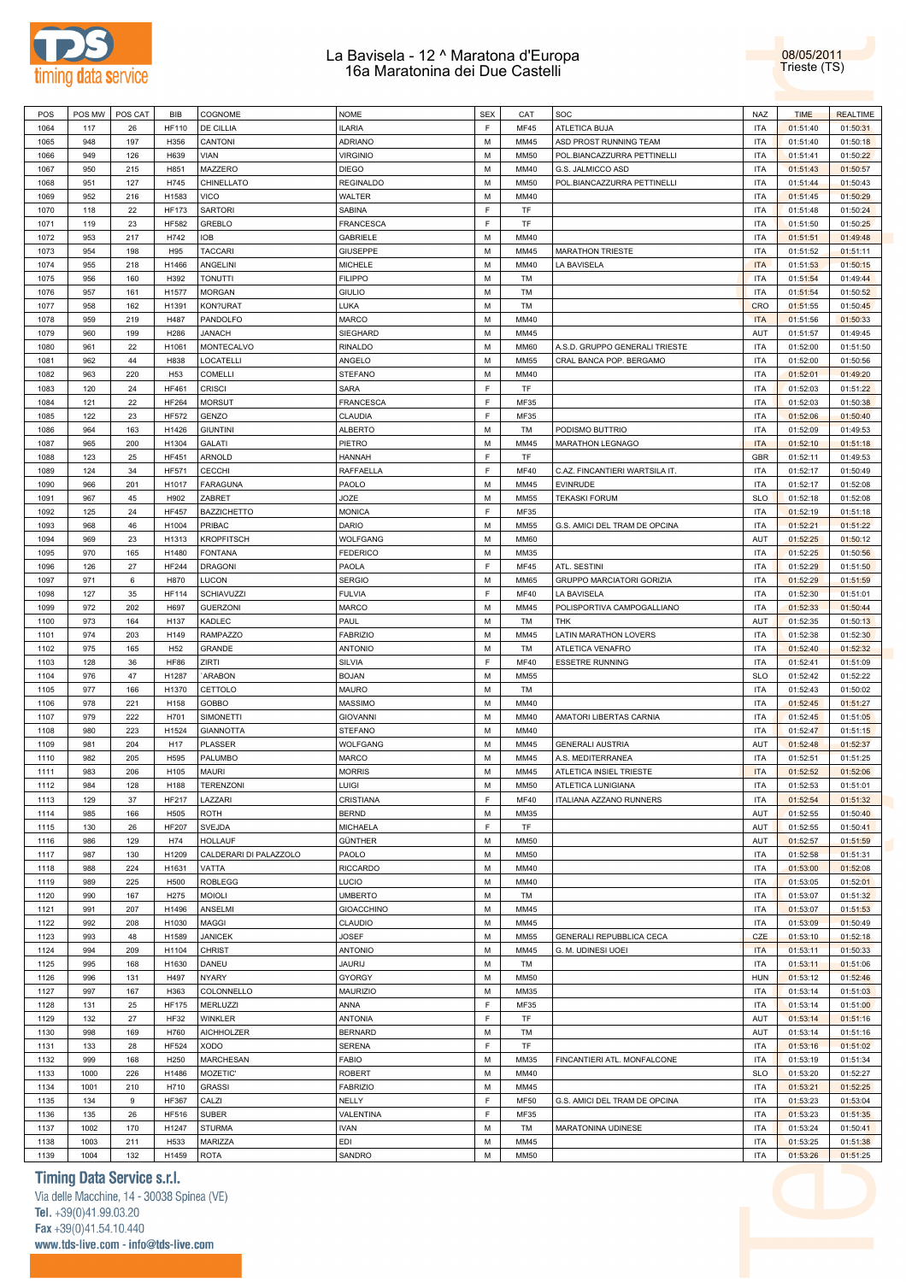



| POS  | POS MW | POS CAT |                 |                        | <b>NOME</b>       | <b>SEX</b> | CAT         |                                | <b>NAZ</b> |             |                 |
|------|--------|---------|-----------------|------------------------|-------------------|------------|-------------|--------------------------------|------------|-------------|-----------------|
|      |        |         | <b>BIB</b>      | COGNOME                |                   |            |             | SOC                            |            | <b>TIME</b> | <b>REALTIME</b> |
| 1064 | 117    | 26      | <b>HF110</b>    | DE CILLIA              | <b>ILARIA</b>     | F          | MF45        | ATLETICA BUJA                  | <b>ITA</b> | 01:51:40    | 01:50:31        |
| 1065 | 948    | 197     | H356            | CANTONI                | <b>ADRIANO</b>    | M          | MM45        | ASD PROST RUNNING TEAM         | <b>ITA</b> | 01:51:40    | 01:50:18        |
| 1066 | 949    | 126     | H639            | <b>VIAN</b>            | <b>VIRGINIO</b>   | M          | <b>MM50</b> | POL.BIANCAZZURRA PETTINELLI    | <b>ITA</b> | 01:51:41    | 01:50:22        |
|      |        |         |                 |                        |                   |            |             |                                |            |             |                 |
| 1067 | 950    | 215     | H851            | MAZZERO                | <b>DIEGO</b>      | M          | MM40        | G.S. JALMICCO ASD              | <b>ITA</b> | 01:51:43    | 01:50:57        |
| 1068 | 951    | 127     | H745            | CHINELLATO             | <b>REGINALDO</b>  | M          | <b>MM50</b> | POL.BIANCAZZURRA PETTINELLI    | <b>ITA</b> | 01:51:44    | 01:50:43        |
| 1069 | 952    | 216     | H1583           | <b>VICO</b>            | <b>WALTER</b>     | M          | MM40        |                                | <b>ITA</b> | 01:51:45    | 01:50:29        |
|      |        |         |                 |                        |                   |            |             |                                |            |             |                 |
| 1070 | 118    | 22      | <b>HF173</b>    | <b>SARTORI</b>         | SABINA            | F          | <b>TF</b>   |                                | <b>ITA</b> | 01:51:48    | 01:50:24        |
| 1071 | 119    | 23      | <b>HF582</b>    | <b>GREBLO</b>          | FRANCESCA         | F          | TF          |                                | <b>ITA</b> | 01:51:50    | 01:50:25        |
| 1072 | 953    | 217     | H742            | <b>IOB</b>             | <b>GABRIELE</b>   | M          | MM40        |                                | <b>ITA</b> | 01:51:51    | 01:49:48        |
|      |        |         |                 |                        |                   |            |             |                                |            |             |                 |
| 1073 | 954    | 198     | H95             | <b>TACCARI</b>         | <b>GIUSEPPE</b>   | M          | MM45        | <b>MARATHON TRIESTE</b>        | <b>ITA</b> | 01:51:52    | 01:51:11        |
| 1074 | 955    | 218     | H1466           | ANGELINI               | <b>MICHELE</b>    | M          | MM40        | LA BAVISELA                    | <b>ITA</b> | 01:51:53    | 01:50:15        |
| 1075 | 956    | 160     | H392            | <b>TONUTTI</b>         | <b>FILIPPO</b>    | M          | TM          |                                | <b>ITA</b> | 01:51:54    | 01:49:44        |
|      |        |         |                 |                        |                   |            |             |                                |            |             |                 |
| 1076 | 957    | 161     | H1577           | <b>MORGAN</b>          | <b>GIULIO</b>     | M          | TM          |                                | <b>ITA</b> | 01:51:54    | 01:50:52        |
| 1077 | 958    | 162     | H1391           | KON?URAT               | LUKA              | M          | TM          |                                | <b>CRO</b> | 01:51:55    | 01:50:45        |
| 1078 | 959    | 219     | H487            | PANDOLFO               | <b>MARCO</b>      | M          | MM40        |                                | <b>ITA</b> | 01:51:56    | 01:50:33        |
|      |        |         |                 |                        |                   |            |             |                                |            |             |                 |
| 1079 | 960    | 199     | H286            | <b>JANACH</b>          | SIEGHARD          | M          | MM45        |                                | AUT        | 01:51:57    | 01:49:45        |
| 1080 | 961    | 22      | H1061           | MONTECALVO             | RINALDO           | M          | <b>MM60</b> | A.S.D. GRUPPO GENERALI TRIESTE | <b>ITA</b> | 01:52:00    | 01:51:50        |
| 1081 | 962    | 44      | H838            | <b>LOCATELLI</b>       | ANGELO            | M          | <b>MM55</b> | CRAL BANCA POP. BERGAMO        | <b>ITA</b> | 01:52:00    | 01:50:56        |
|      |        |         |                 |                        |                   |            |             |                                |            |             |                 |
| 1082 | 963    | 220     | H <sub>53</sub> | <b>COMELLI</b>         | <b>STEFANO</b>    | M          | MM40        |                                | <b>ITA</b> | 01:52:01    | 01:49:20        |
| 1083 | 120    | 24      | <b>HF461</b>    | <b>CRISCI</b>          | <b>SARA</b>       | F          | TF          |                                | <b>ITA</b> | 01:52:03    | 01:51:22        |
| 1084 | 121    | 22      | <b>HF264</b>    | <b>MORSUT</b>          | <b>FRANCESCA</b>  | E          | MF35        |                                | <b>ITA</b> | 01:52:03    | 01:50:38        |
|      |        |         |                 |                        |                   |            |             |                                |            |             |                 |
| 1085 | 122    | 23      | <b>HF572</b>    | <b>GENZO</b>           | CLAUDIA           | F          | <b>MF35</b> |                                | <b>ITA</b> | 01:52:06    | 01:50:40        |
| 1086 | 964    | 163     | H1426           | <b>GIUNTINI</b>        | <b>ALBERTO</b>    | M          | TM          | PODISMO BUTTRIO                | <b>ITA</b> | 01:52:09    | 01:49:53        |
| 1087 | 965    | 200     | H1304           | <b>GALATI</b>          | PIETRO            | M          | MM45        | <b>MARATHON LEGNAGO</b>        | <b>ITA</b> | 01:52:10    | 01:51:18        |
|      |        |         |                 |                        |                   |            |             |                                |            |             |                 |
| 1088 | 123    | 25      | <b>HF451</b>    | <b>ARNOLD</b>          | <b>HANNAH</b>     | E          | TF          |                                | GBR        | 01:52:11    | 01:49:53        |
| 1089 | 124    | 34      | <b>HF571</b>    | <b>CECCHI</b>          | RAFFAELLA         | F          | <b>MF40</b> | C.AZ. FINCANTIERI WARTSILA IT. | <b>ITA</b> | 01:52:17    | 01:50:49        |
| 1090 | 966    | 201     | H1017           | <b>FARAGUNA</b>        | PAOLO             | M          | MM45        | <b>EVINRUDE</b>                | <b>ITA</b> | 01:52:17    | 01:52:08        |
|      |        |         |                 |                        |                   |            |             |                                |            |             |                 |
| 1091 | 967    | 45      | H902            | ZABRET                 | <b>JOZE</b>       | M          | <b>MM55</b> | <b>TEKASKI FORUM</b>           | <b>SLO</b> | 01:52:18    | 01:52:08        |
| 1092 | 125    | 24      | <b>HF457</b>    | <b>BAZZICHETTO</b>     | <b>MONICA</b>     | F          | MF35        |                                | <b>ITA</b> | 01:52:19    | 01:51:18        |
| 1093 | 968    | 46      | H1004           | <b>PRIBAC</b>          | <b>DARIO</b>      | M          | <b>MM55</b> | G.S. AMICI DEL TRAM DE OPCINA  | <b>ITA</b> | 01:52:21    | 01:51:22        |
|      |        |         |                 |                        |                   |            |             |                                |            |             |                 |
| 1094 | 969    | 23      | H1313           | <b>KROPFITSCH</b>      | <b>WOLFGANG</b>   | M          | <b>MM60</b> |                                | AUT        | 01:52:25    | 01:50:12        |
| 1095 | 970    | 165     | H1480           | <b>FONTANA</b>         | <b>FEDERICO</b>   | M          | MM35        |                                | <b>ITA</b> | 01:52:25    | 01:50:56        |
| 1096 | 126    | 27      | <b>HF244</b>    | <b>DRAGONI</b>         | PAOLA             | F          | MF45        | ATL. SESTINI                   | <b>ITA</b> | 01:52:29    | 01:51:50        |
|      |        |         |                 |                        |                   |            |             |                                |            |             |                 |
| 1097 | 971    | 6       | H870            | <b>LUCON</b>           | <b>SERGIO</b>     | M          | MM65        | GRUPPO MARCIATORI GORIZIA      | <b>ITA</b> | 01:52:29    | 01:51:59        |
| 1098 | 127    | 35      | <b>HF114</b>    | <b>SCHIAVUZZI</b>      | <b>FULVIA</b>     | F          | <b>MF40</b> | LA BAVISELA                    | <b>ITA</b> | 01:52:30    | 01:51:01        |
| 1099 | 972    | 202     | H697            | <b>GUERZONI</b>        | <b>MARCO</b>      | M          | MM45        | POLISPORTIVA CAMPOGALLIANO     | <b>ITA</b> | 01:52:33    | 01:50:44        |
|      |        |         |                 |                        |                   |            |             |                                |            |             |                 |
| 1100 | 973    | 164     | H137            | KADLEC                 | PAUL              | M          | TM          | <b>THK</b>                     | AUT        | 01:52:35    | 01:50:13        |
| 1101 | 974    | 203     | H149            | <b>RAMPAZZO</b>        | <b>FABRIZIO</b>   | M          | MM45        | LATIN MARATHON LOVERS          | <b>ITA</b> | 01:52:38    | 01:52:30        |
| 1102 | 975    | 165     | H <sub>52</sub> | GRANDE                 | <b>ANTONIO</b>    | M          | TM          | ATLETICA VENAFRO               | <b>ITA</b> | 01:52:40    | 01:52:32        |
| 1103 | 128    | 36      | <b>HF86</b>     | ZIRTI                  | SILVIA            | F          | <b>MF40</b> | <b>ESSETRE RUNNING</b>         | <b>ITA</b> | 01:52:41    | 01:51:09        |
|      |        |         |                 |                        |                   |            |             |                                |            |             |                 |
| 1104 | 976    | 47      | H1287           | `ARABON                | <b>BOJAN</b>      | M          | <b>MM55</b> |                                | <b>SLO</b> | 01:52:42    | 01:52:22        |
| 1105 | 977    | 166     | H1370           | CETTOLO                | <b>MAURO</b>      | M          | TM          |                                | <b>ITA</b> | 01:52:43    | 01:50:02        |
| 1106 | 978    | 221     | H158            | <b>GOBBO</b>           | <b>MASSIMO</b>    | M          | MM40        |                                | <b>ITA</b> | 01:52:45    | 01:51:27        |
|      |        |         |                 |                        |                   |            |             |                                |            |             |                 |
| 1107 | 979    | 222     | H701            | <b>SIMONETTI</b>       | <b>GIOVANNI</b>   | M          | MM40        | AMATORI LIBERTAS CARNIA        | <b>ITA</b> | 01:52:45    | 01:51:05        |
| 1108 | 980    | 223     | H1524           | <b>GIANNOTTA</b>       | <b>STEFANO</b>    | M          | MM40        |                                | <b>ITA</b> | 01:52:47    | 01:51:15        |
| 1109 | 981    | 204     | H17             | <b>PLASSER</b>         | <b>WOLFGANG</b>   | M          | MM45        | <b>GENERALI AUSTRIA</b>        | AUT        | 01:52:48    | 01:52:37        |
|      |        |         |                 |                        |                   |            |             |                                |            |             |                 |
| 1110 | 982    | 205     | H595            | PALUMBO                | <b>MARCO</b>      | M          | MM45        | A.S. MEDITERRANEA              | <b>ITA</b> | 01:52:51    | 01:51:25        |
| 1111 | 983    | 206     | H105            | <b>MAURI</b>           | <b>MORRIS</b>     | M          | MM45        | ATLETICA INSIEL TRIESTE        | <b>ITA</b> | 01:52:52    | 01:52:06        |
| 1112 | 984    | 128     | H188            | <b>TERENZONI</b>       | LUIGI             | M          | MM50        | ATLETICA LUNIGIANA             | ITA        | 01:52:53    | 01:51:01        |
|      |        |         |                 |                        |                   |            |             |                                |            |             |                 |
| 1113 | 129    | 37      | <b>HF217</b>    | LAZZARI                | CRISTIANA         | F          | <b>MF40</b> | ITALIANA AZZANO RUNNERS        | <b>ITA</b> | 01:52:54    | 01:51:32        |
| 1114 | 985    | 166     | H505            | <b>ROTH</b>            | <b>BERND</b>      | M          | MM35        |                                | AUT        | 01:52:55    | 01:50:40        |
| 1115 | 130    | 26      | <b>HF207</b>    | SVEJDA                 | <b>MICHAELA</b>   | F          | <b>TF</b>   |                                | AUT        | 01:52:55    | 01:50:41        |
|      |        |         |                 |                        |                   |            |             |                                |            |             |                 |
| 1116 | 986    | 129     | H74             | <b>HOLLAUF</b>         | GÜNTHER           | M          | <b>MM50</b> |                                | AUT        | 01:52:57    | 01:51:59        |
| 1117 | 987    | 130     | H1209           | CALDERARI DI PALAZZOLO | PAOLO             | M          | <b>MM50</b> |                                | <b>ITA</b> | 01:52:58    | 01:51:31        |
| 1118 | 988    | 224     | H1631           | VATTA                  | <b>RICCARDO</b>   | M          | MM40        |                                | <b>ITA</b> | 01:53:00    | 01:52:08        |
|      |        |         |                 |                        |                   |            |             |                                |            |             |                 |
| 1119 | 989    | 225     | H500            | <b>ROBLEGG</b>         | <b>LUCIO</b>      | M          | MM40        |                                | <b>ITA</b> | 01:53:05    | 01:52:01        |
| 1120 | 990    | 167     | H275            | <b>MOIOLI</b>          | <b>UMBERTO</b>    | M          | TM          |                                | <b>ITA</b> | 01:53:07    | 01:51:32        |
| 1121 | 991    | 207     | H1496           | ANSELMI                | <b>GIOACCHINO</b> | M          | MM45        |                                | <b>ITA</b> | 01:53:07    | 01:51:53        |
|      |        |         |                 |                        |                   |            |             |                                |            |             |                 |
| 1122 | 992    | 208     | H1030           | MAGGI                  | CLAUDIO           | M          | MM45        |                                | <b>ITA</b> | 01:53:09    | 01:50:49        |
| 1123 | 993    | 48      | H1589           | <b>JANICEK</b>         | JOSEF             | M          | <b>MM55</b> | GENERALI REPUBBLICA CECA       | <b>CZE</b> | 01:53:10    | 01:52:18        |
| 1124 | 994    | 209     | H1104           | <b>CHRIST</b>          | <b>ANTONIO</b>    | M          | MM45        | G. M. UDINESI UOEI             | <b>ITA</b> | 01:53:11    | 01:50:33        |
|      |        |         |                 |                        |                   |            |             |                                |            |             |                 |
| 1125 | 995    | 168     | H1630           | DANEU                  | <b>JAURIJ</b>     | M          | TM          |                                | <b>ITA</b> | 01:53:11    | 01:51:06        |
| 1126 | 996    | 131     | H497            | <b>NYARY</b>           | <b>GYORGY</b>     | M          | <b>MM50</b> |                                | <b>HUN</b> | 01:53:12    | 01:52:46        |
| 1127 | 997    | 167     | H363            | COLONNELLO             | <b>MAURIZIO</b>   | M          | MM35        |                                | <b>ITA</b> | 01:53:14    | 01:51:03        |
|      |        |         |                 |                        |                   |            |             |                                |            |             |                 |
| 1128 | 131    | 25      | <b>HF175</b>    | MERLUZZI               | ANNA              | F          | MF35        |                                | <b>ITA</b> | 01:53:14    | 01:51:00        |
| 1129 | 132    | 27      | <b>HF32</b>     | WINKLER                | ANTONIA           | F          | TF          |                                | AUT        | 01:53:14    | 01:51:16        |
| 1130 | 998    | 169     | H760            | AICHHOLZER             | <b>BERNARD</b>    | M          | TM          |                                | AUT        | 01:53:14    | 01:51:16        |
|      |        |         |                 |                        |                   |            |             |                                |            |             |                 |
| 1131 | 133    | 28      | <b>HF524</b>    | <b>XODO</b>            | SERENA            | F          | <b>TF</b>   |                                | <b>ITA</b> | 01:53:16    | 01:51:02        |
| 1132 | 999    | 168     | H250            | <b>MARCHESAN</b>       | <b>FABIO</b>      | M          | MM35        | FINCANTIERI ATL. MONFALCONE    | <b>ITA</b> | 01:53:19    | 01:51:34        |
| 1133 | 1000   | 226     | H1486           | MOZETIC'               | <b>ROBERT</b>     | M          | MM40        |                                | SLO        | 01:53:20    | 01:52:27        |
|      |        |         |                 |                        |                   |            |             |                                |            |             |                 |
| 1134 | 1001   | 210     | H710            | <b>GRASSI</b>          | <b>FABRIZIO</b>   | M          | MM45        |                                | <b>ITA</b> | 01:53:21    | 01:52:25        |
| 1135 | 134    | 9       | <b>HF367</b>    | CALZI                  | NELLY             | E          | <b>MF50</b> | G.S. AMICI DEL TRAM DE OPCINA  | <b>ITA</b> | 01:53:23    | 01:53:04        |
| 1136 | 135    | 26      | <b>HF516</b>    | <b>SUBER</b>           | VALENTINA         | F          | MF35        |                                | <b>ITA</b> | 01:53:23    | 01:51:35        |
|      | 1002   |         |                 |                        |                   | M          |             |                                | <b>ITA</b> |             |                 |
| 1137 |        | 170     | H1247           | <b>STURMA</b>          | <b>IVAN</b>       |            | TM          | MARATONINA UDINESE             |            | 01:53:24    | 01:50:41        |
| 1138 | 1003   | 211     | H533            | MARIZZA                | <b>EDI</b>        | M          | MM45        |                                | <b>ITA</b> | 01:53:25    | 01:51:38        |
| 1139 | 1004   | 132     | H1459           | <b>ROTA</b>            | SANDRO            | М          | <b>MM50</b> |                                | <b>ITA</b> | 01:53:26    | 01:51:25        |

## **Timing Data Service s.r.l.**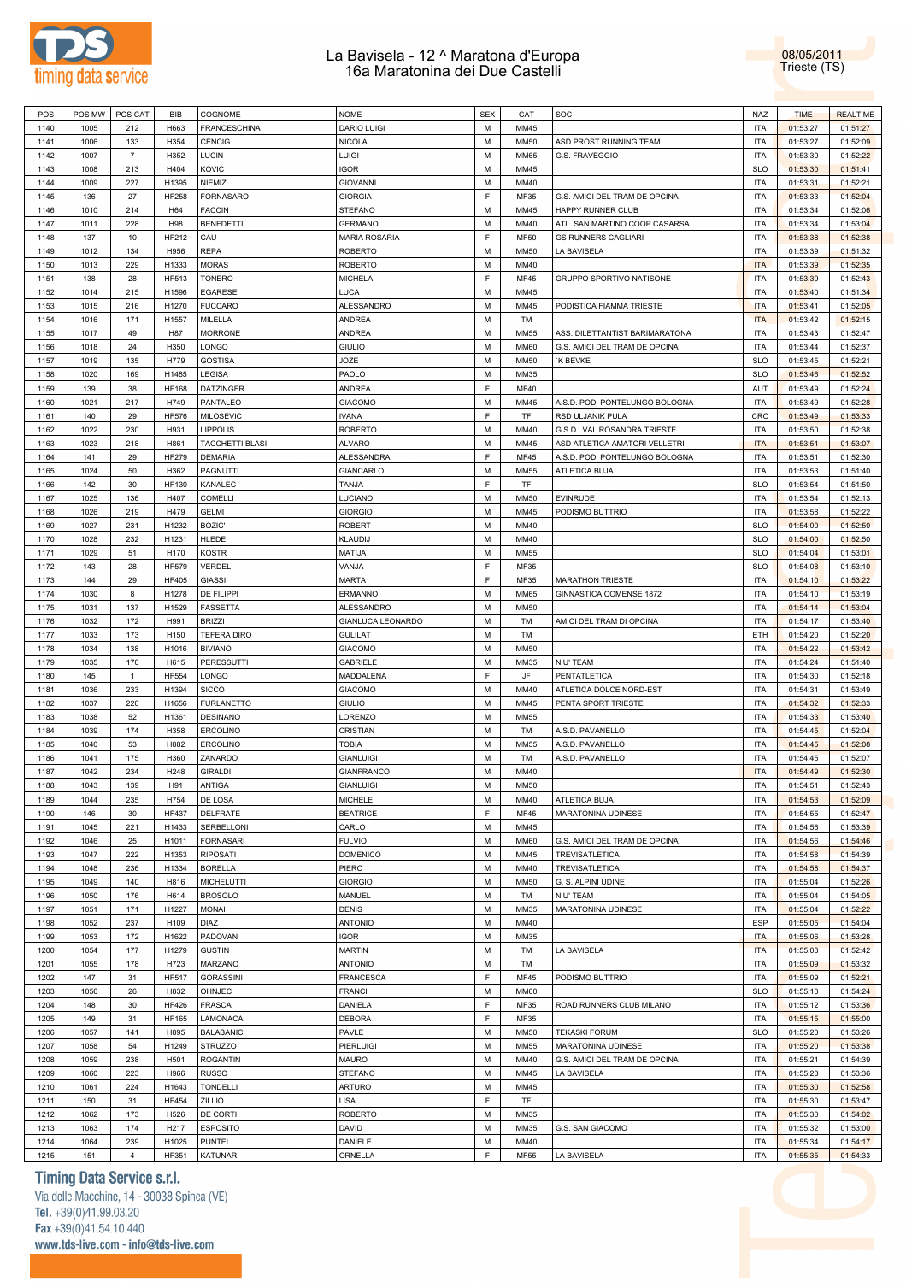



| POS  | POS MW | POS CAT        | BIB          | COGNOME             | <b>NOME</b>          | <b>SEX</b> | CAT         | SOC                            | <b>NAZ</b> | <b>TIME</b> | <b>REALTIME</b> |
|------|--------|----------------|--------------|---------------------|----------------------|------------|-------------|--------------------------------|------------|-------------|-----------------|
| 1140 | 1005   | 212            | H663         | <b>FRANCESCHINA</b> | <b>DARIO LUIGI</b>   | M          | MM45        |                                | <b>ITA</b> | 01:53:27    | 01:51:27        |
|      |        |                |              |                     |                      |            |             |                                |            |             |                 |
| 1141 | 1006   | 133            | H354         | <b>CENCIG</b>       | <b>NICOLA</b>        | M          | <b>MM50</b> | ASD PROST RUNNING TEAM         | <b>ITA</b> | 01:53:27    | 01:52:09        |
| 1142 | 1007   | $\overline{7}$ | H352         | LUCIN               | LUIGI                | M          | <b>MM65</b> | G.S. FRAVEGGIO                 | <b>ITA</b> | 01:53:30    | 01:52:22        |
| 1143 | 1008   | 213            | H404         | KOVIC               | <b>IGOR</b>          | M          | MM45        |                                | <b>SLO</b> | 01:53:30    | 01:51:41        |
| 1144 | 1009   | 227            | H1395        | NIEMIZ              | <b>GIOVANNI</b>      | M          | MM40        |                                | <b>ITA</b> | 01:53:31    | 01:52:21        |
| 1145 | 136    | 27             | <b>HF258</b> | <b>FORNASARO</b>    | <b>GIORGIA</b>       | E          | MF35        | G.S. AMICI DEL TRAM DE OPCINA  | <b>ITA</b> | 01:53:33    | 01:52:04        |
|      |        |                |              |                     |                      |            |             |                                |            |             |                 |
| 1146 | 1010   | 214            | H64          | <b>FACCIN</b>       | <b>STEFANO</b>       | M          | MM45        | HAPPY RUNNER CLUB              | <b>ITA</b> | 01:53:34    | 01:52:06        |
| 1147 | 1011   | 228            | H98          | <b>BENEDETTI</b>    | <b>GERMANO</b>       | M          | MM40        | ATL. SAN MARTINO COOP CASARSA  | <b>ITA</b> | 01:53:34    | 01:53:04        |
| 1148 | 137    | 10             | HF212        | CAU                 | <b>MARIA ROSARIA</b> | E          | <b>MF50</b> | <b>GS RUNNERS CAGLIARI</b>     | <b>ITA</b> | 01:53:38    | 01:52:38        |
| 1149 | 1012   | 134            | H956         | <b>REPA</b>         | <b>ROBERTO</b>       | M          | <b>MM50</b> | LA BAVISELA                    | <b>ITA</b> | 01:53:39    | 01:51:32        |
|      |        |                |              |                     |                      | M          |             |                                |            |             |                 |
| 1150 | 1013   | 229            | H1333        | <b>MORAS</b>        | <b>ROBERTO</b>       |            | MM40        |                                | <b>ITA</b> | 01:53:39    | 01:52:35        |
| 1151 | 138    | 28             | HF513        | <b>TONERO</b>       | <b>MICHELA</b>       | E          | <b>MF45</b> | GRUPPO SPORTIVO NATISONE       | <b>ITA</b> | 01:53:39    | 01:52:43        |
| 1152 | 1014   | 215            | H1596        | <b>EGARESE</b>      | LUCA                 | M          | MM45        |                                | <b>ITA</b> | 01:53:40    | 01:51:34        |
| 1153 | 1015   | 216            | H1270        | <b>FUCCARO</b>      | <b>ALESSANDRO</b>    | M          | MM45        | PODISTICA FIAMMA TRIESTE       | <b>ITA</b> | 01:53:41    | 01:52:05        |
| 1154 | 1016   | 171            | H1557        | MILELLA             | <b>ANDREA</b>        | M          | <b>TM</b>   |                                | <b>ITA</b> | 01:53:42    | 01:52:15        |
|      |        |                |              |                     |                      |            |             |                                |            |             |                 |
| 1155 | 1017   | 49             | H87          | <b>MORRONE</b>      | <b>ANDREA</b>        | M          | MM55        | ASS. DILETTANTIST BARIMARATONA | <b>ITA</b> | 01:53:43    | 01:52:47        |
| 1156 | 1018   | 24             | H350         | LONGO               | <b>GIULIO</b>        | M          | <b>MM60</b> | G.S. AMICI DEL TRAM DE OPCINA  | <b>ITA</b> | 01:53:44    | 01:52:37        |
| 1157 | 1019   | 135            | H779         | <b>GOSTISA</b>      | <b>JOZE</b>          | M          | <b>MM50</b> | K BEVKE                        | <b>SLO</b> | 01:53:45    | 01:52:21        |
| 1158 | 1020   | 169            | H1485        | LEGISA              | PAOLO                | M          | MM35        |                                | <b>SLO</b> | 01:53:46    | 01:52:52        |
| 1159 | 139    | 38             | <b>HF168</b> | <b>DATZINGER</b>    | <b>ANDREA</b>        | E          | <b>MF40</b> |                                | AUT        | 01:53:49    | 01:52:24        |
|      |        |                |              |                     |                      |            |             |                                |            |             |                 |
| 1160 | 1021   | 217            | H749         | PANTALEO            | <b>GIACOMO</b>       | M          | MM45        | A.S.D. POD. PONTELUNGO BOLOGNA | <b>ITA</b> | 01:53:49    | 01:52:28        |
| 1161 | 140    | 29             | <b>HF576</b> | <b>MILOSEVIC</b>    | <b>IVANA</b>         | E          | TF          | RSD ULJANIK PULA               | CRO        | 01:53:49    | 01:53:33        |
| 1162 | 1022   | 230            | H931         | <b>LIPPOLIS</b>     | <b>ROBERTO</b>       | M          | MM40        | G.S.D. VAL ROSANDRA TRIESTE    | <b>ITA</b> | 01:53:50    | 01:52:38        |
| 1163 | 1023   | 218            | H861         | TACCHETTI BLASI     | <b>ALVARO</b>        | M          | MM45        | ASD ATLETICA AMATORI VELLETRI  | <b>ITA</b> | 01:53:51    | 01:53:07        |
| 1164 | 141    | 29             | <b>HF279</b> | <b>DEMARIA</b>      | ALESSANDRA           | E          | <b>MF45</b> | A.S.D. POD. PONTELUNGO BOLOGNA | <b>ITA</b> | 01:53:51    | 01:52:30        |
|      |        |                |              |                     |                      |            |             |                                |            |             |                 |
| 1165 | 1024   | 50             | H362         | PAGNUTTI            | <b>GIANCARLO</b>     | M          | MM55        | ATLETICA BUJA                  | <b>ITA</b> | 01:53:53    | 01:51:40        |
| 1166 | 142    | 30             | <b>HF130</b> | KANALEC             | <b>TANJA</b>         | E          | TF          |                                | <b>SLO</b> | 01:53:54    | 01:51:50        |
| 1167 | 1025   | 136            | H407         | <b>COMELLI</b>      | LUCIANO              | M          | <b>MM50</b> | <b>EVINRUDE</b>                | <b>ITA</b> | 01:53:54    | 01:52:13        |
| 1168 | 1026   | 219            | H479         | <b>GELMI</b>        | <b>GIORGIO</b>       | M          | MM45        | PODISMO BUTTRIO                | <b>ITA</b> | 01:53:58    | 01:52:22        |
|      |        |                |              | <b>BOZIC</b>        |                      | M          |             |                                |            |             |                 |
| 1169 | 1027   | 231            | H1232        |                     | <b>ROBERT</b>        |            | MM40        |                                | <b>SLO</b> | 01:54:00    | 01:52:50        |
| 1170 | 1028   | 232            | H1231        | <b>HLEDE</b>        | KLAUDIJ              | M          | MM40        |                                | <b>SLO</b> | 01:54:00    | 01:52:50        |
| 1171 | 1029   | 51             | H170         | KOSTR               | MATIJA               | M          | MM55        |                                | <b>SLO</b> | 01:54:04    | 01:53:01        |
| 1172 | 143    | 28             | <b>HF579</b> | VERDEL              | VANJA                | F          | MF35        |                                | <b>SLO</b> | 01:54:08    | 01:53:10        |
| 1173 | 144    | 29             | <b>HF405</b> | <b>GIASSI</b>       | MARTA                | E          | MF35        | <b>MARATHON TRIESTE</b>        | <b>ITA</b> | 01:54:10    | 01:53:22        |
|      |        |                |              |                     |                      | M          |             |                                |            |             |                 |
| 1174 | 1030   | 8              | H1278        | DE FILIPPI          | ERMANNO              |            | <b>MM65</b> | GINNASTICA COMENSE 1872        | <b>ITA</b> | 01:54:10    | 01:53:19        |
| 1175 | 1031   | 137            | H1529        | FASSETTA            | ALESSANDRO           | M          | <b>MM50</b> |                                | <b>ITA</b> | 01:54:14    | 01:53:04        |
| 1176 | 1032   | 172            | H991         | <b>BRIZZI</b>       | GIANLUCA LEONARDO    | M          | TM          | AMICI DEL TRAM DI OPCINA       | <b>ITA</b> | 01:54:17    | 01:53:40        |
| 1177 | 1033   | 173            | H150         | <b>TEFERA DIRO</b>  | <b>GULILAT</b>       | M          | TM          |                                | ETH        | 01:54:20    | 01:52:20        |
| 1178 | 1034   | 138            | H1016        | <b>BIVIANO</b>      | <b>GIACOMO</b>       | M          | <b>MM50</b> |                                | <b>ITA</b> | 01:54:22    | 01:53:42        |
|      |        |                |              |                     |                      | M          |             |                                | <b>ITA</b> |             |                 |
| 1179 | 1035   | 170            | H615         | <b>PERESSUTTI</b>   | <b>GABRIELE</b>      |            | MM35        | NIU' TEAM                      |            | 01:54:24    | 01:51:40        |
| 1180 | 145    | $\mathbf{1}$   | <b>HF554</b> | LONGO               | MADDALENA            | E          | JF          | PENTATLETICA                   | <b>ITA</b> | 01:54:30    | 01:52:18        |
| 1181 | 1036   | 233            | H1394        | <b>SICCO</b>        | <b>GIACOMO</b>       | M          | MM40        | ATLETICA DOLCE NORD-EST        | <b>ITA</b> | 01:54:31    | 01:53:49        |
| 1182 | 1037   | 220            | H1656        | <b>FURLANETTO</b>   | <b>GIULIO</b>        | M          | MM45        | PENTA SPORT TRIESTE            | <b>ITA</b> | 01:54:32    | 01:52:33        |
| 1183 | 1038   | 52             | H1361        | <b>DESINANO</b>     | LORENZO              | M          | <b>MM55</b> |                                | <b>ITA</b> | 01:54:33    | 01:53:40        |
|      |        |                |              |                     |                      | M          |             | A.S.D. PAVANELLO               |            |             |                 |
| 1184 | 1039   | 174            | H358         | <b>ERCOLINO</b>     | <b>CRISTIAN</b>      |            | TM          |                                | <b>ITA</b> | 01:54:45    | 01:52:04        |
| 1185 | 1040   | 53             | H882         | <b>ERCOLINO</b>     | <b>TOBIA</b>         | M          | <b>MM55</b> | A.S.D. PAVANELLO               | <b>ITA</b> | 01:54:45    | 01:52:08        |
| 1186 | 1041   | 175            | H360         | ZANARDO             | <b>GIANLUIGI</b>     | M          | TM          | A.S.D. PAVANELLO               | <b>ITA</b> | 01:54:45    | 01:52:07        |
| 1187 | 1042   | 234            | H248         | <b>GIRALDI</b>      | <b>GIANFRANCO</b>    | M          | <b>MM40</b> |                                | <b>ITA</b> | 01:54:49    | 01:52:30        |
| 1188 | 1043   | 139            | H91          | ANTIGA              | <b>GIANLUIGI</b>     | M          | <b>MM50</b> |                                | <b>ITA</b> | 01:54:51    | 01:52:43        |
|      |        |                |              |                     |                      |            |             |                                |            |             |                 |
| 1189 | 1044   | 235            | H754         | DE LOSA             | <b>MICHELE</b>       | M          | MM40        | ATLETICA BUJA                  | <b>ITA</b> | 01:54:53    | 01:52:09        |
| 1190 | 146    | 30             | <b>HF437</b> | DELFRATE            | <b>BEATRICE</b>      | E          | <b>MF45</b> | MARATONINA UDINESE             | <b>ITA</b> | 01:54:55    | 01:52:47        |
| 1191 | 1045   | 221            | H1433        | SERBELLONI          | CARLO                | M          | MM45        |                                | <b>ITA</b> | 01:54:56    | 01:53:39        |
| 1192 | 1046   | 25             | H1011        | <b>FORNASARI</b>    | <b>FULVIO</b>        | M          | <b>MM60</b> | G.S. AMICI DEL TRAM DE OPCINA  | <b>ITA</b> | 01:54:56    | 01:54:46        |
| 1193 | 1047   | 222            | H1353        | <b>RIPOSATI</b>     | <b>DOMENICO</b>      | M          | MM45        | <b>TREVISATLETICA</b>          | <b>ITA</b> | 01:54:58    | 01:54:39        |
|      |        |                |              |                     |                      |            |             |                                |            |             |                 |
| 1194 | 1048   | 236            | H1334        | <b>BORELLA</b>      | PIERO                | M          | MM40        | <b>TREVISATLETICA</b>          | <b>ITA</b> | 01:54:58    | 01:54:37        |
| 1195 | 1049   | 140            | H816         | <b>MICHELUTTI</b>   | <b>GIORGIO</b>       | M          | <b>MM50</b> | G. S. ALPINI UDINE             | <b>ITA</b> | 01:55:04    | 01:52:26        |
| 1196 | 1050   | 176            | H614         | <b>BROSOLO</b>      | MANUEL               | M          | TM          | NIU' TEAM                      | <b>ITA</b> | 01:55:04    | 01:54:05        |
| 1197 | 1051   | 171            | H1227        | MONAI               | <b>DENIS</b>         | M          | MM35        | MARATONINA UDINESE             | <b>ITA</b> | 01:55:04    | 01:52:22        |
| 1198 | 1052   | 237            | H109         | DIAZ                | <b>ANTONIO</b>       | M          | MM40        |                                | <b>ESP</b> | 01:55:05    | 01:54:04        |
|      |        |                |              |                     |                      |            |             |                                |            |             |                 |
| 1199 | 1053   | 172            | H1622        | PADOVAN             | <b>IGOR</b>          | M          | MM35        |                                | <b>ITA</b> | 01:55:06    | 01:53:28        |
| 1200 | 1054   | 177            | H1279        | <b>GUSTIN</b>       | <b>MARTIN</b>        | M          | TM          | LA BAVISELA                    | <b>ITA</b> | 01:55:08    | 01:52:42        |
| 1201 | 1055   | 178            | H723         | MARZANO             | <b>ANTONIO</b>       | M          | TM          |                                | <b>ITA</b> | 01:55:09    | 01:53:32        |
| 1202 | 147    | 31             | <b>HF517</b> | <b>GORASSINI</b>    | <b>FRANCESCA</b>     | E          | <b>MF45</b> | PODISMO BUTTRIO                | <b>ITA</b> | 01:55:09    | 01:52:21        |
|      |        |                |              |                     |                      | M          |             |                                | <b>SLO</b> |             |                 |
| 1203 | 1056   | 26             | H832         | OHNJEC              | <b>FRANCI</b>        |            | <b>MM60</b> |                                |            | 01:55:10    | 01:54:24        |
| 1204 | 148    | 30             | <b>HF426</b> | <b>FRASCA</b>       | DANIELA              | E          | MF35        | ROAD RUNNERS CLUB MILANO       | <b>ITA</b> | 01:55:12    | 01:53:36        |
| 1205 | 149    | 31             | HF165        | LAMONACA            | <b>DEBORA</b>        | E          | MF35        |                                | <b>ITA</b> | 01:55:15    | 01:55:00        |
| 1206 | 1057   | 141            | H895         | <b>BALABANIC</b>    | PAVLE                | M          | <b>MM50</b> | <b>TEKASKI FORUM</b>           | <b>SLO</b> | 01:55:20    | 01:53:26        |
| 1207 | 1058   | 54             | H1249        | <b>STRUZZO</b>      | <b>PIERLUIGI</b>     | M          | <b>MM55</b> | MARATONINA UDINESE             | <b>ITA</b> | 01:55:20    | 01:53:38        |
|      |        |                |              |                     | <b>MAURO</b>         | M          |             |                                |            |             |                 |
| 1208 | 1059   | 238            | H501         | <b>ROGANTIN</b>     |                      |            | MM40        | G.S. AMICI DEL TRAM DE OPCINA  | <b>ITA</b> | 01:55:21    | 01:54:39        |
| 1209 | 1060   | 223            | H966         | <b>RUSSO</b>        | <b>STEFANO</b>       | M          | MM45        | LA BAVISELA                    | <b>ITA</b> | 01:55:28    | 01:53:36        |
| 1210 | 1061   | 224            | H1643        | <b>TONDELLI</b>     | ARTURO               | M          | MM45        |                                | <b>ITA</b> | 01:55:30    | 01:52:58        |
| 1211 | 150    | 31             | <b>HF454</b> | ZILLIO              | LISA                 | E          | TF          |                                | <b>ITA</b> | 01:55:30    | 01:53:47        |
|      |        |                |              |                     |                      | M          | MM35        |                                | <b>ITA</b> |             |                 |
| 1212 | 1062   | 173            | H526         | DE CORTI            | <b>ROBERTO</b>       |            |             |                                |            | 01:55:30    | 01:54:02        |
| 1213 | 1063   | 174            | H217         | <b>ESPOSITO</b>     | DAVID                | M          | MM35        | G.S. SAN GIACOMO               | <b>ITA</b> | 01:55:32    | 01:53:00        |
| 1214 | 1064   | 239            | H1025        | <b>PUNTEL</b>       | DANIELE              | M          | MM40        |                                | <b>ITA</b> | 01:55:34    | 01:54:17        |
| 1215 | 151    | $\overline{4}$ | HF351        | KATUNAR             | ORNELLA              | E          | <b>MF55</b> | LA BAVISELA                    | <b>ITA</b> | 01:55:35    | 01:54:33        |

## **Timing Data Service s.r.l.**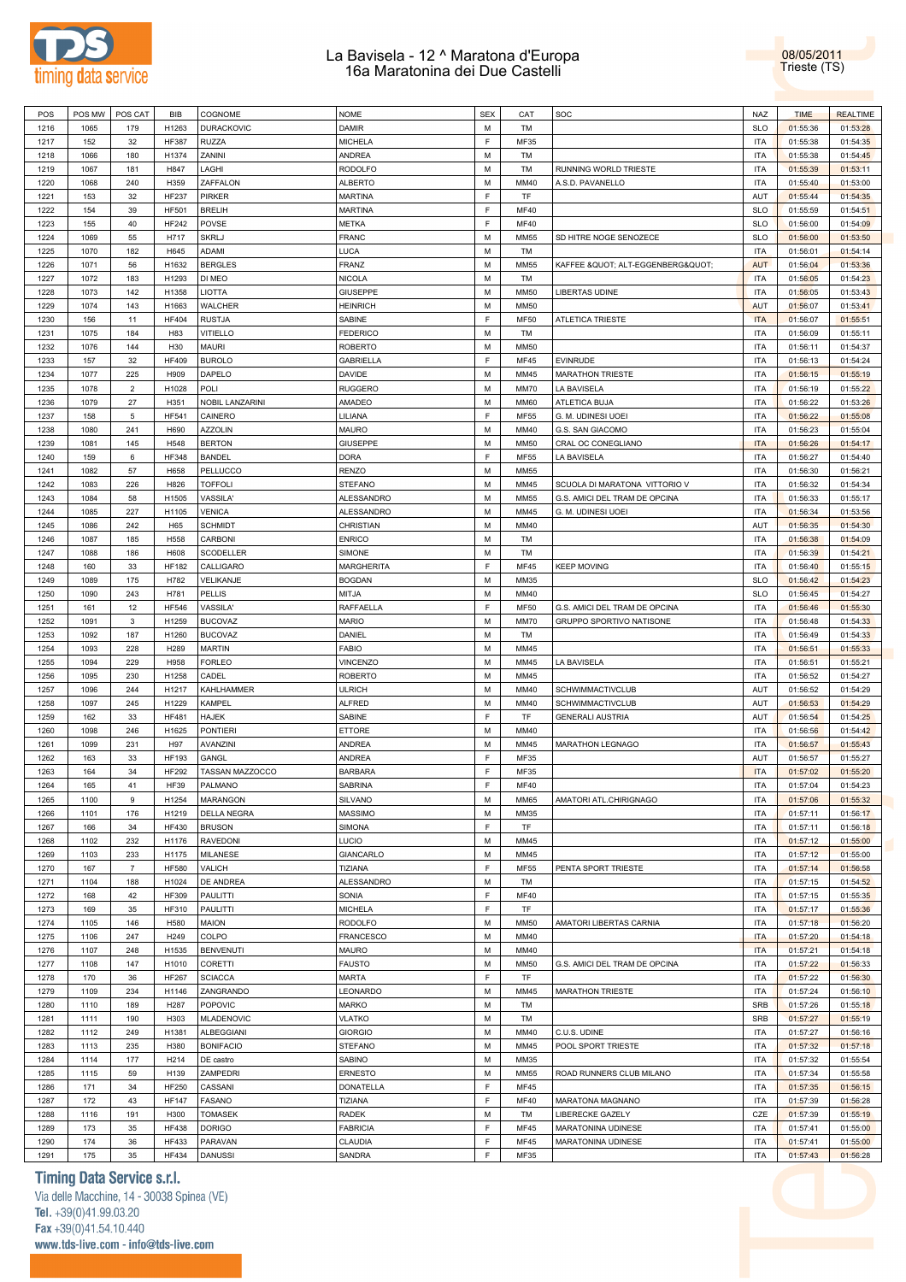



| POS  | POS MW | POS CAT        | BIB              | COGNOME           | <b>NOME</b>       | <b>SEX</b> | CAT         | SOC                           | <b>NAZ</b> | <b>TIME</b> | <b>REALTIME</b> |
|------|--------|----------------|------------------|-------------------|-------------------|------------|-------------|-------------------------------|------------|-------------|-----------------|
| 1216 | 1065   | 179            | H1263            | <b>DURACKOVIC</b> | <b>DAMIR</b>      | M          | TM          |                               | <b>SLO</b> | 01:55:36    | 01:53:28        |
| 1217 | 152    | 32             | <b>HF387</b>     | <b>RUZZA</b>      | <b>MICHELA</b>    | F          | MF35        |                               | <b>ITA</b> | 01:55:38    | 01:54:35        |
|      |        |                |                  |                   |                   | M          |             |                               |            |             |                 |
| 1218 | 1066   | 180            | H1374            | ZANINI            | ANDREA            |            | TM          |                               | <b>ITA</b> | 01:55:38    | 01:54:45        |
| 1219 | 1067   | 181            | H847             | LAGHI             | <b>RODOLFO</b>    | M          | TM          | RUNNING WORLD TRIESTE         | <b>ITA</b> | 01:55:39    | 01:53:11        |
| 1220 | 1068   | 240            | H359             | ZAFFALON          | <b>ALBERTO</b>    | М          | MM40        | A.S.D. PAVANELLO              | <b>ITA</b> | 01:55:40    | 01:53:00        |
| 1221 | 153    | 32             | <b>HF237</b>     | PIRKER            | <b>MARTINA</b>    | F          | TF          |                               | AUT        | 01:55:44    | 01:54:35        |
| 1222 | 154    | 39             | <b>HF501</b>     | <b>BRELIH</b>     | MARTINA           | F          | <b>MF40</b> |                               | <b>SLO</b> | 01:55:59    | 01:54:51        |
| 1223 | 155    | 40             | HF242            | POVSE             | <b>METKA</b>      | F          | <b>MF40</b> |                               | <b>SLO</b> | 01:56:00    | 01:54:09        |
| 1224 | 1069   | 55             | H717             | <b>SKRLJ</b>      | <b>FRANC</b>      | M          | <b>MM55</b> | SD HITRE NOGE SENOZECE        | <b>SLO</b> | 01:56:00    | 01:53:50        |
| 1225 | 1070   | 182            | H645             | <b>ADAMI</b>      | LUCA              | M          | TM          |                               | <b>ITA</b> | 01:56:01    | 01:54:14        |
| 1226 | 1071   | 56             | H1632            | <b>BERGLES</b>    | FRANZ             | M          | <b>MM55</b> | KAFFEE " ALT-EGGENBERG"       | <b>AUT</b> | 01:56:04    | 01:53:36        |
| 1227 | 1072   | 183            | H1293            | DI MEO            | <b>NICOLA</b>     | M          |             |                               | <b>ITA</b> | 01:56:05    |                 |
|      |        |                |                  |                   |                   |            | TM          |                               |            |             | 01:54:23        |
| 1228 | 1073   | 142            | H1358            | <b>LIOTTA</b>     | <b>GIUSEPPE</b>   | M          | <b>MM50</b> | LIBERTAS UDINE                | <b>ITA</b> | 01:56:05    | 01:53:43        |
| 1229 | 1074   | 143            | H1663            | WALCHER           | <b>HEINRICH</b>   | M          | <b>MM50</b> |                               | <b>AUT</b> | 01:56:07    | 01:53:41        |
| 1230 | 156    | 11             | <b>HF404</b>     | <b>RUSTJA</b>     | SABINE            | F          | <b>MF50</b> | <b>ATLETICA TRIESTE</b>       | <b>ITA</b> | 01:56:07    | 01:55:51        |
| 1231 | 1075   | 184            | H83              | <b>VITIELLO</b>   | <b>FEDERICO</b>   | M          | TM          |                               | <b>ITA</b> | 01:56:09    | 01:55:11        |
| 1232 | 1076   | 144            | H30              | <b>MAURI</b>      | <b>ROBERTO</b>    | М          | <b>MM50</b> |                               | <b>ITA</b> | 01:56:11    | 01:54:37        |
| 1233 | 157    | 32             | <b>HF409</b>     | <b>BUROLO</b>     | <b>GABRIELLA</b>  | F          | <b>MF45</b> | EVINRUDE                      | <b>ITA</b> | 01:56:13    | 01:54:24        |
| 1234 | 1077   | 225            | H909             | DAPELO            | DAVIDE            | М          | MM45        | <b>MARATHON TRIESTE</b>       | <b>ITA</b> | 01:56:15    | 01:55:19        |
| 1235 | 1078   | $\overline{2}$ | H1028            | POLI              | <b>RUGGERO</b>    | M          | MM70        | LA BAVISELA                   | <b>ITA</b> | 01:56:19    | 01:55:22        |
|      |        |                |                  |                   |                   | M          |             |                               |            |             |                 |
| 1236 | 1079   | 27             | H351             | NOBIL LANZARINI   | AMADEO            |            | <b>MM60</b> | ATLETICA BUJA                 | <b>ITA</b> | 01:56:22    | 01:53:26        |
| 1237 | 158    | 5              | <b>HF541</b>     | CAINERO           | LILIANA           | F          | <b>MF55</b> | G. M. UDINESI UOEI            | <b>ITA</b> | 01:56:22    | 01:55:08        |
| 1238 | 1080   | 241            | H690             | <b>AZZOLIN</b>    | MAURO             | M          | MM40        | G.S. SAN GIACOMO              | <b>ITA</b> | 01:56:23    | 01:55:04        |
| 1239 | 1081   | 145            | H548             | <b>BERTON</b>     | GIUSEPPE          | M          | <b>MM50</b> | CRAL OC CONEGLIANO            | <b>ITA</b> | 01:56:26    | 01:54:17        |
| 1240 | 159    | 6              | HF348            | <b>BANDEL</b>     | <b>DORA</b>       | F          | <b>MF55</b> | LA BAVISELA                   | <b>ITA</b> | 01:56:27    | 01:54:40        |
| 1241 | 1082   | 57             | H658             | PELLUCCO          | <b>RENZO</b>      | M          | <b>MM55</b> |                               | <b>ITA</b> | 01:56:30    | 01:56:21        |
| 1242 | 1083   | 226            | H826             | <b>TOFFOLI</b>    | STEFANO           | M          | MM45        | SCUOLA DI MARATONA VITTORIO V | <b>ITA</b> | 01:56:32    | 01:54:34        |
| 1243 | 1084   | 58             | H1505            | VASSILA'          | ALESSANDRO        | M          | <b>MM55</b> | G.S. AMICI DEL TRAM DE OPCINA | <b>ITA</b> | 01:56:33    | 01:55:17        |
| 1244 | 1085   | 227            | H1105            | <b>VENICA</b>     | ALESSANDRO        | М          | MM45        | G. M. UDINESI UOEI            | <b>ITA</b> | 01:56:34    | 01:53:56        |
| 1245 | 1086   | 242            | H65              | <b>SCHMIDT</b>    | CHRISTIAN         | M          | MM40        |                               | AUT        | 01:56:35    | 01:54:30        |
|      |        |                |                  |                   |                   |            |             |                               |            |             |                 |
| 1246 | 1087   | 185            | H558             | CARBONI           | <b>ENRICO</b>     | М          | TM          |                               | <b>ITA</b> | 01:56:38    | 01:54:09        |
| 1247 | 1088   | 186            | H608             | SCODELLER         | SIMONE            | M          | TM          |                               | ITA        | 01:56:39    | 01:54:21        |
| 1248 | 160    | 33             | <b>HF182</b>     | CALLIGARO         | <b>MARGHERITA</b> | F          | <b>MF45</b> | <b>KEEP MOVING</b>            | <b>ITA</b> | 01:56:40    | 01:55:15        |
| 1249 | 1089   | 175            | H782             | VELIKANJE         | <b>BOGDAN</b>     | M          | MM35        |                               | <b>SLO</b> | 01:56:42    | 01:54:23        |
| 1250 | 1090   | 243            | H781             | PELLIS            | MITJA             | M          | MM40        |                               | <b>SLO</b> | 01:56:45    | 01:54:27        |
| 1251 | 161    | 12             | <b>HF546</b>     | VASSILA'          | RAFFAELLA         | F          | <b>MF50</b> | G.S. AMICI DEL TRAM DE OPCINA | <b>ITA</b> | 01:56:46    | 01:55:30        |
| 1252 | 1091   | 3              | H1259            | <b>BUCOVAZ</b>    | <b>MARIO</b>      | M          | <b>MM70</b> | GRUPPO SPORTIVO NATISONE      | <b>ITA</b> | 01:56:48    | 01:54:33        |
|      |        |                |                  |                   |                   |            |             |                               |            |             |                 |
|      |        |                |                  |                   |                   |            |             |                               |            |             |                 |
| 1253 | 1092   | 187            | H1260            | <b>BUCOVAZ</b>    | DANIEL            | M          | TM          |                               | <b>ITA</b> | 01:56:49    | 01:54:33        |
| 1254 | 1093   | 228            | H289             | <b>MARTIN</b>     | <b>FABIO</b>      | M          | MM45        |                               | <b>ITA</b> | 01:56:51    | 01:55:33        |
| 1255 | 1094   | 229            | H958             | <b>FORLEO</b>     | <b>VINCENZO</b>   | M          | MM45        | LA BAVISELA                   | <b>ITA</b> | 01:56:51    | 01:55:21        |
| 1256 | 1095   | 230            | H1258            | CADEL             | <b>ROBERTO</b>    | M          | MM45        |                               | <b>ITA</b> | 01:56:52    | 01:54:27        |
| 1257 | 1096   | 244            | H1217            | KAHLHAMMER        | <b>ULRICH</b>     | M          | MM40        | SCHWIMMACTIVCLUB              | AUT        | 01:56:52    | 01:54:29        |
| 1258 | 1097   | 245            | H1229            | KAMPEL            | <b>ALFRED</b>     | М          | MM40        | <b>SCHWIMMACTIVCLUB</b>       | AUT        | 01:56:53    | 01:54:29        |
| 1259 | 162    | 33             | <b>HF481</b>     | <b>HAJEK</b>      | SABINE            | F          | TF          | <b>GENERALI AUSTRIA</b>       | AUT        | 01:56:54    | 01:54:25        |
| 1260 | 1098   | 246            | H1625            | <b>PONTIERI</b>   | ETTORE            | М          | MM40        |                               | ITA        | 01:56:56    | 01:54:42        |
| 1261 | 1099   | 231            | H97              | AVANZINI          | ANDREA            | М          | MM45        | MARATHON LEGNAGO              | ITA        | 01:56:57    | 01:55:43        |
| 1262 | 163    | 33             | <b>HF193</b>     | GANGL             | ANDREA            | F          | MF35        |                               | AUT        | 01:56:57    | 01:55:27        |
|      |        |                |                  |                   |                   | F          |             |                               |            |             |                 |
| 1263 | 164    | 34             | <b>HF292</b>     | TASSAN MAZZOCCO   | <b>BARBARA</b>    |            | MF35        |                               | <b>ITA</b> | 01:57:02    | 01:55:20        |
| 1264 | 165    | 41             | <b>HF39</b>      | PALMANO           | SABRINA           | E          | MF40        |                               | <b>ITA</b> | 01:57:04    | 01:54:23        |
| 1265 | 1100   | 9              | H1254            | <b>MARANGON</b>   | SILVANO           | M          | <b>MM65</b> | AMATORI ATL.CHIRIGNAGO        | <b>ITA</b> | 01:57:06    | 01:55:32        |
| 1266 | 1101   | 176            | H1219            | DELLA NEGRA       | <b>MASSIMO</b>    | M          | MM35        |                               | <b>ITA</b> | 01:57:11    | 01:56:17        |
| 1267 | 166    | 34             | HF430            | <b>BRUSON</b>     | SIMONA            | F          | <b>TF</b>   |                               | <b>ITA</b> | 01:57:11    | 01:56:18        |
| 1268 | 1102   | 232            | H1176            | <b>RAVEDONI</b>   | LUCIO             | М          | MM45        |                               | <b>ITA</b> | 01:57:12    | 01:55:00        |
| 1269 | 1103   | 233            | H1175            | <b>MILANESE</b>   | GIANCARLO         | M          | MM45        |                               | <b>ITA</b> | 01:57:12    | 01:55:00        |
| 1270 | 167    | $\overline{7}$ | <b>HF580</b>     | VALICH            | TIZIANA           | F          | <b>MF55</b> | PENTA SPORT TRIESTE           | <b>ITA</b> | 01:57:14    | 01:56:58        |
| 1271 | 1104   | 188            | H1024            | DE ANDREA         | ALESSANDRO        | М          | TM          |                               | <b>ITA</b> | 01:57:15    | 01:54:52        |
| 1272 | 168    | 42             | <b>HF309</b>     | PAULITTI          | SONIA             | F          | <b>MF40</b> |                               | <b>ITA</b> | 01:57:15    | 01:55:35        |
|      |        |                |                  |                   |                   | F          | TF          |                               |            |             |                 |
| 1273 | 169    | 35             | HF310            | PAULITTI          | <b>MICHELA</b>    |            |             |                               | <b>ITA</b> | 01:57:17    | 01:55:36        |
| 1274 | 1105   | 146            | H580             | <b>MAION</b>      | <b>RODOLFO</b>    | М          | <b>MM50</b> | AMATORI LIBERTAS CARNIA       | <b>ITA</b> | 01:57:18    | 01:56:20        |
| 1275 | 1106   | 247            | H249             | COLPO             | <b>FRANCESCO</b>  | M          | MM40        |                               | <b>ITA</b> | 01:57:20    | 01:54:18        |
| 1276 | 1107   | 248            | H1535            | <b>BENVENUTI</b>  | MAURO             | М          | MM40        |                               | <b>ITA</b> | 01:57:21    | 01:54:18        |
| 1277 | 1108   | 147            | H1010            | CORETTI           | <b>FAUSTO</b>     | M          | <b>MM50</b> | G.S. AMICI DEL TRAM DE OPCINA | <b>ITA</b> | 01:57:22    | 01:56:33        |
| 1278 | 170    | 36             | <b>HF267</b>     | <b>SCIACCA</b>    | <b>MARTA</b>      | F          | TF          |                               | <b>ITA</b> | 01:57:22    | 01:56:30        |
| 1279 | 1109   | 234            | H1146            | ZANGRANDO         | LEONARDO          | M          | MM45        | <b>MARATHON TRIESTE</b>       | <b>ITA</b> | 01:57:24    | 01:56:10        |
| 1280 | 1110   | 189            | H287             | POPOVIC           | <b>MARKO</b>      | M          | TM          |                               | SRB        | 01:57:26    | 01:55:18        |
| 1281 | 1111   | 190            | H303             | <b>MLADENOVIC</b> | VLATKO            | M          | TM          |                               | SRB        | 01:57:27    | 01:55:19        |
| 1282 | 1112   | 249            | H1381            | ALBEGGIANI        | <b>GIORGIO</b>    | М          | MM40        | C.U.S. UDINE                  | <b>ITA</b> | 01:57:27    | 01:56:16        |
|      |        |                |                  |                   |                   |            |             |                               |            |             |                 |
| 1283 | 1113   | 235            | H380             | <b>BONIFACIO</b>  | STEFANO           | M          | MM45        | POOL SPORT TRIESTE            | <b>ITA</b> | 01:57:32    | 01:57:18        |
| 1284 | 1114   | 177            | H <sub>214</sub> | DE castro         | SABINO            | М          | MM35        |                               | <b>ITA</b> | 01:57:32    | 01:55:54        |
| 1285 | 1115   | 59             | H139             | ZAMPEDRI          | ERNESTO           | M          | <b>MM55</b> | ROAD RUNNERS CLUB MILANO      | <b>ITA</b> | 01:57:34    | 01:55:58        |
| 1286 | 171    | 34             | HF250            | CASSANI           | DONATELLA         | F          | <b>MF45</b> |                               | <b>ITA</b> | 01:57:35    | 01:56:15        |
| 1287 | 172    | 43             | <b>HF147</b>     | FASANO            | TIZIANA           | F          | <b>MF40</b> | MARATONA MAGNANO              | <b>ITA</b> | 01:57:39    | 01:56:28        |
| 1288 | 1116   | 191            | H300             | <b>TOMASEK</b>    | <b>RADEK</b>      | М          | TM          | LIBERECKE GAZELY              | CZE        | 01:57:39    | 01:55:19        |
| 1289 | 173    | 35             | <b>HF438</b>     | <b>DORIGO</b>     | <b>FABRICIA</b>   | F          | <b>MF45</b> | MARATONINA UDINESE            | <b>ITA</b> | 01:57:41    | 01:55:00        |
| 1290 | 174    | 36             | HF433            | PARAVAN           | CLAUDIA           | F          | MF45        | MARATONINA UDINESE            | <b>ITA</b> | 01:57:41    | 01:55:00        |

## **Timing Data Service s.r.l.**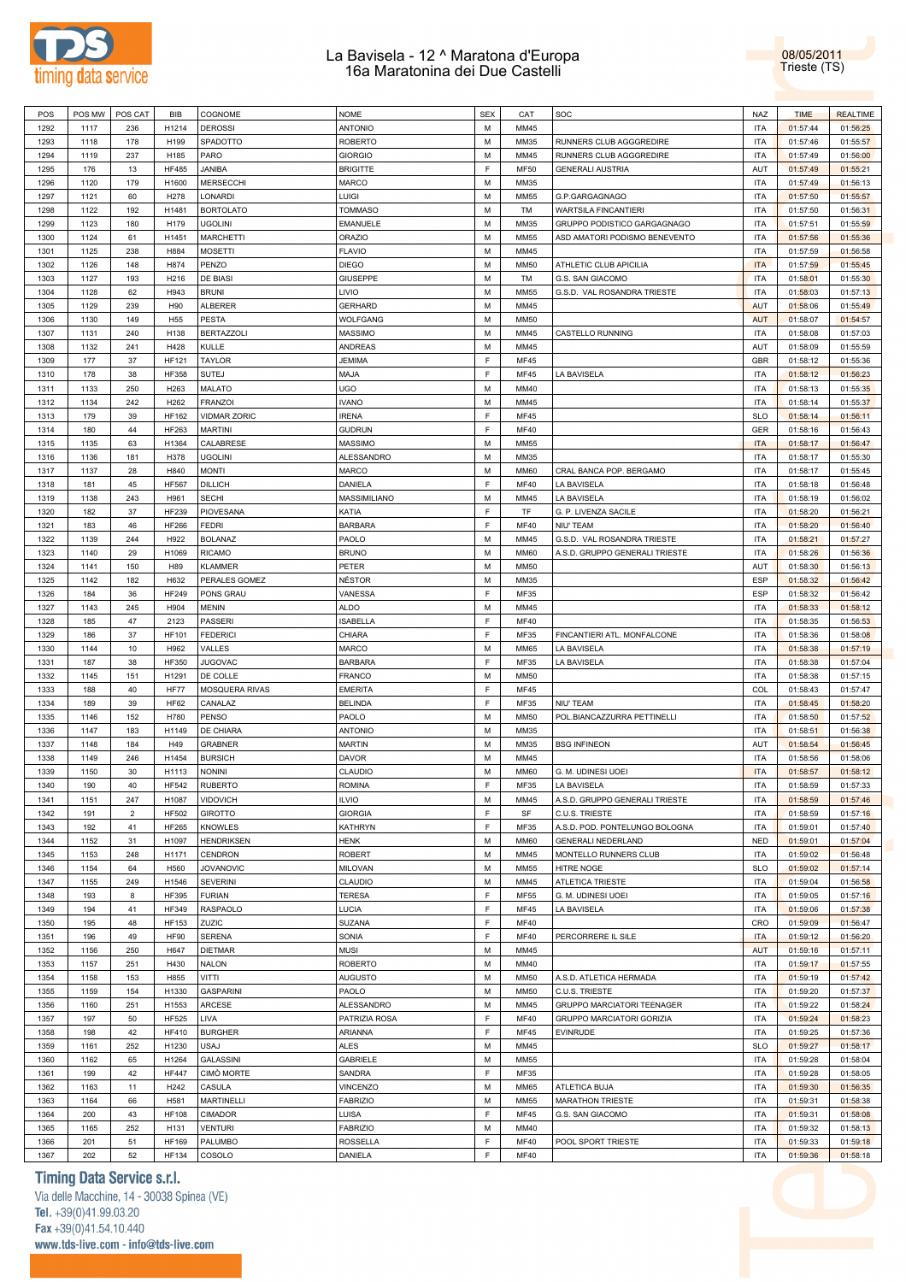



| POS  | POS MW | POS CAT     | <b>BIB</b>      | COGNOME             | $\sf{NOME}$     | <b>SEX</b> | CAT         | SOC                            | <b>NAZ</b> | <b>TIME</b> | <b>REALTIME</b> |
|------|--------|-------------|-----------------|---------------------|-----------------|------------|-------------|--------------------------------|------------|-------------|-----------------|
| 1292 | 1117   | 236         | H1214           | <b>DEROSSI</b>      | <b>ANTONIO</b>  | M          | MM45        |                                | <b>ITA</b> | 01:57:44    | 01:56:25        |
| 1293 | 1118   | 178         | H199            | SPADOTTO            | <b>ROBERTO</b>  | M          | MM35        | RUNNERS CLUB AGGGREDIRE        | <b>ITA</b> | 01:57:46    | 01:55:57        |
|      |        |             |                 | PARO                | <b>GIORGIO</b>  | M          |             |                                | <b>ITA</b> |             |                 |
| 1294 | 1119   | 237         | H185            |                     |                 |            | MM45        | RUNNERS CLUB AGGGREDIRE        |            | 01:57:49    | 01:56:00        |
| 1295 | 176    | 13          | <b>HF485</b>    | <b>JANIBA</b>       | <b>BRIGITTE</b> | F          | <b>MF50</b> | <b>GENERALI AUSTRIA</b>        | AUT        | 01:57:49    | 01:55:21        |
| 1296 | 1120   | 179         | H1600           | MERSECCHI           | <b>MARCO</b>    | M          | MM35        |                                | <b>ITA</b> | 01:57:49    | 01:56:13        |
|      |        |             |                 |                     |                 |            |             |                                |            |             |                 |
| 1297 | 1121   | 60          | H278            | LONARDI             | Luigi           | M          | MM55        | G.P.GARGAGNAGO                 | <b>ITA</b> | 01:57:50    | 01:55:57        |
| 1298 | 1122   | 192         | H1481           | <b>BORTOLATO</b>    | <b>TOMMASO</b>  | M          | TM          | WARTSILA FINCANTIERI           | <b>ITA</b> | 01:57:50    | 01:56:31        |
| 1299 | 1123   | 180         | H179            | <b>UGOLINI</b>      | EMANUELE        | M          | MM35        | GRUPPO PODISTICO GARGAGNAGO    | <b>ITA</b> | 01:57:51    | 01:55:59        |
| 1300 | 1124   | 61          | H1451           | <b>MARCHETTI</b>    | <b>ORAZIO</b>   | M          | MM55        | ASD AMATORI PODISMO BENEVENTO  | <b>ITA</b> |             |                 |
|      |        |             |                 |                     |                 |            |             |                                |            | 01:57:56    | 01:55:36        |
| 1301 | 1125   | 238         | H884            | <b>MOSETTI</b>      | <b>FLAVIO</b>   | M          | MM45        |                                | <b>ITA</b> | 01:57:59    | 01:56:58        |
| 1302 | 1126   | 148         | H874            | PENZO               | <b>DIEGO</b>    | M          | <b>MM50</b> | ATHLETIC CLUB APICILIA         | <b>ITA</b> | 01:57:59    | 01:55:45        |
| 1303 | 1127   |             | H216            | DE BIASI            | <b>GIUSEPPE</b> | М          | TM          | G.S. SAN GIACOMO               | ITA        |             |                 |
|      |        | 193         |                 |                     |                 |            |             |                                |            | 01:58:01    | 01:55:30        |
| 1304 | 1128   | 62          | H943            | <b>BRUNI</b>        | LIVIO           | M          | MM55        | G.S.D. VAL ROSANDRA TRIESTE    | ITA        | 01:58:03    | 01:57:13        |
| 1305 | 1129   | 239         | H90             | <b>ALBERER</b>      | <b>GERHARD</b>  | М          | MM45        |                                | <b>AUT</b> | 01:58:06    | 01:55:49        |
| 1306 | 1130   | 149         | H <sub>55</sub> | <b>PESTA</b>        | WOLFGANG        | M          | MM50        |                                | <b>AUT</b> | 01:58:07    | 01:54:57        |
|      |        |             |                 |                     |                 |            |             |                                |            |             |                 |
| 1307 | 1131   | 240         | H138            | <b>BERTAZZOLI</b>   | <b>MASSIMO</b>  | M          | MM45        | CASTELLO RUNNING               | ITA        | 01:58:08    | 01:57:03        |
| 1308 | 1132   | 241         | H428            | KULLE               | <b>ANDREAS</b>  | M          | MM45        |                                | AUT        | 01:58:09    | 01:55:59        |
| 1309 | 177    | 37          | <b>HF121</b>    | <b>TAYLOR</b>       | JEMIMA          | F          | <b>MF45</b> |                                | <b>GBR</b> | 01:58:12    | 01:55:36        |
|      |        |             |                 |                     |                 |            |             |                                |            |             |                 |
| 1310 | 178    | 38          | <b>HF358</b>    | <b>SUTEJ</b>        | <b>MAJA</b>     | F          | MF45        | LA BAVISELA                    | <b>ITA</b> | 01:58:12    | 01:56:23        |
| 1311 | 1133   | 250         | H263            | <b>MALATO</b>       | UGO             | M          | MM40        |                                | <b>ITA</b> | 01:58:13    | 01:55:35        |
| 1312 | 1134   | 242         | H262            | <b>FRANZOI</b>      | <b>IVANO</b>    | M          | MM45        |                                | <b>ITA</b> | 01:58:14    | 01:55:37        |
|      |        |             |                 |                     |                 |            |             |                                |            |             |                 |
| 1313 | 179    | 39          | <b>HF162</b>    | <b>VIDMAR ZORIC</b> | <b>IRENA</b>    | F          | <b>MF45</b> |                                | <b>SLO</b> | 01:58:14    | 01:56:11        |
| 1314 | 180    | 44          | HF263           | <b>MARTINI</b>      | <b>GUDRUN</b>   | F          | <b>MF40</b> |                                | GER        | 01:58:16    | 01:56:43        |
| 1315 | 1135   | 63          | H1364           | CALABRESE           | <b>MASSIMO</b>  | М          | MM55        |                                | <b>ITA</b> | 01:58:17    | 01:56:47        |
|      |        |             |                 |                     |                 |            |             |                                |            |             |                 |
| 1316 | 1136   | 181         | H378            | <b>UGOLINI</b>      | ALESSANDRO      | M          | MM35        |                                | <b>ITA</b> | 01:58:17    | 01:55:30        |
| 1317 | 1137   | 28          | H840            | <b>MONTI</b>        | <b>MARCO</b>    | M          | <b>MM60</b> | CRAL BANCA POP. BERGAMO        | <b>ITA</b> | 01:58:17    | 01:55:45        |
| 1318 | 181    | 45          | <b>HF567</b>    | <b>DILLICH</b>      | DANIELA         | F          | <b>MF40</b> | LA BAVISELA                    | <b>ITA</b> | 01:58:18    | 01:56:48        |
|      |        |             |                 |                     |                 |            |             |                                |            |             |                 |
| 1319 | 1138   | 243         | H961            | <b>SECHI</b>        | MASSIMILIANO    | М          | MM45        | LA BAVISELA                    | <b>ITA</b> | 01:58:19    | 01:56:02        |
| 1320 | 182    | 37          | <b>HF239</b>    | PIOVESANA           | KATIA           | F          | TF          | G. P. LIVENZA SACILE           | <b>ITA</b> | 01:58:20    | 01:56:21        |
| 1321 | 183    | 46          | <b>HF266</b>    | <b>FEDRI</b>        | <b>BARBARA</b>  | F          | <b>MF40</b> | NIU' TEAM                      | <b>ITA</b> | 01:58:20    | 01:56:40        |
|      |        |             |                 |                     |                 |            |             |                                |            |             |                 |
| 1322 | 1139   | 244         | H922            | <b>BOLANAZ</b>      | PAOLO           | M          | MM45        | G.S.D. VAL ROSANDRA TRIESTE    | <b>ITA</b> | 01:58:21    | 01:57:27        |
| 1323 | 1140   | 29          | H1069           | <b>RICAMO</b>       | <b>BRUNO</b>    | M          | MM60        | A.S.D. GRUPPO GENERALI TRIESTE | ITA        | 01:58:26    | 01:56:36        |
| 1324 | 1141   | 150         | H89             | <b>KLAMMER</b>      | PETER           | M          | MM50        |                                | AUT        | 01:58:30    | 01:56:13        |
|      |        |             |                 |                     |                 |            |             |                                |            |             |                 |
| 1325 | 1142   | 182         | H632            | PERALES GOMEZ       | NÉSTOR          | M          | MM35        |                                | ESP        | 01:58:32    | 01:56:42        |
| 1326 | 184    | 36          | <b>HF249</b>    | PONS GRAU           | VANESSA         | F          | MF35        |                                | ESP        | 01:58:32    | 01:56:42        |
| 1327 | 1143   | 245         | H904            | <b>MENIN</b>        | <b>ALDO</b>     | M          | MM45        |                                | <b>ITA</b> | 01:58:33    | 01:58:12        |
|      |        |             |                 |                     |                 |            |             |                                |            |             |                 |
| 1328 | 185    | 47          | 2123            | PASSERI             | <b>ISABELLA</b> | F          | <b>MF40</b> |                                | <b>ITA</b> | 01:58:35    | 01:56:53        |
| 1329 | 186    | 37          | <b>HF101</b>    | <b>FEDERICI</b>     | CHIARA          | F          | MF35        | FINCANTIERI ATL. MONFALCONE    | <b>ITA</b> | 01:58:36    | 01:58:08        |
| 1330 | 1144   | 10          | H962            | VALLES              | MARCO           | M          | MM65        | LA BAVISELA                    | <b>ITA</b> | 01:58:38    | 01:57:19        |
| 1331 | 187    | 38          | <b>HF350</b>    | JUGOVAC             | <b>BARBARA</b>  | F          | MF35        | LA BAVISELA                    | <b>ITA</b> |             |                 |
|      |        |             |                 |                     |                 |            |             |                                |            | 01:58:38    | 01:57:04        |
| 1332 | 1145   | 151         | H1291           | DE COLLE            | FRANCO          | M          | <b>MM50</b> |                                | <b>ITA</b> | 01:58:38    | 01:57:15        |
| 1333 | 188    | 40          | <b>HF77</b>     | MOSQUERA RIVAS      | <b>EMERITA</b>  | F          | <b>MF45</b> |                                | COL        | 01:58:43    | 01:57:47        |
| 1334 | 189    | 39          | <b>HF62</b>     | CANALAZ             | <b>BELINDA</b>  | F          | MF35        | NIU' TEAM                      | <b>ITA</b> | 01:58:45    | 01:58:20        |
|      |        |             |                 |                     |                 |            |             |                                |            |             |                 |
| 1335 | 1146   | 152         | H780            | <b>PENSO</b>        | PAOLO           | М          | <b>MM50</b> | POL.BIANCAZZURRA PETTINELLI    | <b>ITA</b> | 01:58:50    | 01:57:52        |
| 1336 | 1147   | 183         | H1149           | DE CHIARA           | <b>ANTONIO</b>  | M          | MM35        |                                | <b>ITA</b> | 01:58:51    | 01:56:38        |
| 1337 | 1148   | 184         | H49             | <b>GRABNER</b>      | <b>MARTIN</b>   | М          | MM35        | <b>BSG INFINEON</b>            | AUT        | 01:58:54    | 01:56:45        |
|      |        |             |                 |                     |                 |            |             |                                |            |             |                 |
| 1338 | 1149   | 246         | H1454           | <b>BURSICH</b>      | <b>DAVOR</b>    | M          | MM45        |                                | <b>ITA</b> | 01:58:56    | 01:58:06        |
| 1339 | 1150   | 30          | H1113           | <b>NONINI</b>       | CLAUDIO         | M          | <b>MM60</b> | G. M. UDINESI UOEI             | <b>ITA</b> | 01:58:57    | 01:58:12        |
| 1340 | 190    | 40          | <b>HF542</b>    | <b>RUBERTO</b>      | ROMINA          | F.         | MF35        | LA BAVISELA                    | <b>ITA</b> | 01:58:59    | 01:57:33        |
|      |        |             |                 |                     |                 |            |             |                                |            |             |                 |
| 1341 | 1151   | 247         | H1087           | <b>VIDOVICH</b>     | <b>ILVIO</b>    | М          | MM45        | A.S.D. GRUPPO GENERALI TRIESTE | <b>ITA</b> | 01:58:59    | 01:57:46        |
| 1342 | 191    | $\mathbf 2$ | <b>HF502</b>    | <b>GIROTTO</b>      | <b>GIORGIA</b>  | F          | SF          | C.U.S. TRIESTE                 | <b>ITA</b> | 01:58:59    | 01:57:16        |
| 1343 | 192    | 41          | <b>HF265</b>    | <b>KNOWLES</b>      | KATHRYN         | F          | MF35        | A.S.D. POD. PONTELUNGO BOLOGNA | <b>ITA</b> | 01:59:01    | 01:57:40        |
|      |        |             |                 |                     |                 |            |             |                                |            |             |                 |
| 1344 | 1152   | 31          | H1097           | <b>HENDRIKSEN</b>   | <b>HENK</b>     | M          | <b>MM60</b> | <b>GENERALI NEDERLAND</b>      | <b>NED</b> | 01:59:01    | 01:57:04        |
| 1345 | 1153   | 248         | H1171           | <b>CENDRON</b>      | <b>ROBERT</b>   | M          | MM45        | MONTELLO RUNNERS CLUB          | <b>ITA</b> | 01:59:02    | 01:56:48        |
| 1346 | 1154   | 64          | H560            | <b>JOVANOVIC</b>    | MILOVAN         | M          | MM55        | HITRE NOGE                     | <b>SLO</b> | 01:59:02    | 01:57:14        |
|      |        |             |                 |                     |                 |            |             |                                |            |             |                 |
| 1347 | 1155   | 249         | H1546           | <b>SEVERINI</b>     | CLAUDIO         | M          | MM45        | <b>ATLETICA TRIESTE</b>        | <b>ITA</b> | 01:59:04    | 01:56:58        |
| 1348 | 193    | 8           | <b>HF395</b>    | <b>FURIAN</b>       | <b>TERESA</b>   | F          | <b>MF55</b> | G. M. UDINESI UOEI             | <b>ITA</b> | 01:59:05    | 01:57:16        |
| 1349 | 194    | 41          | HF349           | RASPAOLO            | LUCIA           | F          | <b>MF45</b> | LA BAVISELA                    | <b>ITA</b> | 01:59:06    | 01:57:38        |
|      |        |             |                 |                     |                 |            |             |                                |            |             |                 |
| 1350 | 195    | 48          | <b>HF153</b>    | ZUZIC               | SUZANA          | F          | <b>MF40</b> |                                | CRO        | 01:59:09    | 01:56:47        |
| 1351 | 196    | 49          | <b>HF90</b>     | <b>SERENA</b>       | SONIA           | F          | <b>MF40</b> | PERCORRERE IL SILE             | <b>ITA</b> | 01:59:12    | 01:56:20        |
| 1352 | 1156   | 250         | H647            | <b>DIETMAR</b>      | <b>MUSI</b>     | M          | MM45        |                                | <b>AUT</b> | 01:59:16    | 01:57:11        |
|      |        |             |                 |                     |                 |            |             |                                |            |             |                 |
| 1353 | 1157   | 251         | H430            | <b>NALON</b>        | ROBERTO         | M          | MM40        |                                | <b>ITA</b> | 01:59:17    | 01:57:55        |
| 1354 | 1158   | 153         | H855            | VITTI               | <b>AUGUSTO</b>  | M          | MM50        | A.S.D. ATLETICA HERMADA        | <b>ITA</b> | 01:59:19    | 01:57:42        |
| 1355 | 1159   | 154         | H1330           | <b>GASPARINI</b>    | PAOLO           | M          | MM50        | C.U.S. TRIESTE                 | <b>ITA</b> | 01:59:20    | 01:57:37        |
|      |        |             |                 |                     |                 |            |             |                                |            |             |                 |
| 1356 | 1160   | 251         | H1553           | ARCESE              | ALESSANDRO      | M          | MM45        | GRUPPO MARCIATORI TEENAGER     | <b>ITA</b> | 01:59:22    | 01:58:24        |
| 1357 | 197    | 50          | <b>HF525</b>    | LIVA                | PATRIZIA ROSA   | F          | <b>MF40</b> | GRUPPO MARCIATORI GORIZIA      | <b>ITA</b> | 01:59:24    | 01:58:23        |
| 1358 | 198    | 42          | <b>HF410</b>    | <b>BURGHER</b>      | ARIANNA         | F          | MF45        | EVINRUDE                       | <b>ITA</b> | 01:59:25    | 01:57:36        |
|      |        |             | H1230           | <b>USAJ</b>         | ALES            |            |             |                                | <b>SLO</b> |             |                 |
| 1359 | 1161   | 252         |                 |                     |                 | M          | MM45        |                                |            | 01:59:27    | 01:58:17        |
| 1360 | 1162   | 65          | H1264           | GALASSINI           | <b>GABRIELE</b> | M          | MM55        |                                | <b>ITA</b> | 01:59:28    | 01:58:04        |
| 1361 | 199    | 42          | <b>HF447</b>    | <b>CIMO MORTE</b>   | SANDRA          | F          | MF35        |                                | <b>ITA</b> | 01:59:28    | 01:58:05        |
| 1362 |        |             | H242            |                     | <b>VINCENZO</b> | M          | MM65        |                                | <b>ITA</b> | 01:59:30    | 01:56:35        |
|      | 1163   | 11          |                 | CASULA              |                 |            |             | ATLETICA BUJA                  |            |             |                 |
| 1363 | 1164   | 66          | H581            | <b>MARTINELLI</b>   | <b>FABRIZIO</b> | M          | MM55        | <b>MARATHON TRIESTE</b>        | <b>ITA</b> | 01:59:31    | 01:58:38        |
| 1364 | 200    | 43          | <b>HF108</b>    | <b>CIMADOR</b>      | LUISA           | F          | MF45        | G.S. SAN GIACOMO               | <b>ITA</b> | 01:59:31    | 01:58:08        |
| 1365 |        |             |                 |                     |                 |            |             |                                |            |             |                 |
|      | 1165   | 252         | H131            | <b>VENTURI</b>      | <b>FABRIZIO</b> | M          | MM40        |                                | <b>ITA</b> | 01:59:32    | 01:58:13        |
| 1366 | 201    | 51          | <b>HF169</b>    | PALUMBO             | ROSSELLA        | F          | <b>MF40</b> | POOL SPORT TRIESTE             | <b>ITA</b> | 01:59:33    | 01:59:18        |
| 1367 | 202    | 52          | <b>HF134</b>    | COSOLO              | DANIELA         | F          | <b>MF40</b> |                                | <b>ITA</b> | 01:59:36    | 01:58:18        |

## **Timing Data Service s.r.l.**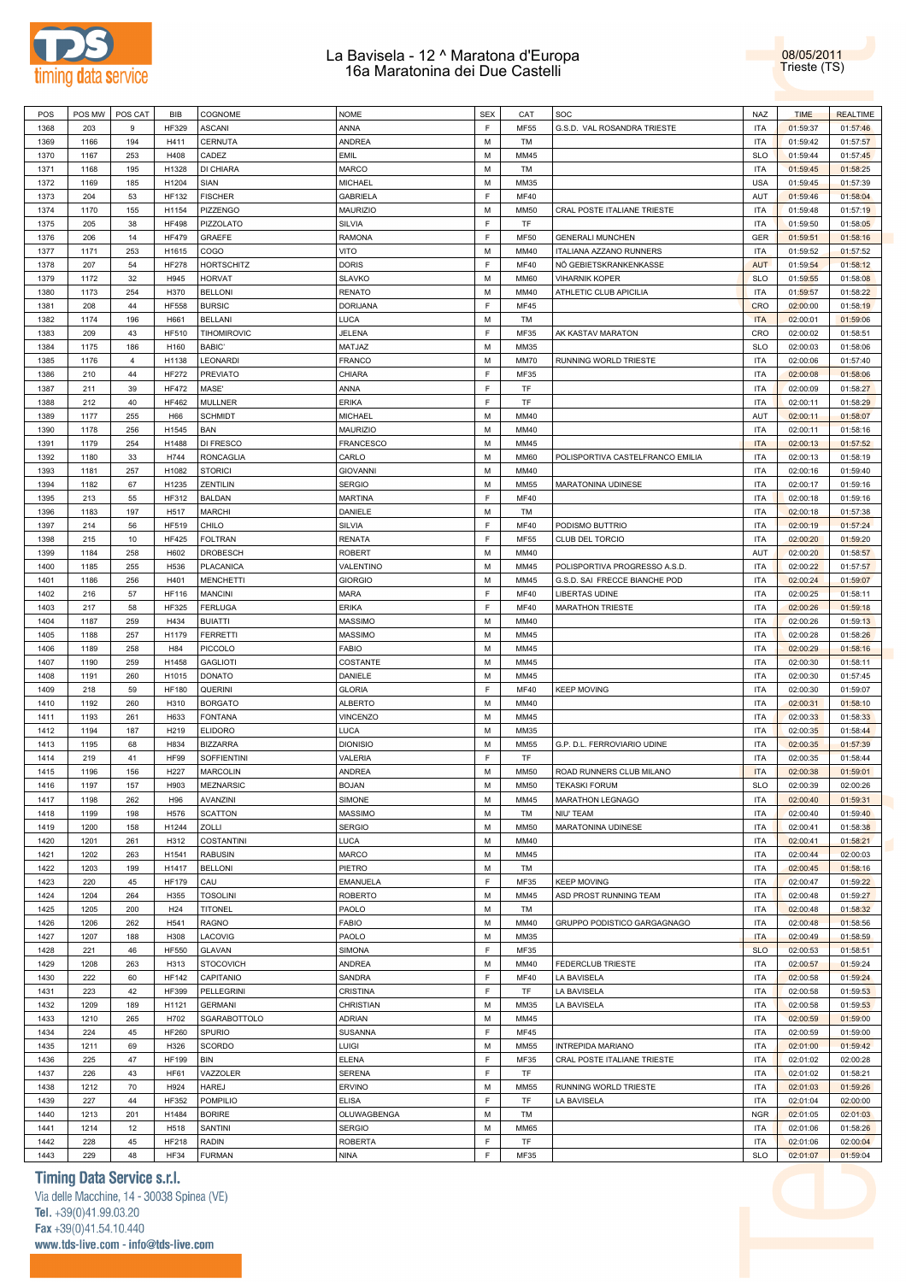



| POS  | POS MW | POS CAT | BIB             | COGNOME                         | <b>NOME</b>      | <b>SEX</b> | CAT         | SOC                              | <b>NAZ</b> | <b>TIME</b> | <b>REALTIME</b> |
|------|--------|---------|-----------------|---------------------------------|------------------|------------|-------------|----------------------------------|------------|-------------|-----------------|
| 1368 | 203    | 9       | <b>HF329</b>    | <b>ASCANI</b>                   | ANNA             | F          | MF55        | G.S.D. VAL ROSANDRA TRIESTE      | <b>ITA</b> | 01:59:37    | 01:57:46        |
| 1369 | 1166   | 194     | H411            | CERNUTA                         | <b>ANDREA</b>    | М          | TM          |                                  | <b>ITA</b> | 01:59:42    | 01:57:57        |
| 1370 | 1167   | 253     | H408            | CADEZ                           | <b>EMIL</b>      | М          | MM45        |                                  | <b>SLO</b> | 01:59:44    | 01:57:45        |
| 1371 | 1168   | 195     | H1328           | DI CHIARA                       | MARCO            | М          | TM          |                                  | <b>ITA</b> | 01:59:45    | 01:58:25        |
| 1372 | 1169   | 185     | H1204           | SIAN                            | <b>MICHAEL</b>   | М          | MM35        |                                  | <b>USA</b> | 01:59:45    | 01:57:39        |
| 1373 | 204    | 53      | <b>HF132</b>    | <b>FISCHER</b>                  | <b>GABRIELA</b>  | F          | <b>MF40</b> |                                  | AUT        | 01:59:46    | 01:58:04        |
| 1374 | 1170   | 155     | H1154           | PIZZENGO                        | <b>MAURIZIO</b>  | М          | <b>MM50</b> | CRAL POSTE ITALIANE TRIESTE      | ITA        | 01:59:48    | 01:57:19        |
| 1375 | 205    | 38      | <b>HF498</b>    | PIZZOLATO                       | SILVIA           | F          | TF          |                                  | ITA        | 01:59:50    | 01:58:05        |
| 1376 | 206    | 14      | <b>HF479</b>    | GRAEFE                          | <b>RAMONA</b>    | F          | <b>MF50</b> | <b>GENERALI MUNCHEN</b>          | GER        | 01:59:51    | 01:58:16        |
| 1377 | 1171   | 253     | H1615           | COGO                            | VITO             | М          | MM40        | ITALIANA AZZANO RUNNERS          | <b>ITA</b> | 01:59:52    | 01:57:52        |
| 1378 | 207    | 54      | <b>HF278</b>    | <b>HORTSCHITZ</b>               | <b>DORIS</b>     | F          | MF40        | NÖ GEBIETSKRANKENKASSE           | <b>AUT</b> | 01:59:54    | 01:58:12        |
| 1379 | 1172   | 32      | H945            | <b>HORVAT</b>                   | <b>SLAVKO</b>    | M          | MM60        | <b>VIHARNIK KOPER</b>            | <b>SLO</b> | 01:59:55    | 01:58:08        |
| 1380 | 1173   | 254     | H370            | <b>BELLONI</b>                  | <b>RENATO</b>    | М          | MM40        | ATHLETIC CLUB APICILIA           | <b>ITA</b> | 01:59:57    | 01:58:22        |
|      |        |         |                 |                                 |                  | E          |             |                                  |            |             |                 |
| 1381 | 208    | 44      | <b>HF558</b>    | <b>BURSIC</b><br><b>BELLANI</b> | <b>DORIJANA</b>  |            | <b>MF45</b> |                                  | <b>CRO</b> | 02:00:00    | 01:58:19        |
| 1382 | 1174   | 196     | H661            |                                 | LUCA             | М<br>F     | TM          |                                  | <b>ITA</b> | 02:00:01    | 01:59:06        |
| 1383 | 209    | 43      | <b>HF510</b>    | TIHOMIROVIC                     | JELENA           |            | MF35        | AK KASTAV MARATON                | CRO        | 02:00:02    | 01:58:51        |
| 1384 | 1175   | 186     | H160            | BABIC'                          | MATJAZ           | М          | MM35        |                                  | <b>SLO</b> | 02:00:03    | 01:58:06        |
| 1385 | 1176   | 4       | H1138           | LEONARDI                        | <b>FRANCO</b>    | М          | MM70        | RUNNING WORLD TRIESTE            | <b>ITA</b> | 02:00:06    | 01:57:40        |
| 1386 | 210    | 44      | <b>HF272</b>    | <b>PREVIATO</b>                 | CHIARA           | F          | MF35        |                                  | ITA        | 02:00:08    | 01:58:06        |
| 1387 | 211    | 39      | <b>HF472</b>    | MASE'                           | ANNA             | F          | TF          |                                  | ITA        | 02:00:09    | 01:58:27        |
| 1388 | 212    | 40      | HF462           | MULLNER                         | <b>ERIKA</b>     | F          | TF          |                                  | ITA        | 02:00:11    | 01:58:29        |
| 1389 | 1177   | 255     | H66             | <b>SCHMIDT</b>                  | <b>MICHAEL</b>   | м          | MM40        |                                  | AUT        | 02:00:11    | 01:58:07        |
| 1390 | 1178   | 256     | H1545           | BAN                             | <b>MAURIZIO</b>  | М          | MM40        |                                  | <b>ITA</b> | 02:00:11    | 01:58:16        |
| 1391 | 1179   | 254     | H1488           | DI FRESCO                       | <b>FRANCESCO</b> | M          | MM45        |                                  | <b>ITA</b> | 02:00:13    | 01:57:52        |
| 1392 | 1180   | 33      | H744            | <b>RONCAGLIA</b>                | CARLO            | M          | MM60        | POLISPORTIVA CASTELFRANCO EMILIA | <b>ITA</b> | 02:00:13    | 01:58:19        |
| 1393 | 1181   | 257     | H1082           | <b>STORICI</b>                  | <b>GIOVANNI</b>  | M          | MM40        |                                  | <b>ITA</b> | 02:00:16    | 01:59:40        |
| 1394 | 1182   | 67      | H1235           | ZENTILIN                        | <b>SERGIO</b>    | М          | <b>MM55</b> | MARATONINA UDINESE               | <b>ITA</b> | 02:00:17    | 01:59:16        |
| 1395 | 213    | 55      | HF312           | <b>BALDAN</b>                   | <b>MARTINA</b>   | F          | <b>MF40</b> |                                  | <b>ITA</b> | 02:00:18    | 01:59:16        |
| 1396 | 1183   | 197     | H517            | <b>MARCHI</b>                   | DANIELE          | М          | TM          |                                  | ITA        | 02:00:18    | 01:57:38        |
| 1397 | 214    | 56      | HF519           | CHILO                           | SILVIA           | F          | MF40        | PODISMO BUTTRIO                  | ITA        | 02:00:19    | 01:57:24        |
| 1398 | 215    | 10      | <b>HF425</b>    | <b>FOLTRAN</b>                  | <b>RENATA</b>    | F          | MF55        | CLUB DEL TORCIO                  | ITA        | 02:00:20    | 01:59:20        |
| 1399 | 1184   | 258     | H602            | DROBESCH                        | ROBERT           | М          | MM40        |                                  | AUT        | 02:00:20    | 01:58:57        |
| 1400 | 1185   | 255     | H536            | PLACANICA                       | VALENTINO        | М          | MM45        | POLISPORTIVA PROGRESSO A.S.D.    | <b>ITA</b> | 02:00:22    | 01:57:57        |
| 1401 | 1186   | 256     | H401            | <b>MENCHETTI</b>                | <b>GIORGIO</b>   | м          | MM45        | G.S.D. SAI FRECCE BIANCHE POD    | ITA        | 02:00:24    | 01:59:07        |
| 1402 | 216    | 57      | <b>HF116</b>    | <b>MANCINI</b>                  | <b>MARA</b>      | F          | MF40        | LIBERTAS UDINE                   | ITA        | 02:00:25    | 01:58:11        |
| 1403 | 217    | 58      | HF325           | <b>FERLUGA</b>                  | <b>ERIKA</b>     | F          | <b>MF40</b> | <b>MARATHON TRIESTE</b>          | ITA        | 02:00:26    | 01:59:18        |
| 1404 | 1187   | 259     | H434            | <b>BUIATTI</b>                  | <b>MASSIMO</b>   | М          | MM40        |                                  | <b>ITA</b> | 02:00:26    | 01:59:13        |
| 1405 | 1188   | 257     | H1179           | <b>FERRETTI</b>                 | <b>MASSIMO</b>   | M          | MM45        |                                  | <b>ITA</b> | 02:00:28    | 01:58:26        |
| 1406 | 1189   | 258     | H84             | PICCOLO                         | <b>FABIO</b>     | М          | MM45        |                                  | <b>ITA</b> | 02:00:29    | 01:58:16        |
| 1407 | 1190   | 259     | H1458           | <b>GAGLIOTI</b>                 | COSTANTE         | М          | MM45        |                                  | ITA        | 02:00:30    | 01:58:11        |
| 1408 | 1191   | 260     | H1015           | <b>DONATO</b>                   | DANIELE          | М          | MM45        |                                  | <b>ITA</b> | 02:00:30    | 01:57:45        |
| 1409 | 218    | 59      | <b>HF180</b>    | QUERINI                         | <b>GLORIA</b>    | F          | <b>MF40</b> | <b>KEEP MOVING</b>               | ITA        | 02:00:30    | 01:59:07        |
| 1410 | 1192   | 260     | H310            | <b>BORGATO</b>                  | <b>ALBERTO</b>   | М          | MM40        |                                  | ITA        | 02:00:31    | 01:58:10        |
| 1411 | 1193   | 261     | H633            | <b>FONTANA</b>                  | <b>VINCENZO</b>  | М          | MM45        |                                  | ITA        | 02:00:33    | 01:58:33        |
| 1412 | 1194   | 187     | H219            | <b>ELIDORO</b>                  | <b>LUCA</b>      | М          | MM35        |                                  | ITA        | 02:00:35    | 01:58:44        |
| 1413 | 1195   | 68      | H834            | <b>BIZZARRA</b>                 | <b>DIONISIO</b>  | м          | MM55        | G.P. D.L. FERROVIARIO UDINE      | ITA        | 02:00:35    | 01:57:39        |
| 1414 | 219    | 41      | <b>HF99</b>     | SOFFIENTINI                     | VALERIA          | F          | TF          |                                  | ITA        | 02:00:35    | 01:58:44        |
| 1415 | 1196   | 156     | H227            | <b>MARCOLIN</b>                 | ANDREA           | M          | <b>MM50</b> | ROAD RUNNERS CLUB MILANO         | <b>ITA</b> | 02:00:38    | 01:59:01        |
| 1416 | 1197   | 157     | H903            | <b>MEZNARSIC</b>                | <b>BOJAN</b>     | М          | <b>MM50</b> | <b>TEKASKI FORUM</b>             | <b>SLO</b> | 02:00:39    | 02:00:26        |
| 1417 | 1198   | 262     | H96             | AVANZINI                        | SIMONE           | М          | MM45        | MARATHON LEGNAGO                 | <b>ITA</b> | 02:00:40    | 01:59:31        |
| 1418 | 1199   | 198     | H576            | <b>SCATTON</b>                  | <b>MASSIMO</b>   | М          | TM          | <b>NIU' TEAM</b>                 | <b>ITA</b> | 02:00:40    | 01:59:40        |
| 1419 | 1200   | 158     | H1244           | ZOLLI                           | <b>SERGIO</b>    | M          | <b>MM50</b> | MARATONINA UDINESE               | <b>ITA</b> | 02:00:41    | 01:58:38        |
| 1420 | 1201   | 261     | H312            | <b>COSTANTINI</b>               | LUCA             | М          | MM40        |                                  | <b>ITA</b> | 02:00:41    | 01:58:21        |
| 1421 | 1202   | 263     | H1541           | <b>RABUSIN</b>                  | MARCO            | М          | MM45        |                                  | <b>ITA</b> | 02:00:44    | 02:00:03        |
| 1422 | 1203   | 199     | H1417           | <b>BELLONI</b>                  | PIETRO           | М          | TM          |                                  | <b>ITA</b> | 02:00:45    | 01:58:16        |
| 1423 | 220    | 45      | <b>HF179</b>    | CAU                             | <b>EMANUELA</b>  | F          | MF35        | <b>KEEP MOVING</b>               | <b>ITA</b> | 02:00:47    | 01:59:22        |
| 1424 | 1204   | 264     | H355            | <b>TOSOLINI</b>                 | <b>ROBERTO</b>   | М          | MM45        | ASD PROST RUNNING TEAM           | <b>ITA</b> | 02:00:48    | 01:59:27        |
| 1425 | 1205   | 200     | H <sub>24</sub> | <b>TITONEL</b>                  | PAOLO            | M          | TM          |                                  | <b>ITA</b> | 02:00:48    | 01:58:32        |
| 1426 |        |         |                 |                                 |                  | М          |             |                                  |            |             |                 |
|      | 1206   | 262     | H541            | <b>RAGNO</b>                    | <b>FABIO</b>     |            | MM40        | GRUPPO PODISTICO GARGAGNAGO      | <b>ITA</b> | 02:00:48    | 01:58:56        |
| 1427 | 1207   | 188     | H308            | LACOVIG                         | PAOLO            | М          | MM35        |                                  | <b>ITA</b> | 02:00:49    | 01:58:59        |
| 1428 | 221    | 46      | <b>HF550</b>    | <b>GLAVAN</b>                   | <b>SIMONA</b>    | F          | MF35        |                                  | <b>SLO</b> | 02:00:53    | 01:58:51        |
| 1429 | 1208   | 263     | H313            | <b>STOCOVICH</b>                | ANDREA           | М          | MM40        | FEDERCLUB TRIESTE                | <b>ITA</b> | 02:00:57    | 01:59:24        |
| 1430 | 222    | 60      | <b>HF142</b>    | CAPITANIO                       | SANDRA           | F          | MF40        | LA BAVISELA                      | <b>ITA</b> | 02:00:58    | 01:59:24        |
| 1431 | 223    | 42      | HF399           | PELLEGRINI                      | CRISTINA         | E          | TF          | LA BAVISELA                      | <b>ITA</b> | 02:00:58    | 01:59:53        |
| 1432 | 1209   | 189     | H1121           | <b>GERMANI</b>                  | CHRISTIAN        | М          | MM35        | LA BAVISELA                      | <b>ITA</b> | 02:00:58    | 01:59:53        |
| 1433 | 1210   | 265     | H702            | SGARABOTTOLO                    | <b>ADRIAN</b>    | М          | MM45        |                                  | <b>ITA</b> | 02:00:59    | 01:59:00        |
| 1434 | 224    | 45      | HF260           | SPURIO                          | SUSANNA          | F          | <b>MF45</b> |                                  | <b>ITA</b> | 02:00:59    | 01:59:00        |
| 1435 | 1211   | 69      | H326            | SCORDO                          | <b>LUIGI</b>     | М          | MM55        | INTREPIDA MARIANO                | <b>ITA</b> | 02:01:00    | 01:59:42        |
| 1436 | 225    | 47      | <b>HF199</b>    | <b>BIN</b>                      | <b>ELENA</b>     | F          | MF35        | CRAL POSTE ITALIANE TRIESTE      | <b>ITA</b> | 02:01:02    | 02:00:28        |
| 1437 | 226    | 43      | <b>HF61</b>     | VAZZOLER                        | <b>SERENA</b>    | F          | <b>TF</b>   |                                  | <b>ITA</b> | 02:01:02    | 01:58:21        |
| 1438 | 1212   | 70      | H924            | <b>HAREJ</b>                    | <b>ERVINO</b>    | М          | <b>MM55</b> | RUNNING WORLD TRIESTE            | <b>ITA</b> | 02:01:03    | 01:59:26        |
| 1439 | 227    | 44      | HF352           | POMPILIO                        | <b>ELISA</b>     | E          | TF          | LA BAVISELA                      | <b>ITA</b> | 02:01:04    | 02:00:00        |
| 1440 | 1213   | 201     | H1484           | <b>BORIRE</b>                   | OLUWAGBENGA      | М          | TM          |                                  | <b>NGR</b> | 02:01:05    | 02:01:03        |
| 1441 | 1214   | 12      | H518            | SANTINI                         | <b>SERGIO</b>    | М          | <b>MM65</b> |                                  | <b>ITA</b> | 02:01:06    | 01:58:26        |
| 1442 | 228    | 45      | HF218           | <b>RADIN</b>                    | <b>ROBERTA</b>   | F          | TF          |                                  | <b>ITA</b> | 02:01:06    | 02:00:04        |
| 1443 | 229    | 48      | <b>HF34</b>     | <b>FURMAN</b>                   | <b>NINA</b>      | F          | MF35        |                                  | <b>SLO</b> | 02:01:07    | 01:59:04        |

## **Timing Data Service s.r.l.**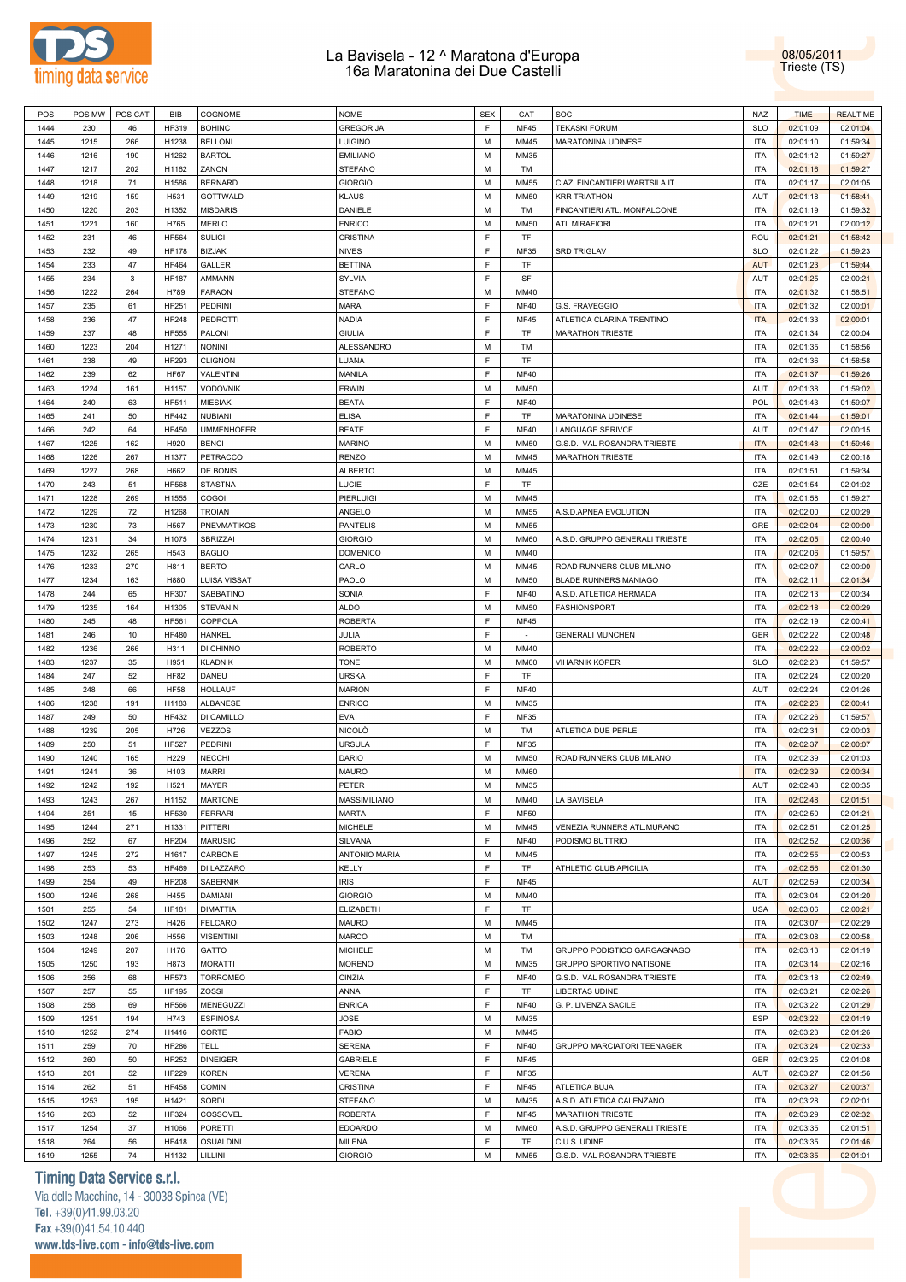

08/05/2011 Trieste (TS)

| POS  | POS MW | POS CAT      | <b>BIB</b>   | COGNOME           | <b>NOME</b>          | <b>SEX</b> | CAT                      | SOC                            | <b>NAZ</b> | <b>TIME</b> | <b>REALTIME</b> |
|------|--------|--------------|--------------|-------------------|----------------------|------------|--------------------------|--------------------------------|------------|-------------|-----------------|
| 1444 | 230    | 46           | HF319        | <b>BOHINC</b>     | <b>GREGORIJA</b>     | F          | <b>MF45</b>              | <b>TEKASKI FORUM</b>           | <b>SLO</b> | 02:01:09    | 02:01:04        |
| 1445 | 1215   | 266          | H1238        | <b>BELLONI</b>    | <b>LUIGINO</b>       | M          | MM45                     | MARATONINA UDINESE             | <b>ITA</b> | 02:01:10    | 01:59:34        |
|      |        |              |              |                   | <b>EMILIANO</b>      |            |                          |                                |            |             |                 |
| 1446 | 1216   | 190          | H1262        | <b>BARTOLI</b>    |                      | M          | MM35                     |                                | <b>ITA</b> | 02:01:12    | 01:59:27        |
| 1447 | 1217   | 202          | H1162        | ZANON             | <b>STEFANO</b>       | М          | TM                       |                                | <b>ITA</b> | 02:01:16    | 01:59:27        |
| 1448 | 1218   | 71           | H1586        | <b>BERNARD</b>    | <b>GIORGIO</b>       | M          | <b>MM55</b>              | C.AZ. FINCANTIERI WARTSILA IT. | <b>ITA</b> | 02:01:17    | 02:01:05        |
| 1449 | 1219   | 159          | H531         | GOTTWALD          | <b>KLAUS</b>         | M          | <b>MM50</b>              | <b>KRR TRIATHON</b>            | AUT        | 02:01:18    | 01:58:41        |
| 1450 | 1220   | 203          | H1352        | <b>MISDARIS</b>   | DANIELE              | M          | TM                       | FINCANTIERI ATL. MONFALCONE    | <b>ITA</b> | 02:01:19    | 01:59:32        |
| 1451 | 1221   | 160          | H765         | MERLO             | <b>ENRICO</b>        | M          | <b>MM50</b>              | ATL.MIRAFIORI                  | <b>ITA</b> | 02:01:21    | 02:00:12        |
| 1452 | 231    | 46           | HF564        | <b>SULICI</b>     | CRISTINA             | F          | TF                       |                                | ROU        | 02:01:21    | 01:58:42        |
|      |        |              |              |                   |                      |            |                          |                                |            |             |                 |
| 1453 | 232    | 49           | <b>HF178</b> | <b>BIZJAK</b>     | <b>NIVES</b>         | F          | MF35                     | <b>SRD TRIGLAV</b>             | <b>SLO</b> | 02:01:22    | 01:59:23        |
| 1454 | 233    | 47           | <b>HF464</b> | GALLER            | <b>BETTINA</b>       | F          | TF                       |                                | <b>AUT</b> | 02:01:23    | 01:59:44        |
| 1455 | 234    | $\mathbf{3}$ | <b>HF187</b> | AMMANN            | SYLVIA               | F          | SF                       |                                | AUT        | 02:01:25    | 02:00:21        |
| 1456 | 1222   | 264          | H789         | <b>FARAON</b>     | <b>STEFANO</b>       | М          | MM40                     |                                | <b>ITA</b> | 02:01:32    | 01:58:51        |
| 1457 | 235    | 61           | <b>HF251</b> | PEDRINI           | <b>MARA</b>          | F          | MF40                     | G.S. FRAVEGGIO                 | <b>ITA</b> | 02:01:32    | 02:00:01        |
| 1458 | 236    | 47           | <b>HF248</b> | <b>PEDROTTI</b>   | NADIA                | F          | MF45                     | ATLETICA CLARINA TRENTINO      | <b>ITA</b> | 02:01:33    | 02:00:01        |
|      |        |              |              |                   |                      |            |                          |                                |            |             |                 |
| 1459 | 237    | 48           | <b>HF555</b> | PALONI            | <b>GIULIA</b>        | F          | TF                       | <b>MARATHON TRIESTE</b>        | <b>ITA</b> | 02:01:34    | 02:00:04        |
| 1460 | 1223   | 204          | H1271        | <b>NONINI</b>     | ALESSANDRO           | М          | TM                       |                                | <b>ITA</b> | 02:01:35    | 01:58:56        |
| 1461 | 238    | 49           | HF293        | <b>CLIGNON</b>    | LUANA                | F          | TF                       |                                | <b>ITA</b> | 02:01:36    | 01:58:58        |
| 1462 | 239    | 62           | <b>HF67</b>  | VALENTINI         | MANILA               | F          | <b>MF40</b>              |                                | <b>ITA</b> | 02:01:37    | 01:59:26        |
| 1463 | 1224   | 161          | H1157        | <b>VODOVNIK</b>   | ERWIN                | M          | <b>MM50</b>              |                                | AUT        | 02:01:38    | 01:59:02        |
| 1464 | 240    | 63           | HF511        | <b>MIESIAK</b>    | <b>BEATA</b>         | F          | <b>MF40</b>              |                                | <b>POL</b> | 02:01:43    | 01:59:07        |
|      |        |              |              |                   |                      |            |                          |                                |            |             |                 |
| 1465 | 241    | 50           | <b>HF442</b> | <b>NUBIANI</b>    | <b>ELISA</b>         | F          | TF                       | MARATONINA UDINESE             | <b>ITA</b> | 02:01:44    | 01:59:01        |
| 1466 | 242    | 64           | <b>HF450</b> | <b>UMMENHOFER</b> | <b>BEATE</b>         | F          | <b>MF40</b>              | <b>LANGUAGE SERIVCE</b>        | AUT        | 02:01:47    | 02:00:15        |
| 1467 | 1225   | 162          | H920         | <b>BENCI</b>      | <b>MARINO</b>        | M          | <b>MM50</b>              | G.S.D. VAL ROSANDRA TRIESTE    | <b>ITA</b> | 02:01:48    | 01:59:46        |
| 1468 | 1226   | 267          | H1377        | PETRACCO          | <b>RENZO</b>         | M          | MM45                     | <b>MARATHON TRIESTE</b>        | <b>ITA</b> | 02:01:49    | 02:00:18        |
| 1469 | 1227   | 268          | H662         | DE BONIS          | <b>ALBERTO</b>       | M          | MM45                     |                                | <b>ITA</b> | 02:01:51    | 01:59:34        |
| 1470 | 243    | 51           | <b>HF568</b> | <b>STASTNA</b>    | LUCIE                | F          | TF                       |                                | CZE        | 02:01:54    | 02:01:02        |
|      |        |              |              |                   |                      |            |                          |                                |            |             |                 |
| 1471 | 1228   | 269          | H1555        | COGOI             | PIERLUIGI            | М          | MM45                     |                                | <b>ITA</b> | 02:01:58    | 01:59:27        |
| 1472 | 1229   | $72\,$       | H1268        | <b>TROIAN</b>     | ANGELO               | M          | <b>MM55</b>              | A.S.D.APNEA EVOLUTION          | <b>ITA</b> | 02:02:00    | 02:00:29        |
| 1473 | 1230   | 73           | H567         | PNEVMATIKOS       | <b>PANTELIS</b>      | M          | <b>MM55</b>              |                                | GRE        | 02:02:04    | 02:00:00        |
| 1474 | 1231   | 34           | H1075        | SBRIZZAI          | <b>GIORGIO</b>       | M          | <b>MM60</b>              | A.S.D. GRUPPO GENERALI TRIESTE | <b>ITA</b> | 02:02:05    | 02:00:40        |
| 1475 | 1232   | 265          | H543         | <b>BAGLIO</b>     | <b>DOMENICO</b>      | M          | MM40                     |                                | <b>ITA</b> | 02:02:06    | 01:59:57        |
| 1476 | 1233   | 270          | H811         | <b>BERTO</b>      | CARLO                | M          | MM45                     | ROAD RUNNERS CLUB MILANO       | <b>ITA</b> | 02:02:07    | 02:00:00        |
|      |        |              |              |                   |                      |            |                          |                                |            |             |                 |
| 1477 | 1234   | 163          | H880         | LUISA VISSAT      | PAOLO                | M          | <b>MM50</b>              | <b>BLADE RUNNERS MANIAGO</b>   | <b>ITA</b> | 02:02:11    | 02:01:34        |
| 1478 | 244    | 65           | <b>HF307</b> | SABBATINO         | SONIA                | F          | <b>MF40</b>              | A.S.D. ATLETICA HERMADA        | <b>ITA</b> | 02:02:13    | 02:00:34        |
| 1479 | 1235   | 164          | H1305        | <b>STEVANIN</b>   | <b>ALDO</b>          | М          | <b>MM50</b>              | <b>FASHIONSPORT</b>            | <b>ITA</b> | 02:02:18    | 02:00:29        |
| 1480 | 245    | 48           | <b>HF561</b> | COPPOLA           | <b>ROBERTA</b>       | F          | <b>MF45</b>              |                                | <b>ITA</b> | 02:02:19    | 02:00:41        |
| 1481 | 246    | 10           | <b>HF480</b> | <b>HANKEL</b>     | JULIA                | F          | $\overline{\phantom{a}}$ | <b>GENERALI MUNCHEN</b>        | <b>GER</b> | 02:02:22    | 02:00:48        |
| 1482 | 1236   | 266          | H311         | DI CHINNO         | <b>ROBERTO</b>       | M          | MM40                     |                                | <b>ITA</b> | 02:02:22    | 02:00:02        |
|      |        |              |              |                   |                      |            |                          |                                |            |             |                 |
| 1483 | 1237   | 35           | H951         | <b>KLADNIK</b>    | <b>TONE</b>          | M          | <b>MM60</b>              | <b>VIHARNIK KOPER</b>          | <b>SLO</b> | 02:02:23    | 01:59:57        |
| 1484 | 247    | 52           | <b>HF82</b>  | DANEU             | <b>URSKA</b>         | F          | TF                       |                                | <b>ITA</b> | 02:02:24    | 02:00:20        |
| 1485 | 248    | 66           | <b>HF58</b>  | <b>HOLLAUF</b>    | <b>MARION</b>        | F          | <b>MF40</b>              |                                | AUT        | 02:02:24    | 02:01:26        |
| 1486 | 1238   | 191          | H1183        | ALBANESE          | <b>ENRICO</b>        | M          | MM35                     |                                | <b>ITA</b> | 02:02:26    | 02:00:41        |
| 1487 | 249    | 50           | <b>HF432</b> | DI CAMILLO        | EVA                  | F          | MF35                     |                                | <b>ITA</b> | 02:02:26    | 01:59:57        |
| 1488 | 1239   | 205          | H726         | VEZZOSI           | <b>NICOLO</b>        | М          | TM                       | ATLETICA DUE PERLE             | <b>ITA</b> | 02:02:31    | 02:00:03        |
|      |        |              |              |                   |                      |            |                          |                                |            |             |                 |
| 1489 | 250    | 51           | <b>HF527</b> | PEDRINI           | <b>URSULA</b>        | F          | MF35                     |                                | <b>ITA</b> | 02:02:37    | 02:00:07        |
| 1490 | 1240   | 165          | H229         | <b>NECCHI</b>     | DARIO                | М          | <b>MM50</b>              | ROAD RUNNERS CLUB MILANO       | <b>ITA</b> | 02:02:39    | 02:01:03        |
| 1491 | 1241   | 36           | H103         | <b>MARRI</b>      | <b>MAURO</b>         | М          | <b>MM60</b>              |                                | <b>ITA</b> | 02:02:39    | 02:00:34        |
| 1492 | 1242   | 192          | H521         | MAYER             | PETER                | ${\sf M}$  | MM35                     |                                | AUT        | 02:02:48    | 02:00:35        |
| 1493 | 1243   | 267          | H1152        | <b>MARTONE</b>    | MASSIMILIANO         | M          | MM40                     | LA BAVISELA                    | <b>ITA</b> | 02:02:48    | 02:01:51        |
| 1494 | 251    | 15           | HF530        | <b>FERRARI</b>    | <b>MARTA</b>         | F          | <b>MF50</b>              |                                | <b>ITA</b> | 02:02:50    | 02:01:21        |
|      |        |              |              |                   |                      |            |                          |                                |            |             |                 |
| 1495 | 1244   | 271          | H1331        | PITTERI           | <b>MICHELE</b>       | М          | MM45                     | VENEZIA RUNNERS ATL.MURANO     | <b>ITA</b> | 02:02:51    | 02:01:25        |
| 1496 | 252    | 67           | <b>HF204</b> | <b>MARUSIC</b>    | SILVANA              | F          | <b>MF40</b>              | PODISMO BUTTRIO                | <b>ITA</b> | 02:02:52    | 02:00:36        |
| 1497 | 1245   | 272          | H1617        | CARBONE           | <b>ANTONIO MARIA</b> | М          | MM45                     |                                | <b>ITA</b> | 02:02:55    | 02:00:53        |
| 1498 | 253    | 53           | <b>HF469</b> | DI LAZZARO        | KELLY                | F          | TF                       | ATHLETIC CLUB APICILIA         | <b>ITA</b> | 02:02:56    | 02:01:30        |
| 1499 | 254    | 49           | <b>HF208</b> | SABERNIK          | <b>IRIS</b>          | F          | MF45                     |                                | AUT        | 02:02:59    | 02:00:34        |
| 1500 | 1246   | 268          | H455         | DAMIANI           | <b>GIORGIO</b>       | М          | MM40                     |                                | <b>ITA</b> | 02:03:04    | 02:01:20        |
| 1501 | 255    | 54           | <b>HF181</b> | <b>DIMATTIA</b>   | ELIZABETH            | F          | TF                       |                                | <b>USA</b> | 02:03:06    | 02:00:21        |
|      |        |              |              |                   |                      |            |                          |                                |            |             |                 |
| 1502 | 1247   | 273          | H426         | <b>FELCARO</b>    | <b>MAURO</b>         | М          | MM45                     |                                | <b>ITA</b> | 02:03:07    | 02:02:29        |
| 1503 | 1248   | 206          | H556         | <b>VISENTINI</b>  | MARCO                | М          | TM                       |                                | <b>ITA</b> | 02:03:08    | 02:00:58        |
| 1504 | 1249   | 207          | H176         | GATTO             | <b>MICHELE</b>       | М          | TM                       | GRUPPO PODISTICO GARGAGNAGO    | <b>ITA</b> | 02:03:13    | 02:01:19        |
| 1505 | 1250   | 193          | H873         | <b>MORATTI</b>    | <b>MORENO</b>        | М          | MM35                     | GRUPPO SPORTIVO NATISONE       | <b>ITA</b> | 02:03:14    | 02:02:16        |
| 1506 | 256    | 68           | <b>HF573</b> | <b>TORROMEO</b>   | CINZIA               | F          | <b>MF40</b>              | G.S.D. VAL ROSANDRA TRIESTE    | <b>ITA</b> | 02:03:18    | 02:02:49        |
| 1507 | 257    | 55           | <b>HF195</b> | ZOSSI             | ANNA                 | F          | TF                       | LIBERTAS UDINE                 | <b>ITA</b> | 02:03:21    | 02:02:26        |
|      |        |              |              |                   |                      | F          |                          |                                |            |             |                 |
| 1508 | 258    | 69           | <b>HF566</b> | MENEGUZZI         | <b>ENRICA</b>        |            | <b>MF40</b>              | G. P. LIVENZA SACILE           | <b>ITA</b> | 02:03:22    | 02:01:29        |
| 1509 | 1251   | 194          | H743         | <b>ESPINOSA</b>   | JOSE                 | М          | MM35                     |                                | ESP        | 02:03:22    | 02:01:19        |
| 1510 | 1252   | 274          | H1416        | CORTE             | <b>FABIO</b>         | М          | MM45                     |                                | <b>ITA</b> | 02:03:23    | 02:01:26        |
| 1511 | 259    | 70           | <b>HF286</b> | TELL              | SERENA               | F          | <b>MF40</b>              | GRUPPO MARCIATORI TEENAGER     | <b>ITA</b> | 02:03:24    | 02:02:33        |
| 1512 | 260    | 50           | HF252        | <b>DINEIGER</b>   | GABRIELE             | F          | MF45                     |                                | GER        | 02:03:25    | 02:01:08        |
| 1513 | 261    | 52           | <b>HF229</b> | <b>KOREN</b>      | <b>VERENA</b>        | F          | MF35                     |                                | AUT        | 02:03:27    | 02:01:56        |
| 1514 | 262    | 51           | <b>HF458</b> | COMIN             | CRISTINA             | F          | <b>MF45</b>              | ATLETICA BUJA                  | <b>ITA</b> | 02:03:27    | 02:00:37        |
|      |        |              |              |                   |                      |            |                          |                                |            |             |                 |
| 1515 | 1253   | 195          | H1421        | <b>SORDI</b>      | <b>STEFANO</b>       | М          | MM35                     | A.S.D. ATLETICA CALENZANO      | <b>ITA</b> | 02:03:28    | 02:02:01        |
| 1516 |        | 52           | HF324        | COSSOVEL          | <b>ROBERTA</b>       | F          | MF45                     | <b>MARATHON TRIESTE</b>        | <b>ITA</b> | 02:03:29    | 02:02:32        |
|      | 263    |              |              |                   |                      |            |                          |                                |            |             |                 |
| 1517 | 1254   | 37           | H1066        | <b>PORETTI</b>    | <b>EDOARDO</b>       | М          | <b>MM60</b>              | A.S.D. GRUPPO GENERALI TRIESTE | <b>ITA</b> | 02:03:35    | 02:01:51        |
| 1518 | 264    | 56           | <b>HF418</b> | OSUALDINI         | <b>MILENA</b>        | F          | TF                       | C.U.S. UDINE                   | <b>ITA</b> | 02:03:35    | 02:01:46        |
| 1519 | 1255   | 74           | H1132        | LILLINI           | GIORGIO              | М          | <b>MM55</b>              | G.S.D. VAL ROSANDRA TRIESTE    | <b>ITA</b> | 02:03:35    | 02:01:01        |

### **Timing Data Service s.r.l.**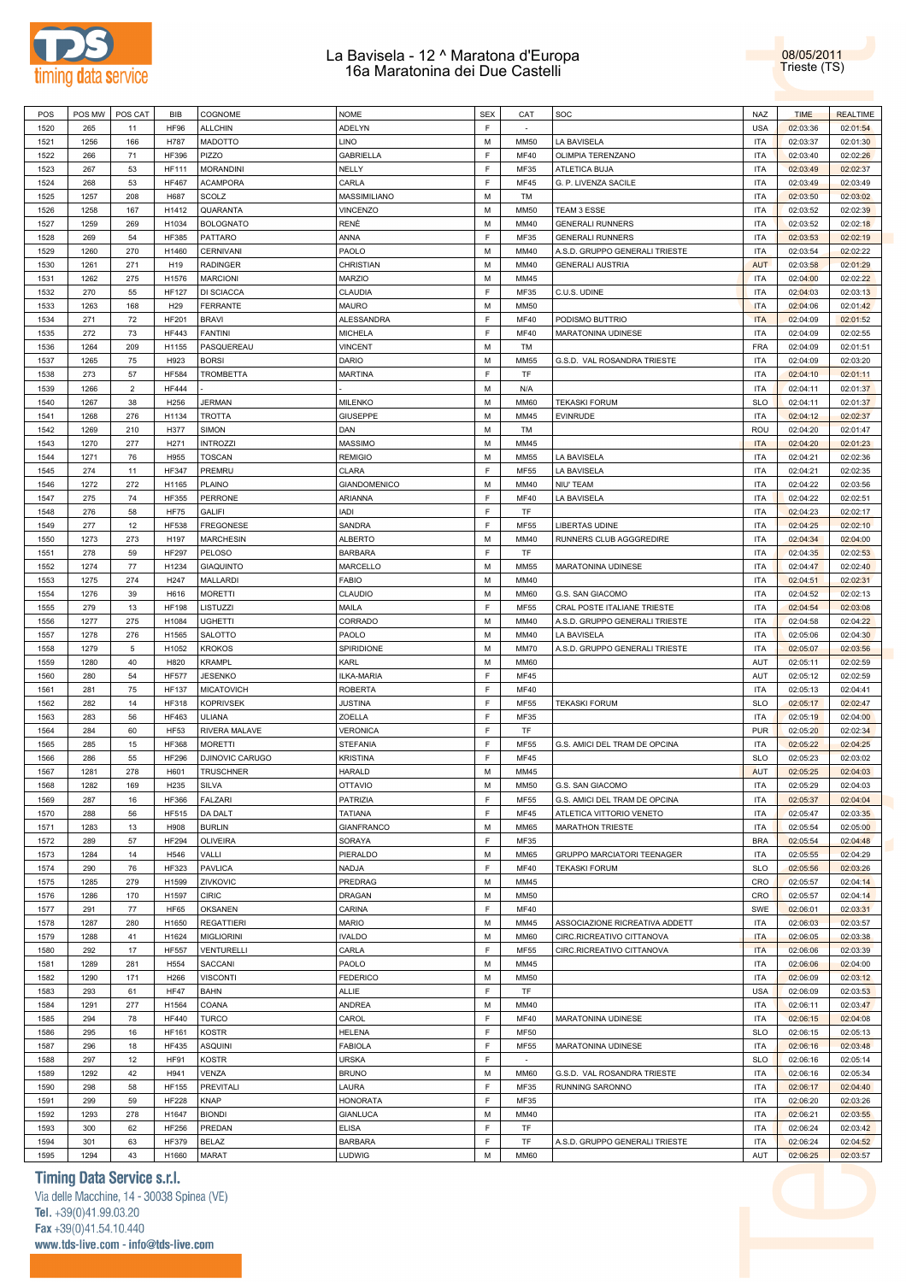



| POS  | POS MW | POS CAT         |                  |                   | <b>NOME</b>         | <b>SEX</b> | CAT         | SOC                               | <b>NAZ</b> |             | <b>REALTIME</b> |
|------|--------|-----------------|------------------|-------------------|---------------------|------------|-------------|-----------------------------------|------------|-------------|-----------------|
|      |        |                 | <b>BIB</b>       | COGNOME           |                     |            |             |                                   |            | <b>TIME</b> |                 |
| 1520 | 265    | 11              | <b>HF96</b>      | <b>ALLCHIN</b>    | <b>ADELYN</b>       | F          | $\sim$      |                                   | <b>USA</b> | 02:03:36    | 02:01:54        |
| 1521 | 1256   | 166             | H787             | MADOTTO           | <b>LINO</b>         | M          | <b>MM50</b> | LA BAVISELA                       | <b>ITA</b> | 02:03:37    | 02:01:30        |
| 1522 | 266    | 71              | <b>HF396</b>     | PIZZO             | <b>GABRIELLA</b>    | F          | <b>MF40</b> | OLIMPIA TERENZANO                 | <b>ITA</b> | 02:03:40    | 02:02:26        |
| 1523 | 267    | 53              | <b>HF111</b>     | <b>MORANDINI</b>  | NELLY               | F          | MF35        | ATLETICA BUJA                     | <b>ITA</b> | 02:03:49    | 02:02:37        |
|      |        |                 |                  |                   |                     | F          | MF45        | G. P. LIVENZA SACILE              | <b>ITA</b> | 02:03:49    |                 |
| 1524 | 268    | 53              | <b>HF467</b>     | <b>ACAMPORA</b>   | CARLA               |            |             |                                   |            |             | 02:03:49        |
| 1525 | 1257   | 208             | H687             | SCOLZ             | MASSIMILIANO        | M          | TM          |                                   | <b>ITA</b> | 02:03:50    | 02:03:02        |
| 1526 | 1258   | 167             | H1412            | QUARANTA          | <b>VINCENZO</b>     | M          | <b>MM50</b> | TEAM 3 ESSE                       | <b>ITA</b> | 02:03:52    | 02:02:39        |
| 1527 | 1259   | 269             | H1034            | <b>BOLOGNATO</b>  | RENÈ                | M          | MM40        | <b>GENERALI RUNNERS</b>           | <b>ITA</b> | 02:03:52    | 02:02:18        |
| 1528 | 269    | 54              | <b>HF385</b>     | PATTARO           | ANNA                | F          | MF35        | <b>GENERALI RUNNERS</b>           | <b>ITA</b> | 02:03:53    | 02:02:19        |
|      |        |                 |                  |                   |                     |            |             |                                   |            |             |                 |
| 1529 | 1260   | 270             | H1460            | CERNIVANI         | PAOLO               | M          | MM40        | A.S.D. GRUPPO GENERALI TRIESTE    | <b>ITA</b> | 02:03:54    | 02:02:22        |
| 1530 | 1261   | 271             | H19              | <b>RADINGER</b>   | CHRISTIAN           | M          | MM40        | <b>GENERALI AUSTRIA</b>           | <b>AUT</b> | 02:03:58    | 02:01:29        |
| 1531 | 1262   | 275             | H1576            | <b>MARCIONI</b>   | <b>MARZIO</b>       | М          | MM45        |                                   | ITA        | 02:04:00    | 02:02:22        |
| 1532 | 270    | 55              | <b>HF127</b>     | DI SCIACCA        | CLAUDIA             | F          | MF35        | C.U.S. UDINE                      | <b>ITA</b> | 02:04:03    | 02:03:13        |
| 1533 | 1263   | 168             | H <sub>29</sub>  | FERRANTE          | <b>MAURO</b>        | M          | <b>MM50</b> |                                   | <b>ITA</b> | 02:04:06    | 02:01:42        |
|      |        |                 |                  |                   |                     |            |             |                                   |            |             |                 |
| 1534 | 271    | 72              | <b>HF201</b>     | <b>BRAVI</b>      | <b>ALESSANDRA</b>   | F          | <b>MF40</b> | PODISMO BUTTRIO                   | <b>ITA</b> | 02:04:09    | 02:01:52        |
| 1535 | 272    | 73              | <b>HF443</b>     | <b>FANTINI</b>    | <b>MICHELA</b>      | F          | <b>MF40</b> | MARATONINA UDINESE                | <b>ITA</b> | 02:04:09    | 02:02:55        |
| 1536 | 1264   | 209             | H1155            | PASQUEREAU        | <b>VINCENT</b>      | M          | TM          |                                   | <b>FRA</b> | 02:04:09    | 02:01:51        |
| 1537 | 1265   | 75              | H923             | <b>BORSI</b>      | <b>DARIO</b>        | M          | <b>MM55</b> | G.S.D. VAL ROSANDRA TRIESTE       | <b>ITA</b> | 02:04:09    | 02:03:20        |
| 1538 | 273    | 57              | <b>HF584</b>     | <b>TROMBETTA</b>  | <b>MARTINA</b>      | F          | TF          |                                   | <b>ITA</b> | 02:04:10    | 02:01:11        |
|      |        |                 |                  |                   |                     |            |             |                                   |            |             |                 |
| 1539 | 1266   | $\overline{2}$  | <b>HF444</b>     |                   |                     | M          | N/A         |                                   | <b>ITA</b> | 02:04:11    | 02:01:37        |
| 1540 | 1267   | 38              | H256             | <b>JERMAN</b>     | <b>MILENKO</b>      | M          | <b>MM60</b> | <b>TEKASKI FORUM</b>              | <b>SLO</b> | 02:04:11    | 02:01:37        |
| 1541 | 1268   | 276             | H1134            | <b>TROTTA</b>     | <b>GIUSEPPE</b>     | M          | MM45        | <b>EVINRUDE</b>                   | <b>ITA</b> | 02:04:12    | 02:02:37        |
| 1542 | 1269   | 210             | H377             | <b>SIMON</b>      | DAN                 | М          | TM          |                                   | ROU        | 02:04:20    | 02:01:47        |
| 1543 | 1270   | 277             | H271             | <b>INTROZZI</b>   | <b>MASSIMO</b>      | M          | MM45        |                                   | <b>ITA</b> | 02:04:20    | 02:01:23        |
|      |        |                 |                  |                   |                     |            |             |                                   |            |             |                 |
| 1544 | 1271   | 76              | H955             | <b>TOSCAN</b>     | <b>REMIGIO</b>      | M          | MM55        | LA BAVISELA                       | <b>ITA</b> | 02:04:21    | 02:02:36        |
| 1545 | 274    | 11              | <b>HF347</b>     | PREMRU            | CLARA               | E          | <b>MF55</b> | LA BAVISELA                       | <b>ITA</b> | 02:04:21    | 02:02:35        |
| 1546 | 1272   | 272             | H1165            | PLAINO            | <b>GIANDOMENICO</b> | M          | MM40        | NIU' TEAM                         | <b>ITA</b> | 02:04:22    | 02:03:56        |
| 1547 | 275    | 74              | <b>HF355</b>     | PERRONE           | ARIANNA             | F          | <b>MF40</b> | LA BAVISELA                       | <b>ITA</b> | 02:04:22    | 02:02:51        |
| 1548 | 276    | 58              | <b>HF75</b>      | <b>GALIFI</b>     | <b>IADI</b>         | F          | TF          |                                   | <b>ITA</b> | 02:04:23    | 02:02:17        |
|      |        |                 |                  |                   |                     |            |             |                                   |            |             |                 |
| 1549 | 277    | 12              | <b>HF538</b>     | <b>FREGONESE</b>  | SANDRA              | F          | <b>MF55</b> | LIBERTAS UDINE                    | <b>ITA</b> | 02:04:25    | 02:02:10        |
| 1550 | 1273   | 273             | H197             | <b>MARCHESIN</b>  | <b>ALBERTO</b>      | M          | MM40        | RUNNERS CLUB AGGGREDIRE           | <b>ITA</b> | 02:04:34    | 02:04:00        |
| 1551 | 278    | 59              | <b>HF297</b>     | PELOSO            | <b>BARBARA</b>      | F          | TF          |                                   | <b>ITA</b> | 02:04:35    | 02:02:53        |
| 1552 | 1274   | 77              | H1234            | <b>GIAQUINTO</b>  | MARCELLO            | M          | <b>MM55</b> | MARATONINA UDINESE                | <b>ITA</b> | 02:04:47    | 02:02:40        |
| 1553 | 1275   | 274             | H247             | MALLARDI          | <b>FABIO</b>        | M          | MM40        |                                   | <b>ITA</b> | 02:04:51    | 02:02:31        |
|      |        |                 |                  |                   |                     |            |             |                                   |            |             |                 |
| 1554 | 1276   | 39              | H616             | <b>MORETTI</b>    | CLAUDIO             | M          | <b>MM60</b> | G.S. SAN GIACOMO                  | <b>ITA</b> | 02:04:52    | 02:02:13        |
| 1555 | 279    | 13              | <b>HF198</b>     | LISTUZZI          | MAILA               | F          | MF55        | CRAL POSTE ITALIANE TRIESTE       | <b>ITA</b> | 02:04:54    | 02:03:08        |
| 1556 | 1277   | 275             | H1084            | <b>UGHETTI</b>    | CORRADO             | M          | MM40        | A.S.D. GRUPPO GENERALI TRIESTE    | <b>ITA</b> | 02:04:58    | 02:04:22        |
| 1557 | 1278   | 276             | H1565            | SALOTTO           | PAOLO               | M          | MM40        | LA BAVISELA                       | <b>ITA</b> | 02:05:06    | 02:04:30        |
| 1558 | 1279   | $5\phantom{.0}$ | H1052            | <b>KROKOS</b>     | SPIRIDIONE          | M          | <b>MM70</b> | A.S.D. GRUPPO GENERALI TRIESTE    | <b>ITA</b> | 02:05:07    | 02:03:56        |
|      |        |                 |                  |                   |                     |            |             |                                   |            |             |                 |
| 1559 | 1280   | 40              | H820             | <b>KRAMPL</b>     | KARL                | M          | <b>MM60</b> |                                   | AUT        | 02:05:11    | 02:02:59        |
| 1560 | 280    | 54              | <b>HF577</b>     | <b>JESENKO</b>    | ILKA-MARIA          | F          | MF45        |                                   | AUT        | 02:05:12    | 02:02:59        |
| 1561 | 281    | 75              | <b>HF137</b>     | <b>MICATOVICH</b> | <b>ROBERTA</b>      | F          | <b>MF40</b> |                                   | <b>ITA</b> | 02:05:13    | 02:04:41        |
| 1562 | 282    | 14              | <b>HF318</b>     | <b>KOPRIVSEK</b>  | <b>JUSTINA</b>      | F          | <b>MF55</b> | <b>TEKASKI FORUM</b>              | <b>SLO</b> | 02:05:17    | 02:02:47        |
| 1563 | 283    | 56              | HF463            | ULIANA            | ZOELLA              | F          | MF35        |                                   | <b>ITA</b> | 02:05:19    | 02:04:00        |
|      |        |                 |                  |                   |                     |            |             |                                   |            |             |                 |
| 1564 | 284    | 60              | <b>HF53</b>      | RIVERA MALAVE     | <b>VERONICA</b>     | F          | TF          |                                   | <b>PUR</b> | 02:05:20    | 02:02:34        |
| 1565 | 285    | 15              | <b>HF368</b>     | <b>MORETTI</b>    | <b>STEFANIA</b>     | F          | <b>MF55</b> | G.S. AMICI DEL TRAM DE OPCINA     | <b>ITA</b> | 02:05:22    | 02:04:25        |
| 1566 | 286    | 55              | <b>HF296</b>     | DJINOVIC CARUGO   | <b>KRISTINA</b>     | F          | <b>MF45</b> |                                   | <b>SLO</b> | 02:05:23    | 02:03:02        |
| 1567 | 1281   | 278             | H601             | <b>TRUSCHNER</b>  | <b>HARALD</b>       | M          | MM45        |                                   | AUT        | 02:05:25    | 02:04:03        |
| 1568 | 1282   | 169             | H <sub>235</sub> | SILVA             | <b>OTTAVIO</b>      | М          | <b>MM50</b> | G.S. SAN GIACOMO                  | <b>ITA</b> | 02:05:29    | 02:04:03        |
|      |        |                 |                  |                   |                     |            |             |                                   |            |             |                 |
| 1569 | 287    | 16              | <b>HF366</b>     | <b>FALZARI</b>    | PATRIZIA            | E          | <b>MF55</b> | G.S. AMICI DEL TRAM DE OPCINA     | <b>ITA</b> | 02:05:37    | 02:04:04        |
| 1570 | 288    | 56              | HF515            | DA DALT           | <b>TATIANA</b>      | F          | MF45        | ATLETICA VITTORIO VENETO          | <b>ITA</b> | 02:05:47    | 02:03:35        |
| 1571 | 1283   | 13              | H908             | <b>BURLIN</b>     | <b>GIANFRANCO</b>   | M          | <b>MM65</b> | MARATHON TRIESTE                  | <b>ITA</b> | 02:05:54    | 02:05:00        |
| 1572 | 289    | 57              | <b>HF294</b>     | <b>OLIVEIRA</b>   | SORAYA              | F          | <b>MF35</b> |                                   | <b>BRA</b> | 02:05:54    | 02:04:48        |
| 1573 | 1284   | 14              | H546             | VALLI             | PIERALDO            | M          | <b>MM65</b> | <b>GRUPPO MARCIATORI TEENAGER</b> | <b>ITA</b> | 02:05:55    | 02:04:29        |
|      |        |                 |                  |                   |                     |            |             |                                   |            |             |                 |
| 1574 | 290    | 76              | HF323            | <b>PAVLICA</b>    | NADJA               | F          | <b>MF40</b> | <b>TEKASKI FORUM</b>              | <b>SLO</b> | 02:05:56    | 02:03:26        |
| 1575 | 1285   | 279             | H1599            | ZIVKOVIC          | PREDRAG             | M          | MM45        |                                   | CRO        | 02:05:57    | 02:04:14        |
| 1576 | 1286   | 170             | H1597            | <b>CIRIC</b>      | <b>DRAGAN</b>       | M          | <b>MM50</b> |                                   | CRO        | 02:05:57    | 02:04:14        |
| 1577 | 291    | 77              | <b>HF65</b>      | <b>OKSANEN</b>    | CARINA              | F          | <b>MF40</b> |                                   | SWE        | 02:06:01    | 02:03:31        |
| 1578 | 1287   | 280             | H1650            | <b>REGATTIERI</b> | <b>MARIO</b>        | M          | MM45        | ASSOCIAZIONE RICREATIVA ADDETT    | <b>ITA</b> | 02:06:03    | 02:03:57        |
|      |        |                 |                  |                   |                     |            |             |                                   |            |             |                 |
| 1579 | 1288   | 41              | H1624            | <b>MIGLIORINI</b> | <b>IVALDO</b>       | M          | <b>MM60</b> | CIRC.RICREATIVO CITTANOVA         | <b>ITA</b> | 02:06:05    | 02:03:38        |
| 1580 | 292    | 17              | <b>HF557</b>     | <b>VENTURELLI</b> | CARLA               | F          | <b>MF55</b> | CIRC.RICREATIVO CITTANOVA         | <b>ITA</b> | 02:06:06    | 02:03:39        |
| 1581 | 1289   | 281             | H554             | SACCANI           | PAOLO               | M          | MM45        |                                   | <b>ITA</b> | 02:06:06    | 02:04:00        |
| 1582 | 1290   | 171             | H266             | <b>VISCONTI</b>   | <b>FEDERICO</b>     | М          | <b>MM50</b> |                                   | <b>ITA</b> | 02:06:09    | 02:03:12        |
| 1583 | 293    | 61              | <b>HF47</b>      | BAHN              | <b>ALLIE</b>        | F          | TF          |                                   | <b>USA</b> | 02:06:09    | 02:03:53        |
|      |        |                 |                  |                   |                     |            |             |                                   |            |             |                 |
| 1584 | 1291   | 277             | H1564            | COANA             | ANDREA              | M          | MM40        |                                   | <b>ITA</b> | 02:06:11    | 02:03:47        |
| 1585 | 294    | 78              | <b>HF440</b>     | <b>TURCO</b>      | CAROL               | F          | <b>MF40</b> | MARATONINA UDINESE                | <b>ITA</b> | 02:06:15    | 02:04:08        |
| 1586 | 295    | 16              | <b>HF161</b>     | <b>KOSTR</b>      | <b>HELENA</b>       | F          | <b>MF50</b> |                                   | <b>SLO</b> | 02:06:15    | 02:05:13        |
| 1587 | 296    | 18              | <b>HF435</b>     | <b>ASQUINI</b>    | <b>FABIOLA</b>      | F          | <b>MF55</b> | MARATONINA UDINESE                | <b>ITA</b> | 02:06:16    | 02:03:48        |
| 1588 |        | 12              | HF91             |                   |                     | F          | $\sim$      |                                   | <b>SLO</b> |             |                 |
|      | 297    |                 |                  | <b>KOSTR</b>      | <b>URSKA</b>        |            |             |                                   |            | 02:06:16    | 02:05:14        |
| 1589 | 1292   | 42              | H941             | VENZA             | <b>BRUNO</b>        | M          | <b>MM60</b> | G.S.D. VAL ROSANDRA TRIESTE       | <b>ITA</b> | 02:06:16    | 02:05:34        |
| 1590 | 298    | 58              | <b>HF155</b>     | PREVITALI         | LAURA               | F          | <b>MF35</b> | RUNNING SARONNO                   | <b>ITA</b> | 02:06:17    | 02:04:40        |
| 1591 | 299    | 59              | <b>HF228</b>     | <b>KNAP</b>       | <b>HONORATA</b>     | F          | MF35        |                                   | <b>ITA</b> | 02:06:20    | 02:03:26        |
| 1592 | 1293   | 278             | H1647            | <b>BIONDI</b>     | <b>GIANLUCA</b>     | M          | MM40        |                                   | <b>ITA</b> | 02:06:21    | 02:03:55        |
|      |        |                 |                  |                   |                     |            |             |                                   |            |             |                 |
| 1593 | 300    | 62              | HF256            | PREDAN            | <b>ELISA</b>        | F          | TF          |                                   | <b>ITA</b> | 02:06:24    | 02:03:42        |
| 1594 | 301    | 63              | <b>HF379</b>     | <b>BELAZ</b>      | <b>BARBARA</b>      | F          | TF          | A.S.D. GRUPPO GENERALI TRIESTE    | <b>ITA</b> | 02:06:24    | 02:04:52        |
| 1595 | 1294   | 43              | H1660            | <b>MARAT</b>      | LUDWIG              | М          | <b>MM60</b> |                                   | AUT        | 02:06:25    | 02:03:57        |

## **Timing Data Service s.r.l.**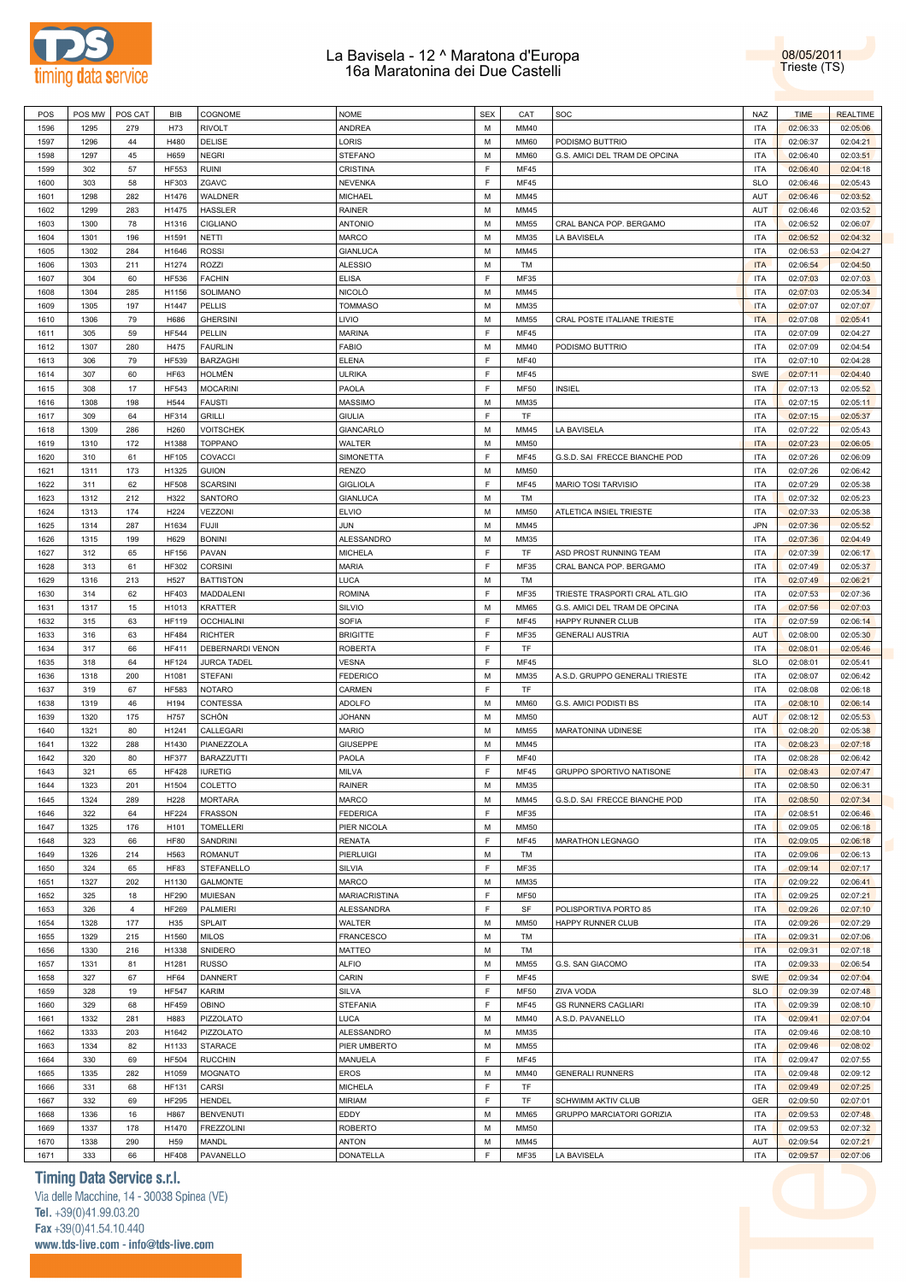



| POS          | POS MW      | POS CAT        | <b>BIB</b>                      | <b>COGNOME</b>            | <b>NOME</b>               | <b>SEX</b>  | CAT          | SOC                            | <b>NAZ</b>        | <b>TIME</b>          | <b>REALTIME</b>      |
|--------------|-------------|----------------|---------------------------------|---------------------------|---------------------------|-------------|--------------|--------------------------------|-------------------|----------------------|----------------------|
| 1596         | 1295        | 279            | H73                             | RIVOLT                    | ANDREA                    | M           | MM40         |                                | <b>ITA</b>        | 02:06:33             | 02:05:06             |
| 1597         | 1296        | 44             | H480                            | DELISE                    | LORIS                     | M           | <b>MM60</b>  | PODISMO BUTTRIO                | <b>ITA</b>        | 02:06:37             | 02:04:21             |
| 1598         | 1297        | 45             | H659                            | NEGRI                     | <b>STEFANO</b>            | M           | <b>MM60</b>  | G.S. AMICI DEL TRAM DE OPCINA  | <b>ITA</b>        | 02:06:40             | 02:03:51             |
| 1599         | 302         | 57             | <b>HF553</b>                    | <b>RUINI</b>              | CRISTINA                  | F           | MF45         |                                | <b>ITA</b>        | 02:06:40             | 02:04:18             |
|              |             |                |                                 |                           |                           |             |              |                                |                   |                      |                      |
| 1600         | 303         | 58             | <b>HF303</b>                    | ZGAVC                     | <b>NEVENKA</b>            | F           | MF45         |                                | <b>SLO</b>        | 02:06:46             | 02:05:43             |
| 1601         | 1298        | 282            | H1476                           | <b>WALDNER</b>            | MICHAEL                   | M           | MM45         |                                | AUT               | 02:06:46             | 02:03:52             |
| 1602         | 1299        | 283            | H1475                           | HASSLER                   | <b>RAINER</b>             | M           | MM45         |                                | AUT               | 02:06:46             | 02:03:52             |
| 1603         | 1300        | 78             | H1316                           | <b>CIGLIANO</b>           | <b>ANTONIO</b>            | M           | <b>MM55</b>  | CRAL BANCA POP. BERGAMO        | <b>ITA</b>        | 02:06:52             | 02:06:07             |
| 1604         | 1301        | 196            | H1591                           | NETTI                     | MARCO                     | M           | MM35         | LA BAVISELA                    | <b>ITA</b>        | 02:06:52             | 02:04:32             |
|              |             |                |                                 |                           |                           |             |              |                                |                   |                      |                      |
| 1605         | 1302        | 284            | H1646                           | <b>ROSSI</b>              | <b>GIANLUCA</b>           | M           | MM45         |                                | <b>ITA</b>        | 02:06:53             | 02:04:27             |
| 1606         | 1303        | 211            | H1274                           | ROZZI                     | <b>ALESSIO</b>            | M           | TM           |                                | <b>ITA</b>        | 02:06:54             | 02:04:50             |
| 1607         | 304         | 60             | <b>HF536</b>                    | <b>FACHIN</b>             | <b>ELISA</b>              | $\mathsf F$ | MF35         |                                | <b>ITA</b>        | 02:07:03             | 02:07:03             |
| 1608         | 1304        | 285            | H1156                           | SOLIMANO                  | NICOLÒ                    | M           | MM45         |                                | <b>ITA</b>        | 02:07:03             | 02:05:34             |
| 1609         | 1305        | 197            | H1447                           | PELLIS                    | <b>TOMMASO</b>            | M           | MM35         |                                | <b>ITA</b>        | 02:07:07             | 02:07:07             |
|              |             |                |                                 |                           |                           |             |              |                                |                   |                      |                      |
| 1610         | 1306        | 79             | H686                            | <b>GHERSINI</b>           | LIVIO                     | M           | <b>MM55</b>  | CRAL POSTE ITALIANE TRIESTE    | <b>ITA</b>        | 02:07:08             | 02:05:41             |
| 1611         | 305         | 59             | <b>HF544</b>                    | PELLIN                    | <b>MARINA</b>             | F           | <b>MF45</b>  |                                | <b>ITA</b>        | 02:07:09             | 02:04:27             |
| 1612         | 1307        | 280            | H475                            | <b>FAURLIN</b>            | <b>FABIO</b>              | M           | MM40         | PODISMO BUTTRIO                | <b>ITA</b>        | 02:07:09             | 02:04:54             |
| 1613         | 306         | 79             | <b>HF539</b>                    | <b>BARZAGHI</b>           | <b>ELENA</b>              | F           | <b>MF40</b>  |                                | <b>ITA</b>        | 02:07:10             | 02:04:28             |
| 1614         | 307         | 60             | <b>HF63</b>                     | HOLMÉN                    | <b>ULRIKA</b>             | F           | <b>MF45</b>  |                                | SWE               | 02:07:11             | 02:04:40             |
|              |             |                |                                 |                           |                           |             |              |                                |                   |                      |                      |
| 1615         | 308         | 17             | <b>HF543</b>                    | <b>MOCARINI</b>           | PAOLA                     | E           | <b>MF50</b>  | INSIEL                         | <b>ITA</b>        | 02:07:13             | 02:05:52             |
| 1616         | 1308        | 198            | H544                            | <b>FAUSTI</b>             | MASSIMO                   | M           | MM35         |                                | <b>ITA</b>        | 02:07:15             | 02:05:11             |
| 1617         | 309         | 64             | <b>HF314</b>                    | <b>GRILLI</b>             | <b>GIULIA</b>             | E           | TF           |                                | <b>ITA</b>        | 02:07:15             | 02:05:37             |
| 1618         | 1309        | 286            | H260                            | <b>VOITSCHEK</b>          | <b>GIANCARLO</b>          | M           | MM45         | LA BAVISELA                    | <b>ITA</b>        | 02:07:22             | 02:05:43             |
|              |             |                |                                 |                           |                           | M           |              |                                |                   |                      |                      |
| 1619         | 1310        | 172            | H1388                           | <b>TOPPANO</b>            | <b>WALTER</b>             |             | <b>MM50</b>  |                                | <b>ITA</b>        | 02:07:23             | 02:06:05             |
| 1620         | 310         | 61             | <b>HF105</b>                    | COVACCI                   | SIMONETTA                 | F           | MF45         | G.S.D. SAI FRECCE BIANCHE POD  | <b>ITA</b>        | 02:07:26             | 02:06:09             |
| 1621         | 1311        | 173            | H1325                           | <b>GUION</b>              | <b>RENZO</b>              | M           | <b>MM50</b>  |                                | <b>ITA</b>        | 02:07:26             | 02:06:42             |
| 1622         | 311         | 62             | <b>HF508</b>                    | <b>SCARSINI</b>           | <b>GIGLIOLA</b>           | F           | MF45         | MARIO TOSI TARVISIO            | <b>ITA</b>        | 02:07:29             | 02:05:38             |
| 1623         | 1312        | 212            | H322                            | SANTORO                   | <b>GIANLUCA</b>           | M           | TM           |                                | <b>ITA</b>        | 02:07:32             | 02:05:23             |
| 1624         | 1313        | 174            | H224                            | VEZZONI                   | <b>ELVIO</b>              | M           | <b>MM50</b>  | ATLETICA INSIEL TRIESTE        | <b>ITA</b>        | 02:07:33             |                      |
|              |             |                |                                 |                           |                           |             |              |                                |                   |                      | 02:05:38             |
| 1625         | 1314        | 287            | H1634                           | FUJII                     | JUN                       | M           | MM45         |                                | <b>JPN</b>        | 02:07:36             | 02:05:52             |
| 1626         | 1315        | 199            | H629                            | <b>BONINI</b>             | ALESSANDRO                | M           | MM35         |                                | <b>ITA</b>        | 02:07:36             | 02:04:49             |
| 1627         | 312         | 65             | <b>HF156</b>                    | PAVAN                     | <b>MICHELA</b>            | E           | TF           | ASD PROST RUNNING TEAM         | <b>ITA</b>        | 02:07:39             | 02:06:17             |
| 1628         | 313         | 61             | <b>HF302</b>                    | <b>CORSINI</b>            | MARIA                     | F           | MF35         | CRAL BANCA POP. BERGAMO        | <b>ITA</b>        | 02:07:49             | 02:05:37             |
|              |             |                |                                 |                           |                           |             |              |                                |                   |                      |                      |
| 1629         | 1316        | 213            | H527                            | <b>BATTISTON</b>          | LUCA                      | M           | TM           |                                | <b>ITA</b>        | 02:07:49             | 02:06:21             |
| 1630         | 314         | 62             | <b>HF403</b>                    | MADDALENI                 | <b>ROMINA</b>             | F           | MF35         | TRIESTE TRASPORTI CRAL ATL.GIO | <b>ITA</b>        | 02:07:53             | 02:07:36             |
| 1631         | 1317        | 15             | H1013                           | <b>KRATTER</b>            | SILVIO                    | M           | <b>MM65</b>  | G.S. AMICI DEL TRAM DE OPCINA  | <b>ITA</b>        | 02:07:56             | 02:07:03             |
| 1632         | 315         | 63             | <b>HF119</b>                    | <b>OCCHIALINI</b>         | <b>SOFIA</b>              | F           | MF45         | HAPPY RUNNER CLUB              | <b>ITA</b>        | 02:07:59             | 02:06:14             |
|              |             |                |                                 |                           |                           |             |              |                                |                   |                      |                      |
|              |             |                |                                 |                           |                           |             |              |                                |                   |                      |                      |
| 1633         | 316         | 63             | <b>HF484</b>                    | <b>RICHTER</b>            | <b>BRIGITTE</b>           | F           | MF35         | <b>GENERALI AUSTRIA</b>        | AUT               | 02:08:00             | 02:05:30             |
| 1634         | 317         | 66             | <b>HF411</b>                    | DEBERNARDI VENON          | <b>ROBERTA</b>            | F           | TF           |                                | <b>ITA</b>        | 02:08:01             | 02:05:46             |
| 1635         | 318         | 64             | <b>HF124</b>                    | <b>JURCA TADEL</b>        | <b>VESNA</b>              | F           | <b>MF45</b>  |                                | <b>SLO</b>        | 02:08:01             | 02:05:41             |
| 1636         | 1318        | 200            | H1081                           | <b>STEFANI</b>            | <b>FEDERICO</b>           | M           | MM35         | A.S.D. GRUPPO GENERALI TRIESTE | <b>ITA</b>        | 02:08:07             | 02:06:42             |
| 1637         | 319         | 67             | <b>HF583</b>                    | <b>NOTARO</b>             | CARMEN                    | F           | TF           |                                | <b>ITA</b>        | 02:08:08             | 02:06:18             |
|              |             |                |                                 |                           |                           |             |              |                                |                   |                      |                      |
| 1638         | 1319        | 46             | H194                            | CONTESSA                  | ADOLFO                    | M           | <b>MM60</b>  | G.S. AMICI PODISTI BS          | <b>ITA</b>        | 02:08:10             | 02:06:14             |
| 1639         | 1320        | 175            | H757                            | SCHÖN                     | JOHANN                    | M           | <b>MM50</b>  |                                | AUT               | 02:08:12             | 02:05:53             |
| 1640         | 1321        | 80             | H1241                           | CALLEGARI                 | MARIO                     | M           | MM55         | MARATONINA UDINESE             | <b>ITA</b>        | 02:08:20             | 02:05:38             |
| 1641         | 1322        | 288            | H1430                           | PIANEZZOLA                | <b>GIUSEPPE</b>           | M           | MM45         |                                | <b>ITA</b>        | 02:08:23             | 02:07:18             |
| 1642         | 320         | 80             | <b>HF377</b>                    | <b>BARAZZUTTI</b>         | PAOLA                     | F           | <b>MF40</b>  |                                | <b>ITA</b>        | 02:08:28             | 02:06:42             |
| 1643         | 321         | 65             | <b>HF428</b>                    | <b>IURETIG</b>            | <b>MILVA</b>              | E           | <b>MF45</b>  | GRUPPO SPORTIVO NATISONE       | <b>ITA</b>        | 02:08:43             | 02:07:47             |
|              |             |                |                                 |                           |                           |             |              |                                |                   |                      |                      |
| 1644         | 1323        | 201            | H1504                           | COLETTO                   | RAINER                    | ${\sf M}$   | MM35         |                                | <b>ITA</b>        | 02:08:50             | 02:06:31             |
| 1645         | 1324        | 289            | H228                            | <b>MORTARA</b>            | <b>MARCO</b>              | M           | MM45         | G.S.D. SAI FRECCE BIANCHE POD  | <b>ITA</b>        | 02:08:50             | 02:07:34             |
| 1646         | 322         | 64             | <b>HF224</b>                    | <b>FRASSON</b>            | <b>FEDERICA</b>           | F           | MF35         |                                | <b>ITA</b>        | 02:08:51             | 02:06:46             |
| 1647         | 1325        | 176            | H101                            | <b>TOMELLERI</b>          | PIER NICOLA               | M           | <b>MM50</b>  |                                | <b>ITA</b>        | 02:09:05             | 02:06:18             |
| 1648         | 323         | 66             | <b>HF80</b>                     | <b>SANDRINI</b>           | <b>RENATA</b>             | F           | MF45         | <b>MARATHON LEGNAGO</b>        | <b>ITA</b>        | 02:09:05             | 02:06:18             |
|              |             |                |                                 |                           |                           |             |              |                                |                   |                      |                      |
| 1649         | 1326        | 214            | H563                            | <b>ROMANUT</b>            | PIERLUIGI                 | M           | TM           |                                | <b>ITA</b>        | 02:09:06             | 02:06:13             |
| 1650         | 324         | 65             | <b>HF83</b>                     | STEFANELLO                | SILVIA                    | F           | MF35         |                                | <b>ITA</b>        | 02:09:14             | 02:07:17             |
| 1651         | 1327        | 202            | H1130                           | <b>GALMONTE</b>           | <b>MARCO</b>              | M           | MM35         |                                | <b>ITA</b>        | 02:09:22             | 02:06:41             |
| 1652         | 325         | 18             | <b>HF290</b>                    | <b>MUIESAN</b>            | <b>MARIACRISTINA</b>      | F           | <b>MF50</b>  |                                | <b>ITA</b>        | 02:09:25             | 02:07:21             |
| 1653         | 326         | $\overline{4}$ | <b>HF269</b>                    | <b>PALMIERI</b>           | <b>ALESSANDRA</b>         | F           | SF           | POLISPORTIVA PORTO 85          | <b>ITA</b>        | 02:09:26             | 02:07:10             |
|              |             |                |                                 |                           |                           |             |              |                                |                   |                      |                      |
| 1654         | 1328        | 177            | H35                             | SPLAIT                    | WALTER                    | M           | <b>MM50</b>  | HAPPY RUNNER CLUB              | <b>ITA</b>        | 02:09:26             | 02:07:29             |
| 1655         | 1329        | 215            | H1560                           | <b>MILOS</b>              | <b>FRANCESCO</b>          | M           | TM           |                                | <b>ITA</b>        | 02:09:31             | 02:07:06             |
| 1656         | 1330        | 216            | H1338                           | SNIDERO                   | MATTEO                    | M           | TM           |                                | <b>ITA</b>        | 02:09:31             | 02:07:18             |
| 1657         | 1331        | 81             | H1281                           | <b>RUSSO</b>              | <b>ALFIO</b>              | M           | MM55         | G.S. SAN GIACOMO               | <b>ITA</b>        | 02:09:33             | 02:06:54             |
| 1658         | 327         | 67             | <b>HF64</b>                     | DANNERT                   | CARIN                     | F           | <b>MF45</b>  |                                | SWE               | 02:09:34             | 02:07:04             |
|              |             |                |                                 |                           |                           |             |              |                                |                   |                      |                      |
| 1659         | 328         | 19             | <b>HF547</b>                    | KARIM                     | SILVA                     | F           | <b>MF50</b>  | ZIVA VODA                      | <b>SLO</b>        | 02:09:39             | 02:07:48             |
| 1660         | 329         | 68             | <b>HF459</b>                    | OBINO                     | <b>STEFANIA</b>           | F           | <b>MF45</b>  | <b>GS RUNNERS CAGLIARI</b>     | <b>ITA</b>        | 02:09:39             | 02:08:10             |
| 1661         | 1332        | 281            | H883                            | PIZZOLATO                 | LUCA                      | M           | MM40         | A.S.D. PAVANELLO               | <b>ITA</b>        | 02:09:41             | 02:07:04             |
| 1662         | 1333        | 203            | H1642                           | PIZZOLATO                 | ALESSANDRO                | M           | MM35         |                                | <b>ITA</b>        | 02:09:46             | 02:08:10             |
| 1663         | 1334        | 82             | H1133                           | STARACE                   | PIER UMBERTO              | M           | <b>MM55</b>  |                                | <b>ITA</b>        | 02:09:46             | 02:08:02             |
|              |             |                |                                 |                           |                           |             |              |                                |                   |                      |                      |
| 1664         | 330         | 69             | <b>HF504</b>                    | <b>RUCCHIN</b>            | MANUELA                   | F           | <b>MF45</b>  |                                | <b>ITA</b>        | 02:09:47             | 02:07:55             |
| 1665         | 1335        | 282            | H1059                           | <b>MOGNATO</b>            | <b>EROS</b>               | M           | MM40         | <b>GENERALI RUNNERS</b>        | <b>ITA</b>        | 02:09:48             | 02:09:12             |
| 1666         | 331         | 68             | <b>HF131</b>                    | CARSI                     | <b>MICHELA</b>            | F           | TF           |                                | <b>ITA</b>        | 02:09:49             | 02:07:25             |
| 1667         | 332         | 69             | <b>HF295</b>                    | HENDEL                    | <b>MIRIAM</b>             | F           | TF           | SCHWIMM AKTIV CLUB             | GER               | 02:09:50             | 02:07:01             |
| 1668         | 1336        | 16             | H867                            | <b>BENVENUTI</b>          | EDDY                      | M           | MM65         |                                | <b>ITA</b>        |                      |                      |
|              |             |                |                                 |                           |                           |             |              | GRUPPO MARCIATORI GORIZIA      |                   | 02:09:53             | 02:07:48             |
| 1669         | 1337        | 178            | H1470                           | <b>FREZZOLINI</b>         | <b>ROBERTO</b>            | M           | <b>MM50</b>  |                                | <b>ITA</b>        | 02:09:53             | 02:07:32             |
| 1670<br>1671 | 1338<br>333 | 290<br>66      | H <sub>59</sub><br><b>HF408</b> | <b>MANDL</b><br>PAVANELLO | <b>ANTON</b><br>DONATELLA | M<br>F      | MM45<br>MF35 | LA BAVISELA                    | AUT<br><b>ITA</b> | 02:09:54<br>02:09:57 | 02:07:21<br>02:07:06 |

## **Timing Data Service s.r.l.**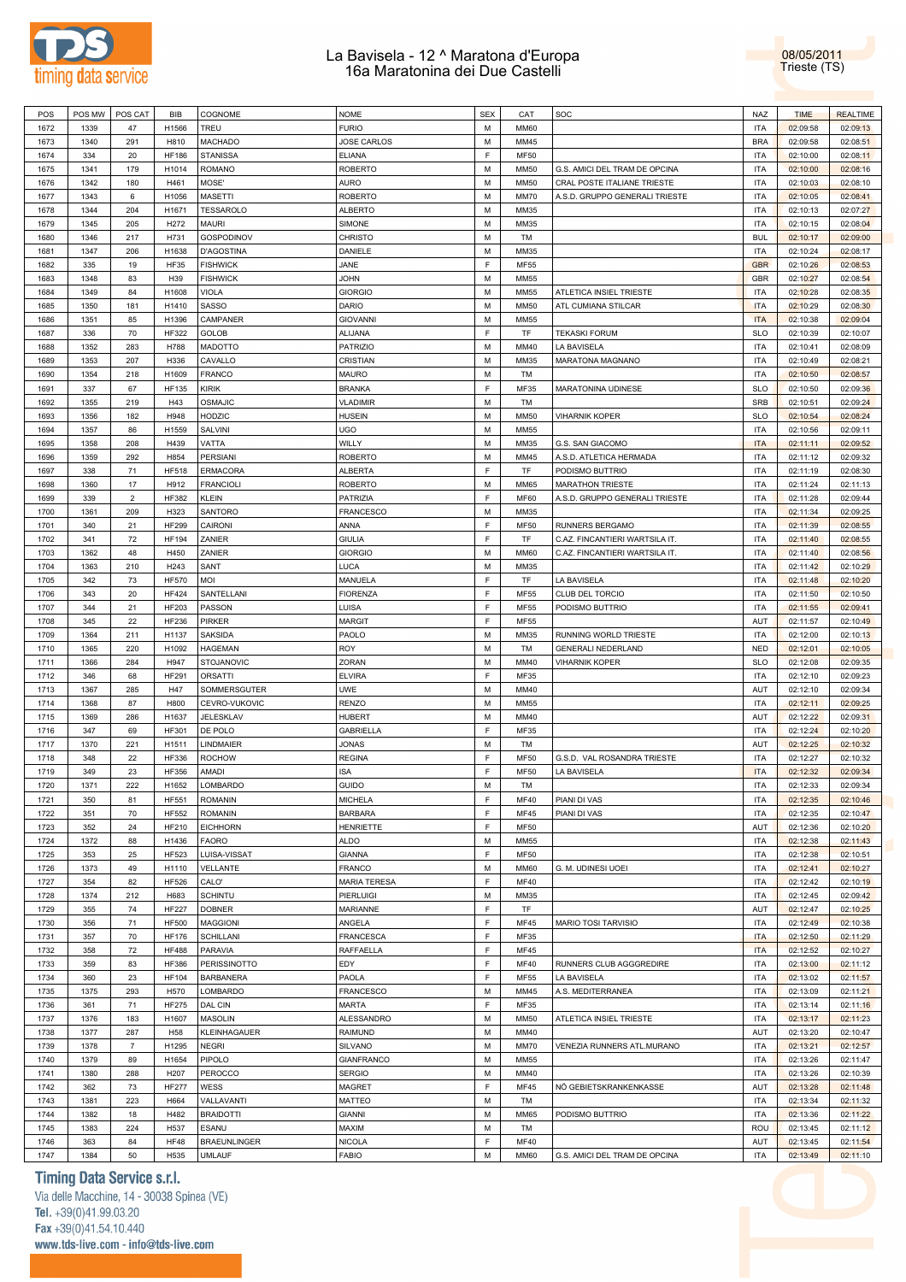

08/05/2011 Trieste (TS)

| 1672         | POS MW      | POS CAT        | BIB                 | COGNOME                              | <b>NOME</b>                   | <b>SEX</b> | CAT                        | SOC                            | <b>NAZ</b>        | <b>TIME</b>          | <b>REALTIME</b>      |
|--------------|-------------|----------------|---------------------|--------------------------------------|-------------------------------|------------|----------------------------|--------------------------------|-------------------|----------------------|----------------------|
|              | 1339        | 47             | H1566               | TREU                                 | <b>FURIO</b>                  | М          | <b>MM60</b>                |                                | <b>ITA</b>        | 02:09:58             | 02:09:13             |
| 1673         | 1340        | 291            | H810                | MACHADO                              | <b>JOSE CARLOS</b>            | M          | MM45                       |                                | <b>BRA</b>        | 02:09:58             | 02:08:51             |
|              |             |                |                     |                                      |                               |            |                            |                                |                   |                      |                      |
| 1674         | 334         | 20             | <b>HF186</b>        | <b>STANISSA</b>                      | <b>ELIANA</b>                 | F.         | <b>MF50</b>                |                                | <b>ITA</b>        | 02:10:00             | 02:08:11             |
| 1675         | 1341        | 179            | H1014               | ROMANO                               | <b>ROBERTO</b>                | М          | <b>MM50</b>                | G.S. AMICI DEL TRAM DE OPCINA  | <b>ITA</b>        | 02:10:00             | 02:08:16             |
| 1676         | 1342        | 180            | H461                | MOSE'                                | AURO                          | М          | <b>MM50</b>                | CRAL POSTE ITALIANE TRIESTE    | <b>ITA</b>        | 02:10:03             | 02:08:10             |
| 1677         | 1343        | 6              | H1056               | MASETTI                              | <b>ROBERTO</b>                | M          | MM70                       | A.S.D. GRUPPO GENERALI TRIESTE | <b>ITA</b>        | 02:10:05             | 02:08:41             |
| 1678         | 1344        | 204            | H1671               | TESSAROLO                            | <b>ALBERTO</b>                | М          | MM35                       |                                | <b>ITA</b>        | 02:10:13             | 02:07:27             |
| 1679         | 1345        | 205            | H <sub>272</sub>    | MAURI                                | SIMONE                        | М          | MM35                       |                                | <b>ITA</b>        | 02:10:15             | 02:08:04             |
|              |             |                |                     |                                      |                               |            |                            |                                |                   |                      |                      |
| 1680         | 1346        | 217            | H731                | GOSPODINOV                           | CHRISTO                       | М          | TM                         |                                | <b>BUL</b>        | 02:10:17             | 02:09:00             |
| 1681         | 1347        | 206            | H1638               | <b>D'AGOSTINA</b>                    | DANIELE                       | M          | MM35                       |                                | <b>ITA</b>        | 02:10:24             | 02:08:17             |
| 1682         | 335         | 19             | <b>HF35</b>         | <b>FISHWICK</b>                      | JANE                          | F.         | <b>MF55</b>                |                                | <b>GBR</b>        | 02:10:26             | 02:08:53             |
| 1683         | 1348        | 83             | H39                 | <b>FISHWICK</b>                      | <b>JOHN</b>                   | М          | MM55                       |                                | GBR               | 02:10:27             | 02:08:54             |
| 1684         | 1349        | 84             | H1608               | VIOLA                                | <b>GIORGIO</b>                | М          | MM55                       | ATLETICA INSIEL TRIESTE        | <b>ITA</b>        | 02:10:28             | 02:08:35             |
|              |             |                |                     | SASSO                                | DARIO                         | M          |                            |                                | <b>ITA</b>        |                      |                      |
| 1685         | 1350        | 181            | H1410               |                                      |                               |            | <b>MM50</b>                | ATL CUMIANA STILCAR            |                   | 02:10:29             | 02:08:30             |
| 1686         | 1351        | 85             | H1396               | CAMPANER                             | <b>GIOVANNI</b>               | М          | MM55                       |                                | <b>ITA</b>        | 02:10:38             | 02:09:04             |
| 1687         | 336         | 70             | <b>HF322</b>        | GOLOB                                | ALIJANA                       | F          | TF                         | <b>TEKASKI FORUM</b>           | <b>SLO</b>        | 02:10:39             | 02:10:07             |
| 1688         | 1352        | 283            | H788                | MADOTTO                              | PATRIZIO                      | М          | MM40                       | LA BAVISELA                    | <b>ITA</b>        | 02:10:41             | 02:08:09             |
| 1689         | 1353        | 207            | H336                | CAVALLO                              | CRISTIAN                      | M          | MM35                       | MARATONA MAGNANO               | <b>ITA</b>        | 02:10:49             | 02:08:21             |
| 1690         | 1354        | 218            | H1609               | FRANCO                               | MAURO                         | М          | TM                         |                                | <b>ITA</b>        | 02:10:50             | 02:08:57             |
|              |             |                |                     |                                      |                               | F          |                            |                                |                   |                      |                      |
| 1691         | 337         | 67             | <b>HF135</b>        | KIRIK                                | <b>BRANKA</b>                 |            | MF35                       | MARATONINA UDINESE             | <b>SLO</b>        | 02:10:50             | 02:09:36             |
| 1692         | 1355        | 219            | H43                 | OSMAJIC                              | <b>VLADIMIR</b>               | М          | TM                         |                                | <b>SRB</b>        | 02:10:51             | 02:09:24             |
| 1693         | 1356        | 182            | H948                | HODZIC                               | <b>HUSEIN</b>                 | M          | <b>MM50</b>                | <b>VIHARNIK KOPER</b>          | <b>SLO</b>        | 02:10:54             | 02:08:24             |
| 1694         | 1357        | 86             | H1559               | SALVINI                              | <b>UGO</b>                    | М          | MM55                       |                                | <b>ITA</b>        | 02:10:56             | 02:09:11             |
| 1695         | 1358        | 208            | H439                | VATTA                                | WILLY                         | М          | MM35                       | G.S. SAN GIACOMO               | <b>ITA</b>        | 02:11:11             | 02:09:52             |
| 1696         | 1359        | 292            | H854                | PERSIANI                             | <b>ROBERTO</b>                | М          | MM45                       | A.S.D. ATLETICA HERMADA        | <b>ITA</b>        | 02:11:12             | 02:09:32             |
|              |             |                |                     |                                      |                               |            |                            |                                |                   |                      |                      |
| 1697         | 338         | 71             | <b>HF518</b>        | ERMACORA                             | <b>ALBERTA</b>                | F.         | TF                         | PODISMO BUTTRIO                | <b>ITA</b>        | 02:11:19             | 02:08:30             |
| 1698         | 1360        | 17             | H912                | FRANCIOLI                            | <b>ROBERTO</b>                | М          | <b>MM65</b>                | <b>MARATHON TRIESTE</b>        | <b>ITA</b>        | 02:11:24             | 02:11:13             |
| 1699         | 339         | $\overline{2}$ | <b>HF382</b>        | KLEIN                                | PATRIZIA                      | F          | MF60                       | A.S.D. GRUPPO GENERALI TRIESTE | <b>ITA</b>        | 02:11:28             | 02:09:44             |
| 1700         | 1361        | 209            | H323                | SANTORO                              | <b>FRANCESCO</b>              | М          | MM35                       |                                | <b>ITA</b>        | 02:11:34             | 02:09:25             |
| 1701         | 340         | 21             | <b>HF299</b>        | CAIRONI                              | ANNA                          | F.         | <b>MF50</b>                | RUNNERS BERGAMO                | <b>ITA</b>        | 02:11:39             | 02:08:55             |
| 1702         |             | 72             | <b>HF194</b>        |                                      | <b>GIULIA</b>                 | F          | TF                         | C.AZ. FINCANTIERI WARTSILA IT. | <b>ITA</b>        |                      | 02:08:55             |
|              | 341         |                |                     | ZANIER                               |                               |            |                            |                                |                   | 02:11:40             |                      |
| 1703         | 1362        | 48             | H450                | ZANIER                               | <b>GIORGIO</b>                | М          | MM60                       | C.AZ. FINCANTIERI WARTSILA IT. | <b>ITA</b>        | 02:11:40             | 02:08:56             |
| 1704         | 1363        | 210            | H243                | SANT                                 | LUCA                          | М          | MM35                       |                                | <b>ITA</b>        | 02:11:42             | 02:10:29             |
| 1705         | 342         | 73             | <b>HF570</b>        | MOI                                  | MANUELA                       | F.         | TF                         | LA BAVISELA                    | <b>ITA</b>        | 02:11:48             | 02:10:20             |
| 1706         | 343         | 20             | <b>HF424</b>        | SANTELLANI                           | <b>FIORENZA</b>               | F          | <b>MF55</b>                | <b>CLUB DEL TORCIO</b>         | <b>ITA</b>        | 02:11:50             | 02:10:50             |
| 1707         | 344         | 21             | <b>HF203</b>        | PASSON                               | LUISA                         | F          | <b>MF55</b>                | PODISMO BUTTRIO                | <b>ITA</b>        | 02:11:55             | 02:09:41             |
|              |             |                |                     |                                      |                               | F.         |                            |                                |                   |                      |                      |
| 1708         | 345         | 22             | <b>HF236</b>        | PIRKER                               | <b>MARGIT</b>                 |            | <b>MF55</b>                |                                | AUT               | 02:11:57             | 02:10:49             |
| 1709         | 1364        | 211            | H1137               | SAKSIDA                              | PAOLO                         | М          | MM35                       | RUNNING WORLD TRIESTE          | <b>ITA</b>        | 02:12:00             | 02:10:13             |
| 1710         | 1365        | 220            | H1092               | <b>HAGEMAN</b>                       | ROY                           | М          | TM                         | GENERALI NEDERLAND             | <b>NED</b>        | 02:12:01             | 02:10:05             |
| 1711         | 1366        | 284            | H947                | STOJANOVIC                           | ZORAN                         | М          | MM40                       | <b>VIHARNIK KOPER</b>          | <b>SLO</b>        | 02:12:08             | 02:09:35             |
| 1712         | 346         | 68             | <b>HF291</b>        | <b>ORSATTI</b>                       | <b>ELVIRA</b>                 | F          | MF35                       |                                | <b>ITA</b>        | 02:12:10             | 02:09:23             |
|              |             |                |                     |                                      |                               | М          |                            |                                |                   |                      |                      |
|              |             |                |                     |                                      |                               |            |                            |                                |                   |                      |                      |
| 1713         | 1367        | 285            | H47                 | SOMMERSGUTER                         | UWE                           |            | MM40                       |                                | AUT               | 02:12:10             | 02:09:34             |
| 1714         | 1368        | 87             | H800                | CEVRO-VUKOVIC                        | <b>RENZO</b>                  | М          | MM55                       |                                | <b>ITA</b>        | 02:12:11             | 02:09:25             |
| 1715         | 1369        | 286            | H1637               | JELESKLAV                            | <b>HUBERT</b>                 | М          | MM40                       |                                | AUT               | 02:12:22             | 02:09:31             |
| 1716         | 347         | 69             | <b>HF301</b>        | DE POLO                              | <b>GABRIELLA</b>              | F          | MF35                       |                                | <b>ITA</b>        | 02:12:24             | 02:10:20             |
| 1717         | 1370        | 221            | H1511               | LINDMAIER                            | JONAS                         | М          | TM                         |                                | AUT               | 02:12:25             | 02:10:32             |
|              |             |                |                     |                                      |                               | F          |                            |                                | <b>ITA</b>        |                      |                      |
| 1718         | 348         | 22             | <b>HF336</b>        | <b>ROCHOW</b>                        | <b>REGINA</b>                 |            | <b>MF50</b>                | G.S.D. VAL ROSANDRA TRIESTE    |                   | 02:12:27             | 02:10:32             |
| 1719         | 349         | 23             | <b>HF356</b>        | AMADI                                | <b>ISA</b>                    | F.         | MF50                       | LA BAVISELA                    | <b>ITA</b>        | 02:12:32             | 02:09:34             |
| 1720         | 1371        | 222            | H1652               | LOMBARDO                             | GUIDO                         | M          | TM                         |                                | <b>ITA</b>        | 02:12:33             | 02:09:34             |
| 1721         | 350         | 81             | <b>HF551</b>        | <b>ROMANIN</b>                       | <b>MICHELA</b>                | F          | MF40                       | PIANI DI VAS                   | <b>ITA</b>        | 02:12:35             | 02:10:46             |
| 1722         | 351         | 70             | <b>HF552</b>        | ROMANIN                              | <b>BARBARA</b>                | F          | <b>MF45</b>                | PIANI DI VAS                   | <b>ITA</b>        | 02:12:35             | 02:10:47             |
| 1723         | 352         | 24             | HF210               | <b>EICHHORN</b>                      | <b>HENRIETTE</b>              | F          | <b>MF50</b>                |                                | AUT               | 02:12:36             | 02:10:20             |
| 1724         | 1372        | 88             | H1436               | FAORO                                | <b>ALDO</b>                   | М          | <b>MM55</b>                |                                | <b>ITA</b>        | 02:12:38             | 02:11:43             |
|              |             |                |                     |                                      |                               | F          |                            |                                |                   |                      |                      |
| 1725         | 353         | 25             | HF523               | LUISA-VISSAT                         | <b>GIANNA</b>                 |            | <b>MF50</b>                |                                | <b>ITA</b>        | 02:12:38             | 02:10:51             |
| 1726         | 1373        | 49             | H1110               | VELLANTE                             | <b>FRANCO</b>                 | М          | <b>MM60</b>                | G. M. UDINESI UOEI             | <b>ITA</b>        | 02:12:41             | 02:10:27             |
| 1727         | 354         | 82             | <b>HF526</b>        | CALO'                                | <b>MARIA TERESA</b>           | F          | <b>MF40</b>                |                                | <b>ITA</b>        | 02:12:42             | 02:10:19             |
| 1728         | 1374        | 212            | H683                | <b>SCHINTU</b>                       | PIERLUIGI                     | М          | MM35                       |                                | <b>ITA</b>        | 02:12:45             | 02:09:42             |
| 1729         | 355         | 74             | <b>HF227</b>        | <b>DOBNER</b>                        | MARIANNE                      | F          | TF                         |                                | AUT               | 02:12:47             | 02:10:25             |
| 1730         | 356         | 71             | <b>HF500</b>        | <b>MAGGIONI</b>                      | ANGELA                        | F          | <b>MF45</b>                | MARIO TOSI TARVISIO            | <b>ITA</b>        | 02:12:49             | 02:10:38             |
|              |             |                |                     |                                      |                               | F          |                            |                                |                   |                      |                      |
| 1731         | 357         | 70             | <b>HF176</b>        | SCHILLANI                            | <b>FRANCESCA</b>              |            | MF35                       |                                | <b>ITA</b>        | 02:12:50             | 02:11:29             |
| 1732         | 358         | 72             | <b>HF488</b>        | PARAVIA                              | RAFFAELLA                     | F          | <b>MF45</b>                |                                | <b>ITA</b>        | 02:12:52             | 02:10:27             |
| 1733         | 359         | 83             | <b>HF386</b>        | PERISSINOTTO                         | EDY                           | F          | <b>MF40</b>                | RUNNERS CLUB AGGGREDIRE        | <b>ITA</b>        | 02:13:00             | 02:11:12             |
| 1734         | 360         | 23             | <b>HF104</b>        | <b>BARBANERA</b>                     | PAOLA                         | F          | <b>MF55</b>                | LA BAVISELA                    | <b>ITA</b>        | 02:13:02             | 02:11:57             |
| 1735         | 1375        | 293            | H570                | LOMBARDO                             | <b>FRANCESCO</b>              | М          | MM45                       | A.S. MEDITERRANEA              | <b>ITA</b>        | 02:13:09             | 02:11:21             |
| 1736         | 361         | 71             | <b>HF275</b>        | DAL CIN                              | <b>MARTA</b>                  | F          | MF35                       |                                | <b>ITA</b>        | 02:13:14             | 02:11:16             |
|              |             |                |                     |                                      |                               |            |                            |                                |                   |                      |                      |
| 1737         | 1376        | 183            | H1607               | <b>MASOLIN</b>                       | ALESSANDRO                    | М          | <b>MM50</b>                | ATLETICA INSIEL TRIESTE        | <b>ITA</b>        | 02:13:17             | 02:11:23             |
| 1738         | 1377        | 287            | H58                 | KLEINHAGAUER                         | RAIMUND                       | М          | MM40                       |                                | AUT               | 02:13:20             | 02:10:47             |
| 1739         | 1378        | $\overline{7}$ | H1295               | NEGRI                                | SILVANO                       | М          | <b>MM70</b>                | VENEZIA RUNNERS ATL.MURANO     | <b>ITA</b>        | 02:13:21             | 02:12:57             |
| 1740         | 1379        | 89             | H1654               | PIPOLO                               | GIANFRANCO                    | М          | <b>MM55</b>                |                                | <b>ITA</b>        | 02:13:26             | 02:11:47             |
| 1741         | 1380        | 288            | H <sub>207</sub>    | PEROCCO                              | <b>SERGIO</b>                 | М          | MM40                       |                                | <b>ITA</b>        | 02:13:26             | 02:10:39             |
| 1742         | 362         | 73             | <b>HF277</b>        | WESS                                 | <b>MAGRET</b>                 | F          | <b>MF45</b>                | NÖ GEBIETSKRANKENKASSE         | AUT               | 02:13:28             | 02:11:48             |
| 1743         | 1381        | 223            | H664                | VALLAVANTI                           | MATTEO                        | М          | TM                         |                                | <b>ITA</b>        | 02:13:34             | 02:11:32             |
|              |             |                |                     |                                      |                               |            |                            |                                |                   |                      |                      |
| 1744         | 1382        | 18             | H482                | <b>BRAIDOTTI</b>                     | <b>GIANNI</b>                 | М          | <b>MM65</b>                | PODISMO BUTTRIO                | <b>ITA</b>        | 02:13:36             | 02:11:22             |
| 1745         | 1383        | 224            | H537                | ESANU                                | MAXIM                         | М          | TM                         |                                | ROU               | 02:13:45             | 02:11:12             |
| 1746<br>1747 | 363<br>1384 | 84<br>50       | <b>HF48</b><br>H535 | <b>BRAEUNLINGER</b><br><b>UMLAUF</b> | <b>NICOLA</b><br><b>FABIO</b> | F<br>М     | <b>MF40</b><br><b>MM60</b> | G.S. AMICI DEL TRAM DE OPCINA  | AUT<br><b>ITA</b> | 02:13:45<br>02:13:49 | 02:11:54<br>02:11:10 |

# **Timing Data Service s.r.l.**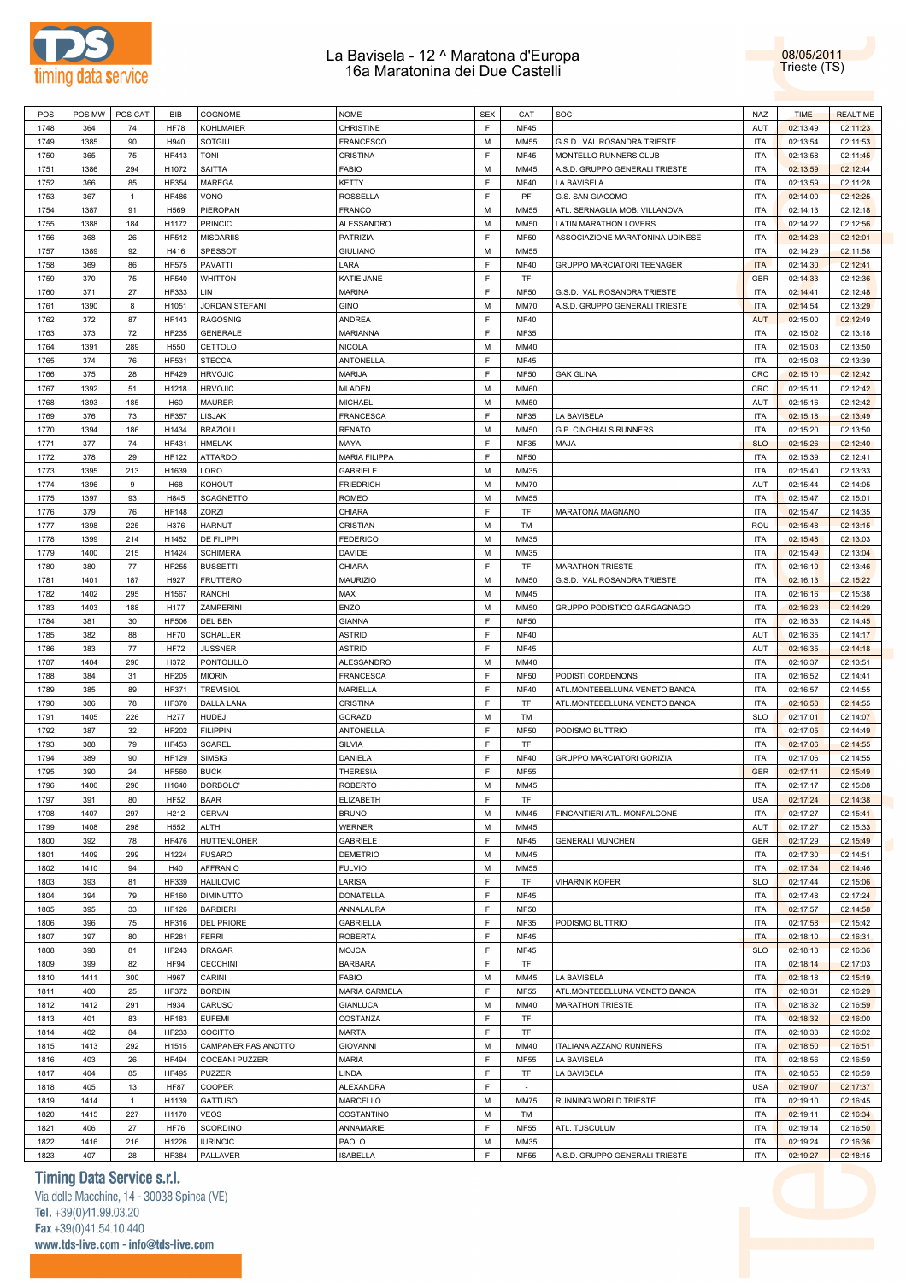



| POS  | POS MW | POS CAT      | BIB          | COGNOME               | <b>NOME</b>          | <b>SEX</b> | CAT         | SOC                             | <b>NAZ</b> | <b>TIME</b> | <b>REALTIME</b> |
|------|--------|--------------|--------------|-----------------------|----------------------|------------|-------------|---------------------------------|------------|-------------|-----------------|
| 1748 | 364    | 74           | <b>HF78</b>  | <b>KOHLMAIER</b>      | CHRISTINE            | E          | <b>MF45</b> |                                 | AUT        | 02:13:49    | 02:11:23        |
| 1749 | 1385   | 90           | H940         | SOTGIU                | FRANCESCO            | M          | <b>MM55</b> | G.S.D. VAL ROSANDRA TRIESTE     | <b>ITA</b> | 02:13:54    | 02:11:53        |
| 1750 | 365    | 75           | <b>HF413</b> | TONI                  | CRISTINA             | E          | <b>MF45</b> | MONTELLO RUNNERS CLUB           | <b>ITA</b> | 02:13:58    | 02:11:45        |
| 1751 | 1386   | 294          | H1072        | <b>SAITTA</b>         | FABIO                | M          | MM45        | A.S.D. GRUPPO GENERALI TRIESTE  | <b>ITA</b> | 02:13:59    | 02:12:44        |
| 1752 | 366    | 85           | <b>HF354</b> | <b>MAREGA</b>         | KETTY                | E          | <b>MF40</b> | LA BAVISELA                     | <b>ITA</b> | 02:13:59    | 02:11:28        |
| 1753 | 367    | $\mathbf{1}$ | <b>HF486</b> | VONO                  | ROSSELLA             | E          | PF          | G.S. SAN GIACOMO                | <b>ITA</b> | 02:14:00    | 02:12:25        |
| 1754 | 1387   | 91           | H569         | PIEROPAN              | <b>FRANCO</b>        | M          | <b>MM55</b> | ATL. SERNAGLIA MOB. VILLANOVA   | <b>ITA</b> | 02:14:13    | 02:12:18        |
| 1755 | 1388   | 184          | H1172        | <b>PRINCIC</b>        | ALESSANDRO           | M          | <b>MM50</b> | LATIN MARATHON LOVERS           | <b>ITA</b> | 02:14:22    | 02:12:56        |
| 1756 | 368    | 26           | HF512        | <b>MISDARIIS</b>      | PATRIZIA             | E          | <b>MF50</b> | ASSOCIAZIONE MARATONINA UDINESE | <b>ITA</b> | 02:14:28    | 02:12:01        |
| 1757 | 1389   | 92           | H416         | <b>SPESSOT</b>        | <b>GIULIANO</b>      | M          | <b>MM55</b> |                                 | <b>ITA</b> | 02:14:29    | 02:11:58        |
| 1758 | 369    | 86           | <b>HF575</b> | PAVATTI               | LARA                 | E          | <b>MF40</b> | GRUPPO MARCIATORI TEENAGER      | <b>ITA</b> | 02:14:30    | 02:12:41        |
| 1759 | 370    | 75           | <b>HF540</b> | <b>WHITTON</b>        | KATIE JANE           | E          | TF          |                                 | <b>GBR</b> | 02:14:33    | 02:12:36        |
| 1760 | 371    | 27           | <b>HF333</b> | LIN                   | <b>MARINA</b>        | E          | <b>MF50</b> | G.S.D. VAL ROSANDRA TRIESTE     | <b>ITA</b> | 02:14:41    | 02:12:48        |
| 1761 | 1390   | 8            | H1051        | JORDAN STEFANI        | GINO                 | M          | <b>MM70</b> | A.S.D. GRUPPO GENERALI TRIESTE  | <b>ITA</b> | 02:14:54    | 02:13:29        |
| 1762 | 372    | 87           | <b>HF143</b> | <b>RAGOSNIG</b>       | ANDREA               | E          | <b>MF40</b> |                                 | <b>AUT</b> | 02:15:00    | 02:12:49        |
| 1763 | 373    | 72           | <b>HF235</b> | <b>GENERALE</b>       | MARIANNA             | E          | MF35        |                                 | <b>ITA</b> | 02:15:02    | 02:13:18        |
| 1764 | 1391   | 289          | H550         | CETTOLO               | NICOLA               | M          | MM40        |                                 | <b>ITA</b> | 02:15:03    | 02:13:50        |
|      |        |              |              |                       |                      | E          |             |                                 |            |             |                 |
| 1765 | 374    | 76           | <b>HF531</b> | <b>STECCA</b>         | ANTONELLA            | E          | <b>MF45</b> |                                 | <b>ITA</b> | 02:15:08    | 02:13:39        |
| 1766 | 375    | 28           | <b>HF429</b> | <b>HRVOJIC</b>        | MARIJA               |            | <b>MF50</b> | <b>GAK GLINA</b>                | CRO        | 02:15:10    | 02:12:42        |
| 1767 | 1392   | 51           | H1218        | <b>HRVOJIC</b>        | MLADEN               | M          | <b>MM60</b> |                                 | CRO        | 02:15:11    | 02:12:42        |
| 1768 | 1393   | 185          | H60          | <b>MAURER</b>         | MICHAEL              | M          | <b>MM50</b> |                                 | AUT        | 02:15:16    | 02:12:42        |
| 1769 | 376    | 73           | <b>HF357</b> | LISJAK                | <b>FRANCESCA</b>     | E          | MF35        | LA BAVISELA                     | <b>ITA</b> | 02:15:18    | 02:13:49        |
| 1770 | 1394   | 186          | H1434        | <b>BRAZIOLI</b>       | RENATO               | M          | <b>MM50</b> | <b>G.P. CINGHIALS RUNNERS</b>   | <b>ITA</b> | 02:15:20    | 02:13:50        |
| 1771 | 377    | 74           | <b>HF431</b> | <b>HMELAK</b>         | MAYA                 | E          | MF35        | MAJA                            | <b>SLO</b> | 02:15:26    | 02:12:40        |
| 1772 | 378    | 29           | <b>HF122</b> | <b>ATTARDO</b>        | <b>MARIA FILIPPA</b> | E          | <b>MF50</b> |                                 | <b>ITA</b> | 02:15:39    | 02:12:41        |
| 1773 | 1395   | 213          | H1639        | LORO                  | <b>GABRIELE</b>      | M          | MM35        |                                 | <b>ITA</b> | 02:15:40    | 02:13:33        |
| 1774 | 1396   | 9            | H68          | KOHOUT                | <b>FRIEDRICH</b>     | M          | <b>MM70</b> |                                 | AUT        | 02:15:44    | 02:14:05        |
| 1775 | 1397   | 93           | H845         | <b>SCAGNETTO</b>      | ROMEO                | M          | <b>MM55</b> |                                 | <b>ITA</b> | 02:15:47    | 02:15:01        |
| 1776 | 379    | 76           | <b>HF148</b> | <b>ZORZI</b>          | CHIARA               | E          | TF          | <b>MARATONA MAGNANO</b>         | <b>ITA</b> | 02:15:47    | 02:14:35        |
| 1777 | 1398   | 225          | H376         | <b>HARNUT</b>         | CRISTIAN             | M          | TM          |                                 | ROU        | 02:15:48    | 02:13:15        |
| 1778 | 1399   | 214          | H1452        | DE FILIPPI            | <b>FEDERICO</b>      | M          | MM35        |                                 | <b>ITA</b> | 02:15:48    | 02:13:03        |
| 1779 | 1400   | 215          | H1424        | <b>SCHIMERA</b>       | DAVIDE               | M          | MM35        |                                 | <b>ITA</b> | 02:15:49    | 02:13:04        |
| 1780 | 380    | 77           | <b>HF255</b> | <b>BUSSETTI</b>       | CHIARA               | E          | TF          | <b>MARATHON TRIESTE</b>         | <b>ITA</b> | 02:16:10    | 02:13:46        |
| 1781 | 1401   | 187          | H927         | <b>FRUTTERO</b>       | <b>MAURIZIO</b>      | M          | <b>MM50</b> | G.S.D. VAL ROSANDRA TRIESTE     | <b>ITA</b> | 02:16:13    | 02:15:22        |
| 1782 | 1402   | 295          | H1567        | RANCHI                | MAX                  | M          | MM45        |                                 | <b>ITA</b> | 02:16:16    | 02:15:38        |
| 1783 | 1403   | 188          | H177         | ZAMPERINI             | ENZO                 | M          | <b>MM50</b> | GRUPPO PODISTICO GARGAGNAGO     | <b>ITA</b> | 02:16:23    | 02:14:29        |
| 1784 | 381    | 30           | <b>HF506</b> | DEL BEN               | <b>GIANNA</b>        | E          | <b>MF50</b> |                                 | <b>ITA</b> | 02:16:33    | 02:14:45        |
| 1785 | 382    | 88           | HF70         | <b>SCHALLER</b>       | <b>ASTRID</b>        | E          | <b>MF40</b> |                                 | AUT        | 02:16:35    | 02:14:17        |
| 1786 | 383    | 77           | <b>HF72</b>  | <b>JUSSNER</b>        | <b>ASTRID</b>        | E          | <b>MF45</b> |                                 | AUT        | 02:16:35    | 02:14:18        |
| 1787 | 1404   | 290          | H372         | <b>PONTOLILLO</b>     | ALESSANDRO           | M          | MM40        |                                 | <b>ITA</b> | 02:16:37    | 02:13:51        |
| 1788 | 384    | 31           | <b>HF205</b> | <b>MIORIN</b>         | <b>FRANCESCA</b>     | E          | <b>MF50</b> | PODISTI CORDENONS               | <b>ITA</b> | 02:16:52    | 02:14:41        |
| 1789 | 385    | 89           | <b>HF371</b> | <b>TREVISIOL</b>      | MARIELLA             | E          | <b>MF40</b> | ATL.MONTEBELLUNA VENETO BANCA   | <b>ITA</b> | 02:16:57    | 02:14:55        |
| 1790 | 386    | 78           | <b>HF370</b> | <b>DALLA LANA</b>     | CRISTINA             | E          | TF          | ATL.MONTEBELLUNA VENETO BANCA   | <b>ITA</b> | 02:16:58    | 02:14:55        |
| 1791 | 1405   | 226          | H277         | <b>HUDEJ</b>          | <b>GORAZD</b>        | M          | TM          |                                 | <b>SLO</b> | 02:17:01    | 02:14:07        |
| 1792 | 387    | 32           | <b>HF202</b> | <b>FILIPPIN</b>       | <b>ANTONELLA</b>     | F          | <b>MF50</b> | PODISMO BUTTRIO                 | <b>ITA</b> | 02:17:05    | 02:14:49        |
| 1793 | 388    | 79           | <b>HF453</b> | <b>SCAREL</b>         | SILVIA               | E          | TF          |                                 | <b>ITA</b> | 02:17:06    | 02:14:55        |
| 1794 | 389    | 90           | <b>HF129</b> | <b>SIMSIG</b>         | DANIELA              | F          | <b>MF40</b> | GRUPPO MARCIATORI GORIZIA       | <b>ITA</b> | 02:17:06    | 02:14:55        |
| 1795 | 390    | 24           | <b>HF560</b> | <b>BUCK</b>           | THERESIA             | E          | <b>MF55</b> |                                 | <b>GER</b> | 02:17:11    | 02:15:49        |
| 1796 | 1406   | 296          | H1640        | DORBOLO'              | <b>ROBERTO</b>       | M          | MM45        |                                 | <b>ITA</b> | 02:17:17    | 02:15:08        |
| 1797 | 391    | 80           | <b>HF52</b>  | <b>BAAR</b>           | ELIZABETH            | F          | TF          |                                 | <b>USA</b> | 02:17:24    | 02:14:38        |
| 1798 | 1407   | 297          | H212         | <b>CERVAI</b>         | <b>BRUNO</b>         | M          | MM45        | FINCANTIERI ATL. MONFALCONE     | <b>ITA</b> | 02:17:27    | 02:15:41        |
| 1799 | 1408   | 298          | H552         | ALTH                  | <b>WERNER</b>        | M          | MM45        |                                 | AUT        | 02:17:27    | 02:15:33        |
| 1800 | 392    | 78           | <b>HF476</b> | HUTTENLOHER           | <b>GABRIELE</b>      | F          | <b>MF45</b> | <b>GENERALI MUNCHEN</b>         | GER        | 02:17:29    | 02:15:49        |
| 1801 | 1409   | 299          | H1224        | <b>FUSARO</b>         | <b>DEMETRIO</b>      | M          | MM45        |                                 | <b>ITA</b> | 02:17:30    | 02:14:51        |
| 1802 | 1410   | 94           | H40          | <b>AFFRANIO</b>       | <b>FULVIO</b>        | M          | MM55        |                                 | <b>ITA</b> | 02:17:34    | 02:14:46        |
| 1803 | 393    | 81           | <b>HF339</b> | <b>HALILOVIC</b>      | LARISA               | E          | TF          | <b>VIHARNIK KOPER</b>           | <b>SLO</b> | 02:17:44    | 02:15:06        |
| 1804 | 394    | 79           | <b>HF160</b> | <b>DIMINUTTO</b>      | <b>DONATELLA</b>     | F          | <b>MF45</b> |                                 | <b>ITA</b> | 02:17:48    | 02:17:24        |
| 1805 | 395    | 33           | <b>HF126</b> | <b>BARBIERI</b>       | ANNALAURA            | F          | MF50        |                                 | <b>ITA</b> | 02:17:57    | 02:14:58        |
| 1806 | 396    | 75           | HF316        | <b>DEL PRIORE</b>     | <b>GABRIELLA</b>     | F          | MF35        | PODISMO BUTTRIO                 | <b>ITA</b> | 02:17:58    | 02:15:42        |
| 1807 | 397    |              | <b>HF281</b> | <b>FERRI</b>          | <b>ROBERTA</b>       | F          | <b>MF45</b> |                                 | <b>ITA</b> |             | 02:16:31        |
|      |        | 80           |              |                       |                      | F          |             |                                 |            | 02:18:10    |                 |
| 1808 | 398    | 81           | <b>HF243</b> | <b>DRAGAR</b>         | MOJCA                | E          | MF45        |                                 | <b>SLO</b> | 02:18:13    | 02:16:36        |
| 1809 | 399    | 82           | <b>HF94</b>  | <b>CECCHINI</b>       | <b>BARBARA</b>       |            | TF          |                                 | <b>ITA</b> | 02:18:14    | 02:17:03        |
| 1810 | 1411   | 300          | H967         | CARINI                | <b>FABIO</b>         | M          | MM45        | LA BAVISELA                     | <b>ITA</b> | 02:18:18    | 02:15:19        |
| 1811 | 400    | 25           | <b>HF372</b> | <b>BORDIN</b>         | <b>MARIA CARMELA</b> | E          | MF55        | ATL.MONTEBELLUNA VENETO BANCA   | <b>ITA</b> | 02:18:31    | 02:16:29        |
| 1812 | 1412   | 291          | H934         | CARUSO                | <b>GIANLUCA</b>      | M          | MM40        | <b>MARATHON TRIESTE</b>         | <b>ITA</b> | 02:18:32    | 02:16:59        |
| 1813 | 401    | 83           | <b>HF183</b> | <b>EUFEMI</b>         | COSTANZA             | F          | TF          |                                 | <b>ITA</b> | 02:18:32    | 02:16:00        |
| 1814 | 402    | 84           | <b>HF233</b> | COCITTO               | <b>MARTA</b>         | F          | TF          |                                 | <b>ITA</b> | 02:18:33    | 02:16:02        |
| 1815 | 1413   | 292          | H1515        | CAMPANER PASIANOTTO   | <b>GIOVANNI</b>      | M          | MM40        | ITALIANA AZZANO RUNNERS         | <b>ITA</b> | 02:18:50    | 02:16:51        |
| 1816 | 403    | 26           | <b>HF494</b> | <b>COCEANI PUZZER</b> | <b>MARIA</b>         | F          | <b>MF55</b> | LA BAVISELA                     | <b>ITA</b> | 02:18:56    | 02:16:59        |
| 1817 | 404    | 85           | <b>HF495</b> | <b>PUZZER</b>         | LINDA                | E          | TF          | LA BAVISELA                     | <b>ITA</b> | 02:18:56    | 02:16:59        |
| 1818 | 405    | 13           | <b>HF87</b>  | <b>COOPER</b>         | <b>ALEXANDRA</b>     | E          | $\sim$      |                                 | <b>USA</b> | 02:19:07    | 02:17:37        |
| 1819 | 1414   | $\mathbf{1}$ | H1139        | <b>GATTUSO</b>        | MARCELLO             | M          | <b>MM75</b> | RUNNING WORLD TRIESTE           | <b>ITA</b> | 02:19:10    | 02:16:45        |
| 1820 | 1415   | 227          | H1170        | <b>VEOS</b>           | COSTANTINO           | M          | TM          |                                 | <b>ITA</b> | 02:19:11    | 02:16:34        |
| 1821 | 406    | 27           | <b>HF76</b>  | <b>SCORDINO</b>       | ANNAMARIE            | E          | <b>MF55</b> | ATL. TUSCULUM                   | <b>ITA</b> | 02:19:14    | 02:16:50        |
| 1822 | 1416   | 216          | H1226        | <b>IURINCIC</b>       | PAOLO                | M          | MM35        |                                 | <b>ITA</b> | 02:19:24    | 02:16:36        |
| 1823 | 407    | 28           | <b>HF384</b> | PALLAVER              | <b>ISABELLA</b>      | F          | MF55        | A.S.D. GRUPPO GENERALI TRIESTE  | <b>ITA</b> | 02:19:27    | 02:18:15        |

## **Timing Data Service s.r.l.**

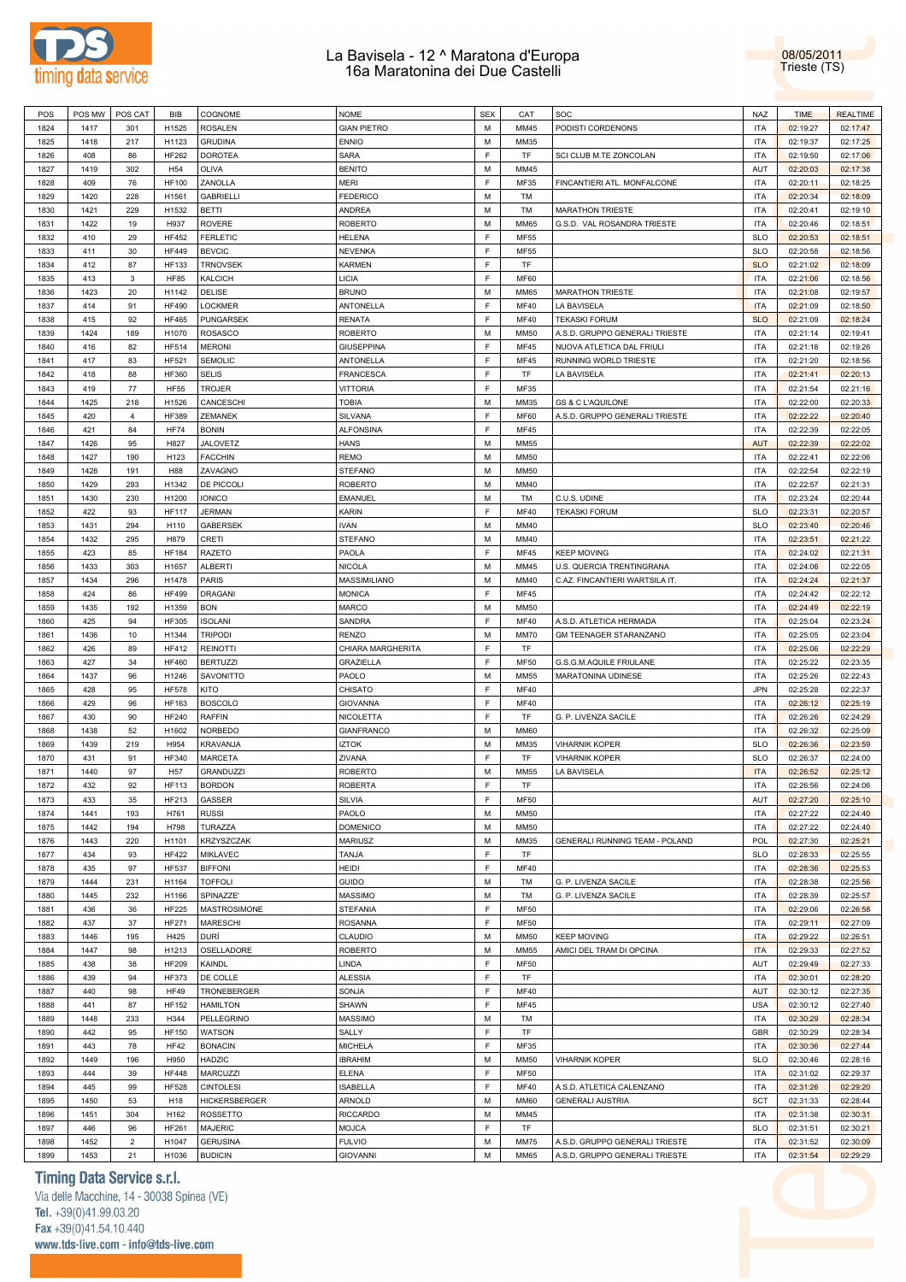



| POS  | POS MW | POS CAT        | <b>BIB</b>      | COGNOME           | <b>NOME</b>        | <b>SEX</b> | CAT         | SOC                            | <b>NAZ</b> | <b>TIME</b> | <b>REALTIME</b> |
|------|--------|----------------|-----------------|-------------------|--------------------|------------|-------------|--------------------------------|------------|-------------|-----------------|
| 1824 | 1417   | 301            | H1525           | <b>ROSALEN</b>    | <b>GIAN PIETRO</b> | М          | MM45        | PODISTI CORDENONS              | <b>ITA</b> | 02:19:27    | 02:17:47        |
|      |        |                |                 |                   |                    |            |             |                                |            |             |                 |
| 1825 | 1418   | 217            | H1123           | <b>GRUDINA</b>    | <b>ENNIO</b>       | М          | MM35        |                                | <b>ITA</b> | 02:19:37    | 02:17:25        |
| 1826 | 408    | 86             | <b>HF262</b>    | <b>DOROTEA</b>    | <b>SARA</b>        | F          | TF          | SCI CLUB M.TE ZONCOLAN         | <b>ITA</b> | 02:19:50    | 02:17:06        |
| 1827 | 1419   | 302            | H <sub>54</sub> | OLIVA             | <b>BENITO</b>      | M          | MM45        |                                | AUT        | 02:20:03    | 02:17:38        |
| 1828 | 409    | 76             | <b>HF100</b>    | ZANOLLA           | <b>MERI</b>        | E          | MF35        | FINCANTIERI ATL. MONFALCONE    | <b>ITA</b> | 02:20:11    | 02:18:25        |
| 1829 | 1420   | 228            | H1561           | <b>GABRIELLI</b>  | <b>FEDERICO</b>    | M          | TM          |                                | <b>ITA</b> | 02:20:34    | 02:18:09        |
| 1830 | 1421   | 229            | H1532           | <b>BETTI</b>      | ANDREA             | M          | TM          | <b>MARATHON TRIESTE</b>        | <b>ITA</b> | 02:20:41    | 02:19:10        |
|      |        |                |                 |                   |                    |            |             |                                |            |             |                 |
| 1831 | 1422   | 19             | H937            | <b>ROVERE</b>     | <b>ROBERTO</b>     | M          | <b>MM65</b> | G.S.D. VAL ROSANDRA TRIESTE    | <b>ITA</b> | 02:20:46    | 02:18:51        |
| 1832 | 410    | 29             | <b>HF452</b>    | <b>FERLETIC</b>   | <b>HELENA</b>      | E          | MF55        |                                | <b>SLO</b> | 02:20:53    | 02:18:51        |
| 1833 | 411    | 30             | <b>HF449</b>    | <b>BEVCIC</b>     | <b>NEVENKA</b>     | F          | <b>MF55</b> |                                | <b>SLO</b> | 02:20:58    | 02:18:56        |
| 1834 | 412    | 87             | <b>HF133</b>    | <b>TRNOVSEK</b>   | <b>KARMEN</b>      | F          | <b>TF</b>   |                                | <b>SLO</b> | 02:21:02    | 02:18:09        |
| 1835 | 413    | 3              | <b>HF85</b>     | <b>KALCICH</b>    | LICIA              | F          | <b>MF60</b> |                                | <b>ITA</b> | 02:21:06    | 02:18:56        |
|      | 1423   | 20             | H1142           | DELISE            |                    | M          | <b>MM65</b> | <b>MARATHON TRIESTE</b>        | <b>ITA</b> |             |                 |
| 1836 |        |                |                 |                   | <b>BRUNO</b>       |            |             |                                |            | 02:21:08    | 02:19:57        |
| 1837 | 414    | 91             | <b>HF490</b>    | <b>LOCKMER</b>    | <b>ANTONELLA</b>   | F          | <b>MF40</b> | LA BAVISELA                    | <b>ITA</b> | 02:21:09    | 02:18:50        |
| 1838 | 415    | 92             | <b>HF465</b>    | PUNGARSEK         | <b>RENATA</b>      | F          | <b>MF40</b> | <b>TEKASKI FORUM</b>           | <b>SLO</b> | 02:21:09    | 02:18:24        |
| 1839 | 1424   | 189            | H1070           | <b>ROSASCO</b>    | <b>ROBERTO</b>     | M          | MM50        | A.S.D. GRUPPO GENERALI TRIESTE | <b>ITA</b> | 02:21:14    | 02:19:41        |
| 1840 | 416    | 82             | <b>HF514</b>    | <b>MERONI</b>     | <b>GIUSEPPINA</b>  | F          | <b>MF45</b> | NUOVA ATLETICA DAL FRIULI      | <b>ITA</b> | 02:21:18    | 02:19:26        |
| 1841 | 417    | 83             | HF521           | <b>SEMOLIC</b>    | ANTONELLA          | F          | <b>MF45</b> | RUNNING WORLD TRIESTE          | <b>ITA</b> | 02:21:20    | 02:18:56        |
|      |        |                |                 |                   |                    |            |             |                                |            |             |                 |
| 1842 | 418    | 88             | <b>HF360</b>    | <b>SELIS</b>      | FRANCESCA          | F          | TF          | LA BAVISELA                    | <b>ITA</b> | 02:21:41    | 02:20:13        |
| 1843 | 419    | 77             | <b>HF55</b>     | TROJER            | <b>VITTORIA</b>    | E          | MF35        |                                | <b>ITA</b> | 02:21:54    | 02:21:16        |
| 1844 | 1425   | 218            | H1526           | CANCESCHI         | TOBIA              | M          | MM35        | <b>GS &amp; C L'AQUILONE</b>   | <b>ITA</b> | 02:22:00    | 02:20:33        |
| 1845 | 420    | $\overline{4}$ | <b>HF389</b>    | ZEMANEK           | SILVANA            | F          | <b>MF60</b> | A.S.D. GRUPPO GENERALI TRIESTE | <b>ITA</b> | 02:22:22    | 02:20:40        |
| 1846 | 421    | 84             | <b>HF74</b>     | <b>BONIN</b>      | <b>ALFONSINA</b>   | F          | MF45        |                                | <b>ITA</b> | 02:22:39    | 02:22:05        |
|      |        |                |                 |                   |                    |            |             |                                |            |             |                 |
| 1847 | 1426   | 95             | H827            | JALOVETZ          | <b>HANS</b>        | M          | MM55        |                                | <b>AUT</b> | 02:22:39    | 02:22:02        |
| 1848 | 1427   | 190            | H123            | <b>FACCHIN</b>    | <b>REMO</b>        | M          | MM50        |                                | <b>ITA</b> | 02:22:41    | 02:22:06        |
| 1849 | 1428   | 191            | H88             | ZAVAGNO           | <b>STEFANO</b>     | M          | <b>MM50</b> |                                | <b>ITA</b> | 02:22:54    | 02:22:19        |
| 1850 | 1429   | 293            | H1342           | DE PICCOLI        | <b>ROBERTO</b>     | M          | MM40        |                                | <b>ITA</b> | 02:22:57    | 02:21:31        |
| 1851 | 1430   | 230            | H1200           | <b>IONICO</b>     | <b>EMANUEL</b>     | M          | TM          | C.U.S. UDINE                   | <b>ITA</b> | 02:23:24    | 02:20:44        |
|      | 422    | 93             | <b>HF117</b>    | <b>JERMAN</b>     |                    | F          | <b>MF40</b> |                                | <b>SLO</b> |             |                 |
| 1852 |        |                |                 |                   | <b>KARIN</b>       |            |             | <b>TEKASKI FORUM</b>           |            | 02:23:31    | 02:20:57        |
| 1853 | 1431   | 294            | H110            | <b>GABERSEK</b>   | <b>IVAN</b>        | M          | MM40        |                                | <b>SLO</b> | 02:23:40    | 02:20:46        |
| 1854 | 1432   | 295            | H879            | CRETI             | <b>STEFANO</b>     | M          | MM40        |                                | <b>ITA</b> | 02:23:51    | 02:21:22        |
| 1855 | 423    | 85             | <b>HF184</b>    | <b>RAZETO</b>     | PAOLA              | F          | MF45        | <b>KEEP MOVING</b>             | <b>ITA</b> | 02:24:02    | 02:21:31        |
| 1856 | 1433   | 303            | H1657           | <b>ALBERTI</b>    | <b>NICOLA</b>      | M          | MM45        | U.S. QUERCIA TRENTINGRANA      | <b>ITA</b> | 02:24:06    | 02:22:05        |
|      |        |                |                 |                   |                    |            |             |                                |            |             |                 |
| 1857 | 1434   | 296            | H1478           | <b>PARIS</b>      | MASSIMILIANO       | М          | MM40        | C.AZ. FINCANTIERI WARTSILA IT. | <b>ITA</b> | 02:24:24    | 02:21:37        |
| 1858 | 424    | 86             | <b>HF499</b>    | <b>DRAGANI</b>    | <b>MONICA</b>      | F          | MF45        |                                | <b>ITA</b> | 02:24:42    | 02:22:12        |
| 1859 | 1435   | 192            | H1359           | <b>BON</b>        | <b>MARCO</b>       | M          | <b>MM50</b> |                                | <b>ITA</b> | 02:24:49    | 02:22:19        |
| 1860 | 425    | 94             | <b>HF305</b>    | <b>ISOLANI</b>    | SANDRA             | F          | <b>MF40</b> | A.S.D. ATLETICA HERMADA        | <b>ITA</b> | 02:25:04    | 02:23:24        |
| 1861 | 1436   | 10             | H1344           | <b>TRIPODI</b>    | <b>RENZO</b>       | M          | <b>MM70</b> | GM TEENAGER STARANZANO         | <b>ITA</b> | 02:25:05    | 02:23:04        |
| 1862 | 426    | 89             | <b>HF412</b>    | <b>REINOTTI</b>   | CHIARA MARGHERITA  | F          | TF          |                                | <b>ITA</b> | 02:25:06    | 02:22:29        |
|      |        |                |                 |                   |                    |            |             |                                |            |             |                 |
| 1863 | 427    | 34             | <b>HF460</b>    | <b>BERTUZZI</b>   | <b>GRAZIELLA</b>   | F          | <b>MF50</b> | G.S.G.M.AQUILE FRIULANE        | <b>ITA</b> | 02:25:22    | 02:23:35        |
| 1864 | 1437   | 96             | H1246           | SAVONITTO         | PAOLO              | M          | <b>MM55</b> | MARATONINA UDINESE             | <b>ITA</b> | 02:25:26    | 02:22:43        |
| 1865 | 428    | 95             | <b>HF578</b>    | KITO              | CHISATO            | F          | <b>MF40</b> |                                | <b>JPN</b> | 02:25:28    | 02:22:37        |
| 1866 | 429    | 96             | <b>HF163</b>    | <b>BOSCOLO</b>    | <b>GIOVANNA</b>    | F          | <b>MF40</b> |                                | <b>ITA</b> | 02:26:12    | 02:25:19        |
| 1867 | 430    | 90             | <b>HF240</b>    | <b>RAFFIN</b>     | <b>NICOLETTA</b>   | E          | TF          | G. P. LIVENZA SACILE           | <b>ITA</b> | 02:26:26    | 02:24:29        |
| 1868 | 1438   | 52             | H1602           | <b>NORBEDO</b>    | <b>GIANFRANCO</b>  | M          | <b>MM60</b> |                                | <b>ITA</b> | 02:26:32    | 02:25:09        |
|      |        |                |                 |                   |                    |            |             |                                |            |             |                 |
| 1869 | 1439   | 219            | H954            | KRAVANJA          | <b>IZTOK</b>       | M          | MM35        | <b>VIHARNIK KOPER</b>          | <b>SLO</b> | 02:26:36    | 02:23:59        |
| 1870 | 431    | 91             | HF340           | MARCETA           | ZIVANA             | F          | TF          | <b>VIHARNIK KOPER</b>          | <b>SLO</b> | 02:26:37    | 02:24:00        |
| 1871 | 1440   | 97             | H <sub>57</sub> | <b>GRANDUZZI</b>  | <b>ROBERTO</b>     | M          | <b>MM55</b> | LA BAVISELA                    | <b>ITA</b> | 02:26:52    | 02:25:12        |
| 1872 | 432    | 92             | <b>HF113</b>    | <b>BORDON</b>     | <b>ROBERTA</b>     | E          | <b>TF</b>   |                                | <b>ITA</b> | 02:26:56    | 02:24:06        |
| 1873 | 433    | 35             | HF213           | GASSER            | <b>SILVIA</b>      | F          | <b>MF50</b> |                                | AUT        | 02:27:20    | 02:25:10        |
|      |        |                |                 |                   |                    |            |             |                                |            |             |                 |
| 1874 | 1441   | 193            | H761            | <b>RUSSI</b>      | PAOLO              | M          | <b>MM50</b> |                                | <b>ITA</b> | 02:27:22    | 02:24:40        |
| 1875 | 1442   | 194            | H798            | TURAZZA           | <b>DOMENICO</b>    | M          | <b>MM50</b> |                                | <b>ITA</b> | 02:27:22    | 02:24:40        |
| 1876 | 1443   | 220            | H1101           | <b>KRZYSZCZAK</b> | <b>MARIUSZ</b>     | M          | MM35        | GENERALI RUNNING TEAM - POLAND | <b>POL</b> | 02:27:30    | 02:25:21        |
| 1877 | 434    | 93             | <b>HF422</b>    | <b>MIKLAVEC</b>   | TANJA              | F          | TF          |                                | <b>SLO</b> | 02:28:33    | 02:25:55        |
| 1878 | 435    | 97             | <b>HF537</b>    | <b>BIFFONI</b>    | <b>HEIDI</b>       | F          | <b>MF40</b> |                                | <b>ITA</b> | 02:28:36    | 02:25:53        |
| 1879 | 1444   | 231            | H1164           | <b>TOFFOLI</b>    | <b>GUIDO</b>       | M          | TM          | G. P. LIVENZA SACILE           | <b>ITA</b> | 02:28:38    | 02:25:56        |
|      |        |                |                 |                   |                    |            |             |                                |            |             |                 |
| 1880 | 1445   | 232            | H1166           | SPINAZZE'         | <b>MASSIMO</b>     | M          | TM          | G. P. LIVENZA SACILE           | <b>ITA</b> | 02:28:39    | 02:25:57        |
| 1881 | 436    | 36             | <b>HF225</b>    | MASTROSIMONE      | <b>STEFANIA</b>    | F          | <b>MF50</b> |                                | <b>ITA</b> | 02:29:06    | 02:26:58        |
| 1882 | 437    | 37             | <b>HF271</b>    | <b>MARESCHI</b>   | <b>ROSANNA</b>     | F          | MF50        |                                | <b>ITA</b> | 02:29:11    | 02:27:09        |
| 1883 | 1446   | 195            | H425            | DURÌ              | CLAUDIO            | M          | <b>MM50</b> | <b>KEEP MOVING</b>             | <b>ITA</b> | 02:29:22    | 02:26:51        |
| 1884 | 1447   | 98             | H1213           | OSELLADORE        | <b>ROBERTO</b>     | M          | <b>MM55</b> | AMICI DEL TRAM DI OPCINA       | <b>ITA</b> | 02:29:33    | 02:27:52        |
|      |        |                |                 |                   |                    |            |             |                                |            |             |                 |
| 1885 | 438    | 38             | <b>HF209</b>    | KAINDL            | LINDA              | F          | MF50        |                                | AUT        | 02:29:49    | 02:27:33        |
| 1886 | 439    | 94             | <b>HF373</b>    | DE COLLE          | <b>ALESSIA</b>     | F          | TF          |                                | <b>ITA</b> | 02:30:01    | 02:28:20        |
| 1887 | 440    | 98             | <b>HF49</b>     | TRONEBERGER       | SONJA              | F          | <b>MF40</b> |                                | AUT        | 02:30:12    | 02:27:35        |
| 1888 | 441    | 87             | <b>HF152</b>    | <b>HAMILTON</b>   | SHAWN              | F          | <b>MF45</b> |                                | <b>USA</b> | 02:30:12    | 02:27:40        |
| 1889 | 1448   | 233            | H344            | PELLEGRINO        | <b>MASSIMO</b>     | M          | TM          |                                | <b>ITA</b> | 02:30:29    | 02:28:34        |
|      |        |                |                 |                   |                    | F          |             |                                |            |             |                 |
| 1890 | 442    | 95             | <b>HF150</b>    | WATSON            | SALLY              |            | TF          |                                | <b>GBR</b> | 02:30:29    | 02:28:34        |
| 1891 | 443    | 78             | HF42            | <b>BONACIN</b>    | <b>MICHELA</b>     | F          | MF35        |                                | <b>ITA</b> | 02:30:36    | 02:27:44        |
| 1892 | 1449   | 196            | H950            | <b>HADZIC</b>     | <b>IBRAHIM</b>     | M          | <b>MM50</b> | <b>VIHARNIK KOPER</b>          | <b>SLO</b> | 02:30:46    | 02:28:16        |
| 1893 | 444    | 39             | <b>HF448</b>    | MARCUZZI          | <b>ELENA</b>       | F          | <b>MF50</b> |                                | <b>ITA</b> | 02:31:02    | 02:29:37        |
| 1894 | 445    | 99             | <b>HF528</b>    | <b>CINTOLESI</b>  | <b>ISABELLA</b>    | F          | <b>MF40</b> | A.S.D. ATLETICA CALENZANO      | <b>ITA</b> | 02:31:26    | 02:29:20        |
| 1895 | 1450   | 53             | H <sub>18</sub> | HICKERSBERGER     | ARNOLD             | M          | <b>MM60</b> | <b>GENERALI AUSTRIA</b>        | <b>SCT</b> | 02:31:33    | 02:28:44        |
|      |        |                |                 |                   |                    |            |             |                                |            |             |                 |
| 1896 | 1451   | 304            | H162            | <b>ROSSETTO</b>   | <b>RICCARDO</b>    | M          | MM45        |                                | <b>ITA</b> | 02:31:38    | 02:30:31        |
| 1897 | 446    | 96             | HF261           | <b>MAJERIC</b>    | <b>MOJCA</b>       | F          | TF          |                                | <b>SLO</b> | 02:31:51    | 02:30:21        |
| 1898 | 1452   | $\overline{2}$ | H1047           | <b>GERUSINA</b>   | <b>FULVIO</b>      | M          | <b>MM75</b> | A.S.D. GRUPPO GENERALI TRIESTE | <b>ITA</b> | 02:31:52    | 02:30:09        |
| 1899 | 1453   | 21             | H1036           | <b>BUDICIN</b>    | <b>GIOVANNI</b>    | М          | MM65        | A.S.D. GRUPPO GENERALI TRIESTE | ITA        | 02:31:54    | 02:29:29        |

## **Timing Data Service s.r.l.**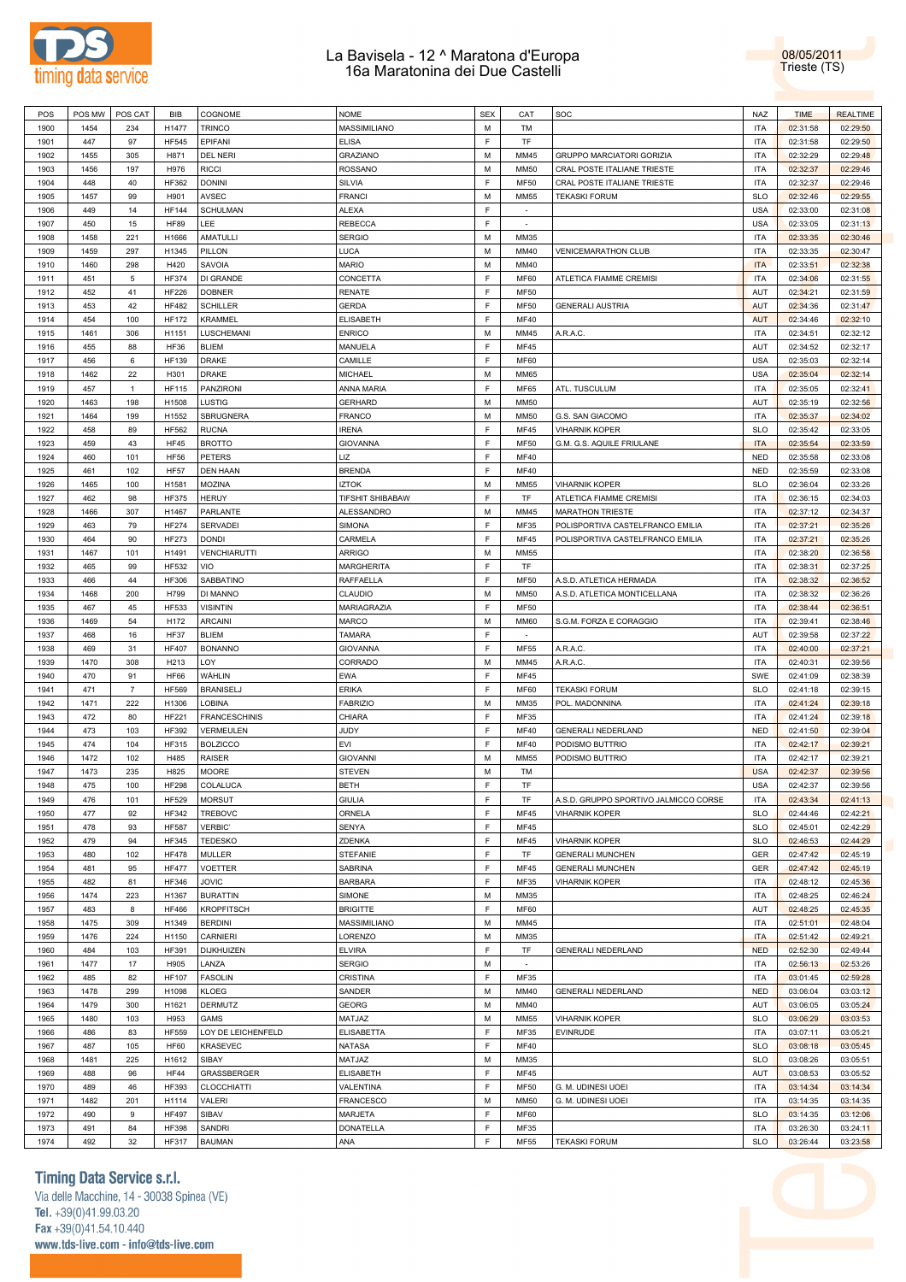



| POS  | POS MW | POS CAT        | <b>BIB</b>   | COGNOME              | <b>NOME</b>             | <b>SEX</b> | CAT         | SOC                                   | <b>NAZ</b> | <b>TIME</b> | <b>REALTIME</b> |
|------|--------|----------------|--------------|----------------------|-------------------------|------------|-------------|---------------------------------------|------------|-------------|-----------------|
| 1900 | 1454   | 234            | H1477        | <b>TRINCO</b>        | MASSIMILIANO            | M          | TM          |                                       | <b>ITA</b> | 02:31:58    | 02:29:50        |
|      |        |                |              |                      |                         | F          |             |                                       |            |             |                 |
| 1901 | 447    | 97             | <b>HF545</b> | <b>EPIFANI</b>       | <b>ELISA</b>            |            | TF          |                                       | <b>ITA</b> | 02:31:58    | 02:29:50        |
| 1902 | 1455   | 305            | H871         | <b>DEL NERI</b>      | <b>GRAZIANO</b>         | M          | MM45        | GRUPPO MARCIATORI GORIZIA             | <b>ITA</b> | 02:32:29    | 02:29:48        |
| 1903 | 1456   | 197            | H976         | <b>RICCI</b>         | <b>ROSSANO</b>          | M          | <b>MM50</b> | CRAL POSTE ITALIANE TRIESTE           | <b>ITA</b> | 02:32:37    | 02:29:46        |
| 1904 | 448    | 40             | HF362        | <b>DONINI</b>        | <b>SILVIA</b>           | F          | <b>MF50</b> | CRAL POSTE ITALIANE TRIESTE           | <b>ITA</b> | 02:32:37    | 02:29:46        |
| 1905 | 1457   | 99             | H901         | <b>AVSEC</b>         | <b>FRANCI</b>           | M          | MM55        | <b>TEKASKI FORUM</b>                  | <b>SLO</b> | 02:32:46    | 02:29:55        |
| 1906 | 449    | 14             | <b>HF144</b> | <b>SCHULMAN</b>      | <b>ALEXA</b>            | E          | $\sim$      |                                       | <b>USA</b> | 02:33:00    | 02:31:08        |
| 1907 | 450    | 15             | <b>HF89</b>  | LEE                  | <b>REBECCA</b>          | F          | $\sim$      |                                       | <b>USA</b> | 02:33:05    | 02:31:13        |
| 1908 | 1458   | 221            | H1666        | AMATULLI             | <b>SERGIO</b>           | M          | MM35        |                                       | <b>ITA</b> | 02:33:35    | 02:30:46        |
|      |        |                |              |                      |                         |            |             |                                       |            |             |                 |
| 1909 | 1459   | 297            | H1345        | PILLON               | LUCA                    | M          | MM40        | <b>VENICEMARATHON CLUB</b>            | <b>ITA</b> | 02:33:35    | 02:30:47        |
| 1910 | 1460   | 298            | H420         | SAVOIA               | <b>MARIO</b>            | M          | MM40        |                                       | <b>ITA</b> | 02:33:51    | 02:32:38        |
| 1911 | 451    | 5              | <b>HF374</b> | DI GRANDE            | CONCETTA                | F          | <b>MF60</b> | ATLETICA FIAMME CREMISI               | <b>ITA</b> | 02:34:06    | 02:31:55        |
| 1912 | 452    | 41             | <b>HF226</b> | <b>DOBNER</b>        | RENATE                  | F          | <b>MF50</b> |                                       | AUT        | 02:34:21    | 02:31:59        |
| 1913 | 453    | 42             | <b>HF482</b> | <b>SCHILLER</b>      | <b>GERDA</b>            | F          | <b>MF50</b> | <b>GENERALI AUSTRIA</b>               | <b>AUT</b> | 02:34:36    | 02:31:47        |
| 1914 | 454    | 100            | <b>HF172</b> | <b>KRAMMEL</b>       | <b>ELISABETH</b>        | F          | <b>MF40</b> |                                       | <b>AUT</b> | 02:34:46    | 02:32:10        |
|      |        |                |              |                      |                         |            |             |                                       |            |             |                 |
| 1915 | 1461   | 306            | H1151        | LUSCHEMANI           | <b>ENRICO</b>           | M          | MM45        | A.R.A.C                               | <b>ITA</b> | 02:34:51    | 02:32:12        |
| 1916 | 455    | 88             | <b>HF36</b>  | <b>BLIEM</b>         | MANUELA                 | F          | MF45        |                                       | AUT        | 02:34:52    | 02:32:17        |
| 1917 | 456    | 6              | <b>HF139</b> | <b>DRAKE</b>         | CAMILLE                 | F          | <b>MF60</b> |                                       | <b>USA</b> | 02:35:03    | 02:32:14        |
| 1918 | 1462   | 22             | H301         | <b>DRAKE</b>         | <b>MICHAEL</b>          | M          | MM65        |                                       | <b>USA</b> | 02:35:04    | 02:32:14        |
| 1919 | 457    | $\overline{1}$ | <b>HF115</b> | <b>PANZIRONI</b>     | ANNA MARIA              | F          | <b>MF65</b> | ATL. TUSCULUM                         | <b>ITA</b> | 02:35:05    | 02:32:41        |
| 1920 | 1463   | 198            | H1508        | <b>LUSTIG</b>        | <b>GERHARD</b>          | M          | <b>MM50</b> |                                       | AUT        | 02:35:19    | 02:32:56        |
|      |        |                |              |                      |                         |            |             |                                       |            |             |                 |
| 1921 | 1464   | 199            | H1552        | <b>SBRUGNERA</b>     | <b>FRANCO</b>           | M          | <b>MM50</b> | G.S. SAN GIACOMO                      | <b>ITA</b> | 02:35:37    | 02:34:02        |
| 1922 | 458    | 89             | HF562        | <b>RUCNA</b>         | <b>IRENA</b>            | F          | <b>MF45</b> | <b>VIHARNIK KOPER</b>                 | <b>SLO</b> | 02:35:42    | 02:33:05        |
| 1923 | 459    | 43             | <b>HF45</b>  | <b>BROTTO</b>        | <b>GIOVANNA</b>         | F          | <b>MF50</b> | G.M. G.S. AQUILE FRIULANE             | <b>ITA</b> | 02:35:54    | 02:33:59        |
| 1924 | 460    | 101            | <b>HF56</b>  | <b>PETERS</b>        | LIZ                     | F          | <b>MF40</b> |                                       | <b>NED</b> | 02:35:58    | 02:33:08        |
| 1925 | 461    | 102            | <b>HF57</b>  | <b>DEN HAAN</b>      | <b>BRENDA</b>           | F          | <b>MF40</b> |                                       | <b>NED</b> | 02:35:59    | 02:33:08        |
| 1926 | 1465   | 100            | H1581        | <b>MOZINA</b>        | <b>IZTOK</b>            | M          | MM55        | <b>VIHARNIK KOPER</b>                 | <b>SLO</b> | 02:36:04    | 02:33:26        |
|      |        |                |              |                      |                         | F          |             |                                       |            |             |                 |
| 1927 | 462    | 98             | <b>HF375</b> | <b>HERUY</b>         | <b>TIFSHIT SHIBABAW</b> |            | TF          | ATLETICA FIAMME CREMISI               | <b>ITA</b> | 02:36:15    | 02:34:03        |
| 1928 | 1466   | 307            | H1467        | PARLANTE             | ALESSANDRO              | M          | MM45        | <b>MARATHON TRIESTE</b>               | <b>ITA</b> | 02:37:12    | 02:34:37        |
| 1929 | 463    | 79             | <b>HF274</b> | <b>SERVADEI</b>      | <b>SIMONA</b>           | F          | MF35        | POLISPORTIVA CASTELFRANCO EMILIA      | <b>ITA</b> | 02:37:21    | 02:35:26        |
| 1930 | 464    | 90             | <b>HF273</b> | <b>DONDI</b>         | CARMELA                 | F          | MF45        | POLISPORTIVA CASTELFRANCO EMILIA      | <b>ITA</b> | 02:37:21    | 02:35:26        |
| 1931 | 1467   | 101            | H1491        | VENCHIARUTTI         | <b>ARRIGO</b>           | M          | MM55        |                                       | <b>ITA</b> | 02:38:20    | 02:36:58        |
| 1932 | 465    | 99             | HF532        | VIO                  | <b>MARGHERITA</b>       | F          | TF          |                                       | <b>ITA</b> | 02:38:31    | 02:37:25        |
|      |        |                |              |                      |                         | F          |             |                                       |            |             |                 |
| 1933 | 466    | 44             | <b>HF306</b> | SABBATINO            | <b>RAFFAELLA</b>        |            | <b>MF50</b> | A.S.D. ATLETICA HERMADA               | <b>ITA</b> | 02:38:32    | 02:36:52        |
| 1934 | 1468   | 200            | H799         | DI MANNO             | CLAUDIO                 | M          | <b>MM50</b> | A.S.D. ATLETICA MONTICELLANA          | <b>ITA</b> | 02:38:32    | 02:36:26        |
| 1935 | 467    | 45             | <b>HF533</b> | <b>VISINTIN</b>      | MARIAGRAZIA             | F          | <b>MF50</b> |                                       | <b>ITA</b> | 02:38:44    | 02:36:51        |
| 1936 | 1469   | 54             | H172         | <b>ARCAINI</b>       | <b>MARCO</b>            | M          | <b>MM60</b> | S.G.M. FORZA E CORAGGIO               | <b>ITA</b> | 02:39:41    | 02:38:46        |
| 1937 | 468    | 16             | HF37         | <b>BLIEM</b>         | <b>TAMARA</b>           | F          | $\sim$      |                                       | AUT        | 02:39:58    | 02:37:22        |
| 1938 | 469    | 31             | <b>HF407</b> | <b>BONANNO</b>       | <b>GIOVANNA</b>         | F          | <b>MF55</b> | A.R.A.C.                              | <b>ITA</b> | 02:40:00    | 02:37:21        |
|      | 1470   |                |              | LOY                  |                         | M          |             |                                       |            |             |                 |
| 1939 |        | 308            | H213         |                      | CORRADO                 |            | MM45        | A.R.A.C                               | <b>ITA</b> | 02:40:31    | 02:39:56        |
| 1940 | 470    | 91             | <b>HF66</b>  | WÂHLIN               | EWA                     | F          | <b>MF45</b> |                                       | SWE        | 02:41:09    | 02:38:39        |
| 1941 | 471    | $\overline{7}$ | <b>HF569</b> | <b>BRANISELJ</b>     | <b>ERIKA</b>            | F          | <b>MF60</b> | <b>TEKASKI FORUM</b>                  | <b>SLO</b> | 02:41:18    | 02:39:15        |
| 1942 | 1471   | 222            | H1306        | <b>LOBINA</b>        | <b>FABRIZIO</b>         | M          | MM35        | POL. MADONNINA                        | <b>ITA</b> | 02:41:24    | 02:39:18        |
| 1943 | 472    | 80             | <b>HF221</b> | <b>FRANCESCHINIS</b> | CHIARA                  | F          | MF35        |                                       | <b>ITA</b> | 02:41:24    | 02:39:18        |
| 1944 | 473    | 103            | HF392        | VERMEULEN            | JUDY                    | F          | <b>MF40</b> | <b>GENERALI NEDERLAND</b>             | <b>NED</b> | 02:41:50    | 02:39:04        |
| 1945 | 474    | 104            | HF315        | <b>BOLZICCO</b>      | EVI                     | F          | <b>MF40</b> | PODISMO BUTTRIO                       | <b>ITA</b> | 02:42:17    | 02:39:21        |
| 1946 | 1472   |                | H485         |                      | <b>GIOVANNI</b>         | M          | MM55        |                                       | <b>ITA</b> |             |                 |
|      |        | 102            |              | <b>RAISER</b>        |                         |            |             | PODISMO BUTTRIO                       |            | 02:42:17    | 02:39:21        |
| 1947 | 1473   | 235            | H825         | <b>MOORE</b>         | <b>STEVEN</b>           | M          | TM          |                                       | <b>USA</b> | 02:42:37    | 02:39:56        |
| 1948 | 475    | 100            | <b>HF298</b> | COLALUCA             | <b>BETH</b>             | F          | TF          |                                       | <b>USA</b> | 02:42:37    | 02:39:56        |
| 1949 | 476    | 101            | <b>HF529</b> | <b>MORSUT</b>        | <b>GIULIA</b>           | F          | TF          | A.S.D. GRUPPO SPORTIVO JALMICCO CORSE | ITA        | 02:43:34    | 02:41:13        |
| 1950 | 477    | 92             | HF342        | <b>TREBOVC</b>       | ORNELA                  | F          | MF45        | <b>VIHARNIK KOPER</b>                 | <b>SLO</b> | 02:44:46    | 02:42:21        |
| 1951 | 478    | 93             | <b>HF587</b> | <b>VERBIC'</b>       | SENYA                   | F          | <b>MF45</b> |                                       | <b>SLO</b> | 02:45:01    | 02:42:29        |
| 1952 | 479    | 94             | HF345        | <b>TEDESKO</b>       | ZDENKA                  | F          | <b>MF45</b> | <b>VIHARNIK KOPER</b>                 | <b>SLO</b> | 02:46:53    | 02:44:29        |
|      |        |                |              |                      |                         |            |             |                                       |            |             |                 |
| 1953 | 480    | 102            | <b>HF478</b> | MULLER               | <b>STEFANIE</b>         | F          | TF          | <b>GENERALI MUNCHEN</b>               | GER        | 02:47:42    | 02:45:19        |
| 1954 | 481    | 95             | <b>HF477</b> | VOETTER              | SABRINA                 | F          | MF45        | <b>GENERALI MUNCHEN</b>               | <b>GER</b> | 02:47:42    | 02:45:19        |
| 1955 | 482    | 81             | HF346        | <b>JOVIC</b>         | <b>BARBARA</b>          | F          | MF35        | <b>VIHARNIK KOPER</b>                 | <b>ITA</b> | 02:48:12    | 02:45:36        |
| 1956 | 1474   | 223            | H1367        | <b>BURATTIN</b>      | SIMONE                  | M          | MM35        |                                       | <b>ITA</b> | 02:48:25    | 02:46:24        |
| 1957 | 483    | 8              | <b>HF466</b> | <b>KROPFITSCH</b>    | <b>BRIGITTE</b>         | F          | <b>MF60</b> |                                       | AUT        | 02:48:25    | 02:45:35        |
| 1958 | 1475   | 309            | H1349        | <b>BERDINI</b>       | MASSIMILIANO            | M          | MM45        |                                       | <b>ITA</b> | 02:51:01    | 02:48:04        |
|      |        |                |              |                      |                         |            |             |                                       |            |             |                 |
| 1959 | 1476   | 224            | H1150        | CARNIERI             | LORENZO                 | M          | MM35        |                                       | <b>ITA</b> | 02:51:42    | 02:49:21        |
| 1960 | 484    | 103            | HF391        | DIJKHUIZEN           | <b>ELVIRA</b>           | F          | TF          | GENERALI NEDERLAND                    | <b>NED</b> | 02:52:30    | 02:49:44        |
| 1961 | 1477   | 17             | H905         | LANZA                | <b>SERGIO</b>           | M          | $\sim$      |                                       | <b>ITA</b> | 02:56:13    | 02:53:26        |
| 1962 | 485    | 82             | <b>HF107</b> | <b>FASOLIN</b>       | CRISTINA                | F          | MF35        |                                       | <b>ITA</b> | 03:01:45    | 02:59:28        |
| 1963 | 1478   | 299            | H1098        | <b>KLOEG</b>         | SANDER                  | M          | MM40        | <b>GENERALI NEDERLAND</b>             | <b>NED</b> | 03:06:04    | 03:03:12        |
| 1964 | 1479   | 300            | H1621        | DERMUTZ              | <b>GEORG</b>            | M          | MM40        |                                       | AUT        | 03:06:05    | 03:05:24        |
|      |        |                |              |                      |                         |            |             |                                       |            |             |                 |
| 1965 | 1480   | 103            | H953         | GAMS                 | MATJAZ                  | M          | MM55        | <b>VIHARNIK KOPER</b>                 | <b>SLO</b> | 03:06:29    | 03:03:53        |
| 1966 | 486    | 83             | <b>HF559</b> | LOY DE LEICHENFELD   | <b>ELISABETTA</b>       | F          | MF35        | <b>EVINRUDE</b>                       | <b>ITA</b> | 03:07:11    | 03:05:21        |
| 1967 | 487    | 105            | <b>HF60</b>  | <b>KRASEVEC</b>      | <b>NATASA</b>           | F          | <b>MF40</b> |                                       | <b>SLO</b> | 03:08:18    | 03:05:45        |
| 1968 | 1481   | 225            | H1612        | SIBAY                | MATJAZ                  | M          | MM35        |                                       | <b>SLO</b> | 03:08:26    | 03:05:51        |
| 1969 | 488    | 96             | <b>HF44</b>  | GRASSBERGER          | <b>ELISABETH</b>        | F          | MF45        |                                       | AUT        | 03:08:53    | 03:05:52        |
| 1970 | 489    | 46             | HF393        | CLOCCHIATTI          | VALENTINA               | F          | <b>MF50</b> | G. M. UDINESI UOEI                    | <b>ITA</b> | 03:14:34    | 03:14:34        |
|      |        |                |              |                      |                         |            |             |                                       |            |             |                 |
| 1971 | 1482   | 201            | H1114        | VALERI               | <b>FRANCESCO</b>        | M          | <b>MM50</b> | G. M. UDINESI UOEI                    | <b>ITA</b> | 03:14:35    | 03:14:35        |
| 1972 |        | 9              | <b>HF497</b> | SIBAV                | MARJETA                 | F          | <b>MF60</b> |                                       | <b>SLO</b> | 03:14:35    | 03:12:06        |
|      | 490    |                |              |                      |                         |            |             |                                       |            |             |                 |
| 1973 | 491    | 84             | <b>HF398</b> | SANDRI               | DONATELLA               | F          | MF35        |                                       | <b>ITA</b> | 03:26:30    | 03:24:11        |

## **Timing Data Service s.r.l.**